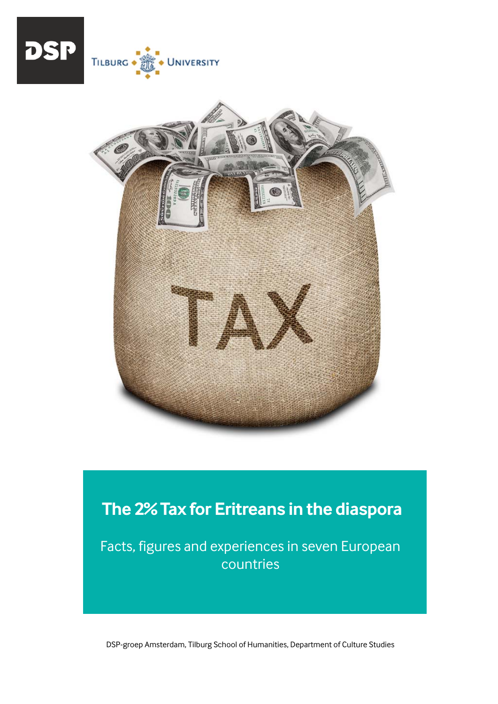



# **The 2% Tax for Eritreans in the diaspora**

Facts, figures and experiences in seven European countries

DSP-groep Amsterdam, Tilburg School of Humanities, Department of Culture Studies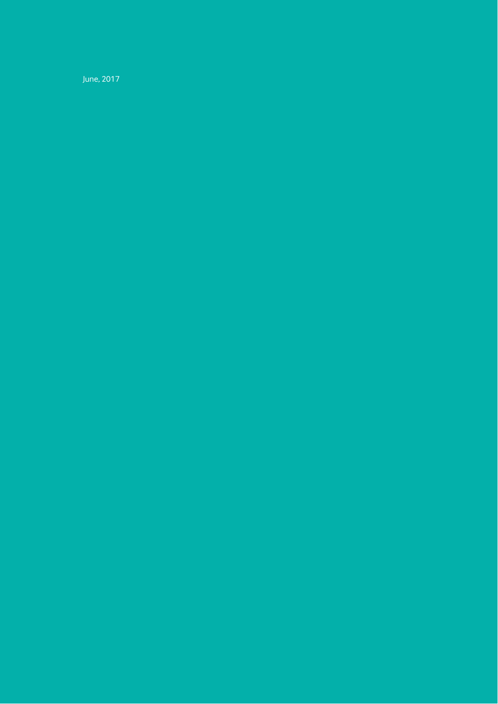June, 2017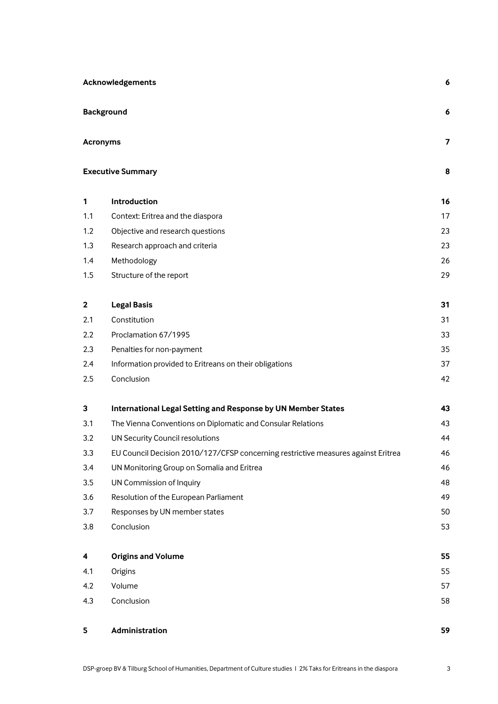| Acknowledgements |                                                                                   | 6  |
|------------------|-----------------------------------------------------------------------------------|----|
|                  | <b>Background</b>                                                                 | 6  |
| <b>Acronyms</b>  |                                                                                   | 7  |
|                  | <b>Executive Summary</b>                                                          | 8  |
| $\mathbf{1}$     | Introduction                                                                      | 16 |
| 1.1              | Context: Eritrea and the diaspora                                                 | 17 |
| 1.2              | Objective and research questions                                                  | 23 |
| 1.3              | Research approach and criteria                                                    | 23 |
| 1.4              | Methodology                                                                       | 26 |
| 1.5              | Structure of the report                                                           | 29 |
| $\mathbf{2}$     | <b>Legal Basis</b>                                                                | 31 |
| 2.1              | Constitution                                                                      | 31 |
| 2.2              | Proclamation 67/1995                                                              | 33 |
| 2.3              | Penalties for non-payment                                                         | 35 |
| 2.4              | Information provided to Eritreans on their obligations                            | 37 |
| 2.5              | Conclusion                                                                        | 42 |
| $\mathbf{3}$     | International Legal Setting and Response by UN Member States                      | 43 |
| 3.1              | The Vienna Conventions on Diplomatic and Consular Relations                       | 43 |
| 3.2              | UN Security Council resolutions                                                   | 44 |
| 3.3              | EU Council Decision 2010/127/CFSP concerning restrictive measures against Eritrea | 46 |
| 3.4              | UN Monitoring Group on Somalia and Eritrea                                        | 46 |
| 3.5              | UN Commission of Inquiry                                                          | 48 |
| 3.6              | Resolution of the European Parliament                                             | 49 |
| 3.7              | Responses by UN member states                                                     | 50 |
| 3.8              | Conclusion                                                                        | 53 |
| 4                | <b>Origins and Volume</b>                                                         | 55 |
| 4.1              | Origins                                                                           | 55 |
| 4.2              | Volume                                                                            | 57 |
| 4.3              | Conclusion                                                                        | 58 |
| 5                | Administration                                                                    | 59 |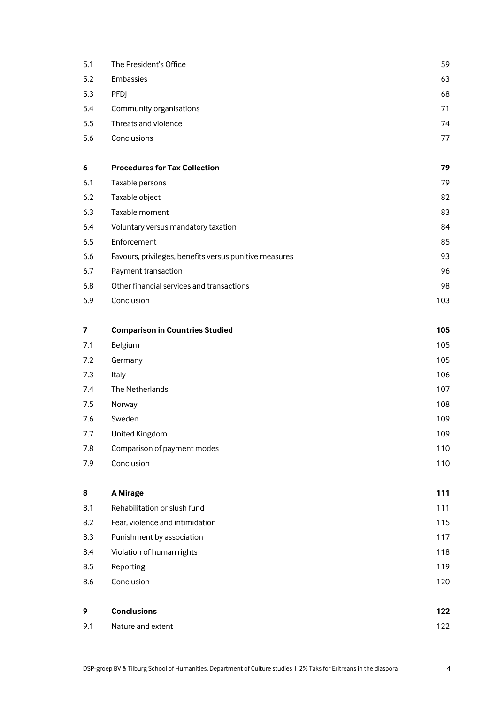| 5.1 | The President's Office                                 | 59  |
|-----|--------------------------------------------------------|-----|
| 5.2 | Embassies                                              | 63  |
| 5.3 | <b>PFDJ</b>                                            | 68  |
| 5.4 | Community organisations                                | 71  |
| 5.5 | Threats and violence                                   | 74  |
| 5.6 | Conclusions                                            | 77  |
| 6   | <b>Procedures for Tax Collection</b>                   | 79  |
| 6.1 | Taxable persons                                        | 79  |
| 6.2 | Taxable object                                         | 82  |
| 6.3 | Taxable moment                                         | 83  |
| 6.4 | Voluntary versus mandatory taxation                    | 84  |
| 6.5 | Enforcement                                            | 85  |
| 6.6 | Favours, privileges, benefits versus punitive measures | 93  |
| 6.7 | Payment transaction                                    | 96  |
| 6.8 | Other financial services and transactions              | 98  |
| 6.9 | Conclusion                                             | 103 |
| 7   | <b>Comparison in Countries Studied</b>                 | 105 |
| 7.1 | Belgium                                                | 105 |
| 7.2 | Germany                                                | 105 |
| 7.3 | Italy                                                  | 106 |
| 7.4 | The Netherlands                                        | 107 |
| 7.5 | Norway                                                 | 108 |
| 7.6 | Sweden                                                 | 109 |
| 7.7 | United Kingdom                                         | 109 |
| 7.8 | Comparison of payment modes                            | 110 |
| 7.9 | Conclusion                                             | 110 |
| 8   | <b>A Mirage</b>                                        | 111 |
| 8.1 | Rehabilitation or slush fund                           | 111 |
| 8.2 | Fear, violence and intimidation                        | 115 |
| 8.3 | Punishment by association                              | 117 |
| 8.4 | Violation of human rights                              | 118 |
| 8.5 | Reporting                                              | 119 |
| 8.6 | Conclusion                                             | 120 |
| 9   | <b>Conclusions</b>                                     | 122 |
| 9.1 | Nature and extent                                      | 122 |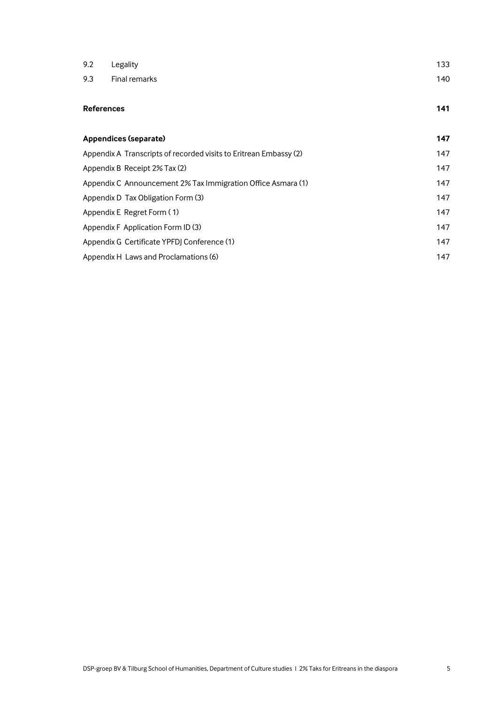| 9.2               | Legality                                                          | 133 |
|-------------------|-------------------------------------------------------------------|-----|
| 9.3               | Final remarks                                                     | 140 |
| <b>References</b> |                                                                   | 141 |
|                   | <b>Appendices (separate)</b>                                      | 147 |
|                   | Appendix A Transcripts of recorded visits to Eritrean Embassy (2) | 147 |
|                   | Appendix B Receipt 2% Tax (2)                                     | 147 |
|                   | Appendix C Announcement 2% Tax Immigration Office Asmara (1)      | 147 |
|                   | Appendix D Tax Obligation Form (3)                                | 147 |
|                   | Appendix E Regret Form (1)                                        | 147 |
|                   | Appendix F Application Form ID (3)                                | 147 |
|                   | Appendix G Certificate YPFDJ Conference (1)                       | 147 |
|                   | Appendix H Laws and Proclamations (6)                             | 147 |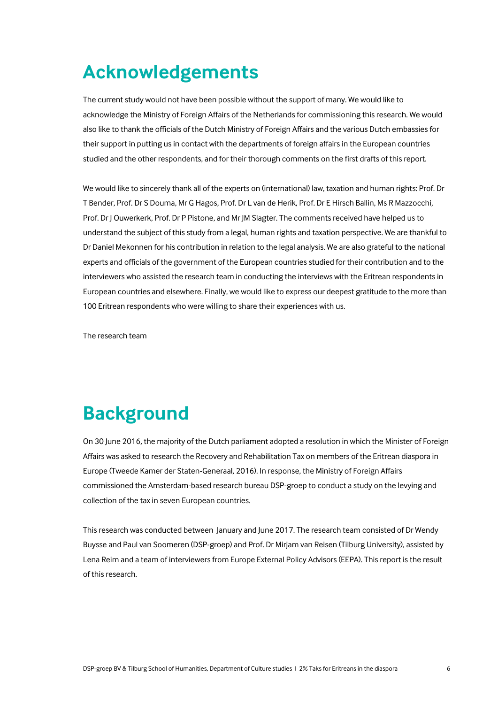# **Acknowledgements**

The current study would not have been possible without the support of many. We would like to acknowledge the Ministry of Foreign Affairs of the Netherlands for commissioning this research. We would also like to thank the officials of the Dutch Ministry of Foreign Affairs and the various Dutch embassies for their support in putting us in contact with the departments of foreign affairs in the European countries studied and the other respondents, and for their thorough comments on the first drafts of this report.

We would like to sincerely thank all of the experts on (international) law, taxation and human rights: Prof. Dr T Bender, Prof. Dr S Douma, Mr G Hagos, Prof. Dr L van de Herik, Prof. Dr E Hirsch Ballin, Ms R Mazzocchi, Prof. Dr J Ouwerkerk, Prof. Dr P Pistone, and Mr JM Slagter. The comments received have helped us to understand the subject of this study from a legal, human rights and taxation perspective. We are thankful to Dr Daniel Mekonnen for his contribution in relation to the legal analysis. We are also grateful to the national experts and officials of the government of the European countries studied for their contribution and to the interviewers who assisted the research team in conducting the interviews with the Eritrean respondents in European countries and elsewhere. Finally, we would like to express our deepest gratitude to the more than 100 Eritrean respondents who were willing to share their experiences with us.

The research team

# **Background**

On 30 June 2016, the majority of the Dutch parliament adopted a resolution in which the Minister of Foreign Affairs was asked to research the Recovery and Rehabilitation Tax on members of the Eritrean diaspora in Europe (Tweede Kamer der Staten-Generaal, 2016). In response, the Ministry of Foreign Affairs commissioned the Amsterdam-based research bureau DSP-groep to conduct a study on the levying and collection of the tax in seven European countries.

This research was conducted between January and June 2017. The research team consisted of Dr Wendy Buysse and Paul van Soomeren (DSP-groep) and Prof. Dr Mirjam van Reisen (Tilburg University), assisted by Lena Reim and a team of interviewers from Europe External Policy Advisors (EEPA). This report is the result of this research.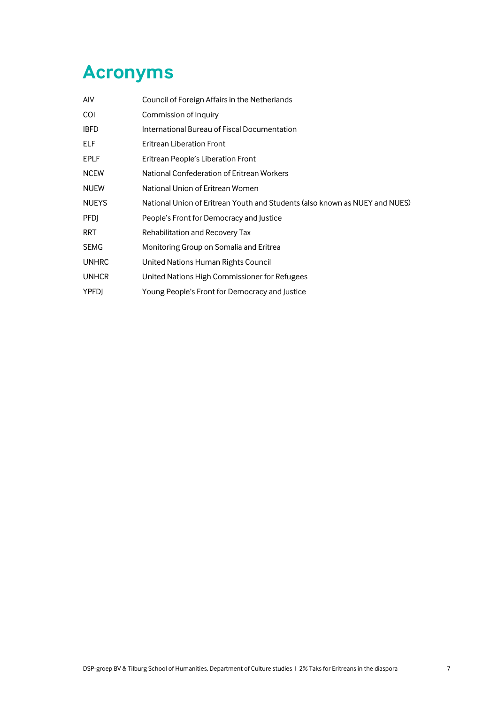# **Acronyms**

| AIV          | Council of Foreign Affairs in the Netherlands                               |
|--------------|-----------------------------------------------------------------------------|
| <b>COI</b>   | Commission of Inquiry                                                       |
| <b>IBFD</b>  | International Bureau of Fiscal Documentation                                |
| ELF.         | <b>Eritrean Liberation Front</b>                                            |
| <b>EPLF</b>  | Eritrean People's Liberation Front                                          |
| <b>NCEW</b>  | National Confederation of Eritrean Workers                                  |
| <b>NUEW</b>  | National Union of Eritrean Women                                            |
| <b>NUEYS</b> | National Union of Eritrean Youth and Students (also known as NUEY and NUES) |
| <b>PFDI</b>  | People's Front for Democracy and Justice                                    |
| <b>RRT</b>   | Rehabilitation and Recovery Tax                                             |
| <b>SEMG</b>  | Monitoring Group on Somalia and Eritrea                                     |
| <b>UNHRC</b> | United Nations Human Rights Council                                         |
| <b>UNHCR</b> | United Nations High Commissioner for Refugees                               |
| <b>YPFDI</b> | Young People's Front for Democracy and Justice                              |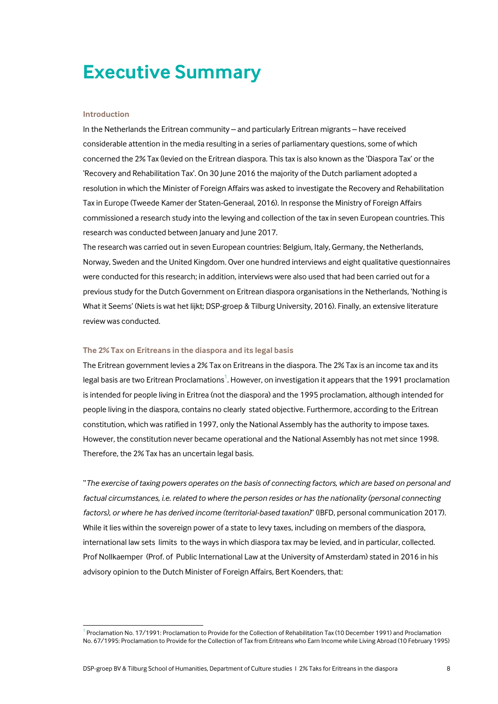# **Executive Summary**

#### **Introduction**

 $\overline{a}$ 

In the Netherlands the Eritrean community – and particularly Eritrean migrants – have received considerable attention in the media resulting in a series of parliamentary questions, some of which concerned the 2% Tax (levied on the Eritrean diaspora. This tax is also known as the 'Diaspora Tax' or the 'Recovery and Rehabilitation Tax'. On 30 June 2016 the majority of the Dutch parliament adopted a resolution in which the Minister of Foreign Affairs was asked to investigate the Recovery and Rehabilitation Tax in Europe (Tweede Kamer der Staten-Generaal, 2016). In response the Ministry of Foreign Affairs commissioned a research study into the levying and collection of the tax in seven European countries. This research was conducted between January and June 2017.

The research was carried out in seven European countries: Belgium, Italy, Germany, the Netherlands, Norway, Sweden and the United Kingdom. Over one hundred interviews and eight qualitative questionnaires were conducted for this research; in addition, interviews were also used that had been carried out for a previous study for the Dutch Government on Eritrean diaspora organisations in the Netherlands, 'Nothing is What it Seems' (Niets is wat het lijkt; DSP-groep & Tilburg University, 2016). Finally, an extensive literature review was conducted.

#### **The 2% Tax on Eritreans in the diaspora and its legal basis**

The Eritrean government levies a 2% Tax on Eritreans in the diaspora. The 2% Tax is an income tax and its legal basis are two Eritrean Proclamations $^{\text{1}}$ . However, on investigation it appears that the 1991 proclamation is intended for people living in Eritrea (not the diaspora) and the 1995 proclamation, although intended for people living in the diaspora, contains no clearly stated objective. Furthermore, according to the Eritrean constitution, which was ratified in 1997, only the National Assembly has the authority to impose taxes. However, the constitution never became operational and the National Assembly has not met since 1998. Therefore, the 2% Tax has an uncertain legal basis.

"*The exercise of taxing powers operates on the basis of connecting factors, which are based on personal and factual circumstances, i.e. related to where the person resides or has the nationality (personal connecting factors), or where he has derived income (territorial-based taxation)*" (IBFD, personal communication 2017). While it lies within the sovereign power of a state to levy taxes, including on members of the diaspora, international law sets limits to the ways in which diaspora tax may be levied, and in particular, collected. Prof Nollkaemper (Prof. of Public International Law at the University of Amsterdam) stated in 2016 in his advisory opinion to the Dutch Minister of Foreign Affairs, Bert Koenders, that:

<sup>&</sup>lt;sup>1</sup> Proclamation No. 17/1991: Proclamation to Provide for the Collection of Rehabilitation Tax (10 December 1991) and Proclamation No. 67/1995: Proclamation to Provide for the Collection of Tax from Eritreans who Earn Income while Living Abroad (10 February 1995)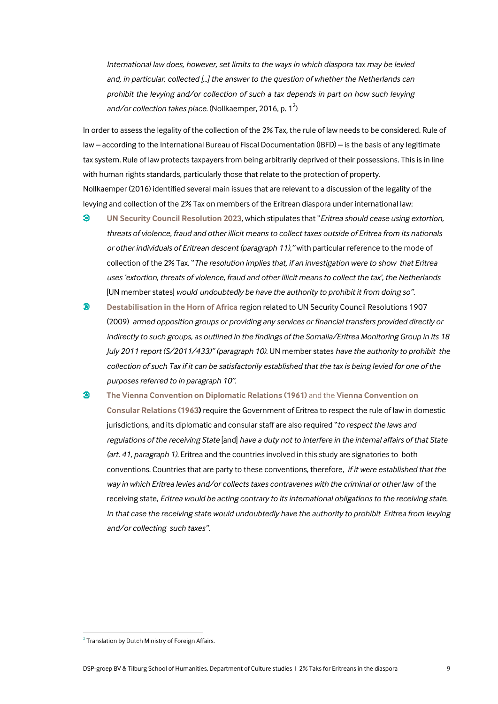*International law does, however, set limits to the ways in which diaspora tax may be levied and, in particular, collected […] the answer to the question of whether the Netherlands can prohibit the levying and/or collection of such a tax depends in part on how such levying*  and/or collection takes place. (Nollkaemper, 2016, p. 1<sup>2</sup>)

In order to assess the legality of the collection of the 2% Tax, the rule of law needs to be considered. Rule of law – according to the International Bureau of Fiscal Documentation (IBFD) – is the basis of any legitimate tax system. Rule of law protects taxpayers from being arbitrarily deprived of their possessions. This is in line with human rights standards, particularly those that relate to the protection of property. Nollkaemper (2016) identified several main issues that are relevant to a discussion of the legality of the levying and collection of the 2% Tax on members of the Eritrean diaspora under international law:

- ക **UN Security Council Resolution 2023**, which stipulates that "*Eritrea should cease using extortion, threats of violence, fraud and other illicit means to collect taxes outside of Eritrea from its nationals or other individuals of Eritrean descent (paragraph 11),"* with particular reference to the mode of collection of the 2% Tax. "*The resolution implies that, if an investigation were to show that Eritrea uses 'extortion, threats of violence, fraud and other illicit means to collect the tax', the Netherlands*  [UN member states] *would undoubtedly be have the authority to prohibit it from doing so".*
- O **Destabilisation in the Horn of Africa** region related to UN Security Council Resolutions 1907 (2009) *armed opposition groups or providing any services or financial transfers provided directly or indirectly to such groups, as outlined in the findings of the Somalia/Eritrea Monitoring Group in its 18 July 2011 report (S/2011/433)" (paragraph 10)*. UN member states *have the authority to prohibit the collection of such Tax if it can be satisfactorily established that the tax is being levied for one of the purposes referred to in paragraph 10".*
- Э **The Vienna Convention on Diplomatic Relations (1961)** and the **Vienna Convention on Consular Relations (1963)** require the Government of Eritrea to respect the rule of law in domestic jurisdictions, and its diplomatic and consular staff are also required "*to respect the laws and regulations of the receiving State* [and] *have a duty not to interfere in the internal affairs of that State (art. 41, paragraph 1).* Eritrea and the countries involved in this study are signatories to both conventions. Countries that are party to these conventions, therefore, *if it were established that the way in which Eritrea levies and/or collects taxes contravenes with the criminal or other law* of the receiving state, *Eritrea would be acting contrary to its international obligations to the receiving state. In that case the receiving state would undoubtedly have the authority to prohibit Eritrea from levying and/or collecting such taxes".*

 $\overline{a}$ 

 $2$  Translation by Dutch Ministry of Foreign Affairs.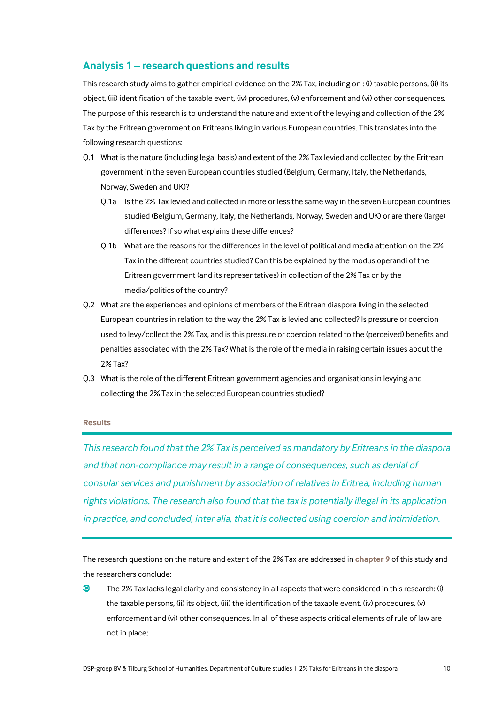## **Analysis 1 – research questions and results**

This research study aims to gather empirical evidence on the 2% Tax, including on : (i) taxable persons, (ii) its object, (iii) identification of the taxable event, (iv) procedures, (v) enforcement and (vi) other consequences. The purpose of this research is to understand the nature and extent of the levying and collection of the 2% Tax by the Eritrean government on Eritreans living in various European countries. This translates into the following research questions:

- Q.1 What is the nature (including legal basis) and extent of the 2% Tax levied and collected by the Eritrean government in the seven European countries studied (Belgium, Germany, Italy, the Netherlands, Norway, Sweden and UK)?
	- Q.1a Is the 2% Tax levied and collected in more or less the same way in the seven European countries studied (Belgium, Germany, Italy, the Netherlands, Norway, Sweden and UK) or are there (large) differences? If so what explains these differences?
	- Q.1b What are the reasons for the differences in the level of political and media attention on the 2% Tax in the different countries studied? Can this be explained by the modus operandi of the Eritrean government (and its representatives) in collection of the 2% Tax or by the media/politics of the country?
- Q.2 What are the experiences and opinions of members of the Eritrean diaspora living in the selected European countries in relation to the way the 2% Tax is levied and collected? Is pressure or coercion used to levy/collect the 2% Tax, and is this pressure or coercion related to the (perceived) benefits and penalties associated with the 2% Tax? What is the role of the media in raising certain issues about the 2% Tax?
- Q.3 What is the role of the different Eritrean government agencies and organisations in levying and collecting the 2% Tax in the selected European countries studied?

### **Results**

*This research found that the 2% Tax is perceived as mandatory by Eritreans in the diaspora and that non-compliance may result in a range of consequences, such as denial of consular services and punishment by association of relatives in Eritrea, including human rights violations. The research also found that the tax is potentially illegal in its application in practice, and concluded, inter alia, that it is collected using coercion and intimidation.* 

The research questions on the nature and extent of the 2% Tax are addressed in **chapter 9** of this study and the researchers conclude:

Э The 2% Tax lacks legal clarity and consistency in all aspects that were considered in this research: (i) the taxable persons, (ii) its object, (iii) the identification of the taxable event, (iv) procedures, (v) enforcement and (vi) other consequences. In all of these aspects critical elements of rule of law are not in place;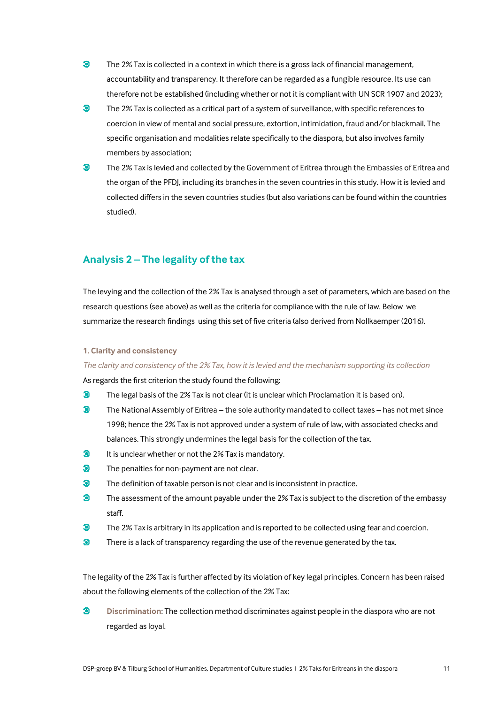- Э The 2% Tax is collected in a context in which there is a gross lack of financial management, accountability and transparency. It therefore can be regarded as a fungible resource. Its use can therefore not be established (including whether or not it is compliant with UN SCR 1907 and 2023);
- $\bullet$ The 2% Tax is collected as a critical part of a system of surveillance, with specific references to coercion in view of mental and social pressure, extortion, intimidation, fraud and/or blackmail. The specific organisation and modalities relate specifically to the diaspora, but also involves family members by association;
- Э The 2% Tax is levied and collected by the Government of Eritrea through the Embassies of Eritrea and the organ of the PFDJ, including its branches in the seven countries in this study. How it is levied and collected differs in the seven countries studies (but also variations can be found within the countries studied).

## **Analysis 2 – The legality of the tax**

The levying and the collection of the 2% Tax is analysed through a set of parameters, which are based on the research questions (see above) as well as the criteria for compliance with the rule of law. Below we summarize the research findings using this set of five criteria (also derived from Nollkaemper (2016).

### **1. Clarity and consistency**

*The clarity and consistency of the 2% Tax, how it is levied and the mechanism supporting its collection* 

As regards the first criterion the study found the following:

- Э The legal basis of the 2% Tax is not clear (it is unclear which Proclamation it is based on).
- $\bullet$ The National Assembly of Eritrea – the sole authority mandated to collect taxes – has not met since 1998; hence the 2% Tax is not approved under a system of rule of law, with associated checks and balances. This strongly undermines the legal basis for the collection of the tax.
- $\bullet$ It is unclear whether or not the 2% Tax is mandatory.
- $\bullet$ The penalties for non-payment are not clear.
- $\bullet$ The definition of taxable person is not clear and is inconsistent in practice.
- Э The assessment of the amount payable under the 2% Tax is subject to the discretion of the embassy staff.
- $\bullet$ The 2% Tax is arbitrary in its application and is reported to be collected using fear and coercion.
- Э There is a lack of transparency regarding the use of the revenue generated by the tax.

The legality of the 2% Tax is further affected by its violation of key legal principles. Concern has been raised about the following elements of the collection of the 2% Tax:

G **Discrimination**: The collection method discriminates against people in the diaspora who are not regarded as loyal.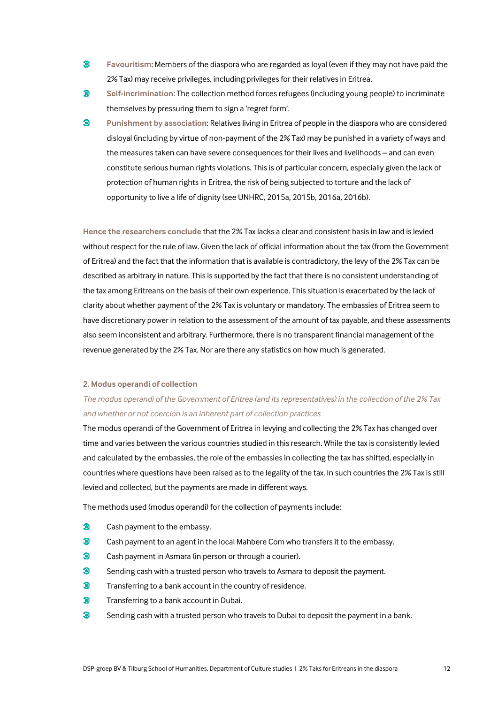- $\bullet$ **Favouritism**: Members of the diaspora who are regarded as loyal (even if they may not have paid the 2% Tax) may receive privileges, including privileges for their relatives in Eritrea.
- Э **Self-incrimination**: The collection method forces refugees (including young people) to incriminate themselves by pressuring them to sign a 'regret form'.
- G. **Punishment by association**: Relatives living in Eritrea of people in the diaspora who are considered disloyal (including by virtue of non-payment of the 2% Tax) may be punished in a variety of ways and the measures taken can have severe consequences for their lives and livelihoods – and can even constitute serious human rights violations. This is of particular concern, especially given the lack of protection of human rights in Eritrea, the risk of being subjected to torture and the lack of opportunity to live a life of dignity (see UNHRC, 2015a, 2015b, 2016a, 2016b).

**Hence the researchers conclude** that the 2% Tax lacks a clear and consistent basis in law and is levied without respect for the rule of law. Given the lack of official information about the tax (from the Government of Eritrea) and the fact that the information that is available is contradictory, the levy of the 2% Tax can be described as arbitrary in nature. This is supported by the fact that there is no consistent understanding of the tax among Eritreans on the basis of their own experience. This situation is exacerbated by the lack of clarity about whether payment of the 2% Tax is voluntary or mandatory. The embassies of Eritrea seem to have discretionary power in relation to the assessment of the amount of tax payable, and these assessments also seem inconsistent and arbitrary. Furthermore, there is no transparent financial management of the revenue generated by the 2% Tax. Nor are there any statistics on how much is generated.

#### **2. Modus operandi of collection**

## *The modus operandi of the Government of Eritrea (and its representatives) in the collection of the 2% Tax and whether or not coercion is an inherent part of collection practices*

The modus operandi of the Government of Eritrea in levying and collecting the 2% Tax has changed over time and varies between the various countries studied in this research. While the tax is consistently levied and calculated by the embassies, the role of the embassies in collecting the tax has shifted, especially in countries where questions have been raised as to the legality of the tax. In such countries the 2% Tax is still levied and collected, but the payments are made in different ways.

The methods used (modus operandi) for the collection of payments include:

- $\bullet$ Cash payment to the embassy.
- Э Cash payment to an agent in the local Mahbere Com who transfers it to the embassy.
- Э Cash payment in Asmara (in person or through a courier).
- Ô Sending cash with a trusted person who travels to Asmara to deposit the payment.
- $\bullet$ Transferring to a bank account in the country of residence.
- $\bullet$ Transferring to a bank account in Dubai.
- Э Sending cash with a trusted person who travels to Dubai to deposit the payment in a bank.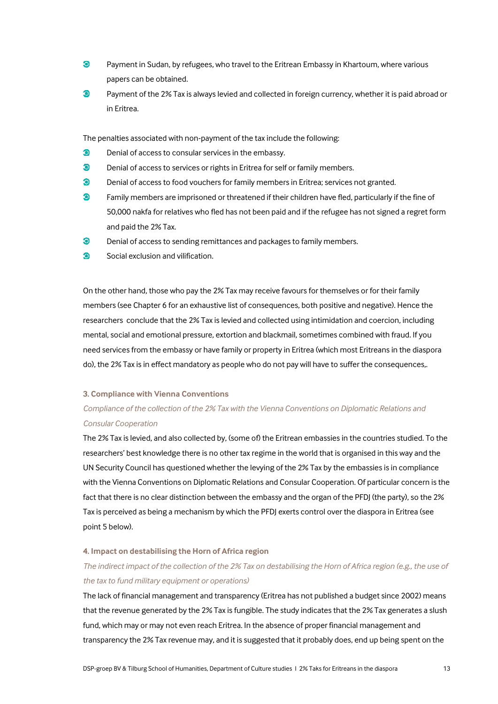- Э Payment in Sudan, by refugees, who travel to the Eritrean Embassy in Khartoum, where various papers can be obtained.
- $\bullet$ Payment of the 2% Tax is always levied and collected in foreign currency, whether it is paid abroad or in Eritrea.

The penalties associated with non-payment of the tax include the following:

- Э Denial of access to consular services in the embassy.
- Э Denial of access to services or rights in Eritrea for self or family members.
- Э Denial of access to food vouchers for family members in Eritrea; services not granted.
- $\bullet$ Family members are imprisoned or threatened if their children have fled, particularly if the fine of 50,000 nakfa for relatives who fled has not been paid and if the refugee has not signed a regret form and paid the 2% Tax.
- Э Denial of access to sending remittances and packages to family members.
- Э Social exclusion and vilification.

On the other hand, those who pay the 2% Tax may receive favours for themselves or for their family members (see Chapter 6 for an exhaustive list of consequences, both positive and negative). Hence the researchers conclude that the 2% Tax is levied and collected using intimidation and coercion, including mental, social and emotional pressure, extortion and blackmail, sometimes combined with fraud. If you need services from the embassy or have family or property in Eritrea (which most Eritreans in the diaspora do), the 2% Tax is in effect mandatory as people who do not pay will have to suffer the consequences,.

### **3. Compliance with Vienna Conventions**

## *Compliance of the collection of the 2% Tax with the Vienna Conventions on Diplomatic Relations and Consular Cooperation*

The 2% Tax is levied, and also collected by, (some of) the Eritrean embassies in the countries studied. To the researchers' best knowledge there is no other tax regime in the world that is organised in this way and the UN Security Council has questioned whether the levying of the 2% Tax by the embassies is in compliance with the Vienna Conventions on Diplomatic Relations and Consular Cooperation. Of particular concern is the fact that there is no clear distinction between the embassy and the organ of the PFDJ (the party), so the 2% Tax is perceived as being a mechanism by which the PFDJ exerts control over the diaspora in Eritrea (see point 5 below).

#### **4. Impact on destabilising the Horn of Africa region**

## *The indirect impact of the collection of the 2% Tax on destabilising the Horn of Africa region (e.g., the use of the tax to fund military equipment or operations)*

The lack of financial management and transparency (Eritrea has not published a budget since 2002) means that the revenue generated by the 2% Tax is fungible. The study indicates that the 2% Tax generates a slush fund, which may or may not even reach Eritrea. In the absence of proper financial management and transparency the 2% Tax revenue may, and it is suggested that it probably does, end up being spent on the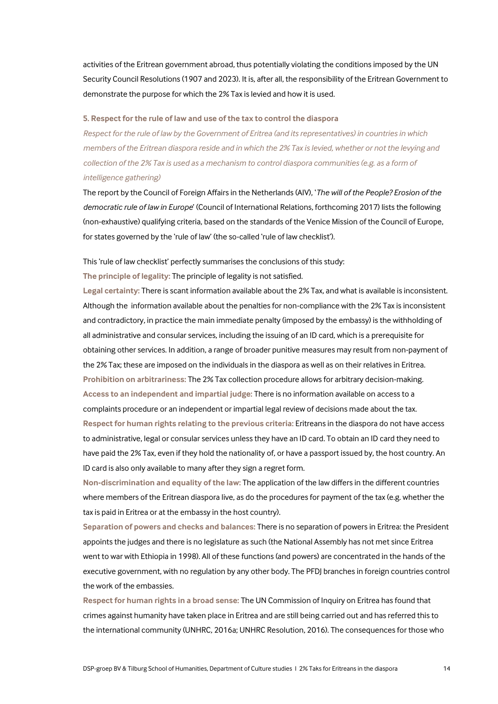activities of the Eritrean government abroad, thus potentially violating the conditions imposed by the UN Security Council Resolutions (1907 and 2023). It is, after all, the responsibility of the Eritrean Government to demonstrate the purpose for which the 2% Tax is levied and how it is used.

#### **5. Respect for the rule of law and use of the tax to control the diaspora**

*Respect for the rule of law by the Government of Eritrea (and its representatives) in countries in which members of the Eritrean diaspora reside and in which the 2% Tax is levied, whether or not the levying and collection of the 2% Tax is used as a mechanism to control diaspora communities (e.g. as a form of intelligence gathering)* 

The report by the Council of Foreign Affairs in the Netherlands (AIV), '*The will of the People? Erosion of the democratic rule of law in Europe*' (Council of International Relations, forthcoming 2017) lists the following (non-exhaustive) qualifying criteria, based on the standards of the Venice Mission of the Council of Europe, for states governed by the 'rule of law' (the so-called 'rule of law checklist').

This 'rule of law checklist' perfectly summarises the conclusions of this study:

**The principle of legality:** The principle of legality is not satisfied.

**Legal certainty:** There is scant information available about the 2% Tax, and what is available is inconsistent. Although the information available about the penalties for non-compliance with the 2% Tax is inconsistent and contradictory, in practice the main immediate penalty (imposed by the embassy) is the withholding of all administrative and consular services, including the issuing of an ID card, which is a prerequisite for obtaining other services. In addition, a range of broader punitive measures may result from non-payment of the 2% Tax; these are imposed on the individuals in the diaspora as well as on their relatives in Eritrea. **Prohibition on arbitrariness:** The 2% Tax collection procedure allows for arbitrary decision-making. **Access to an independent and impartial judge:** There is no information available on access to a complaints procedure or an independent or impartial legal review of decisions made about the tax. **Respect for human rights relating to the previous criteria:** Eritreans in the diaspora do not have access to administrative, legal or consular services unless they have an ID card. To obtain an ID card they need to have paid the 2% Tax, even if they hold the nationality of, or have a passport issued by, the host country. An ID card is also only available to many after they sign a regret form.

**Non-discrimination and equality of the law:** The application of the law differs in the different countries where members of the Eritrean diaspora live, as do the procedures for payment of the tax (e.g. whether the tax is paid in Eritrea or at the embassy in the host country).

**Separation of powers and checks and balances:** There is no separation of powers in Eritrea: the President appoints the judges and there is no legislature as such (the National Assembly has not met since Eritrea went to war with Ethiopia in 1998). All of these functions (and powers) are concentrated in the hands of the executive government, with no regulation by any other body. The PFDJ branches in foreign countries control the work of the embassies.

**Respect for human rights in a broad sense:** The UN Commission of Inquiry on Eritrea has found that crimes against humanity have taken place in Eritrea and are still being carried out and has referred this to the international community (UNHRC, 2016a; UNHRC Resolution, 2016). The consequences for those who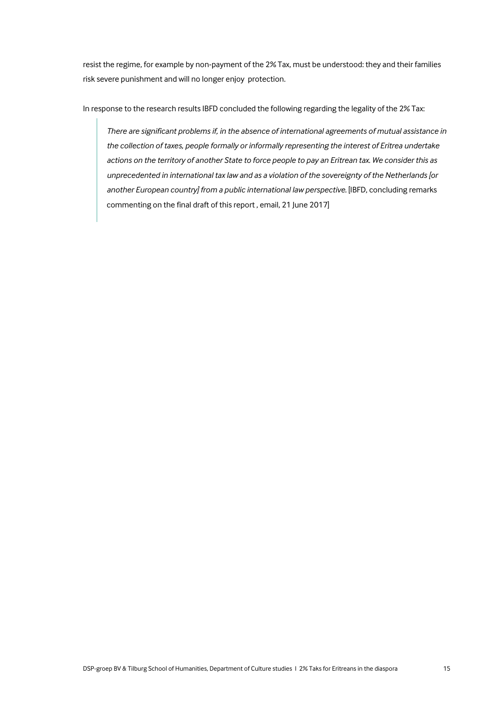resist the regime, for example by non-payment of the 2% Tax, must be understood: they and their families risk severe punishment and will no longer enjoy protection.

In response to the research results IBFD concluded the following regarding the legality of the 2% Tax:

*There are significant problems if, in the absence of international agreements of mutual assistance in the collection of taxes, people formally or informally representing the interest of Eritrea undertake actions on the territory of another State to force people to pay an Eritrean tax. We consider this as unprecedented in international tax law and as a violation of the sovereignty of the Netherlands [or*  another European country] from a public international law perspective. [IBFD, concluding remarks commenting on the final draft of this report , email, 21 June 2017]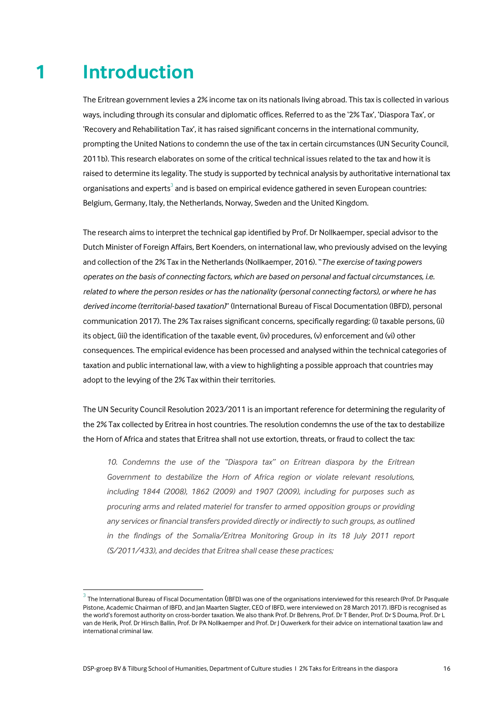# **1 Introduction**

 $\overline{a}$ 

The Eritrean government levies a 2% income tax on its nationals living abroad. This tax is collected in various ways, including through its consular and diplomatic offices. Referred to as the '2% Tax', 'Diaspora Tax', or 'Recovery and Rehabilitation Tax', it has raised significant concerns in the international community, prompting the United Nations to condemn the use of the tax in certain circumstances (UN Security Council, 2011b). This research elaborates on some of the critical technical issues related to the tax and how it is raised to determine its legality. The study is supported by technical analysis by authoritative international tax organisations and experts $^3$  and is based on empirical evidence gathered in seven European countries: Belgium, Germany, Italy, the Netherlands, Norway, Sweden and the United Kingdom.

The research aims to interpret the technical gap identified by Prof. Dr Nollkaemper, special advisor to the Dutch Minister of Foreign Affairs, Bert Koenders, on international law, who previously advised on the levying and collection of the 2% Tax in the Netherlands (Nollkaemper, 2016). "*The exercise of taxing powers operates on the basis of connecting factors, which are based on personal and factual circumstances, i.e. related to where the person resides or has the nationality (personal connecting factors), or where he has derived income (territorial-based taxation)*" (International Bureau of Fiscal Documentation (IBFD), personal communication 2017). The 2% Tax raises significant concerns, specifically regarding: (i) taxable persons, (ii) its object, (iii) the identification of the taxable event, (iv) procedures, (v) enforcement and (vi) other consequences. The empirical evidence has been processed and analysed within the technical categories of taxation and public international law, with a view to highlighting a possible approach that countries may adopt to the levying of the 2% Tax within their territories.

The UN Security Council Resolution 2023/2011 is an important reference for determining the regularity of the 2% Tax collected by Eritrea in host countries. The resolution condemns the use of the tax to destabilize the Horn of Africa and states that Eritrea shall not use extortion, threats, or fraud to collect the tax:

10. Condemns the use of the "Diaspora tax" on Eritrean diaspora by the Eritrean Government to destabilize the Horn of Africa region or violate relevant resolutions, *including 1844 (2008), 1862 (2009) and 1907 (2009), including for purposes such as procuring arms and related materiel for transfer to armed opposition groups or providing any services or financial transfers provided directly or indirectly to such groups, as outlined in the findings of the Somalia/Eritrea Monitoring Group in its 18 July 2011 report (S/2011/433), and decides that Eritrea shall cease these practices;* 

 $3$  The International Bureau of Fiscal Documentation (IBFD) was one of the organisations interviewed for this research (Prof. Dr Pasquale Pistone, Academic Chairman of IBFD, and Jan Maarten Slagter, CEO of IBFD, were interviewed on 28 March 2017). IBFD is recognised as the world's foremost authority on cross-border taxation. We also thank Prof. Dr Behrens, Prof. Dr T Bender, Prof. Dr S Douma, Prof. Dr L van de Herik, Prof. Dr Hirsch Ballin, Prof. Dr PA Nollkaemper and Prof. Dr J Ouwerkerk for their advice on international taxation law and international criminal law.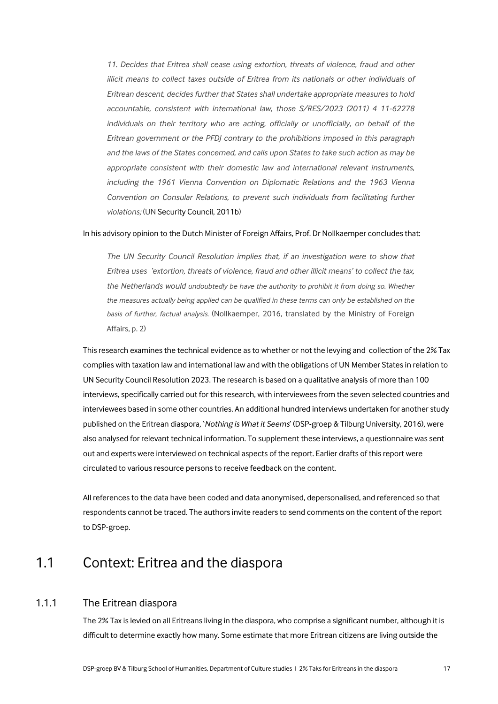*11. Decides that Eritrea shall cease using extortion, threats of violence, fraud and other illicit means to collect taxes outside of Eritrea from its nationals or other individuals of Eritrean descent, decides further that States shall undertake appropriate measures to hold accountable, consistent with international law, those S/RES/2023 (2011) 4 11-62278*  individuals on their territory who are acting, officially or unofficially, on behalf of the *Eritrean government or the PFDJ contrary to the prohibitions imposed in this paragraph and the laws of the States concerned, and calls upon States to take such action as may be appropriate consistent with their domestic law and international relevant instruments, including the 1961 Vienna Convention on Diplomatic Relations and the 1963 Vienna Convention on Consular Relations, to prevent such individuals from facilitating further violations;* (UN Security Council, 2011b)

## In his advisory opinion to the Dutch Minister of Foreign Affairs, Prof. Dr Nollkaemper concludes that:

*The UN Security Council Resolution implies that, if an investigation were to show that Eritrea uses 'extortion, threats of violence, fraud and other illicit means' to collect the tax, the Netherlands would undoubtedly be have the authority to prohibit it from doing so. Whether the measures actually being applied can be qualified in these terms can only be established on the basis of further, factual analysis.* (Nollkaemper, 2016, translated by the Ministry of Foreign Affairs, p. 2)

This research examines the technical evidence as to whether or not the levying and collection of the 2% Tax complies with taxation law and international law and with the obligations of UN Member States in relation to UN Security Council Resolution 2023. The research is based on a qualitative analysis of more than 100 interviews, specifically carried out for this research, with interviewees from the seven selected countries and interviewees based in some other countries. An additional hundred interviews undertaken for another study published on the Eritrean diaspora, '*Nothing is What it Seems*' (DSP-groep & Tilburg University, 2016), were also analysed for relevant technical information. To supplement these interviews, a questionnaire was sent out and experts were interviewed on technical aspects of the report. Earlier drafts of this report were circulated to various resource persons to receive feedback on the content.

All references to the data have been coded and data anonymised, depersonalised, and referenced so that respondents cannot be traced. The authors invite readers to send comments on the content of the report to DSP-groep.

## 1.1 Context: Eritrea and the diaspora

## 1.1.1 The Eritrean diaspora

The 2% Tax is levied on all Eritreans living in the diaspora, who comprise a significant number, although it is difficult to determine exactly how many. Some estimate that more Eritrean citizens are living outside the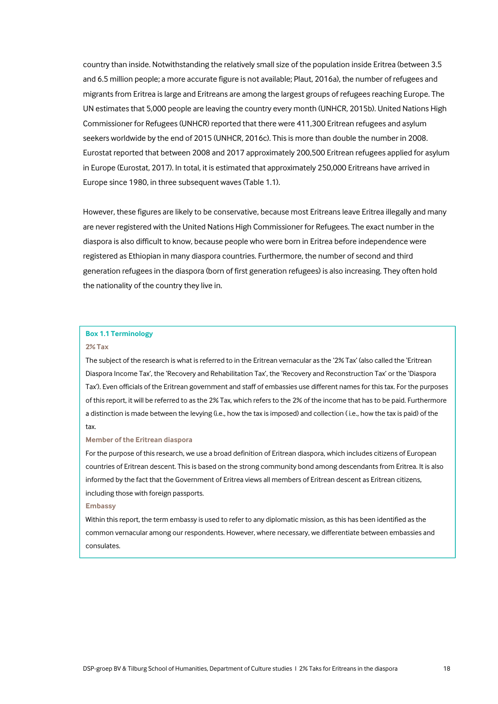country than inside. Notwithstanding the relatively small size of the population inside Eritrea (between 3.5 and 6.5 million people; a more accurate figure is not available; Plaut, 2016a), the number of refugees and migrants from Eritrea is large and Eritreans are among the largest groups of refugees reaching Europe. The UN estimates that 5,000 people are leaving the country every month (UNHCR, 2015b). United Nations High Commissioner for Refugees (UNHCR) reported that there were 411,300 Eritrean refugees and asylum seekers worldwide by the end of 2015 (UNHCR, 2016c). This is more than double the number in 2008. Eurostat reported that between 2008 and 2017 approximately 200,500 Eritrean refugees applied for asylum in Europe (Eurostat, 2017). In total, it is estimated that approximately 250,000 Eritreans have arrived in Europe since 1980, in three subsequent waves (Table 1.1).

However, these figures are likely to be conservative, because most Eritreans leave Eritrea illegally and many are never registered with the United Nations High Commissioner for Refugees. The exact number in the diaspora is also difficult to know, because people who were born in Eritrea before independence were registered as Ethiopian in many diaspora countries. Furthermore, the number of second and third generation refugees in the diaspora (born of first generation refugees) is also increasing. They often hold the nationality of the country they live in.

# **Box 1.1 Terminology**

#### **2% Tax**

The subject of the research is what is referred to in the Eritrean vernacular as the '2% Tax' (also called the 'Eritrean Diaspora Income Tax', the 'Recovery and Rehabilitation Tax', the 'Recovery and Reconstruction Tax' or the 'Diaspora Tax'). Even officials of the Eritrean government and staff of embassies use different names for this tax. For the purposes of this report, it will be referred to as the 2% Tax, which refers to the 2% of the income that has to be paid. Furthermore a distinction is made between the levying (i.e., how the tax is imposed) and collection ( i.e., how the tax is paid) of the tax.

#### **Member of the Eritrean diaspora**

For the purpose of this research, we use a broad definition of Eritrean diaspora, which includes citizens of European countries of Eritrean descent. This is based on the strong community bond among descendants from Eritrea. It is also informed by the fact that the Government of Eritrea views all members of Eritrean descent as Eritrean citizens, including those with foreign passports.

#### **Embassy**

Within this report, the term embassy is used to refer to any diplomatic mission, as this has been identified as the common vernacular among our respondents. However, where necessary, we differentiate between embassies and consulates.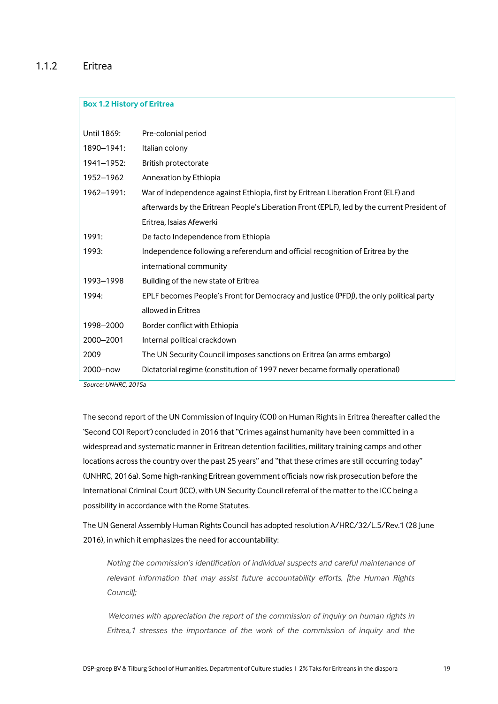## 1.1.2 Eritrea

## **Box 1.2 History of Eritrea**

| Until 1869: | Pre-colonial period                                                                          |
|-------------|----------------------------------------------------------------------------------------------|
| 1890-1941:  | Italian colony                                                                               |
| 1941-1952:  | British protectorate                                                                         |
| 1952-1962   | Annexation by Ethiopia                                                                       |
| 1962-1991:  | War of independence against Ethiopia, first by Eritrean Liberation Front (ELF) and           |
|             | afterwards by the Eritrean People's Liberation Front (EPLF), led by the current President of |
|             | Eritrea, Isaias Afewerki                                                                     |
| 1991:       | De facto Independence from Ethiopia                                                          |
| 1993:       | Independence following a referendum and official recognition of Eritrea by the               |
|             | international community                                                                      |
| 1993-1998   | Building of the new state of Eritrea                                                         |
| 1994:       | EPLF becomes People's Front for Democracy and Justice (PFDJ), the only political party       |
|             | allowed in Eritrea                                                                           |
| 1998-2000   | Border conflict with Ethiopia                                                                |
| 2000-2001   | Internal political crackdown                                                                 |
| 2009        | The UN Security Council imposes sanctions on Eritrea (an arms embargo)                       |
| 2000-now    | Dictatorial regime (constitution of 1997 never became formally operational)                  |
|             |                                                                                              |

*Source: UNHRC, 2015a* 

The second report of the UN Commission of Inquiry (COI) on Human Rights in Eritrea (hereafter called the 'Second COI Report') concluded in 2016 that "Crimes against humanity have been committed in a widespread and systematic manner in Eritrean detention facilities, military training camps and other locations across the country over the past 25 years" and "that these crimes are still occurring today" (UNHRC, 2016a). Some high-ranking Eritrean government officials now risk prosecution before the International Criminal Court (ICC), with UN Security Council referral of the matter to the ICC being a possibility in accordance with the Rome Statutes.

The UN General Assembly Human Rights Council has adopted resolution A/HRC/32/L.5/Rev.1 (28 June 2016), in which it emphasizes the need for accountability:

*Noting the commission's identification of individual suspects and careful maintenance of relevant information that may assist future accountability efforts, [the Human Rights Council];* 

 *Welcomes with appreciation the report of the commission of inquiry on human rights in Eritrea,1 stresses the importance of the work of the commission of inquiry and the*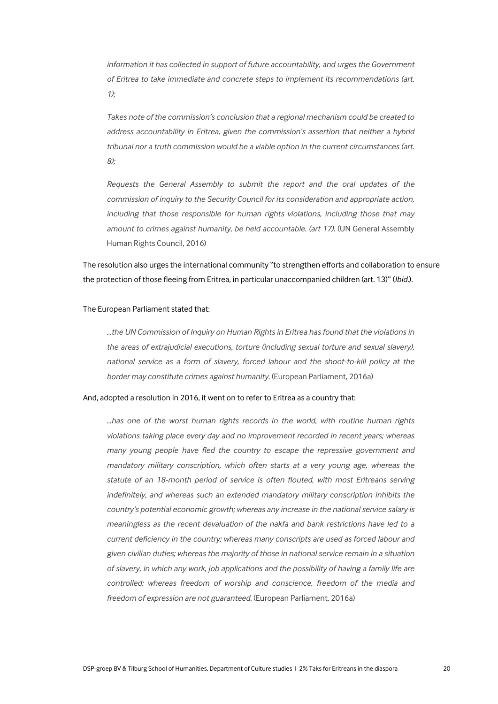*information it has collected in support of future accountability, and urges the Government of Eritrea to take immediate and concrete steps to implement its recommendations (art. 1);* 

*Takes note of the commission's conclusion that a regional mechanism could be created to address accountability in Eritrea, given the commission's assertion that neither a hybrid tribunal nor a truth commission would be a viable option in the current circumstances (art. 8);* 

*Requests the General Assembly to submit the report and the oral updates of the commission of inquiry to the Security Council for its consideration and appropriate action, including that those responsible for human rights violations, including those that may*  amount to crimes against humanity, be held accountable. (art 17). (UN General Assembly Human Rights Council, 2016)

The resolution also urges the international community "to strengthen efforts and collaboration to ensure the protection of those fleeing from Eritrea, in particular unaccompanied children (art. 13)" (*Ibid.*).

#### The European Parliament stated that:

*…the UN Commission of Inquiry on Human Rights in Eritrea has found that the violations in the areas of extrajudicial executions, torture (including sexual torture and sexual slavery), national service as a form of slavery, forced labour and the shoot-to-kill policy at the border may constitute crimes against humanity.* (European Parliament, 2016a)

### And, adopted a resolution in 2016, it went on to refer to Eritrea as a country that:

*…has one of the worst human rights records in the world, with routine human rights violations taking place every day and no improvement recorded in recent years; whereas many young people have fled the country to escape the repressive government and mandatory military conscription, which often starts at a very young age, whereas the statute of an 18-month period of service is often flouted, with most Eritreans serving indefinitely, and whereas such an extended mandatory military conscription inhibits the country's potential economic growth; whereas any increase in the national service salary is meaningless as the recent devaluation of the nakfa and bank restrictions have led to a current deficiency in the country; whereas many conscripts are used as forced labour and given civilian duties; whereas the majority of those in national service remain in a situation of slavery, in which any work, job applications and the possibility of having a family life are controlled; whereas freedom of worship and conscience, freedom of the media and freedom of expression are not guaranteed.* (European Parliament, 2016a)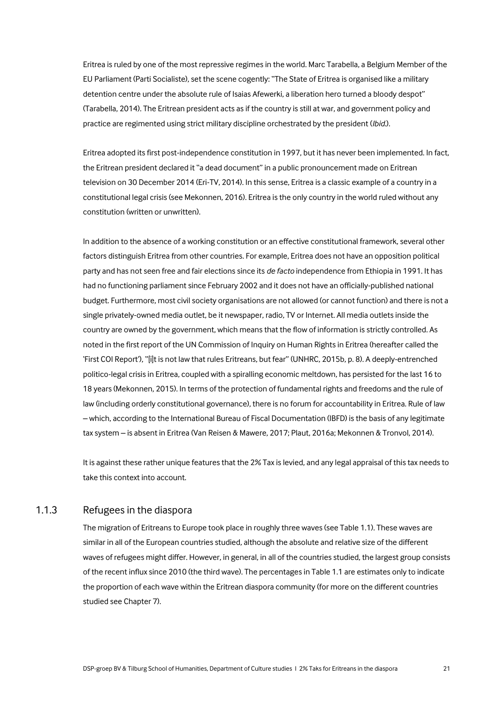Eritrea is ruled by one of the most repressive regimes in the world. Marc Tarabella, a Belgium Member of the EU Parliament (Parti Socialiste), set the scene cogently: "The State of Eritrea is organised like a military detention centre under the absolute rule of Isaias Afewerki, a liberation hero turned a bloody despot" (Tarabella, 2014). The Eritrean president acts as if the country is still at war, and government policy and practice are regimented using strict military discipline orchestrated by the president (*Ibid*.).

Eritrea adopted its first post-independence constitution in 1997, but it has never been implemented. In fact, the Eritrean president declared it "a dead document" in a public pronouncement made on Eritrean television on 30 December 2014 (Eri-TV, 2014). In this sense, Eritrea is a classic example of a country in a constitutional legal crisis (see Mekonnen, 2016). Eritrea is the only country in the world ruled without any constitution (written or unwritten).

In addition to the absence of a working constitution or an effective constitutional framework, several other factors distinguish Eritrea from other countries. For example, Eritrea does not have an opposition political party and has not seen free and fair elections since its *de facto* independence from Ethiopia in 1991. It has had no functioning parliament since February 2002 and it does not have an officially-published national budget. Furthermore, most civil society organisations are not allowed (or cannot function) and there is not a single privately-owned media outlet, be it newspaper, radio, TV or Internet. All media outlets inside the country are owned by the government, which means that the flow of information is strictly controlled. As noted in the first report of the UN Commission of Inquiry on Human Rights in Eritrea (hereafter called the 'First COI Report'), "[i]t is not law that rules Eritreans, but fear" (UNHRC, 2015b, p. 8). A deeply-entrenched politico-legal crisis in Eritrea, coupled with a spiralling economic meltdown, has persisted for the last 16 to 18 years (Mekonnen, 2015). In terms of the protection of fundamental rights and freedoms and the rule of law (including orderly constitutional governance), there is no forum for accountability in Eritrea. Rule of law – which, according to the International Bureau of Fiscal Documentation (IBFD) is the basis of any legitimate tax system – is absent in Eritrea (Van Reisen & Mawere, 2017; Plaut, 2016a; Mekonnen & Tronvol, 2014).

It is against these rather unique features that the 2% Tax is levied, and any legal appraisal of this tax needs to take this context into account.

## 1.1.3 Refugees in the diaspora

The migration of Eritreans to Europe took place in roughly three waves (see Table 1.1). These waves are similar in all of the European countries studied, although the absolute and relative size of the different waves of refugees might differ. However, in general, in all of the countries studied, the largest group consists of the recent influx since 2010 (the third wave). The percentages in Table 1.1 are estimates only to indicate the proportion of each wave within the Eritrean diaspora community (for more on the different countries studied see Chapter 7).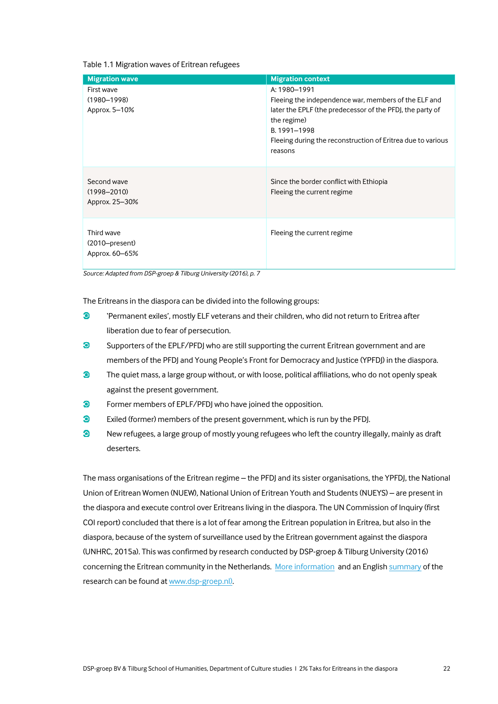#### Table 1.1 Migration waves of Eritrean refugees

| <b>Migration wave</b>                              | <b>Migration context</b>                                                                                                                                                                                                   |
|----------------------------------------------------|----------------------------------------------------------------------------------------------------------------------------------------------------------------------------------------------------------------------------|
| First wave                                         | A: 1980-1991                                                                                                                                                                                                               |
| $(1980 - 1998)$<br>Approx. 5-10%                   | Fleeing the independence war, members of the ELF and<br>later the EPLF (the predecessor of the PFDJ, the party of<br>the regime)<br>B. 1991-1998<br>Fleeing during the reconstruction of Eritrea due to various<br>reasons |
| Second wave<br>$(1998 - 2010)$<br>Approx. 25-30%   | Since the border conflict with Ethiopia<br>Fleeing the current regime                                                                                                                                                      |
| Third wave<br>$(2010 - present)$<br>Approx. 60-65% | Fleeing the current regime                                                                                                                                                                                                 |

*Source: Adapted from DSP-groep & Tilburg University (2016), p. 7* 

The Eritreans in the diaspora can be divided into the following groups:

- $\bullet$ 'Permanent exiles', mostly ELF veterans and their children, who did not return to Eritrea after liberation due to fear of persecution.
- Э Supporters of the EPLF/PFDJ who are still supporting the current Eritrean government and are members of the PFDJ and Young People's Front for Democracy and Justice (YPFDJ) in the diaspora.
- $\bullet$ The quiet mass, a large group without, or with loose, political affiliations, who do not openly speak against the present government.
- $\bullet$ Former members of EPLF/PFDJ who have joined the opposition.
- $\bullet$ Exiled (former) members of the present government, which is run by the PFDJ.
- O New refugees, a large group of mostly young refugees who left the country illegally, mainly as draft deserters.

The mass organisations of the Eritrean regime – the PFDJ and its sister organisations, the YPFDJ, the National Union of Eritrean Women (NUEW), National Union of Eritrean Youth and Students (NUEYS) – are present in the diaspora and execute control over Eritreans living in the diaspora. The UN Commission of Inquiry (first COI report) concluded that there is a lot of fear among the Eritrean population in Eritrea, but also in the diaspora, because of the system of surveillance used by the Eritrean government against the diaspora (UNHRC, 2015a). This was confirmed by research conducted by DSP-groep & Tilburg University (2016) concerning the Eritrean community in the Netherlands. More information and an English summary of the research can be found at www.dsp-groep.nl).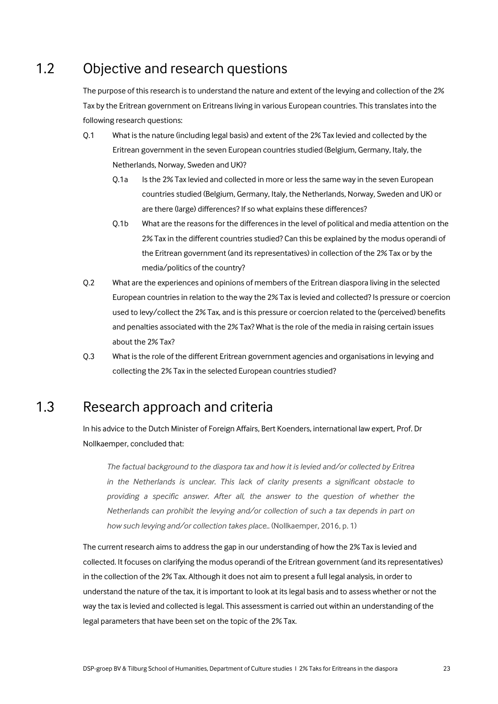# 1.2 Objective and research questions

The purpose of this research is to understand the nature and extent of the levying and collection of the 2% Tax by the Eritrean government on Eritreans living in various European countries. This translates into the following research questions:

- Q.1 What is the nature (including legal basis) and extent of the 2% Tax levied and collected by the Eritrean government in the seven European countries studied (Belgium, Germany, Italy, the Netherlands, Norway, Sweden and UK)?
	- Q.1a Is the 2% Tax levied and collected in more or less the same way in the seven European countries studied (Belgium, Germany, Italy, the Netherlands, Norway, Sweden and UK) or are there (large) differences? If so what explains these differences?
	- Q.1b What are the reasons for the differences in the level of political and media attention on the 2% Tax in the different countries studied? Can this be explained by the modus operandi of the Eritrean government (and its representatives) in collection of the 2% Tax or by the media/politics of the country?
- Q.2 What are the experiences and opinions of members of the Eritrean diaspora living in the selected European countries in relation to the way the 2% Tax is levied and collected? Is pressure or coercion used to levy/collect the 2% Tax, and is this pressure or coercion related to the (perceived) benefits and penalties associated with the 2% Tax? What is the role of the media in raising certain issues about the 2% Tax?
- Q.3 What is the role of the different Eritrean government agencies and organisations in levying and collecting the 2% Tax in the selected European countries studied?

## 1.3 Research approach and criteria

In his advice to the Dutch Minister of Foreign Affairs, Bert Koenders, international law expert, Prof. Dr Nollkaemper, concluded that:

*The factual background to the diaspora tax and how it is levied and/or collected by Eritrea in the Netherlands is unclear. This lack of clarity presents a significant obstacle to providing a specific answer. After all, the answer to the question of whether the Netherlands can prohibit the levying and/or collection of such a tax depends in part on how such levying and/or collection takes place..* (Nollkaemper, 2016, p. 1)

The current research aims to address the gap in our understanding of how the 2% Tax is levied and collected. It focuses on clarifying the modus operandi of the Eritrean government (and its representatives) in the collection of the 2% Tax. Although it does not aim to present a full legal analysis, in order to understand the nature of the tax, it is important to look at its legal basis and to assess whether or not the way the tax is levied and collected is legal. This assessment is carried out within an understanding of the legal parameters that have been set on the topic of the 2% Tax.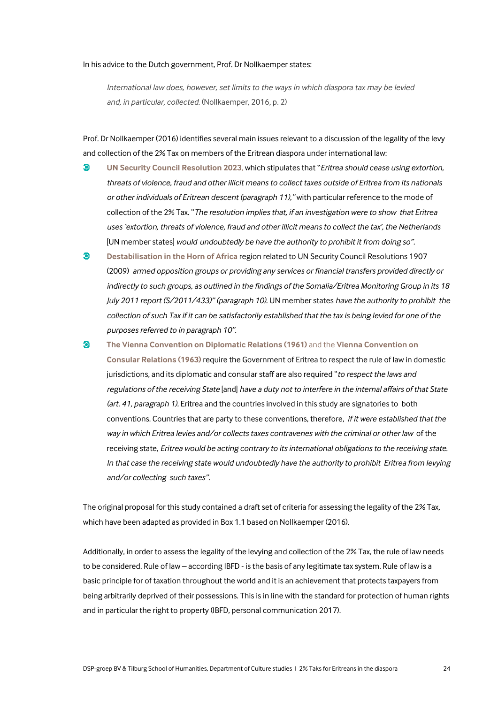#### In his advice to the Dutch government, Prof. Dr Nollkaemper states:

*International law does, however, set limits to the ways in which diaspora tax may be levied and, in particular, collected.* (Nollkaemper, 2016, p. 2)

Prof. Dr Nollkaemper (2016) identifies several main issues relevant to a discussion of the legality of the levy and collection of the 2% Tax on members of the Eritrean diaspora under international law:

- G **UN Security Council Resolution 2023**, which stipulates that "*Eritrea should cease using extortion, threats of violence, fraud and other illicit means to collect taxes outside of Eritrea from its nationals or other individuals of Eritrean descent (paragraph 11),"* with particular reference to the mode of collection of the 2% Tax. "*The resolution implies that, if an investigation were to show that Eritrea uses 'extortion, threats of violence, fraud and other illicit means to collect the tax', the Netherlands*  [UN member states] *would undoubtedly be have the authority to prohibit it from doing so".*
- Э **Destabilisation in the Horn of Africa** region related to UN Security Council Resolutions 1907 (2009) *armed opposition groups or providing any services or financial transfers provided directly or indirectly to such groups, as outlined in the findings of the Somalia/Eritrea Monitoring Group in its 18 July 2011 report (S/2011/433)" (paragraph 10)*. UN member states *have the authority to prohibit the collection of such Tax if it can be satisfactorily established that the tax is being levied for one of the purposes referred to in paragraph 10".*
- Э **The Vienna Convention on Diplomatic Relations (1961)** and the **Vienna Convention on Consular Relations (1963)** require the Government of Eritrea to respect the rule of law in domestic jurisdictions, and its diplomatic and consular staff are also required "*to respect the laws and regulations of the receiving State* [and] *have a duty not to interfere in the internal affairs of that State (art. 41, paragraph 1).* Eritrea and the countries involved in this study are signatories to both conventions. Countries that are party to these conventions, therefore, *if it were established that the way in which Eritrea levies and/or collects taxes contravenes with the criminal or other law* of the receiving state, *Eritrea would be acting contrary to its international obligations to the receiving state. In that case the receiving state would undoubtedly have the authority to prohibit Eritrea from levying and/or collecting such taxes".*

The original proposal for this study contained a draft set of criteria for assessing the legality of the 2% Tax, which have been adapted as provided in Box 1.1 based on Nollkaemper (2016).

Additionally, in order to assess the legality of the levying and collection of the 2% Tax, the rule of law needs to be considered. Rule of law – according IBFD - is the basis of any legitimate tax system. Rule of law is a basic principle for of taxation throughout the world and it is an achievement that protects taxpayers from being arbitrarily deprived of their possessions. This is in line with the standard for protection of human rights and in particular the right to property (IBFD, personal communication 2017).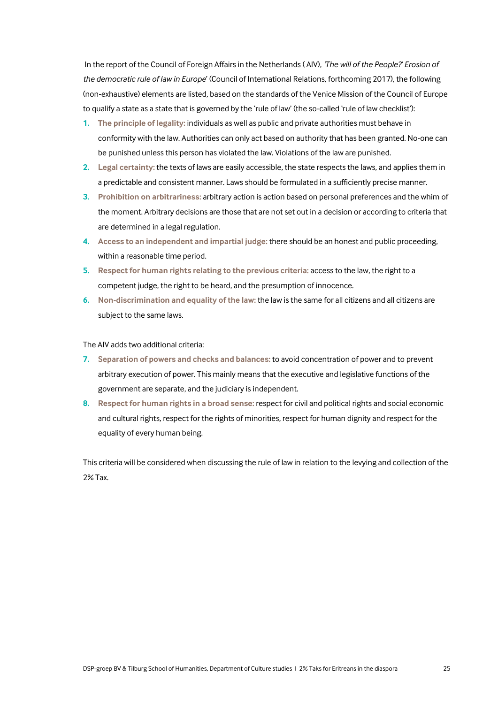In the report of the Council of Foreign Affairs in the Netherlands ( AIV), *'The will of the People?' Erosion of the democratic rule of law in Europe*' (Council of International Relations, forthcoming 2017), the following (non-exhaustive) elements are listed, based on the standards of the Venice Mission of the Council of Europe to qualify a state as a state that is governed by the 'rule of law' (the so-called 'rule of law checklist'):

- **1. The principle of legality:** individuals as well as public and private authorities must behave in conformity with the law. Authorities can only act based on authority that has been granted. No-one can be punished unless this person has violated the law. Violations of the law are punished.
- **2. Legal certainty:** the texts of laws are easily accessible, the state respects the laws, and applies them in a predictable and consistent manner. Laws should be formulated in a sufficiently precise manner.
- **3. Prohibition on arbitrariness:** arbitrary action is action based on personal preferences and the whim of the moment. Arbitrary decisions are those that are not set out in a decision or according to criteria that are determined in a legal regulation.
- **4. Access to an independent and impartial judge:** there should be an honest and public proceeding, within a reasonable time period.
- **5. Respect for human rights relating to the previous criteria:** access to the law, the right to a competent judge, the right to be heard, and the presumption of innocence.
- **6. Non-discrimination and equality of the law:** the law is the same for all citizens and all citizens are subject to the same laws.

### The AIV adds two additional criteria:

- **7. Separation of powers and checks and balances:** to avoid concentration of power and to prevent arbitrary execution of power. This mainly means that the executive and legislative functions of the government are separate, and the judiciary is independent.
- **8. Respect for human rights in a broad sense:** respect for civil and political rights and social economic and cultural rights, respect for the rights of minorities, respect for human dignity and respect for the equality of every human being.

This criteria will be considered when discussing the rule of law in relation to the levying and collection of the 2% Tax.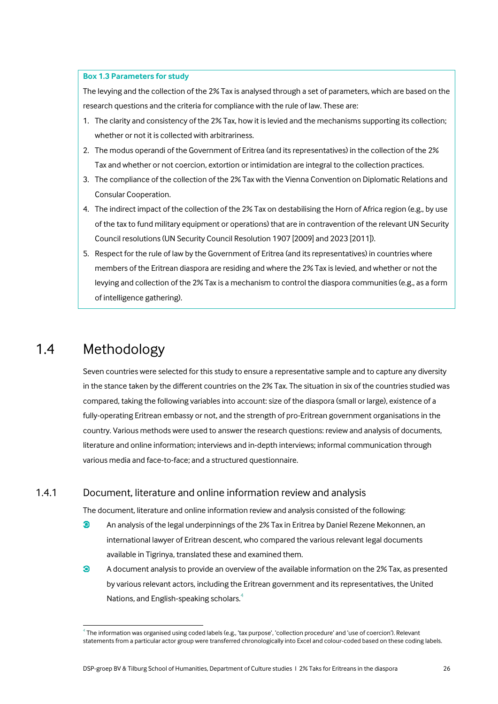## **Box 1.3 Parameters for study**

The levying and the collection of the 2% Tax is analysed through a set of parameters, which are based on the research questions and the criteria for compliance with the rule of law. These are:

- 1. The clarity and consistency of the 2% Tax, how it is levied and the mechanisms supporting its collection; whether or not it is collected with arbitrariness.
- 2. The modus operandi of the Government of Eritrea (and its representatives) in the collection of the 2% Tax and whether or not coercion, extortion or intimidation are integral to the collection practices.
- 3. The compliance of the collection of the 2% Tax with the Vienna Convention on Diplomatic Relations and Consular Cooperation.
- 4. The indirect impact of the collection of the 2% Tax on destabilising the Horn of Africa region (e.g., by use of the tax to fund military equipment or operations) that are in contravention of the relevant UN Security Council resolutions (UN Security Council Resolution 1907 [2009] and 2023 [2011]).
- 5. Respect for the rule of law by the Government of Eritrea (and its representatives) in countries where members of the Eritrean diaspora are residing and where the 2% Tax is levied, and whether or not the levying and collection of the 2% Tax is a mechanism to control the diaspora communities (e.g., as a form of intelligence gathering).

## 1.4 Methodology

 $\overline{a}$ 

Seven countries were selected for this study to ensure a representative sample and to capture any diversity in the stance taken by the different countries on the 2% Tax. The situation in six of the countries studied was compared, taking the following variables into account: size of the diaspora (small or large), existence of a fully-operating Eritrean embassy or not, and the strength of pro-Eritrean government organisations in the country. Various methods were used to answer the research questions: review and analysis of documents, literature and online information; interviews and in-depth interviews; informal communication through various media and face-to-face; and a structured questionnaire.

## 1.4.1 Document, literature and online information review and analysis

The document, literature and online information review and analysis consisted of the following:

- Э An analysis of the legal underpinnings of the 2% Tax in Eritrea by Daniel Rezene Mekonnen, an international lawyer of Eritrean descent, who compared the various relevant legal documents available in Tigrinya, translated these and examined them.
- Э A document analysis to provide an overview of the available information on the 2% Tax, as presented by various relevant actors, including the Eritrean government and its representatives, the United Nations, and English-speaking scholars.4

<sup>4</sup> The information was organised using coded labels (e.g., 'tax purpose', 'collection procedure' and 'use of coercion'). Relevant statements from a particular actor group were transferred chronologically into Excel and colour-coded based on these coding labels.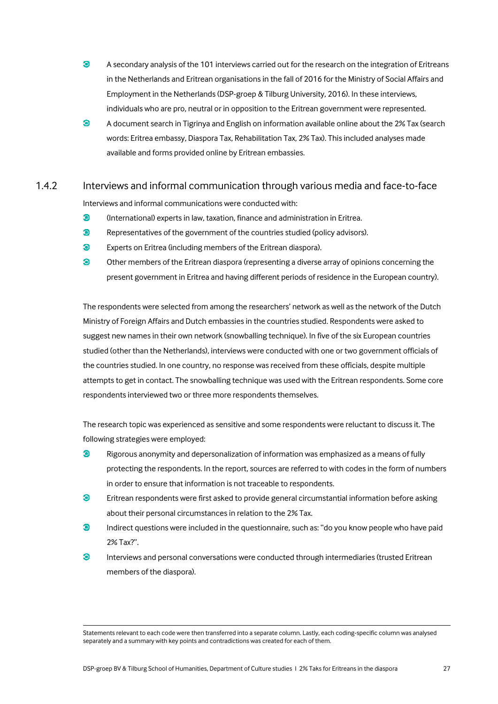- Э A secondary analysis of the 101 interviews carried out for the research on the integration of Eritreans in the Netherlands and Eritrean organisations in the fall of 2016 for the Ministry of Social Affairs and Employment in the Netherlands (DSP-groep & Tilburg University, 2016). In these interviews, individuals who are pro, neutral or in opposition to the Eritrean government were represented.
- G. A document search in Tigrinya and English on information available online about the 2% Tax (search words: Eritrea embassy, Diaspora Tax, Rehabilitation Tax, 2% Tax). This included analyses made available and forms provided online by Eritrean embassies.

## 1.4.2 Interviews and informal communication through various media and face-to-face

Interviews and informal communications were conducted with:

- $\bullet$ (International) experts in law, taxation, finance and administration in Eritrea.
- $\bullet$ Representatives of the government of the countries studied (policy advisors).
- Э Experts on Eritrea (including members of the Eritrean diaspora).
- Э Other members of the Eritrean diaspora (representing a diverse array of opinions concerning the present government in Eritrea and having different periods of residence in the European country).

The respondents were selected from among the researchers' network as well as the network of the Dutch Ministry of Foreign Affairs and Dutch embassies in the countries studied. Respondents were asked to suggest new names in their own network (snowballing technique). In five of the six European countries studied (other than the Netherlands), interviews were conducted with one or two government officials of the countries studied. In one country, no response was received from these officials, despite multiple attempts to get in contact. The snowballing technique was used with the Eritrean respondents. Some core respondents interviewed two or three more respondents themselves.

The research topic was experienced as sensitive and some respondents were reluctant to discuss it. The following strategies were employed:

- $\bullet$ Rigorous anonymity and depersonalization of information was emphasized as a means of fully protecting the respondents. In the report, sources are referred to with codes in the form of numbers in order to ensure that information is not traceable to respondents.
- Э Eritrean respondents were first asked to provide general circumstantial information before asking about their personal circumstances in relation to the 2% Tax.
- Э Indirect questions were included in the questionnaire, such as: "do you know people who have paid  $2\%$  Tay $2$ "
- G. Interviews and personal conversations were conducted through intermediaries (trusted Eritrean members of the diaspora).

Statements relevant to each code were then transferred into a separate column. Lastly, each coding-specific column was analysed separately and a summary with key points and contradictions was created for each of them.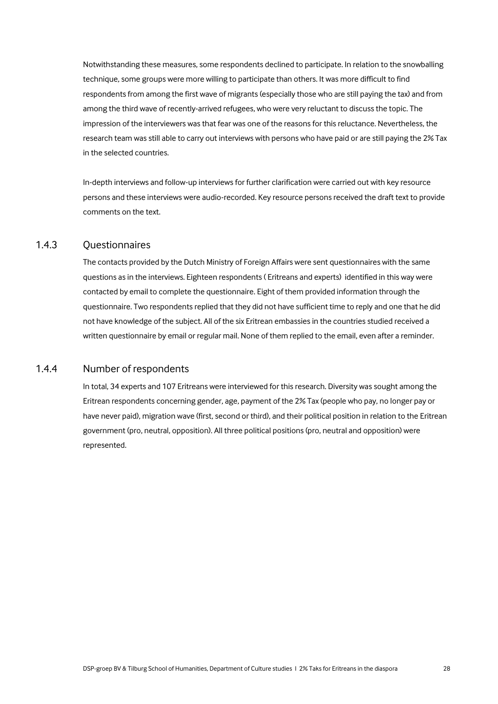Notwithstanding these measures, some respondents declined to participate. In relation to the snowballing technique, some groups were more willing to participate than others. It was more difficult to find respondents from among the first wave of migrants (especially those who are still paying the tax) and from among the third wave of recently-arrived refugees, who were very reluctant to discuss the topic. The impression of the interviewers was that fear was one of the reasons for this reluctance. Nevertheless, the research team was still able to carry out interviews with persons who have paid or are still paying the 2% Tax in the selected countries.

In-depth interviews and follow-up interviews for further clarification were carried out with key resource persons and these interviews were audio-recorded. Key resource persons received the draft text to provide comments on the text.

## 1.4.3 Questionnaires

The contacts provided by the Dutch Ministry of Foreign Affairs were sent questionnaires with the same questions as in the interviews. Eighteen respondents ( Eritreans and experts) identified in this way were contacted by email to complete the questionnaire. Eight of them provided information through the questionnaire. Two respondents replied that they did not have sufficient time to reply and one that he did not have knowledge of the subject. All of the six Eritrean embassies in the countries studied received a written questionnaire by email or regular mail. None of them replied to the email, even after a reminder.

## 1.4.4 Number of respondents

In total, 34 experts and 107 Eritreans were interviewed for this research. Diversity was sought among the Eritrean respondents concerning gender, age, payment of the 2% Tax (people who pay, no longer pay or have never paid), migration wave (first, second or third), and their political position in relation to the Eritrean government (pro, neutral, opposition). All three political positions (pro, neutral and opposition) were represented.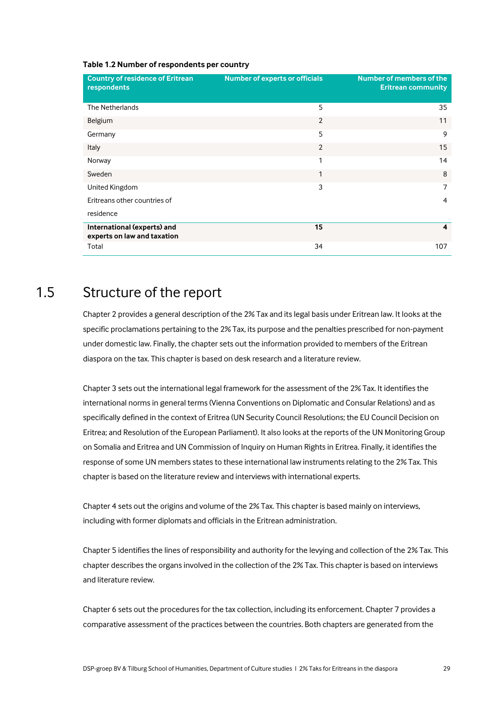### **Table 1.2 Number of respondents per country**

| <b>Country of residence of Eritrean</b><br>respondents     | <b>Number of experts or officials</b> | <b>Number of members of the</b><br><b>Eritrean community</b> |
|------------------------------------------------------------|---------------------------------------|--------------------------------------------------------------|
| The Netherlands                                            | 5                                     | 35                                                           |
| <b>Belgium</b>                                             | 2                                     | 11                                                           |
| Germany                                                    | 5                                     | 9                                                            |
| Italy                                                      | $\overline{2}$                        | 15                                                           |
| Norway                                                     | 1                                     | 14                                                           |
| Sweden                                                     | 1                                     | 8                                                            |
| United Kingdom                                             | 3                                     | 7                                                            |
| Eritreans other countries of                               |                                       | 4                                                            |
| residence                                                  |                                       |                                                              |
| International (experts) and<br>experts on law and taxation | 15                                    | 4                                                            |
| Total                                                      | 34                                    | 107                                                          |

## 1.5 Structure of the report

Chapter 2 provides a general description of the 2% Tax and its legal basis under Eritrean law. It looks at the specific proclamations pertaining to the 2% Tax, its purpose and the penalties prescribed for non-payment under domestic law. Finally, the chapter sets out the information provided to members of the Eritrean diaspora on the tax. This chapter is based on desk research and a literature review.

Chapter 3 sets out the international legal framework for the assessment of the 2% Tax. It identifies the international norms in general terms (Vienna Conventions on Diplomatic and Consular Relations) and as specifically defined in the context of Eritrea (UN Security Council Resolutions; the EU Council Decision on Eritrea; and Resolution of the European Parliament). It also looks at the reports of the UN Monitoring Group on Somalia and Eritrea and UN Commission of Inquiry on Human Rights in Eritrea. Finally, it identifies the response of some UN members states to these international law instruments relating to the 2% Tax. This chapter is based on the literature review and interviews with international experts.

Chapter 4 sets out the origins and volume of the 2% Tax. This chapter is based mainly on interviews, including with former diplomats and officials in the Eritrean administration.

Chapter 5 identifies the lines of responsibility and authority for the levying and collection of the 2% Tax. This chapter describes the organs involved in the collection of the 2% Tax. This chapter is based on interviews and literature review.

Chapter 6 sets out the procedures for the tax collection, including its enforcement. Chapter 7 provides a comparative assessment of the practices between the countries. Both chapters are generated from the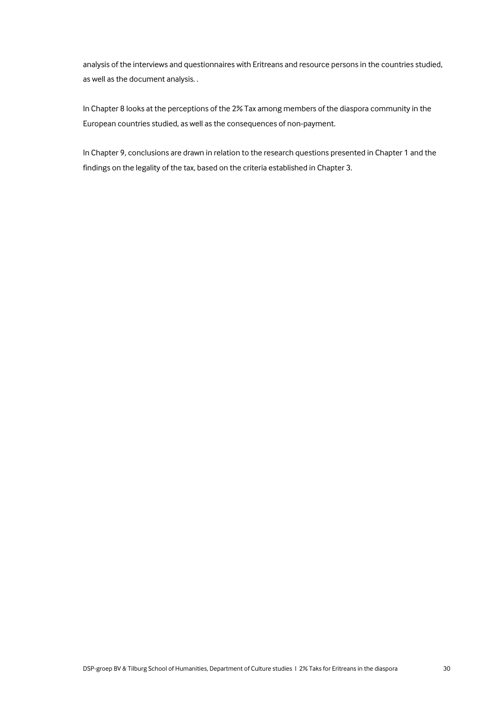analysis of the interviews and questionnaires with Eritreans and resource persons in the countries studied, as well as the document analysis. .

In Chapter 8 looks at the perceptions of the 2% Tax among members of the diaspora community in the European countries studied, as well as the consequences of non-payment.

In Chapter 9, conclusions are drawn in relation to the research questions presented in Chapter 1 and the findings on the legality of the tax, based on the criteria established in Chapter 3.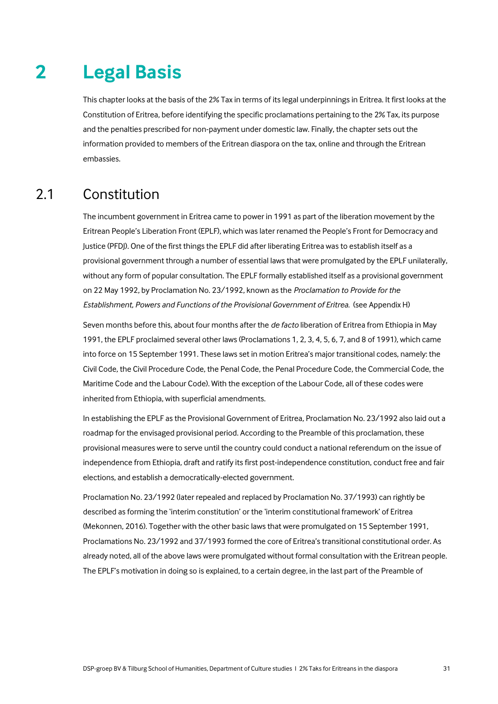# **2 Legal Basis**

This chapter looks at the basis of the 2% Tax in terms of its legal underpinnings in Eritrea. It first looks at the Constitution of Eritrea, before identifying the specific proclamations pertaining to the 2% Tax, its purpose and the penalties prescribed for non-payment under domestic law. Finally, the chapter sets out the information provided to members of the Eritrean diaspora on the tax, online and through the Eritrean embassies.

# 2.1 Constitution

The incumbent government in Eritrea came to power in 1991 as part of the liberation movement by the Eritrean People's Liberation Front (EPLF), which was later renamed the People's Front for Democracy and Justice (PFDJ). One of the first things the EPLF did after liberating Eritrea was to establish itself as a provisional government through a number of essential laws that were promulgated by the EPLF unilaterally, without any form of popular consultation. The EPLF formally established itself as a provisional government on 22 May 1992, by Proclamation No. 23/1992, known as the *Proclamation to Provide for the Establishment, Powers and Functions of the Provisional Government of Eritrea*. (see Appendix H)

Seven months before this, about four months after the *de facto* liberation of Eritrea from Ethiopia in May 1991, the EPLF proclaimed several other laws (Proclamations 1, 2, 3, 4, 5, 6, 7, and 8 of 1991), which came into force on 15 September 1991. These laws set in motion Eritrea's major transitional codes, namely: the Civil Code, the Civil Procedure Code, the Penal Code, the Penal Procedure Code, the Commercial Code, the Maritime Code and the Labour Code). With the exception of the Labour Code, all of these codes were inherited from Ethiopia, with superficial amendments.

In establishing the EPLF as the Provisional Government of Eritrea, Proclamation No. 23/1992 also laid out a roadmap for the envisaged provisional period. According to the Preamble of this proclamation, these provisional measures were to serve until the country could conduct a national referendum on the issue of independence from Ethiopia, draft and ratify its first post-independence constitution, conduct free and fair elections, and establish a democratically-elected government.

Proclamation No. 23/1992 (later repealed and replaced by Proclamation No. 37/1993) can rightly be described as forming the 'interim constitution' or the 'interim constitutional framework' of Eritrea (Mekonnen, 2016). Together with the other basic laws that were promulgated on 15 September 1991, Proclamations No. 23/1992 and 37/1993 formed the core of Eritrea's transitional constitutional order. As already noted, all of the above laws were promulgated without formal consultation with the Eritrean people. The EPLF's motivation in doing so is explained, to a certain degree, in the last part of the Preamble of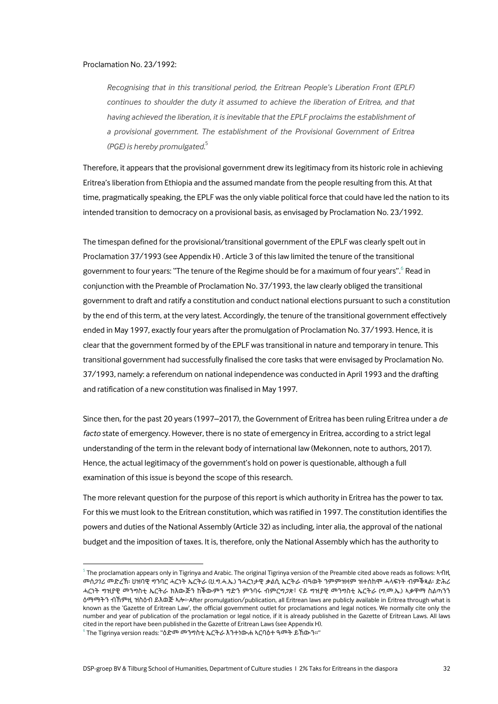### Proclamation No. 23/1992.

*Recognising that in this transitional period, the Eritrean People's Liberation Front (EPLF) continues to shoulder the duty it assumed to achieve the liberation of Eritrea, and that having achieved the liberation, it is inevitable that the EPLF proclaims the establishment of a provisional government. The establishment of the Provisional Government of Eritrea (PGE) is hereby promulgated.*<sup>5</sup>

Therefore, it appears that the provisional government drew its legitimacy from its historic role in achieving Eritrea's liberation from Ethiopia and the assumed mandate from the people resulting from this. At that time, pragmatically speaking, the EPLF was the only viable political force that could have led the nation to its intended transition to democracy on a provisional basis, as envisaged by Proclamation No. 23/1992.

The timespan defined for the provisional/transitional government of the EPLF was clearly spelt out in Proclamation 37/1993 (see Appendix H) . Article 3 of this law limited the tenure of the transitional government to four years: "The tenure of the Regime should be for a maximum of four years". $^{\circ}$  Read in conjunction with the Preamble of Proclamation No. 37/1993, the law clearly obliged the transitional government to draft and ratify a constitution and conduct national elections pursuant to such a constitution by the end of this term, at the very latest. Accordingly, the tenure of the transitional government effectively ended in May 1997, exactly four years after the promulgation of Proclamation No. 37/1993. Hence, it is clear that the government formed by of the EPLF was transitional in nature and temporary in tenure. This transitional government had successfully finalised the core tasks that were envisaged by Proclamation No. 37/1993, namely: a referendum on national independence was conducted in April 1993 and the drafting and ratification of a new constitution was finalised in May 1997.

Since then, for the past 20 years (1997–2017), the Government of Eritrea has been ruling Eritrea under a *de facto* state of emergency. However, there is no state of emergency in Eritrea, according to a strict legal understanding of the term in the relevant body of international law (Mekonnen, note to authors, 2017). Hence, the actual legitimacy of the government's hold on power is questionable, although a full examination of this issue is beyond the scope of this research.

The more relevant question for the purpose of this report is which authority in Eritrea has the power to tax. For this we must look to the Eritrean constitution, which was ratified in 1997. The constitution identifies the powers and duties of the National Assembly (Article 32) as including, inter alia, the approval of the national budget and the imposition of taxes. It is, therefore, only the National Assembly which has the authority to

 $\overline{a}$ 

 $^5$  The proclamation appears only in Tigrinya and Arabic. The original Tigrinya version of the Preamble cited above reads as follows: ኣብዚ መሰጋገሪ መድረኽ፡ ህዝባዊ ግንባር ሓርነት ኤርትራ (ህ.ግ.ሓ.ኤ.) ንሓርነታዊ ቃልሲ ኤርትራ ብዓወት ንምምዝዛም ዝተሰከሞ ሓላፍነት ብምቕጻል፡ ድሕሪ ሓርነት ግዝያዊ መንግስቲ ኤርትራ ክእውጅን ከቕውምን ግድን ምንባሩ ብምርግጋጽ፣ ናይ ግዝያዊ መንግስቲ ኤርትራ (ግ.መ.ኤ.) ኣቃዋማ ስልጣንን ዕማማትን ብኸምዚ ዝስዕብ ይእወጅ ኣሎ፦After promulgation/publication, all Eritrean laws are publicly available in Eritrea through what is known as the 'Gazette of Eritrean Law', the official government outlet for proclamations and legal notices. We normally cite only the number and year of publication of the proclamation or legal notice, if it is already published in the Gazette of Eritrean Laws. All laws cited in the report have been published in the Gazette of Eritrean Laws (see Appendix H).

 $^{\circ}$ The Tigrinya version reads: "ዕድመ መንግስቲ ኤርትራ እንተነውሐ ኣርባዕተ ዓመት ይኸውን።"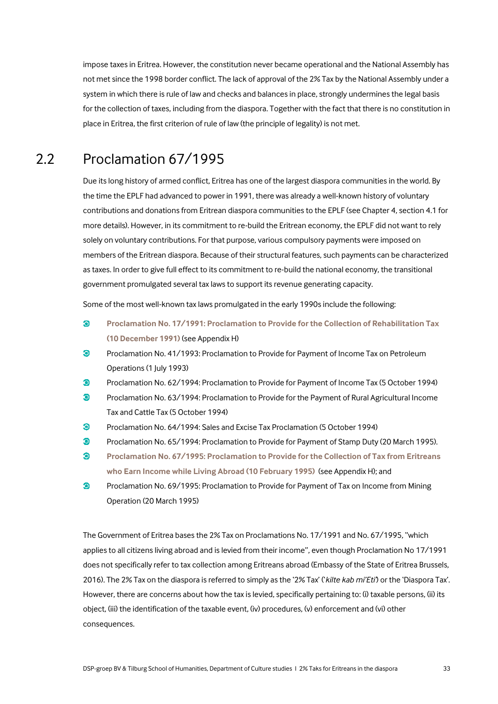impose taxes in Eritrea. However, the constitution never became operational and the National Assembly has not met since the 1998 border conflict. The lack of approval of the 2% Tax by the National Assembly under a system in which there is rule of law and checks and balances in place, strongly undermines the legal basis for the collection of taxes, including from the diaspora. Together with the fact that there is no constitution in place in Eritrea, the first criterion of rule of law (the principle of legality) is not met.

## 2.2 Proclamation 67/1995

Due its long history of armed conflict, Eritrea has one of the largest diaspora communities in the world. By the time the EPLF had advanced to power in 1991, there was already a well-known history of voluntary contributions and donations from Eritrean diaspora communities to the EPLF (see Chapter 4, section 4.1 for more details). However, in its commitment to re-build the Eritrean economy, the EPLF did not want to rely solely on voluntary contributions. For that purpose, various compulsory payments were imposed on members of the Eritrean diaspora. Because of their structural features, such payments can be characterized as taxes. In order to give full effect to its commitment to re-build the national economy, the transitional government promulgated several tax laws to support its revenue generating capacity.

Some of the most well-known tax laws promulgated in the early 1990s include the following:

- $\bullet$ **Proclamation No. 17/1991: Proclamation to Provide for the Collection of Rehabilitation Tax (10 December 1991)** (see Appendix H)
- $\bullet$ Proclamation No. 41/1993: Proclamation to Provide for Payment of Income Tax on Petroleum Operations (1 July 1993)
- Э Proclamation No. 62/1994: Proclamation to Provide for Payment of Income Tax (5 October 1994)
- Э Proclamation No. 63/1994: Proclamation to Provide for the Payment of Rural Agricultural Income Tax and Cattle Tax (5 October 1994)
- $\bullet$ Proclamation No. 64/1994: Sales and Excise Tax Proclamation (5 October 1994)
- O Proclamation No. 65/1994: Proclamation to Provide for Payment of Stamp Duty (20 March 1995).
- Э **Proclamation No. 67/1995: Proclamation to Provide for the Collection of Tax from Eritreans who Earn Income while Living Abroad (10 February 1995)** (see Appendix H); and
- Э Proclamation No. 69/1995: Proclamation to Provide for Payment of Tax on Income from Mining Operation (20 March 1995)

The Government of Eritrea bases the 2% Tax on Proclamations No. 17/1991 and No. 67/1995, "which applies to all citizens living abroad and is levied from their income", even though Proclamation No 17/1991 does not specifically refer to tax collection among Eritreans abroad (Embassy of the State of Eritrea Brussels, 2016). The 2% Tax on the diaspora is referred to simply as the '2% Tax' ('*kilte kab mi'Eti'*) or the 'Diaspora Tax'. However, there are concerns about how the tax is levied, specifically pertaining to: (i) taxable persons, (ii) its object, (iii) the identification of the taxable event, (iv) procedures, (v) enforcement and (vi) other consequences.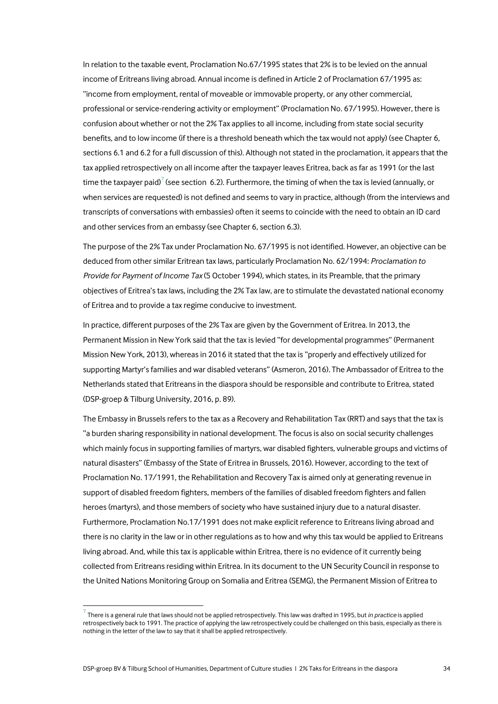In relation to the taxable event, Proclamation No.67/1995 states that 2% is to be levied on the annual income of Eritreans living abroad. Annual income is defined in Article 2 of Proclamation 67/1995 as: "income from employment, rental of moveable or immovable property, or any other commercial, professional or service-rendering activity or employment" (Proclamation No. 67/1995). However, there is confusion about whether or not the 2% Tax applies to all income, including from state social security benefits, and to low income (if there is a threshold beneath which the tax would not apply) (see Chapter 6, sections 6.1 and 6.2 for a full discussion of this). Although not stated in the proclamation, it appears that the tax applied retrospectively on all income after the taxpayer leaves Eritrea, back as far as 1991 (or the last time the taxpayer paid) $^7$  (see section 6.2). Furthermore, the timing of when the tax is levied (annually, or when services are requested) is not defined and seems to vary in practice, although (from the interviews and transcripts of conversations with embassies) often it seems to coincide with the need to obtain an ID card and other services from an embassy (see Chapter 6, section 6.3).

The purpose of the 2% Tax under Proclamation No. 67/1995 is not identified. However, an objective can be deduced from other similar Eritrean tax laws, particularly Proclamation No. 62/1994: *Proclamation to Provide for Payment of Income Tax* (5 October 1994), which states, in its Preamble, that the primary objectives of Eritrea's tax laws, including the 2% Tax law, are to stimulate the devastated national economy of Eritrea and to provide a tax regime conducive to investment.

In practice, different purposes of the 2% Tax are given by the Government of Eritrea. In 2013, the Permanent Mission in New York said that the tax is levied "for developmental programmes" (Permanent Mission New York, 2013), whereas in 2016 it stated that the tax is "properly and effectively utilized for supporting Martyr's families and war disabled veterans" (Asmeron, 2016). The Ambassador of Eritrea to the Netherlands stated that Eritreans in the diaspora should be responsible and contribute to Eritrea, stated (DSP-groep & Tilburg University, 2016, p. 89).

The Embassy in Brussels refers to the tax as a Recovery and Rehabilitation Tax (RRT) and says that the tax is "a burden sharing responsibility in national development. The focus is also on social security challenges which mainly focus in supporting families of martyrs, war disabled fighters, vulnerable groups and victims of natural disasters" (Embassy of the State of Eritrea in Brussels, 2016). However, according to the text of Proclamation No. 17/1991, the Rehabilitation and Recovery Tax is aimed only at generating revenue in support of disabled freedom fighters, members of the families of disabled freedom fighters and fallen heroes (martyrs), and those members of society who have sustained injury due to a natural disaster. Furthermore, Proclamation No.17/1991 does not make explicit reference to Eritreans living abroad and there is no clarity in the law or in other regulations as to how and why this tax would be applied to Eritreans living abroad. And, while this tax is applicable within Eritrea, there is no evidence of it currently being collected from Eritreans residing within Eritrea. In its document to the UN Security Council in response to the United Nations Monitoring Group on Somalia and Eritrea (SEMG), the Permanent Mission of Eritrea to

 $\overline{a}$ 

 $^7$  There is a general rule that laws should not be applied retrospectively. This law was drafted in 1995, but *in practice* is applied retrospectively back to 1991. The practice of applying the law retrospectively could be challenged on this basis, especially as there is nothing in the letter of the law to say that it shall be applied retrospectively.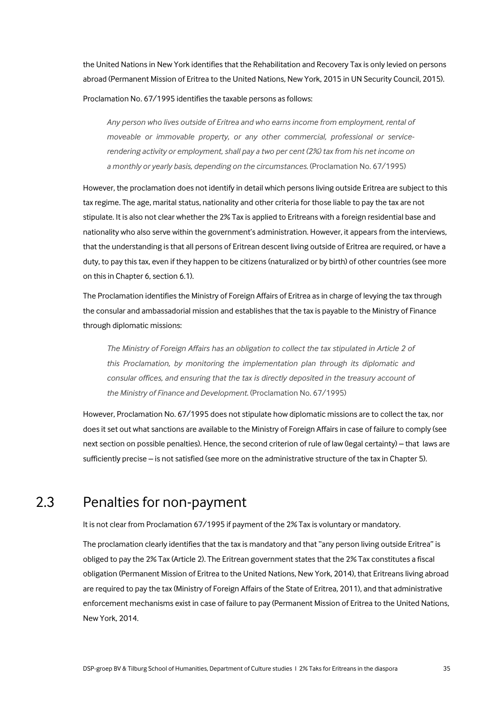the United Nations in New York identifies that the Rehabilitation and Recovery Tax is only levied on persons abroad (Permanent Mission of Eritrea to the United Nations, New York, 2015 in UN Security Council, 2015).

Proclamation No. 67/1995 identifies the taxable persons as follows:

*Any person who lives outside of Eritrea and who earns income from employment, rental of moveable or immovable property, or any other commercial, professional or servicerendering activity or employment, shall pay a two per cent (2%) tax from his net income on a monthly or yearly basis, depending on the circumstances.* (Proclamation No. 67/1995)

However, the proclamation does not identify in detail which persons living outside Eritrea are subject to this tax regime. The age, marital status, nationality and other criteria for those liable to pay the tax are not stipulate. It is also not clear whether the 2% Tax is applied to Eritreans with a foreign residential base and nationality who also serve within the government's administration. However, it appears from the interviews, that the understanding is that all persons of Eritrean descent living outside of Eritrea are required, or have a duty, to pay this tax, even if they happen to be citizens (naturalized or by birth) of other countries (see more on this in Chapter 6, section 6.1).

The Proclamation identifies the Ministry of Foreign Affairs of Eritrea as in charge of levying the tax through the consular and ambassadorial mission and establishes that the tax is payable to the Ministry of Finance through diplomatic missions:

*The Ministry of Foreign Affairs has an obligation to collect the tax stipulated in Article 2 of this Proclamation, by monitoring the implementation plan through its diplomatic and consular offices, and ensuring that the tax is directly deposited in the treasury account of the Ministry of Finance and Development.* (Proclamation No. 67/1995)

However, Proclamation No. 67/1995 does not stipulate how diplomatic missions are to collect the tax, nor does it set out what sanctions are available to the Ministry of Foreign Affairs in case of failure to comply (see next section on possible penalties). Hence, the second criterion of rule of law (legal certainty) – that laws are sufficiently precise – is not satisfied (see more on the administrative structure of the tax in Chapter 5).

## 2.3 Penalties for non-payment

It is not clear from Proclamation 67/1995 if payment of the 2% Tax is voluntary or mandatory.

The proclamation clearly identifies that the tax is mandatory and that "any person living outside Eritrea" is obliged to pay the 2% Tax (Article 2). The Eritrean government states that the 2% Tax constitutes a fiscal obligation (Permanent Mission of Eritrea to the United Nations, New York, 2014), that Eritreans living abroad are required to pay the tax (Ministry of Foreign Affairs of the State of Eritrea, 2011), and that administrative enforcement mechanisms exist in case of failure to pay (Permanent Mission of Eritrea to the United Nations, New York, 2014.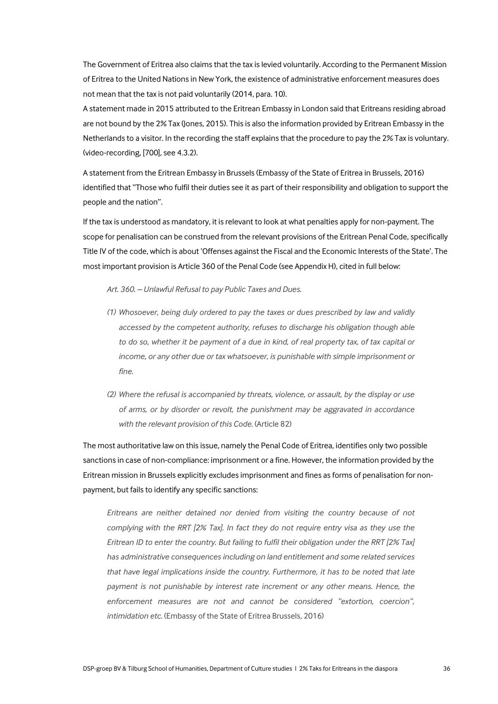The Government of Eritrea also claims that the tax is levied voluntarily. According to the Permanent Mission of Eritrea to the United Nations in New York, the existence of administrative enforcement measures does not mean that the tax is not paid voluntarily (2014, para. 10).

A statement made in 2015 attributed to the Eritrean Embassy in London said that Eritreans residing abroad are not bound by the 2% Tax (Jones, 2015). This is also the information provided by Eritrean Embassy in the Netherlands to a visitor. In the recording the staff explains that the procedure to pay the 2% Tax is voluntary. (video-recording, [700], see 4.3.2).

A statement from the Eritrean Embassy in Brussels (Embassy of the State of Eritrea in Brussels, 2016) identified that "Those who fulfil their duties see it as part of their responsibility and obligation to support the people and the nation".

If the tax is understood as mandatory, it is relevant to look at what penalties apply for non-payment. The scope for penalisation can be construed from the relevant provisions of the Eritrean Penal Code, specifically Title IV of the code, which is about 'Offenses against the Fiscal and the Economic Interests of the State'. The most important provision is Article 360 of the Penal Code (see Appendix H), cited in full below:

*Art. 360. – Unlawful Refusal to pay Public Taxes and Dues.* 

- *(1) Whosoever, being duly ordered to pay the taxes or dues prescribed by law and validly accessed by the competent authority, refuses to discharge his obligation though able to do so, whether it be payment of a due in kind, of real property tax, of tax capital or income, or any other due or tax whatsoever, is punishable with simple imprisonment or fine.*
- *(2) Where the refusal is accompanied by threats, violence, or assault, by the display or use of arms, or by disorder or revolt, the punishment may be aggravated in accordance with the relevant provision of this Code.* (Article 82)

The most authoritative law on this issue, namely the Penal Code of Eritrea, identifies only two possible sanctions in case of non-compliance: imprisonment or a fine. However, the information provided by the Eritrean mission in Brussels explicitly excludes imprisonment and fines as forms of penalisation for nonpayment, but fails to identify any specific sanctions:

*Eritreans are neither detained nor denied from visiting the country because of not complying with the RRT [2% Tax]. In fact they do not require entry visa as they use the Eritrean ID to enter the country. But failing to fulfil their obligation under the RRT [2% Tax] has administrative consequences including on land entitlement and some related services that have legal implications inside the country. Furthermore, it has to be noted that late payment is not punishable by interest rate increment or any other means. Hence, the enforcement measures are not and cannot be considered "extortion, coercion", intimidation etc.* (Embassy of the State of Eritrea Brussels, 2016)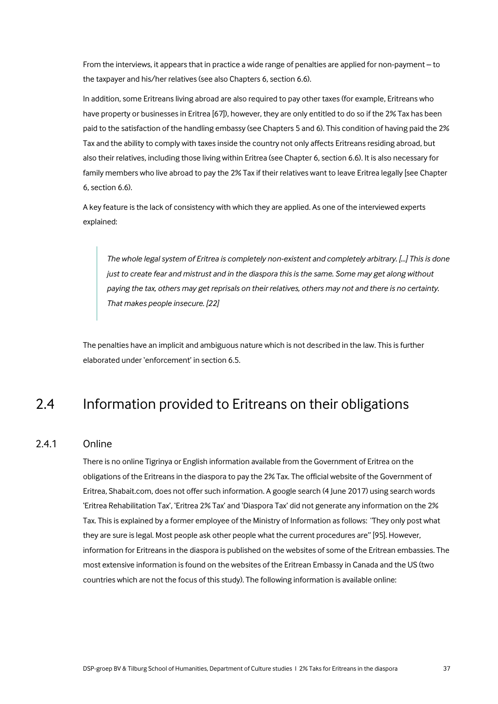From the interviews, it appears that in practice a wide range of penalties are applied for non-payment – to the taxpayer and his/her relatives (see also Chapters 6, section 6.6).

In addition, some Eritreans living abroad are also required to pay other taxes (for example, Eritreans who have property or businesses in Eritrea [67]), however, they are only entitled to do so if the 2% Tax has been paid to the satisfaction of the handling embassy (see Chapters 5 and 6). This condition of having paid the 2% Tax and the ability to comply with taxes inside the country not only affects Eritreans residing abroad, but also their relatives, including those living within Eritrea (see Chapter 6, section 6.6). It is also necessary for family members who live abroad to pay the 2% Tax if their relatives want to leave Eritrea legally [see Chapter 6, section 6.6).

A key feature is the lack of consistency with which they are applied. As one of the interviewed experts explained:

*The whole legal system of Eritrea is completely non-existent and completely arbitrary. [...] This is done just to create fear and mistrust and in the diaspora this is the same. Some may get along without paying the tax, others may get reprisals on their relatives, others may not and there is no certainty. That makes people insecure. [22]* 

The penalties have an implicit and ambiguous nature which is not described in the law. This is further elaborated under 'enforcement' in section 6.5.

### 2.4 Information provided to Eritreans on their obligations

#### 2.4.1 Online

There is no online Tigrinya or English information available from the Government of Eritrea on the obligations of the Eritreans in the diaspora to pay the 2% Tax. The official website of the Government of Eritrea, Shabait.com, does not offer such information. A google search (4 June 2017) using search words 'Eritrea Rehabilitation Tax', 'Eritrea 2% Tax' and 'Diaspora Tax' did not generate any information on the 2% Tax. This is explained by a former employee of the Ministry of Information as follows: *"*They only post what they are sure is legal. Most people ask other people what the current procedures are" [95]. However, information for Eritreans in the diaspora is published on the websites of some of the Eritrean embassies. The most extensive information is found on the websites of the Eritrean Embassy in Canada and the US (two countries which are not the focus of this study). The following information is available online: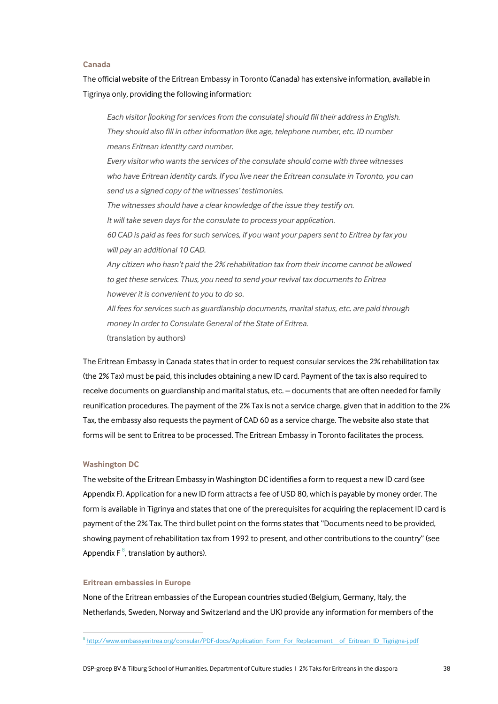#### **Canada**

The official website of the Eritrean Embassy in Toronto (Canada) has extensive information, available in Tigrinya only, providing the following information:

*Each visitor [looking for services from the consulate] should fill their address in English. They should also fill in other information like age, telephone number, etc. ID number means Eritrean identity card number. Every visitor who wants the services of the consulate should come with three witnesses who have Eritrean identity cards. If you live near the Eritrean consulate in Toronto, you can send us a signed copy of the witnesses' testimonies. The witnesses should have a clear knowledge of the issue they testify on. It will take seven days for the consulate to process your application. 60 CAD is paid as fees for such services, if you want your papers sent to Eritrea by fax you will pay an additional 10 CAD. Any citizen who hasn't paid the 2% rehabilitation tax from their income cannot be allowed to get these services. Thus, you need to send your revival tax documents to Eritrea however it is convenient to you to do so. All fees for services such as guardianship documents, marital status, etc. are paid through money In order to Consulate General of the State of Eritrea.*  (translation by authors)

The Eritrean Embassy in Canada states that in order to request consular services the 2% rehabilitation tax (the 2% Tax) must be paid, this includes obtaining a new ID card. Payment of the tax is also required to receive documents on guardianship and marital status, etc. – documents that are often needed for family reunification procedures. The payment of the 2% Tax is not a service charge, given that in addition to the 2% Tax, the embassy also requests the payment of CAD 60 as a service charge. The website also state that forms will be sent to Eritrea to be processed. The Eritrean Embassy in Toronto facilitates the process.

#### **Washington DC**

 $\overline{a}$ 

The website of the Eritrean Embassy in Washington DC identifies a form to request a new ID card (see Appendix F). Application for a new ID form attracts a fee of USD 80, which is payable by money order. The form is available in Tigrinya and states that one of the prerequisites for acquiring the replacement ID card is payment of the 2% Tax. The third bullet point on the forms states that "Documents need to be provided, showing payment of rehabilitation tax from 1992 to present, and other contributions to the country" (see Appendix F $\,$ <sup>8</sup>, translation by authors).

#### **Eritrean embassies in Europe**

None of the Eritrean embassies of the European countries studied (Belgium, Germany, Italy, the Netherlands, Sweden, Norway and Switzerland and the UK) provide any information for members of the

<sup>&</sup>lt;sup>8</sup> http://www.embassyeritrea.org/consular/PDF-docs/Application\_Form\_For\_Replacement\_ of\_Eritrean\_ID\_Tigrigna-j.pdf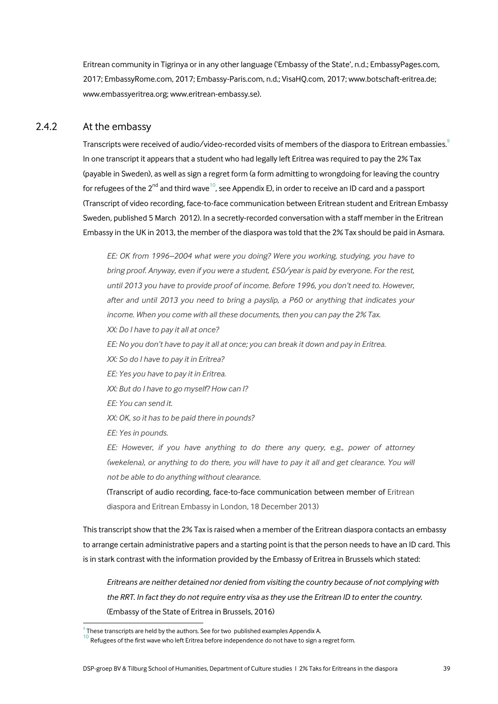Eritrean community in Tigrinya or in any other language ('Embassy of the State', n.d.; EmbassyPages.com, 2017; EmbassyRome.com, 2017; Embassy-Paris.com, n.d.; VisaHQ.com, 2017; www.botschaft-eritrea.de; www.embassyeritrea.org; www.eritrean-embassy.se).

#### 2.4.2 At the embassy

Transcripts were received of audio/video-recorded visits of members of the diaspora to Eritrean embassies.<sup>9</sup> In one transcript it appears that a student who had legally left Eritrea was required to pay the 2% Tax (payable in Sweden), as well as sign a regret form (a form admitting to wrongdoing for leaving the country for refugees of the  $2^{nd}$  and third wave<sup>10</sup>, see Appendix E), in order to receive an ID card and a passport (Transcript of video recording, face-to-face communication between Eritrean student and Eritrean Embassy Sweden, published 5 March 2012). In a secretly-recorded conversation with a staff member in the Eritrean Embassy in the UK in 2013, the member of the diaspora was told that the 2% Tax should be paid in Asmara.

*EE: OK from 1996–2004 what were you doing? Were you working, studying, you have to bring proof. Anyway, even if you were a student, £50/year is paid by everyone. For the rest, until 2013 you have to provide proof of income. Before 1996, you don't need to. However, after and until 2013 you need to bring a payslip, a P60 or anything that indicates your income. When you come with all these documents, then you can pay the 2% Tax. XX: Do I have to pay it all at once?* 

- *EE: No you don't have to pay it all at once; you can break it down and pay in Eritrea.*
- *XX: So do I have to pay it in Eritrea?*
- *EE: Yes you have to pay it in Eritrea.*
- *XX: But do I have to go myself? How can I?*
- *EE: You can send it.*
- *XX: OK, so it has to be paid there in pounds?*
- *EE: Yes in pounds.*

 $\overline{a}$ 

*EE: However, if you have anything to do there any query, e.g., power of attorney (wekelena), or anything to do there, you will have to pay it all and get clearance. You will not be able to do anything without clearance.* 

(Transcript of audio recording, face-to-face communication between member of Eritrean diaspora and Eritrean Embassy in London, 18 December 2013)

This transcript show that the 2% Tax is raised when a member of the Eritrean diaspora contacts an embassy to arrange certain administrative papers and a starting point is that the person needs to have an ID card. This is in stark contrast with the information provided by the Embassy of Eritrea in Brussels which stated:

*Eritreans are neither detained nor denied from visiting the country because of not complying with the RRT. In fact they do not require entry visa as they use the Eritrean ID to enter the country.*  (Embassy of the State of Eritrea in Brussels, 2016)

 $\degree$  These transcripts are held by the authors. See for two published examples Appendix A.

 $^{10}$  Refugees of the first wave who left Eritrea before independence do not have to sign a regret form.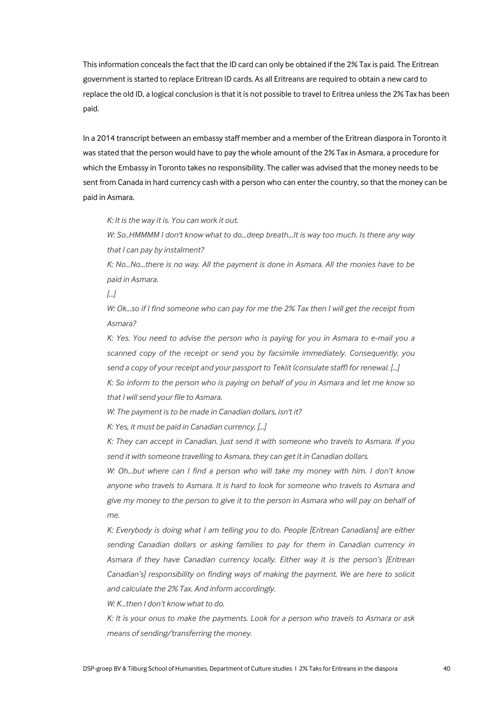This information conceals the fact that the ID card can only be obtained if the 2% Tax is paid. The Eritrean government is started to replace Eritrean ID cards. As all Eritreans are required to obtain a new card to replace the old ID, a logical conclusion is that it is not possible to travel to Eritrea unless the 2% Tax has been paid.

In a 2014 transcript between an embassy staff member and a member of the Eritrean diaspora in Toronto it was stated that the person would have to pay the whole amount of the 2% Tax in Asmara, a procedure for which the Embassy in Toronto takes no responsibility. The caller was advised that the money needs to be sent from Canada in hard currency cash with a person who can enter the country, so that the money can be paid in Asmara.

*K: It is the way it is. You can work it out.* 

*W: So..HMMMM I don't know what to do...deep breath...It is way too much. Is there any way that I can pay by instalment?* 

*K: No…No...there is no way. All the payment is done in Asmara. All the monies have to be paid in Asmara.* 

*[...]* 

*W: Ok...so if I find someone who can pay for me the 2% Tax then I will get the receipt from Asmara?* 

*K: Yes. You need to advise the person who is paying for you in Asmara to e-mail you a scanned copy of the receipt or send you by facsimile immediately. Consequently, you send a copy of your receipt and your passport to Teklit (consulate staff) for renewal. [...] K: So inform to the person who is paying on behalf of you in Asmara and let me know so that I will send your file to Asmara.* 

*W: The payment is to be made in Canadian dollars, isn't it?* 

*K: Yes, it must be paid in Canadian currency. [...]* 

*K: They can accept in Canadian. Just send it with someone who travels to Asmara. If you send it with someone travelling to Asmara, they can get it in Canadian dollars.* 

*W: Oh…but where can I find a person who will take my money with him. I don't know anyone who travels to Asmara. It is hard to look for someone who travels to Asmara and give my money to the person to give it to the person in Asmara who will pay on behalf of me.* 

*K: Everybody is doing what I am telling you to do. People [Eritrean Canadians] are either sending Canadian dollars or asking families to pay for them in Canadian currency in Asmara if they have Canadian currency locally. Either way it is the person's [Eritrean Canadian's] responsibility on finding ways of making the payment. We are here to solicit and calculate the 2% Tax. And inform accordingly.* 

*W: K…then I don't know what to do.* 

*K: It is your onus to make the payments. Look for a person who travels to Asmara or ask means of sending/transferring the money.*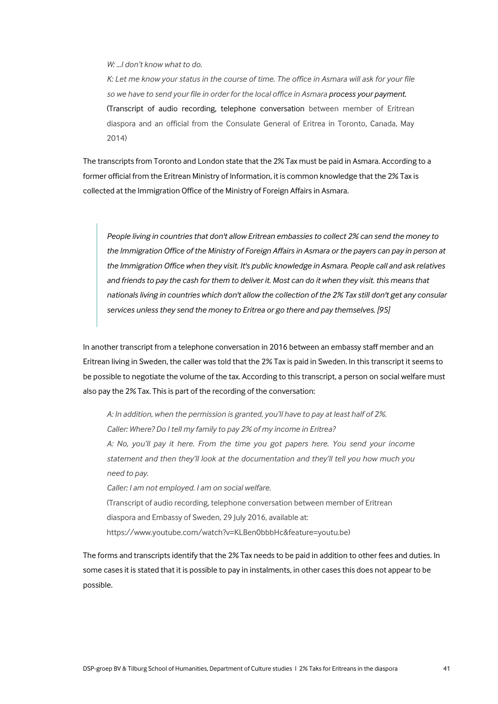*W: …I don't know what to do.* 

*K: Let me know your status in the course of time. The office in Asmara will ask for your file so we have to send your file in order for the local office in Asmara process your payment.*  (Transcript of audio recording, telephone conversation between member of Eritrean diaspora and an official from the Consulate General of Eritrea in Toronto, Canada, May 2014)

The transcripts from Toronto and London state that the 2% Tax must be paid in Asmara. According to a former official from the Eritrean Ministry of Information, it is common knowledge that the 2% Tax is collected at the Immigration Office of the Ministry of Foreign Affairs in Asmara.

*People living in countries that don't allow Eritrean embassies to collect 2% can send the money to the Immigration Office of the Ministry of Foreign Affairs in Asmara or the payers can pay in person at the Immigration Office when they visit. It's public knowledge in Asmara. People call and ask relatives and friends to pay the cash for them to deliver it. Most can do it when they visit. this means that nationals living in countries which don't allow the collection of the 2% Tax still don't get any consular services unless they send the money to Eritrea or go there and pay themselves. [95]* 

In another transcript from a telephone conversation in 2016 between an embassy staff member and an Eritrean living in Sweden, the caller was told that the 2% Tax is paid in Sweden. In this transcript it seems to be possible to negotiate the volume of the tax. According to this transcript, a person on social welfare must also pay the 2% Tax. This is part of the recording of the conversation:

*A: In addition, when the permission is granted, you'll have to pay at least half of 2%. Caller: Where? Do I tell my family to pay 2% of my income in Eritrea? A: No, you'll pay it here. From the time you got papers here. You send your income statement and then they'll look at the documentation and they'll tell you how much you need to pay. Caller: I am not employed. I am on social welfare.* 

(Transcript of audio recording, telephone conversation between member of Eritrean diaspora and Embassy of Sweden, 29 July 2016, available at:

https://www.youtube.com/watch?v=KLBen0bbbHc&feature=youtu.be)

The forms and transcripts identify that the 2% Tax needs to be paid in addition to other fees and duties. In some cases it is stated that it is possible to pay in instalments, in other cases this does not appear to be possible.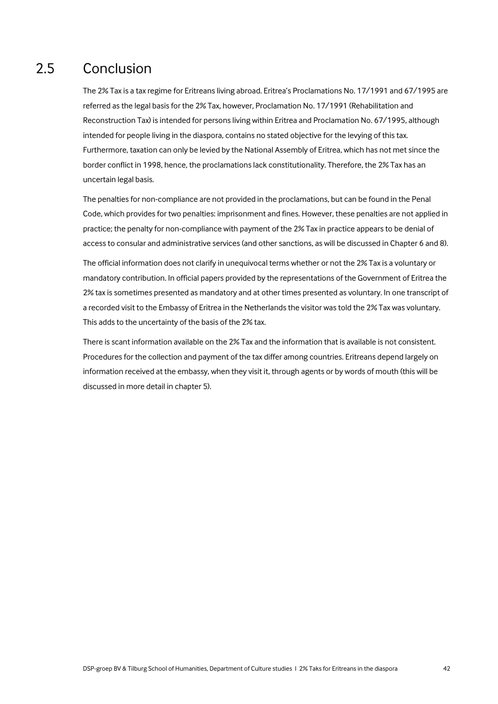### 2.5 Conclusion

The 2% Tax is a tax regime for Eritreans living abroad. Eritrea's Proclamations No. 17/1991 and 67/1995 are referred as the legal basis for the 2% Tax, however, Proclamation No. 17/1991 (Rehabilitation and Reconstruction Tax) is intended for persons living within Eritrea and Proclamation No. 67/1995, although intended for people living in the diaspora, contains no stated objective for the levying of this tax. Furthermore, taxation can only be levied by the National Assembly of Eritrea, which has not met since the border conflict in 1998, hence, the proclamations lack constitutionality. Therefore, the 2% Tax has an uncertain legal basis.

The penalties for non-compliance are not provided in the proclamations, but can be found in the Penal Code, which provides for two penalties: imprisonment and fines. However, these penalties are not applied in practice; the penalty for non-compliance with payment of the 2% Tax in practice appears to be denial of access to consular and administrative services (and other sanctions, as will be discussed in Chapter 6 and 8).

The official information does not clarify in unequivocal terms whether or not the 2% Tax is a voluntary or mandatory contribution. In official papers provided by the representations of the Government of Eritrea the 2% tax is sometimes presented as mandatory and at other times presented as voluntary. In one transcript of a recorded visit to the Embassy of Eritrea in the Netherlands the visitor was told the 2% Tax was voluntary. This adds to the uncertainty of the basis of the 2% tax.

There is scant information available on the 2% Tax and the information that is available is not consistent. Procedures for the collection and payment of the tax differ among countries. Eritreans depend largely on information received at the embassy, when they visit it, through agents or by words of mouth (this will be discussed in more detail in chapter 5).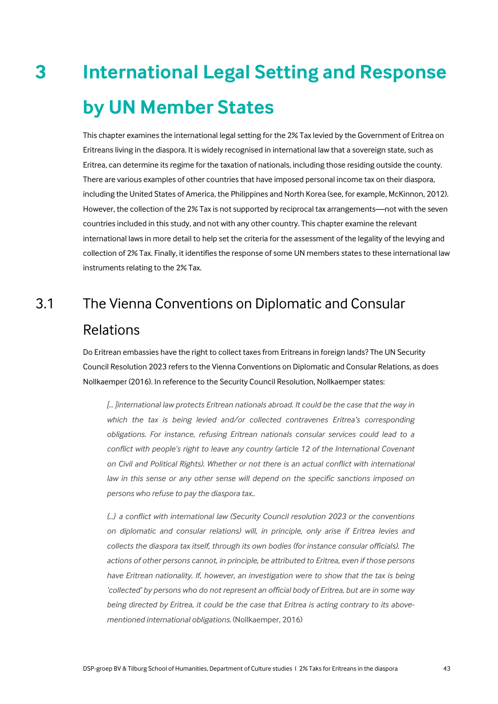# **3 International Legal Setting and Response by UN Member States**

This chapter examines the international legal setting for the 2% Tax levied by the Government of Eritrea on Eritreans living in the diaspora. It is widely recognised in international law that a sovereign state, such as Eritrea, can determine its regime for the taxation of nationals, including those residing outside the county. There are various examples of other countries that have imposed personal income tax on their diaspora, including the United States of America, the Philippines and North Korea (see, for example, McKinnon, 2012). However, the collection of the 2% Tax is not supported by reciprocal tax arrangements—not with the seven countries included in this study, and not with any other country. This chapter examine the relevant international laws in more detail to help set the criteria for the assessment of the legality of the levying and collection of 2% Tax. Finally, it identifies the response of some UN members states to these international law instruments relating to the 2% Tax.

## 3.1 The Vienna Conventions on Diplomatic and Consular Relations

Do Eritrean embassies have the right to collect taxes from Eritreans in foreign lands? The UN Security Council Resolution 2023 refers to the Vienna Conventions on Diplomatic and Consular Relations, as does Nollkaemper (2016). In reference to the Security Council Resolution, Nollkaemper states:

*[… ]international law protects Eritrean nationals abroad. It could be the case that the way in which the tax is being levied and/or collected contravenes Eritrea's corresponding obligations. For instance, refusing Eritrean nationals consular services could lead to a conflict with people's right to leave any country (article 12 of the International Covenant on Civil and Political Rights). Whether or not there is an actual conflict with international*  law in this sense or any other sense will depend on the specific sanctions imposed on *persons who refuse to pay the diaspora tax..* 

*{…} a conflict with international law (Security Council resolution 2023 or the conventions on diplomatic and consular relations) will, in principle, only arise if Eritrea levies and collects the diaspora tax itself, through its own bodies (for instance consular officials). The actions of other persons cannot, in principle, be attributed to Eritrea, even if those persons have Eritrean nationality. If, however, an investigation were to show that the tax is being 'collected' by persons who do not represent an official body of Eritrea, but are in some way being directed by Eritrea, it could be the case that Eritrea is acting contrary to its abovementioned international obligations.* (Nollkaemper, 2016)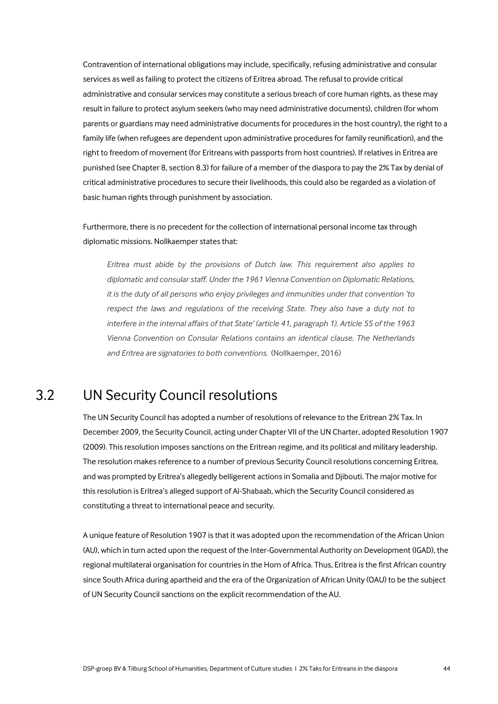Contravention of international obligations may include, specifically, refusing administrative and consular services as well as failing to protect the citizens of Eritrea abroad. The refusal to provide critical administrative and consular services may constitute a serious breach of core human rights, as these may result in failure to protect asylum seekers (who may need administrative documents), children (for whom parents or guardians may need administrative documents for procedures in the host country), the right to a family life (when refugees are dependent upon administrative procedures for family reunification), and the right to freedom of movement (for Eritreans with passports from host countries). If relatives in Eritrea are punished (see Chapter 8, section 8.3) for failure of a member of the diaspora to pay the 2% Tax by denial of critical administrative procedures to secure their livelihoods, this could also be regarded as a violation of basic human rights through punishment by association.

Furthermore, there is no precedent for the collection of international personal income tax through diplomatic missions. Nollkaemper states that:

*Eritrea must abide by the provisions of Dutch law. This requirement also applies to diplomatic and consular staff. Under the 1961 Vienna Convention on Diplomatic Relations, it is the duty of all persons who enjoy privileges and immunities under that convention 'to respect the laws and regulations of the receiving State. They also have a duty not to interfere in the internal affairs of that State' (article 41, paragraph 1). Article 55 of the 1963 Vienna Convention on Consular Relations contains an identical clause. The Netherlands and Eritrea are signatories to both conventions.* (Nollkaemper, 2016)

### 3.2 UN Security Council resolutions

The UN Security Council has adopted a number of resolutions of relevance to the Eritrean 2% Tax. In December 2009, the Security Council, acting under Chapter VII of the UN Charter, adopted Resolution 1907 (2009). This resolution imposes sanctions on the Eritrean regime, and its political and military leadership. The resolution makes reference to a number of previous Security Council resolutions concerning Eritrea, and was prompted by Eritrea's allegedly belligerent actions in Somalia and Djibouti. The major motive for this resolution is Eritrea's alleged support of Al-Shabaab, which the Security Council considered as constituting a threat to international peace and security.

A unique feature of Resolution 1907 is that it was adopted upon the recommendation of the African Union (AU), which in turn acted upon the request of the Inter-Governmental Authority on Development (IGAD), the regional multilateral organisation for countries in the Horn of Africa. Thus, Eritrea is the first African country since South Africa during apartheid and the era of the Organization of African Unity (OAU) to be the subject of UN Security Council sanctions on the explicit recommendation of the AU.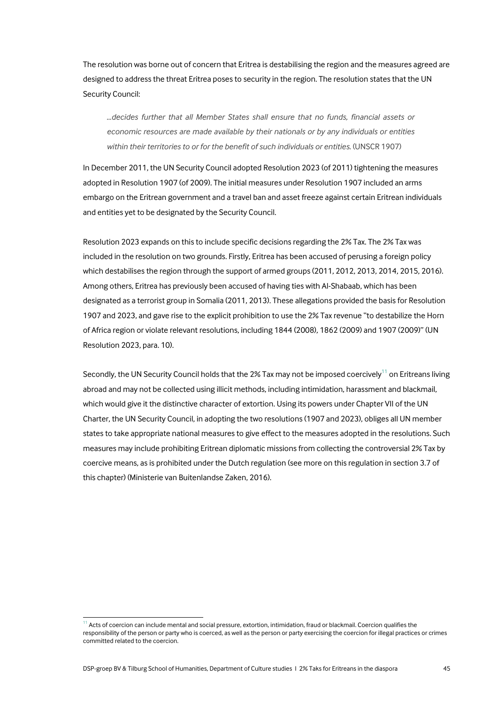The resolution was borne out of concern that Eritrea is destabilising the region and the measures agreed are designed to address the threat Eritrea poses to security in the region. The resolution states that the UN Security Council:

*…decides further that all Member States shall ensure that no funds, financial assets or economic resources are made available by their nationals or by any individuals or entities within their territories to or for the benefit of such individuals or entities.* (UNSCR 1907)

In December 2011, the UN Security Council adopted Resolution 2023 (of 2011) tightening the measures adopted in Resolution 1907 (of 2009). The initial measures under Resolution 1907 included an arms embargo on the Eritrean government and a travel ban and asset freeze against certain Eritrean individuals and entities yet to be designated by the Security Council.

Resolution 2023 expands on this to include specific decisions regarding the 2% Tax. The 2% Tax was included in the resolution on two grounds. Firstly, Eritrea has been accused of perusing a foreign policy which destabilises the region through the support of armed groups (2011, 2012, 2013, 2014, 2015, 2016). Among others, Eritrea has previously been accused of having ties with Al-Shabaab, which has been designated as a terrorist group in Somalia (2011, 2013). These allegations provided the basis for Resolution 1907 and 2023, and gave rise to the explicit prohibition to use the 2% Tax revenue "to destabilize the Horn of Africa region or violate relevant resolutions, including 1844 (2008), 1862 (2009) and 1907 (2009)" (UN Resolution 2023, para. 10).

Secondly, the UN Security Council holds that the 2% Tax may not be imposed coercively<sup>11</sup> on Eritreans living abroad and may not be collected using illicit methods, including intimidation, harassment and blackmail, which would give it the distinctive character of extortion. Using its powers under Chapter VII of the UN Charter, the UN Security Council, in adopting the two resolutions (1907 and 2023), obliges all UN member states to take appropriate national measures to give effect to the measures adopted in the resolutions. Such measures may include prohibiting Eritrean diplomatic missions from collecting the controversial 2% Tax by coercive means, as is prohibited under the Dutch regulation (see more on this regulation in section 3.7 of this chapter) (Ministerie van Buitenlandse Zaken, 2016).

 $\overline{a}$ Acts of coercion can include mental and social pressure, extortion, intimidation, fraud or blackmail. Coercion qualifies the responsibility of the person or party who is coerced, as well as the person or party exercising the coercion for illegal practices or crimes committed related to the coercion.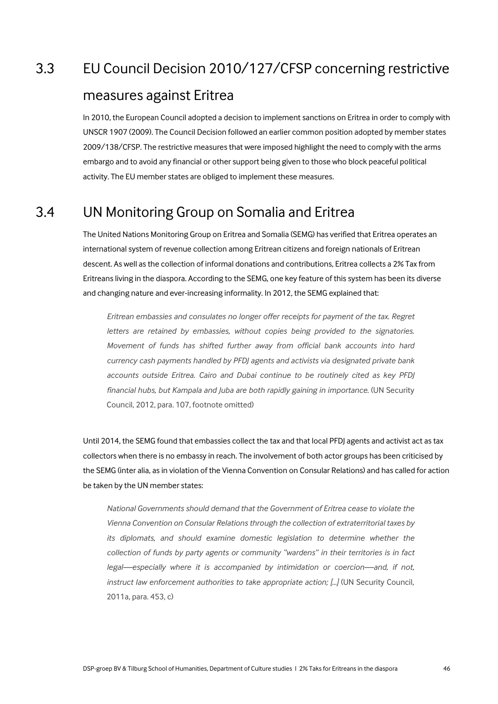### 3.3 EU Council Decision 2010/127/CFSP concerning restrictive

### measures against Eritrea

In 2010, the European Council adopted a decision to implement sanctions on Eritrea in order to comply with UNSCR 1907 (2009). The Council Decision followed an earlier common position adopted by member states 2009/138/CFSP. The restrictive measures that were imposed highlight the need to comply with the arms embargo and to avoid any financial or other support being given to those who block peaceful political activity. The EU member states are obliged to implement these measures.

### 3.4 UN Monitoring Group on Somalia and Eritrea

The United Nations Monitoring Group on Eritrea and Somalia (SEMG) has verified that Eritrea operates an international system of revenue collection among Eritrean citizens and foreign nationals of Eritrean descent. As well as the collection of informal donations and contributions, Eritrea collects a 2% Tax from Eritreans living in the diaspora. According to the SEMG, one key feature of this system has been its diverse and changing nature and ever-increasing informality. In 2012, the SEMG explained that:

*Eritrean embassies and consulates no longer offer receipts for payment of the tax. Regret letters are retained by embassies, without copies being provided to the signatories. Movement of funds has shifted further away from official bank accounts into hard currency cash payments handled by PFDJ agents and activists via designated private bank accounts outside Eritrea. Cairo and Dubai continue to be routinely cited as key PFDJ financial hubs, but Kampala and Juba are both rapidly gaining in importance.* (UN Security Council, 2012, para. 107, footnote omitted)

Until 2014, the SEMG found that embassies collect the tax and that local PFDJ agents and activist act as tax collectors when there is no embassy in reach. The involvement of both actor groups has been criticised by the SEMG (inter alia, as in violation of the Vienna Convention on Consular Relations) and has called for action be taken by the UN member states:

*National Governments should demand that the Government of Eritrea cease to violate the Vienna Convention on Consular Relations through the collection of extraterritorial taxes by its diplomats, and should examine domestic legislation to determine whether the collection of funds by party agents or community "wardens" in their territories is in fact*  legal—especially where it is accompanied by intimidation or coercion—and, if not, *instruct law enforcement authorities to take appropriate action; [...]* (UN Security Council, 2011a, para. 453, c)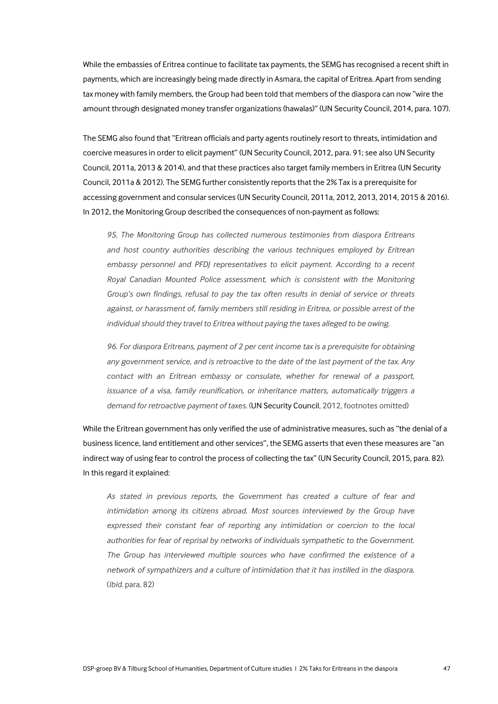While the embassies of Eritrea continue to facilitate tax payments, the SEMG has recognised a recent shift in payments, which are increasingly being made directly in Asmara, the capital of Eritrea. Apart from sending tax money with family members, the Group had been told that members of the diaspora can now "wire the amount through designated money transfer organizations (hawalas)" (UN Security Council, 2014, para. 107).

The SEMG also found that "Eritrean officials and party agents routinely resort to threats, intimidation and coercive measures in order to elicit payment" (UN Security Council, 2012, para. 91; see also UN Security Council, 2011a, 2013 & 2014), and that these practices also target family members in Eritrea (UN Security Council, 2011a & 2012). The SEMG further consistently reports that the 2% Tax is a prerequisite for accessing government and consular services (UN Security Council, 2011a, 2012, 2013, 2014, 2015 & 2016). In 2012, the Monitoring Group described the consequences of non-payment as follows:

*95. The Monitoring Group has collected numerous testimonies from diaspora Eritreans and host country authorities describing the various techniques employed by Eritrean embassy personnel and PFDJ representatives to elicit payment. According to a recent Royal Canadian Mounted Police assessment, which is consistent with the Monitoring Group's own findings, refusal to pay the tax often results in denial of service or threats against, or harassment of, family members still residing in Eritrea, or possible arrest of the individual should they travel to Eritrea without paying the taxes alleged to be owing.* 

*96. For diaspora Eritreans, payment of 2 per cent income tax is a prerequisite for obtaining any government service, and is retroactive to the date of the last payment of the tax. Any contact with an Eritrean embassy or consulate, whether for renewal of a passport, issuance of a visa, family reunification, or inheritance matters, automatically triggers a demand for retroactive payment of taxes.* (UN Security Council, 2012, footnotes omitted)

While the Eritrean government has only verified the use of administrative measures, such as "the denial of a business licence, land entitlement and other services", the SEMG asserts that even these measures are "an indirect way of using fear to control the process of collecting the tax" (UN Security Council, 2015, para. 82). In this regard it explained:

*As stated in previous reports, the Government has created a culture of fear and intimidation among its citizens abroad. Most sources interviewed by the Group have expressed their constant fear of reporting any intimidation or coercion to the local authorities for fear of reprisal by networks of individuals sympathetic to the Government. The Group has interviewed multiple sources who have confirmed the existence of a network of sympathizers and a culture of intimidation that it has instilled in the diaspora.*  (*Ibid*. para. 82)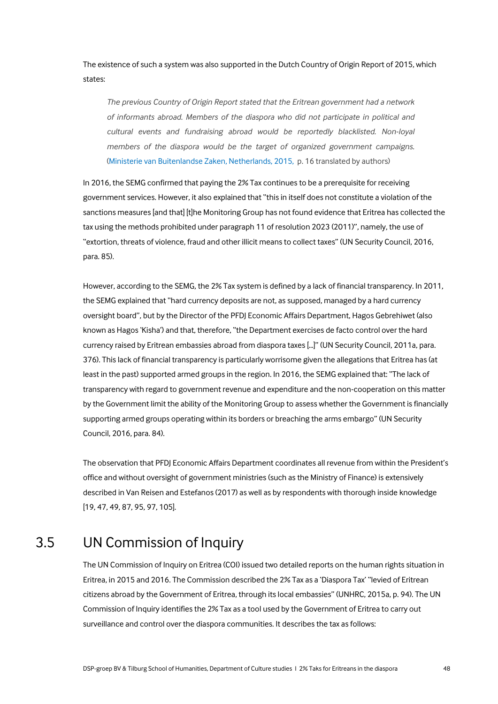The existence of such a system was also supported in the Dutch Country of Origin Report of 2015, which states:

*The previous Country of Origin Report stated that the Eritrean government had a network of informants abroad. Members of the diaspora who did not participate in political and cultural events and fundraising abroad would be reportedly blacklisted. Non-loyal members of the diaspora would be the target of organized government campaigns.*  (Ministerie van Buitenlandse Zaken, Netherlands, 2015, p. 16 translated by authors)

In 2016, the SEMG confirmed that paying the 2% Tax continues to be a prerequisite for receiving government services. However, it also explained that "this in itself does not constitute a violation of the sanctions measures [and that] [t]he Monitoring Group has not found evidence that Eritrea has collected the tax using the methods prohibited under paragraph 11 of resolution 2023 (2011)", namely, the use of "extortion, threats of violence, fraud and other illicit means to collect taxes" (UN Security Council, 2016, para. 85).

However, according to the SEMG, the 2% Tax system is defined by a lack of financial transparency. In 2011, the SEMG explained that "hard currency deposits are not, as supposed, managed by a hard currency oversight board", but by the Director of the PFDJ Economic Affairs Department, Hagos Gebrehiwet (also known as Hagos 'Kisha') and that, therefore, "the Department exercises de facto control over the hard currency raised by Eritrean embassies abroad from diaspora taxes […]" (UN Security Council, 2011a, para. 376). This lack of financial transparency is particularly worrisome given the allegations that Eritrea has (at least in the past) supported armed groups in the region. In 2016, the SEMG explained that: "The lack of transparency with regard to government revenue and expenditure and the non-cooperation on this matter by the Government limit the ability of the Monitoring Group to assess whether the Government is financially supporting armed groups operating within its borders or breaching the arms embargo" (UN Security Council, 2016, para. 84).

The observation that PFDJ Economic Affairs Department coordinates all revenue from within the President's office and without oversight of government ministries (such as the Ministry of Finance) is extensively described in Van Reisen and Estefanos (2017) as well as by respondents with thorough inside knowledge [19, 47, 49, 87, 95, 97, 105].

### 3.5 UN Commission of Inquiry

The UN Commission of Inquiry on Eritrea (COI) issued two detailed reports on the human rights situation in Eritrea, in 2015 and 2016. The Commission described the 2% Tax as a 'Diaspora Tax' "levied of Eritrean citizens abroad by the Government of Eritrea, through its local embassies" (UNHRC, 2015a, p. 94). The UN Commission of Inquiry identifies the 2% Tax as a tool used by the Government of Eritrea to carry out surveillance and control over the diaspora communities. It describes the tax as follows: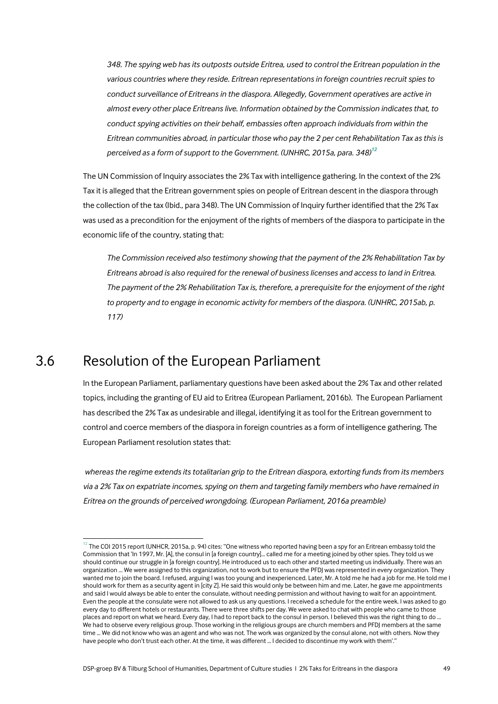*348. The spying web has its outposts outside Eritrea, used to control the Eritrean population in the various countries where they reside. Eritrean representations in foreign countries recruit spies to conduct surveillance of Eritreans in the diaspora. Allegedly, Government operatives are active in almost every other place Eritreans live. Information obtained by the Commission indicates that, to conduct spying activities on their behalf, embassies often approach individuals from within the Eritrean communities abroad, in particular those who pay the 2 per cent Rehabilitation Tax as this is perceived as a form of support to the Government. (UNHRC, 2015a, para. 348)<sup>12</sup>*

The UN Commission of Inquiry associates the 2% Tax with intelligence gathering. In the context of the 2% Tax it is alleged that the Eritrean government spies on people of Eritrean descent in the diaspora through the collection of the tax (Ibid., para 348). The UN Commission of Inquiry further identified that the 2% Tax was used as a precondition for the enjoyment of the rights of members of the diaspora to participate in the economic life of the country, stating that:

*The Commission received also testimony showing that the payment of the 2% Rehabilitation Tax by Eritreans abroad is also required for the renewal of business licenses and access to land in Eritrea. The payment of the 2% Rehabilitation Tax is, therefore, a prerequisite for the enjoyment of the right to property and to engage in economic activity for members of the diaspora. (UNHRC, 2015ab, p. 117)* 

### 3.6 Resolution of the European Parliament

 $\overline{a}$ 

In the European Parliament, parliamentary questions have been asked about the 2% Tax and other related topics, including the granting of EU aid to Eritrea (European Parliament, 2016b). The European Parliament has described the 2% Tax as undesirable and illegal, identifying it as tool for the Eritrean government to control and coerce members of the diaspora in foreign countries as a form of intelligence gathering. The European Parliament resolution states that:

 *whereas the regime extends its totalitarian grip to the Eritrean diaspora, extorting funds from its members via a 2% Tax on expatriate incomes, spying on them and targeting family members who have remained in Eritrea on the grounds of perceived wrongdoing. (European Parliament, 2016a preamble)* 

 $^{12}$  The COI 2015 report (UNHCR, 2015a, p. 94) cites: "One witness who reported having been a spy for an Eritrean embassy told the Commission that 'In 1997, Mr. [A], the consul in [a foreign country]… called me for a meeting joined by other spies. They told us we should continue our struggle in [a foreign country]. He introduced us to each other and started meeting us individually. There was an organization ... We were assigned to this organization, not to work but to ensure the PFDJ was represented in every organization. They wanted me to join the board. I refused, arguing I was too young and inexperienced. Later, Mr. A told me he had a job for me. He told me I should work for them as a security agent in [city Z]. He said this would only be between him and me. Later, he gave me appointments and said I would always be able to enter the consulate, without needing permission and without having to wait for an appointment. Even the people at the consulate were not allowed to ask us any questions. I received a schedule for the entire week. I was asked to go every day to different hotels or restaurants. There were three shifts per day. We were asked to chat with people who came to those places and report on what we heard. Every day, I had to report back to the consul in person. I believed this was the right thing to do ... We had to observe every religious group. Those working in the religious groups are church members and PFDJ members at the same time … We did not know who was an agent and who was not. The work was organized by the consul alone, not with others. Now they have people who don't trust each other. At the time, it was different ... I decided to discontinue my work with them'."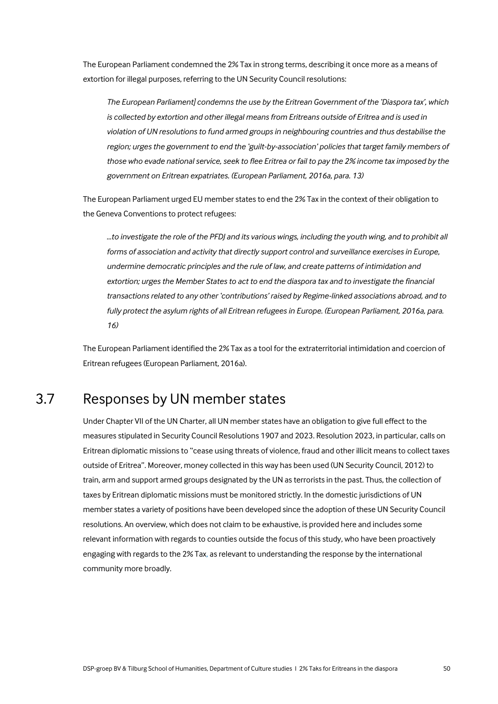The European Parliament condemned the 2% Tax in strong terms, describing it once more as a means of extortion for illegal purposes, referring to the UN Security Council resolutions:

*The European Parliament] condemns the use by the Eritrean Government of the 'Diaspora tax', which is collected by extortion and other illegal means from Eritreans outside of Eritrea and is used in violation of UN resolutions to fund armed groups in neighbouring countries and thus destabilise the region; urges the government to end the 'guilt-by-association' policies that target family members of those who evade national service, seek to flee Eritrea or fail to pay the 2% income tax imposed by the government on Eritrean expatriates. (European Parliament, 2016a, para. 13)* 

The European Parliament urged EU member states to end the 2% Tax in the context of their obligation to the Geneva Conventions to protect refugees:

*…to investigate the role of the PFDJ and its various wings, including the youth wing, and to prohibit all forms of association and activity that directly support control and surveillance exercises in Europe, undermine democratic principles and the rule of law, and create patterns of intimidation and extortion; urges the Member States to act to end the diaspora tax and to investigate the financial transactions related to any other 'contributions' raised by Regime-linked associations abroad, and to fully protect the asylum rights of all Eritrean refugees in Europe. (European Parliament, 2016a, para. 16)* 

The European Parliament identified the 2% Tax as a tool for the extraterritorial intimidation and coercion of Eritrean refugees (European Parliament, 2016a).

### 3.7 Responses by UN member states

Under Chapter VII of the UN Charter, all UN member states have an obligation to give full effect to the measures stipulated in Security Council Resolutions 1907 and 2023. Resolution 2023, in particular, calls on Eritrean diplomatic missions to "cease using threats of violence, fraud and other illicit means to collect taxes outside of Eritrea". Moreover, money collected in this way has been used (UN Security Council, 2012) to train, arm and support armed groups designated by the UN as terrorists in the past. Thus, the collection of taxes by Eritrean diplomatic missions must be monitored strictly. In the domestic jurisdictions of UN member states a variety of positions have been developed since the adoption of these UN Security Council resolutions. An overview, which does not claim to be exhaustive, is provided here and includes some relevant information with regards to counties outside the focus of this study, who have been proactively engaging with regards to the 2% Tax, as relevant to understanding the response by the international community more broadly.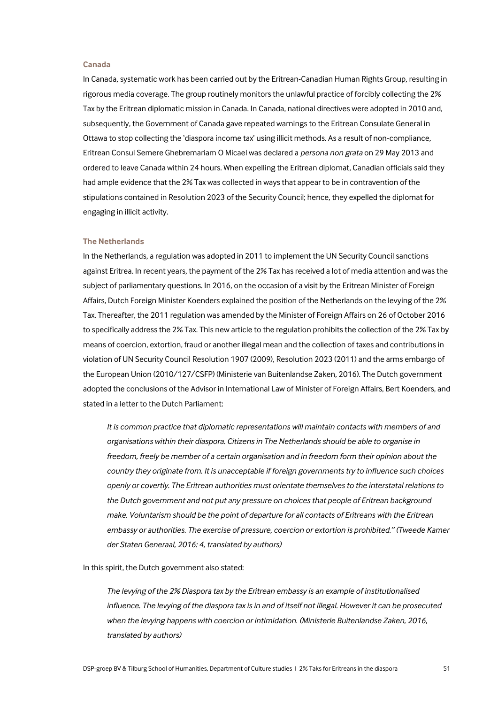#### **Canada**

In Canada, systematic work has been carried out by the Eritrean-Canadian Human Rights Group, resulting in rigorous media coverage. The group routinely monitors the unlawful practice of forcibly collecting the 2% Tax by the Eritrean diplomatic mission in Canada. In Canada, national directives were adopted in 2010 and, subsequently, the Government of Canada gave repeated warnings to the Eritrean Consulate General in Ottawa to stop collecting the 'diaspora income tax' using illicit methods. As a result of non-compliance, Eritrean Consul Semere Ghebremariam O Micael was declared a *persona non grata* on 29 May 2013 and ordered to leave Canada within 24 hours. When expelling the Eritrean diplomat, Canadian officials said they had ample evidence that the 2% Tax was collected in ways that appear to be in contravention of the stipulations contained in Resolution 2023 of the Security Council; hence, they expelled the diplomat for engaging in illicit activity.

#### **The Netherlands**

In the Netherlands, a regulation was adopted in 2011 to implement the UN Security Council sanctions against Eritrea. In recent years, the payment of the 2% Tax has received a lot of media attention and was the subject of parliamentary questions. In 2016, on the occasion of a visit by the Eritrean Minister of Foreign Affairs, Dutch Foreign Minister Koenders explained the position of the Netherlands on the levying of the 2% Tax. Thereafter, the 2011 regulation was amended by the Minister of Foreign Affairs on 26 of October 2016 to specifically address the 2% Tax. This new article to the regulation prohibits the collection of the 2% Tax by means of coercion, extortion, fraud or another illegal mean and the collection of taxes and contributions in violation of UN Security Council Resolution 1907 (2009), Resolution 2023 (2011) and the arms embargo of the European Union (2010/127/CSFP) (Ministerie van Buitenlandse Zaken, 2016). The Dutch government adopted the conclusions of the Advisor in International Law of Minister of Foreign Affairs, Bert Koenders, and stated in a letter to the Dutch Parliament:

*It is common practice that diplomatic representations will maintain contacts with members of and organisations within their diaspora. Citizens in The Netherlands should be able to organise in freedom, freely be member of a certain organisation and in freedom form their opinion about the country they originate from. It is unacceptable if foreign governments try to influence such choices openly or covertly. The Eritrean authorities must orientate themselves to the interstatal relations to the Dutch government and not put any pressure on choices that people of Eritrean background make. Voluntarism should be the point of departure for all contacts of Eritreans with the Eritrean embassy or authorities. The exercise of pressure, coercion or extortion is prohibited." (Tweede Kamer der Staten Generaal, 2016: 4, translated by authors)* 

#### In this spirit, the Dutch government also stated:

*The levying of the 2% Diaspora tax by the Eritrean embassy is an example of institutionalised influence. The levying of the diaspora tax is in and of itself not illegal. However it can be prosecuted when the levying happens with coercion or intimidation. (Ministerie Buitenlandse Zaken, 2016, translated by authors)*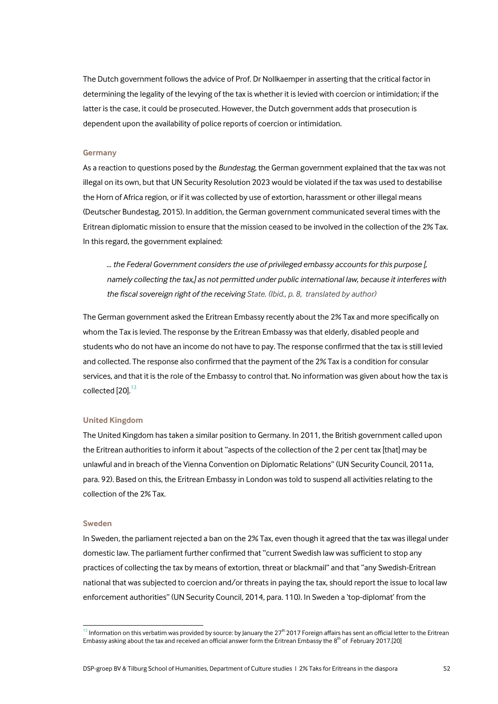The Dutch government follows the advice of Prof. Dr Nollkaemper in asserting that the critical factor in determining the legality of the levying of the tax is whether it is levied with coercion or intimidation; if the latter is the case, it could be prosecuted. However, the Dutch government adds that prosecution is dependent upon the availability of police reports of coercion or intimidation.

#### **Germany**

As a reaction to questions posed by the *Bundestag*, the German government explained that the tax was not illegal on its own, but that UN Security Resolution 2023 would be violated if the tax was used to destabilise the Horn of Africa region, or if it was collected by use of extortion, harassment or other illegal means (Deutscher Bundestag, 2015). In addition, the German government communicated several times with the Eritrean diplomatic mission to ensure that the mission ceased to be involved in the collection of the 2% Tax. In this regard, the government explained:

*… the Federal Government considers the use of privileged embassy accounts for this purpose [, namely collecting the tax,] as not permitted under public international law, because it interferes with the fiscal sovereign right of the receiving State. (Ibid., p. 8, translated by author)* 

The German government asked the Eritrean Embassy recently about the 2% Tax and more specifically on whom the Tax is levied. The response by the Eritrean Embassy was that elderly, disabled people and students who do not have an income do not have to pay. The response confirmed that the tax is still levied and collected. The response also confirmed that the payment of the 2% Tax is a condition for consular services, and that it is the role of the Embassy to control that. No information was given about how the tax is collected [20].<sup>13</sup>

#### **United Kingdom**

The United Kingdom has taken a similar position to Germany. In 2011, the British government called upon the Eritrean authorities to inform it about "aspects of the collection of the 2 per cent tax [that] may be unlawful and in breach of the Vienna Convention on Diplomatic Relations" (UN Security Council, 2011a, para. 92). Based on this, the Eritrean Embassy in London was told to suspend all activities relating to the collection of the 2% Tax.

#### **Sweden**

 $\overline{a}$ 

In Sweden, the parliament rejected a ban on the 2% Tax, even though it agreed that the tax was illegal under domestic law. The parliament further confirmed that "current Swedish law was sufficient to stop any practices of collecting the tax by means of extortion, threat or blackmail" and that "any Swedish-Eritrean national that was subjected to coercion and/or threats in paying the tax, should report the issue to local law enforcement authorities" (UN Security Council, 2014, para. 110). In Sweden a 'top-diplomat' from the

 $13$  Information on this verbatim was provided by source: by January the 27<sup>th</sup> 2017 Foreign affairs has sent an official letter to the Eritrean Embassy asking about the tax and received an official answer form the Eritrean Embassy the  $8<sup>th</sup>$  of February 2017.[20]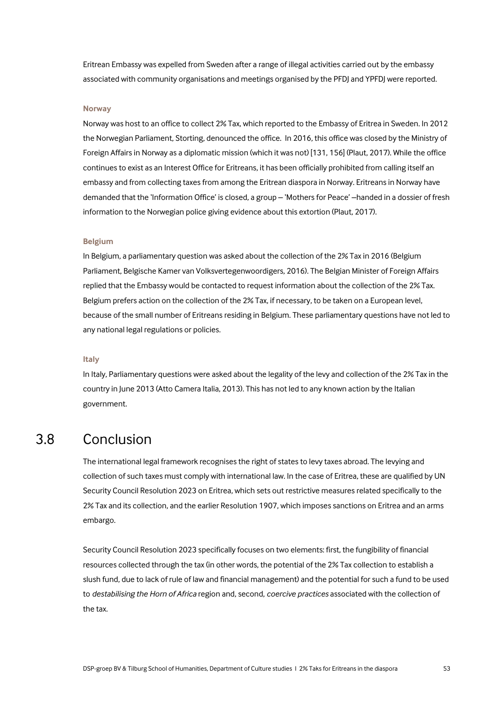Eritrean Embassy was expelled from Sweden after a range of illegal activities carried out by the embassy associated with community organisations and meetings organised by the PFDJ and YPFDJ were reported.

#### **Norway**

Norway was host to an office to collect 2% Tax, which reported to the Embassy of Eritrea in Sweden. In 2012 the Norwegian Parliament, Storting, denounced the office. In 2016, this office was closed by the Ministry of Foreign Affairs in Norway as a diplomatic mission (which it was not) [131, 156] (Plaut, 2017). While the office continues to exist as an Interest Office for Eritreans, it has been officially prohibited from calling itself an embassy and from collecting taxes from among the Eritrean diaspora in Norway. Eritreans in Norway have demanded that the 'Information Office' is closed, a group – 'Mothers for Peace' –handed in a dossier of fresh information to the Norwegian police giving evidence about this extortion (Plaut, 2017).

#### **Belgium**

In Belgium, a parliamentary question was asked about the collection of the 2% Tax in 2016 (Belgium Parliament, Belgische Kamer van Volksvertegenwoordigers, 2016). The Belgian Minister of Foreign Affairs replied that the Embassy would be contacted to request information about the collection of the 2% Tax. Belgium prefers action on the collection of the 2% Tax, if necessary, to be taken on a European level, because of the small number of Eritreans residing in Belgium. These parliamentary questions have not led to any national legal regulations or policies.

#### **Italy**

In Italy, Parliamentary questions were asked about the legality of the levy and collection of the 2% Tax in the country in June 2013 (Atto Camera Italia, 2013). This has not led to any known action by the Italian government.

### 3.8 Conclusion

The international legal framework recognises the right of states to levy taxes abroad. The levying and collection of such taxes must comply with international law. In the case of Eritrea, these are qualified by UN Security Council Resolution 2023 on Eritrea, which sets out restrictive measures related specifically to the 2% Tax and its collection, and the earlier Resolution 1907, which imposes sanctions on Eritrea and an arms embargo.

Security Council Resolution 2023 specifically focuses on two elements: first, the fungibility of financial resources collected through the tax (in other words, the potential of the 2% Tax collection to establish a slush fund, due to lack of rule of law and financial management) and the potential for such a fund to be used to *destabilising the Horn of Africa* region and, second, *coercive practices* associated with the collection of the tax.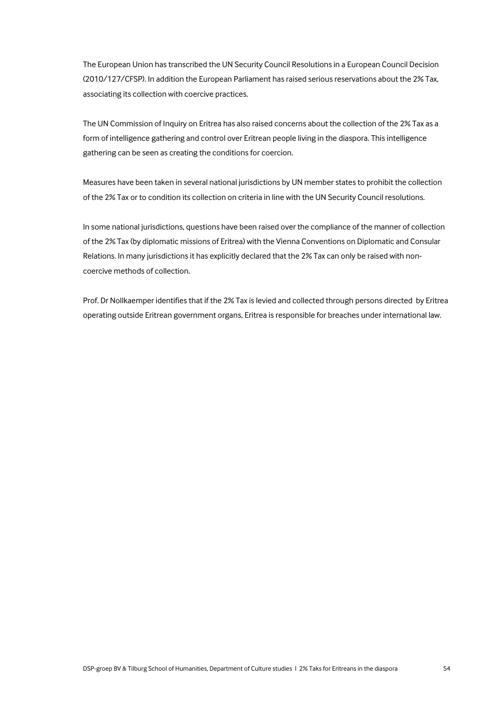The European Union has transcribed the UN Security Council Resolutions in a European Council Decision (2010/127/CFSP). In addition the European Parliament has raised serious reservations about the 2% Tax, associating its collection with coercive practices.

The UN Commission of Inquiry on Eritrea has also raised concerns about the collection of the 2% Tax as a form of intelligence gathering and control over Eritrean people living in the diaspora. This intelligence gathering can be seen as creating the conditions for coercion.

Measures have been taken in several national jurisdictions by UN member states to prohibit the collection of the 2% Tax or to condition its collection on criteria in line with the UN Security Council resolutions.

In some national jurisdictions, questions have been raised over the compliance of the manner of collection of the 2% Tax (by diplomatic missions of Eritrea) with the Vienna Conventions on Diplomatic and Consular Relations. In many jurisdictions it has explicitly declared that the 2% Tax can only be raised with noncoercive methods of collection.

Prof. Dr Nollkaemper identifies that if the 2% Tax is levied and collected through persons directed by Eritrea operating outside Eritrean government organs, Eritrea is responsible for breaches under international law.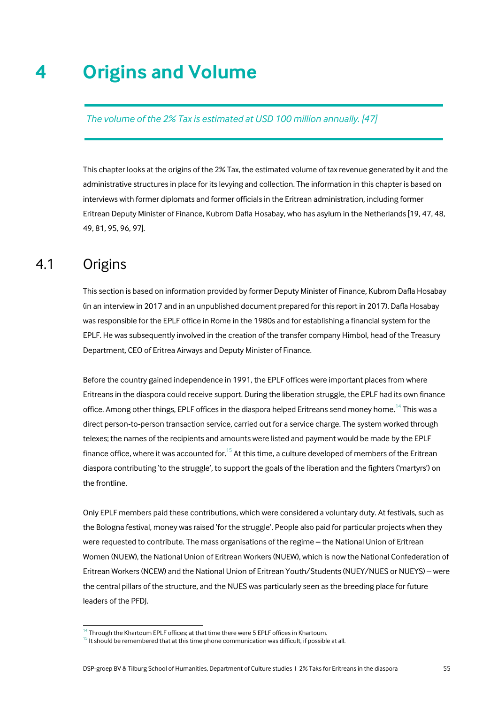# **4 Origins and Volume**

#### *The volume of the 2% Tax is estimated at USD 100 million annually*. *[47]*

This chapter looks at the origins of the 2% Tax, the estimated volume of tax revenue generated by it and the administrative structures in place for its levying and collection. The information in this chapter is based on interviews with former diplomats and former officials in the Eritrean administration, including former Eritrean Deputy Minister of Finance, Kubrom Dafla Hosabay, who has asylum in the Netherlands [19, 47, 48, 49, 81, 95, 96, 97].

### 4.1 Origins

 $\overline{a}$ 

This section is based on information provided by former Deputy Minister of Finance, Kubrom Dafla Hosabay (in an interview in 2017 and in an unpublished document prepared for this report in 2017). Dafla Hosabay was responsible for the EPLF office in Rome in the 1980s and for establishing a financial system for the EPLF. He was subsequently involved in the creation of the transfer company Himbol, head of the Treasury Department, CEO of Eritrea Airways and Deputy Minister of Finance.

Before the country gained independence in 1991, the EPLF offices were important places from where Eritreans in the diaspora could receive support. During the liberation struggle, the EPLF had its own finance office. Among other things, EPLF offices in the diaspora helped Eritreans send money home.14 This was a direct person-to-person transaction service, carried out for a service charge. The system worked through telexes; the names of the recipients and amounts were listed and payment would be made by the EPLF finance office, where it was accounted for.<sup>15</sup> At this time, a culture developed of members of the Eritrean diaspora contributing 'to the struggle', to support the goals of the liberation and the fighters ('martyrs') on the frontline.

Only EPLF members paid these contributions, which were considered a voluntary duty. At festivals, such as the Bologna festival, money was raised 'for the struggle'. People also paid for particular projects when they were requested to contribute. The mass organisations of the regime – the National Union of Eritrean Women (NUEW), the National Union of Eritrean Workers (NUEW), which is now the National Confederation of Eritrean Workers (NCEW) and the National Union of Eritrean Youth/Students (NUEY/NUES or NUEYS) – were the central pillars of the structure, and the NUES was particularly seen as the breeding place for future leaders of the PFDJ.

<sup>&</sup>lt;sup>14</sup> Through the Khartoum EPLF offices; at that time there were 5 EPLF offices in Khartoum.<br><sup>15</sup> It should be remembered that at this time phone communication was difficult, if possible at all.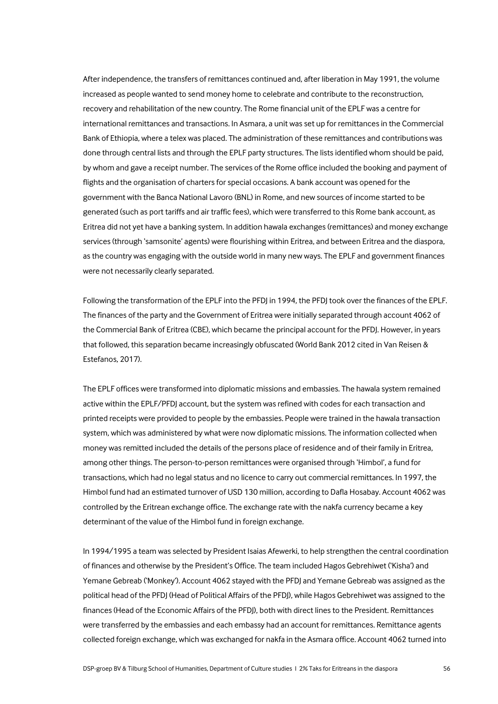After independence, the transfers of remittances continued and, after liberation in May 1991, the volume increased as people wanted to send money home to celebrate and contribute to the reconstruction, recovery and rehabilitation of the new country. The Rome financial unit of the EPLF was a centre for international remittances and transactions. In Asmara, a unit was set up for remittances in the Commercial Bank of Ethiopia, where a telex was placed. The administration of these remittances and contributions was done through central lists and through the EPLF party structures. The lists identified whom should be paid, by whom and gave a receipt number. The services of the Rome office included the booking and payment of flights and the organisation of charters for special occasions. A bank account was opened for the government with the Banca National Lavoro (BNL) in Rome, and new sources of income started to be generated (such as port tariffs and air traffic fees), which were transferred to this Rome bank account, as Eritrea did not yet have a banking system. In addition hawala exchanges (remittances) and money exchange services (through 'samsonite' agents) were flourishing within Eritrea, and between Eritrea and the diaspora, as the country was engaging with the outside world in many new ways. The EPLF and government finances were not necessarily clearly separated.

Following the transformation of the EPLF into the PFDJ in 1994, the PFDJ took over the finances of the EPLF. The finances of the party and the Government of Eritrea were initially separated through account 4062 of the Commercial Bank of Eritrea (CBE), which became the principal account for the PFDJ. However, in years that followed, this separation became increasingly obfuscated (World Bank 2012 cited in Van Reisen & Estefanos, 2017).

The EPLF offices were transformed into diplomatic missions and embassies. The hawala system remained active within the EPLF/PFDJ account, but the system was refined with codes for each transaction and printed receipts were provided to people by the embassies. People were trained in the hawala transaction system, which was administered by what were now diplomatic missions. The information collected when money was remitted included the details of the persons place of residence and of their family in Eritrea, among other things. The person-to-person remittances were organised through 'Himbol', a fund for transactions, which had no legal status and no licence to carry out commercial remittances. In 1997, the Himbol fund had an estimated turnover of USD 130 million, according to Dafla Hosabay. Account 4062 was controlled by the Eritrean exchange office. The exchange rate with the nakfa currency became a key determinant of the value of the Himbol fund in foreign exchange.

In 1994/1995 a team was selected by President Isaias Afewerki, to help strengthen the central coordination of finances and otherwise by the President's Office. The team included Hagos Gebrehiwet ('Kisha') and Yemane Gebreab ('Monkey'). Account 4062 stayed with the PFDJ and Yemane Gebreab was assigned as the political head of the PFDJ (Head of Political Affairs of the PFDJ), while Hagos Gebrehiwet was assigned to the finances (Head of the Economic Affairs of the PFDJ), both with direct lines to the President. Remittances were transferred by the embassies and each embassy had an account for remittances. Remittance agents collected foreign exchange, which was exchanged for nakfa in the Asmara office. Account 4062 turned into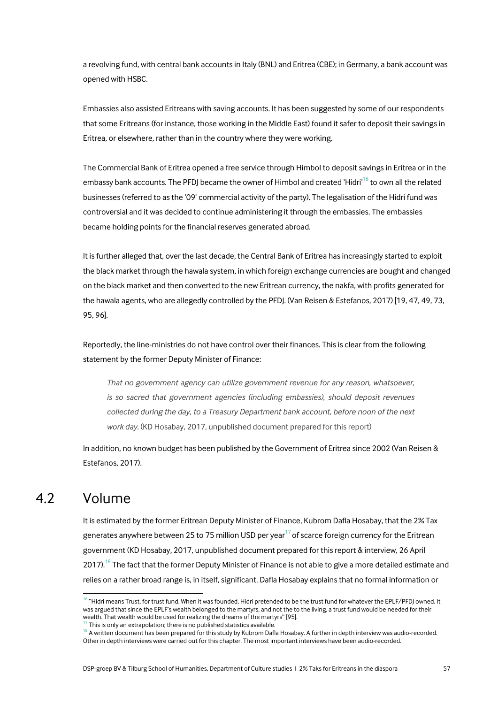a revolving fund, with central bank accounts in Italy (BNL) and Eritrea (CBE); in Germany, a bank account was opened with HSBC.

Embassies also assisted Eritreans with saving accounts. It has been suggested by some of our respondents that some Eritreans (for instance, those working in the Middle East) found it safer to deposit their savings in Eritrea, or elsewhere, rather than in the country where they were working.

The Commercial Bank of Eritrea opened a free service through Himbol to deposit savings in Eritrea or in the embassy bank accounts. The PFDJ became the owner of Himbol and created 'Hidri'<sup>16</sup> to own all the related businesses (referred to as the '09' commercial activity of the party). The legalisation of the Hidri fund was controversial and it was decided to continue administering it through the embassies. The embassies became holding points for the financial reserves generated abroad.

It is further alleged that, over the last decade, the Central Bank of Eritrea has increasingly started to exploit the black market through the hawala system, in which foreign exchange currencies are bought and changed on the black market and then converted to the new Eritrean currency, the nakfa, with profits generated for the hawala agents, who are allegedly controlled by the PFDJ. (Van Reisen & Estefanos, 2017) [19, 47, 49, 73, 95, 96].

Reportedly, the line-ministries do not have control over their finances. This is clear from the following statement by the former Deputy Minister of Finance:

*That no government agency can utilize government revenue for any reason, whatsoever, is so sacred that government agencies (including embassies), should deposit revenues collected during the day, to a Treasury Department bank account, before noon of the next work day.* (KD Hosabay, 2017, unpublished document prepared for this report)

In addition, no known budget has been published by the Government of Eritrea since 2002 (Van Reisen & Estefanos, 2017).

### 4.2 Volume

It is estimated by the former Eritrean Deputy Minister of Finance, Kubrom Dafla Hosabay, that the 2% Tax generates anywhere between 25 to 75 million USD per year<sup>17</sup> of scarce foreign currency for the Eritrean government (KD Hosabay, 2017, unpublished document prepared for this report & interview, 26 April 2017).<sup>18</sup> The fact that the former Deputy Minister of Finance is not able to give a more detailed estimate and relies on a rather broad range is, in itself, significant. Dafla Hosabay explains that no formal information or

 $\overline{a}$  $16$  "Hidri means Trust, for trust fund. When it was founded. Hidri pretended to be the trust fund for whatever the EPLF/PFDI owned. It was argued that since the EPLF's wealth belonged to the martyrs, and not the to the living, a trust fund would be needed for their wealth. That wealth would be used for realizing the dreams of the martyrs" [95].  $^{17}$  This is only an extrapolation; there is no published statistics available.

<sup>&</sup>lt;sup>18</sup> A written document has been prepared for this study by Kubrom Dafla Hosabay. A further in depth interview was audio-recorded. Other in depth interviews were carried out for this chapter. The most important interviews have been audio-recorded.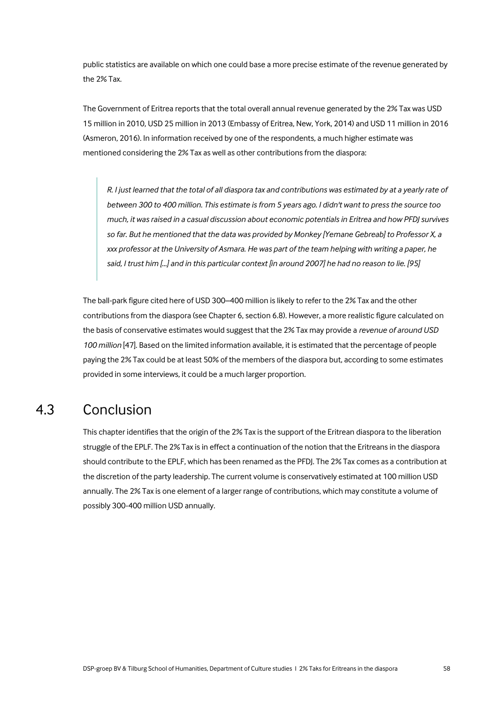public statistics are available on which one could base a more precise estimate of the revenue generated by the 2% Tax.

The Government of Eritrea reports that the total overall annual revenue generated by the 2% Tax was USD 15 million in 2010, USD 25 million in 2013 (Embassy of Eritrea, New, York, 2014) and USD 11 million in 2016 (Asmeron, 2016). In information received by one of the respondents, a much higher estimate was mentioned considering the 2% Tax as well as other contributions from the diaspora:

*R. I just learned that the total of all diaspora tax and contributions was estimated by at a yearly rate of between 300 to 400 million. This estimate is from 5 years ago. I didn't want to press the source too much, it was raised in a casual discussion about economic potentials in Eritrea and how PFDJ survives so far. But he mentioned that the data was provided by Monkey [Yemane Gebreab] to Professor X, a xxx professor at the University of Asmara. He was part of the team helping with writing a paper, he said, I trust him [...] and in this particular context [in around 2007] he had no reason to lie. [95]* 

The ball-park figure cited here of USD 300–400 million is likely to refer to the 2% Tax and the other contributions from the diaspora (see Chapter 6, section 6.8). However, a more realistic figure calculated on the basis of conservative estimates would suggest that the 2% Tax may provide a *revenue of around USD 100 million* [47]. Based on the limited information available, it is estimated that the percentage of people paying the 2% Tax could be at least 50% of the members of the diaspora but, according to some estimates provided in some interviews, it could be a much larger proportion.

### 4.3 Conclusion

This chapter identifies that the origin of the 2% Tax is the support of the Eritrean diaspora to the liberation struggle of the EPLF. The 2% Tax is in effect a continuation of the notion that the Eritreans in the diaspora should contribute to the EPLF, which has been renamed as the PFDJ. The 2% Tax comes as a contribution at the discretion of the party leadership. The current volume is conservatively estimated at 100 million USD annually. The 2% Tax is one element of a larger range of contributions, which may constitute a volume of possibly 300-400 million USD annually.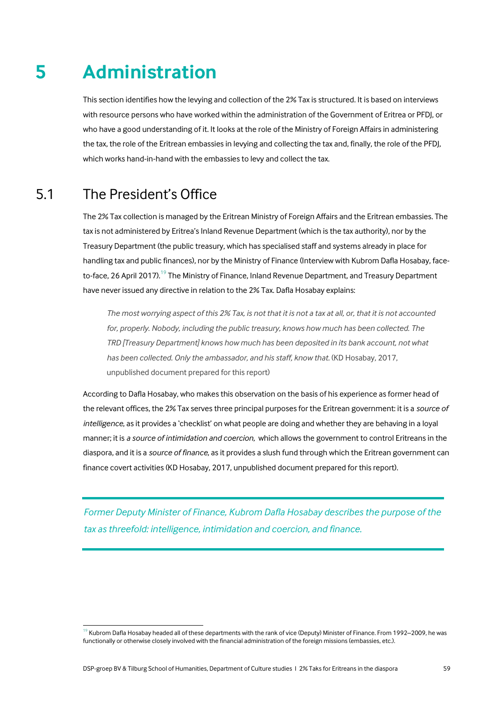# **5 Administration**

This section identifies how the levying and collection of the 2% Tax is structured. It is based on interviews with resource persons who have worked within the administration of the Government of Eritrea or PFDJ, or who have a good understanding of it. It looks at the role of the Ministry of Foreign Affairs in administering the tax, the role of the Eritrean embassies in levying and collecting the tax and, finally, the role of the PFDJ, which works hand-in-hand with the embassies to levy and collect the tax.

### 5.1 The President's Office

 $\overline{a}$ 

The 2% Tax collection is managed by the Eritrean Ministry of Foreign Affairs and the Eritrean embassies. The tax is not administered by Eritrea's Inland Revenue Department (which is the tax authority), nor by the Treasury Department (the public treasury, which has specialised staff and systems already in place for handling tax and public finances), nor by the Ministry of Finance (Interview with Kubrom Dafla Hosabay, faceto-face, 26 April 2017).<sup>19</sup> The Ministry of Finance, Inland Revenue Department, and Treasury Department have never issued any directive in relation to the 2% Tax. Dafla Hosabay explains:

*The most worrying aspect of this 2% Tax, is not that it is not a tax at all, or, that it is not accounted for, properly. Nobody, including the public treasury, knows how much has been collected. The TRD [Treasury Department] knows how much has been deposited in its bank account, not what has been collected. Only the ambassador, and his staff, know that.* (KD Hosabay, 2017, unpublished document prepared for this report)

According to Dafla Hosabay, who makes this observation on the basis of his experience as former head of the relevant offices, the 2% Tax serves three principal purposes for the Eritrean government: it is a *source of intelligence*, as it provides a 'checklist' on what people are doing and whether they are behaving in a loyal manner; it is *a source of intimidation and coercion*, which allows the government to control Eritreans in the diaspora, and it is a *source of finance*, as it provides a slush fund through which the Eritrean government can finance covert activities (KD Hosabay, 2017, unpublished document prepared for this report).

*Former Deputy Minister of Finance, Kubrom Dafla Hosabay describes the purpose of the tax as threefold: intelligence, intimidation and coercion, and finance.* 

 $^{19}$  Kubrom Dafla Hosabay headed all of these departments with the rank of vice (Deputy) Minister of Finance. From 1992–2009, he was functionally or otherwise closely involved with the financial administration of the foreign missions (embassies, etc.).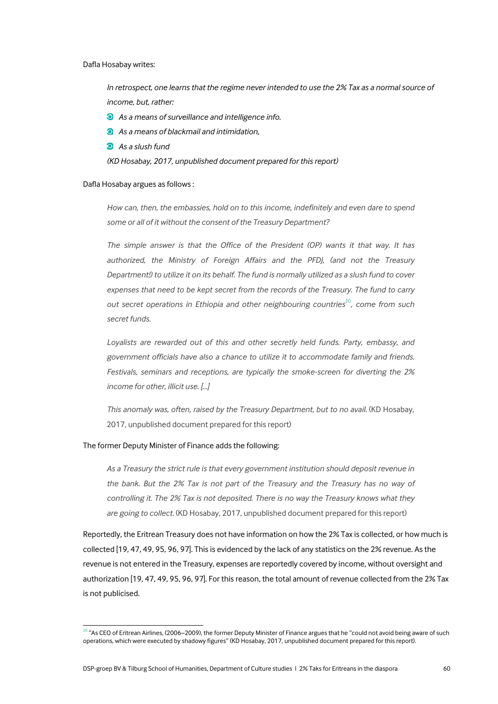#### Dafla Hosabay writes:

*In retrospect, one learns that the regime never intended to use the 2% Tax as a normal source of income, but, rather:* 

- *As a means of surveillance and intelligence info.*
- *As a means of blackmail and intimidation,*
- *As a slush fund*

*(KD Hosabay, 2017, unpublished document prepared for this report)* 

#### Dafla Hosabay argues as follows :

*How can, then, the embassies, hold on to this income, indefinitely and even dare to spend some or all of it without the consent of the Treasury Department?* 

*The simple answer is that the Office of the President (OP) wants it that way. It has authorized, the Ministry of Foreign Affairs and the PFDJ, (and not the Treasury Department!) to utilize it on its behalf. The fund is normally utilized as a slush fund to cover expenses that need to be kept secret from the records of the Treasury. The fund to carry out secret operations in Ethiopia and other neighbouring countries*<sup>20</sup>, come from such *secret funds.* 

*Loyalists are rewarded out of this and other secretly held funds. Party, embassy, and government officials have also a chance to utilize it to accommodate family and friends. Festivals, seminars and receptions, are typically the smoke-screen for diverting the 2% income for other, illicit use. [...]* 

*This anomaly was, often, raised by the Treasury Department, but to no avail.* (KD Hosabay, 2017, unpublished document prepared for this report)

#### The former Deputy Minister of Finance adds the following:

 $\overline{a}$ 

*As a Treasury the strict rule is that every government institution should deposit revenue in the bank. But the 2% Tax is not part of the Treasury and the Treasury has no way of controlling it. The 2% Tax is not deposited. There is no way the Treasury knows what they are going to collect.* (KD Hosabay, 2017, unpublished document prepared for this report)

Reportedly, the Eritrean Treasury does not have information on how the 2% Tax is collected, or how much is collected [19, 47, 49, 95, 96, 97]. This is evidenced by the lack of any statistics on the 2% revenue. As the revenue is not entered in the Treasury, expenses are reportedly covered by income, without oversight and authorization [19, 47, 49, 95, 96, 97]. For this reason, the total amount of revenue collected from the 2% Tax is not publicised.

<sup>&</sup>lt;sup>20</sup> "As CEO of Eritrean Airlines, (2006–2009), the former Deputy Minister of Finance argues that he "could not avoid being aware of such operations, which were executed by shadowy figures" (KD Hosabay, 2017, unpublished document prepared for this report).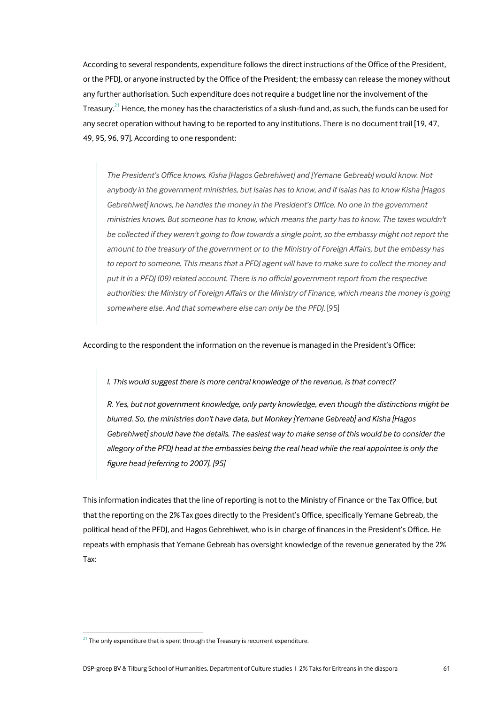According to several respondents, expenditure follows the direct instructions of the Office of the President, or the PFDJ, or anyone instructed by the Office of the President; the embassy can release the money without any further authorisation. Such expenditure does not require a budget line nor the involvement of the Treasury.<sup>21</sup> Hence, the money has the characteristics of a slush-fund and, as such, the funds can be used for any secret operation without having to be reported to any institutions. There is no document trail [19, 47, 49, 95, 96, 97]. According to one respondent:

*The President's Office knows. Kisha [Hagos Gebrehiwet] and [Yemane Gebreab] would know. Not anybody in the government ministries, but Isaias has to know, and if Isaias has to know Kisha [Hagos Gebrehiwet] knows, he handles the money in the President's Office. No one in the government ministries knows. But someone has to know, which means the party has to know. The taxes wouldn't be collected if they weren't going to flow towards a single point, so the embassy might not report the amount to the treasury of the government or to the Ministry of Foreign Affairs, but the embassy has to report to someone. This means that a PFDJ agent will have to make sure to collect the money and put it in a PFDJ (09) related account. There is no official government report from the respective authorities: the Ministry of Foreign Affairs or the Ministry of Finance, which means the money is going somewhere else. And that somewhere else can only be the PFDJ.* [95]

According to the respondent the information on the revenue is managed in the President's Office:

*I. This would suggest there is more central knowledge of the revenue, is that correct?* 

*R. Yes, but not government knowledge, only party knowledge, even though the distinctions might be blurred. So, the ministries don't have data, but Monkey [Yemane Gebreab] and Kisha [Hagos*  Gebrehiwet] should have the details. The easiest way to make sense of this would be to consider the *allegory of the PFDJ head at the embassies being the real head while the real appointee is only the figure head [referring to 2007]. [95]* 

This information indicates that the line of reporting is not to the Ministry of Finance or the Tax Office, but that the reporting on the 2% Tax goes directly to the President's Office, specifically Yemane Gebreab, the political head of the PFDJ, and Hagos Gebrehiwet, who is in charge of finances in the President's Office. He repeats with emphasis that Yemane Gebreab has oversight knowledge of the revenue generated by the 2% Tax:

 $\overline{a}$ 

 $^{-1}$  The only expenditure that is spent through the Treasury is recurrent expenditure.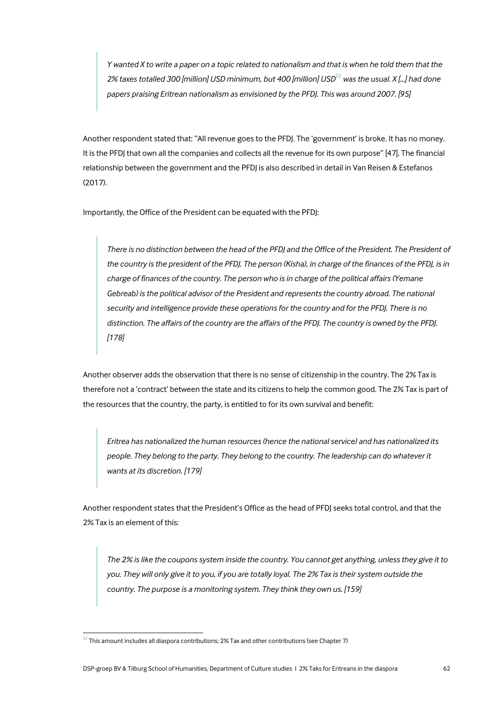*Y wanted X to write a paper on a topic related to nationalism and that is when he told them that the 2% taxes totalled 300 [million] USD minimum, but 400 [million] USD*<sup>22</sup> *was the usual. X [...] had done papers praising Eritrean nationalism as envisioned by the PFDJ. This was around 2007. [95]* 

Another respondent stated that: "All revenue goes to the PFDJ. The 'government' is broke. It has no money. It is the PFDJ that own all the companies and collects all the revenue for its own purpose" [47]. The financial relationship between the government and the PFDJ is also described in detail in Van Reisen & Estefanos (2017).

Importantly, the Office of the President can be equated with the PFDJ:

*There is no distinction between the head of the PFDJ and the Office of the President. The President of the country is the president of the PFDJ. The person (Kisha), in charge of the finances of the PFDJ, is in charge of finances of the country. The person who is in charge of the political affairs (Yemane Gebreab) is the political advisor of the President and represents the country abroad. The national security and intelligence provide these operations for the country and for the PFDJ. There is no distinction. The affairs of the country are the affairs of the PFDJ. The country is owned by the PFDJ. [178]* 

Another observer adds the observation that there is no sense of citizenship in the country. The 2% Tax is therefore not a 'contract' between the state and its citizens to help the common good. The 2% Tax is part of the resources that the country, the party, is entitled to for its own survival and benefit:

*Eritrea has nationalized the human resources (hence the national service) and has nationalized its people. They belong to the party. They belong to the country. The leadership can do whatever it wants at its discretion. [179]* 

Another respondent states that the President's Office as the head of PFDJ seeks total control, and that the 2% Tax is an element of this:

*The 2% is like the coupons system inside the country. You cannot get anything, unless they give it to you. They will only give it to you, if you are totally loyal. The 2% Tax is their system outside the country. The purpose is a monitoring system. They think they own us. [159]* 

 $\overline{a}$ 

 $^{22}$  This amount includes all diaspora contributions; 2% Tax and other contributions (see Chapter 7)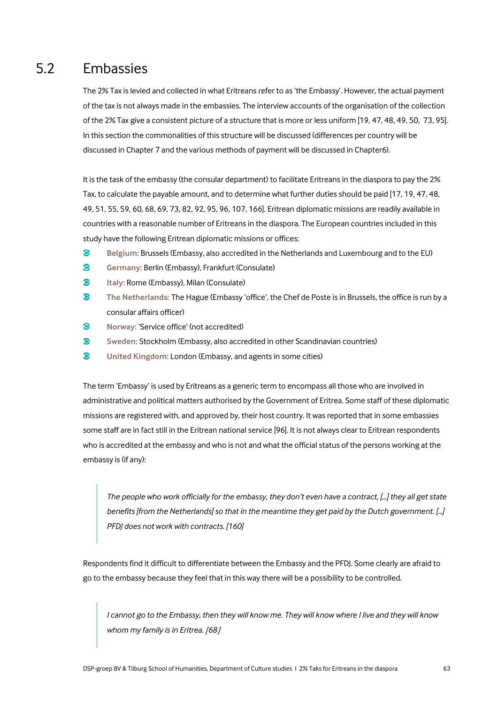### 5.2 Embassies

The 2% Tax is levied and collected in what Eritreans refer to as 'the Embassy'. However, the actual payment of the tax is not always made in the embassies. The interview accounts of the organisation of the collection of the 2% Tax give a consistent picture of a structure that is more or less uniform [19, 47, 48, 49, 50, 73, 95]. In this section the commonalities of this structure will be discussed (differences per country will be discussed in Chapter 7 and the various methods of payment will be discussed in Chapter6).

It is the task of the embassy (the consular department) to facilitate Eritreans in the diaspora to pay the 2% Tax, to calculate the payable amount, and to determine what further duties should be paid [17, 19, 47, 48, 49, 51, 55, 59, 60, 68, 69, 73, 82, 92, 95, 96, 107, 166]. Eritrean diplomatic missions are readily available in countries with a reasonable number of Eritreans in the diaspora. The European countries included in this study have the following Eritrean diplomatic missions or offices:

- $\bullet$ **Belgium:** Brussels (Embassy, also accredited in the Netherlands and Luxembourg and to the EU)
- Э **Germany:** Berlin (Embassy), Frankfurt (Consulate)
- $\bullet$ **Italy:** Rome (Embassy), Milan (Consulate)
- G **The Netherlands:** The Hague (Embassy 'office', the Chef de Poste is in Brussels, the office is run by a consular affairs officer)
- Э **Norway:** 'Service office' (not accredited)
- $\bullet$ **Sweden:** Stockholm (Embassy, also accredited in other Scandinavian countries)
- Э **United Kingdom:** London (Embassy, and agents in some cities)

The term 'Embassy' is used by Eritreans as a generic term to encompass all those who are involved in administrative and political matters authorised by the Government of Eritrea. Some staff of these diplomatic missions are registered with, and approved by, their host country. It was reported that in some embassies some staff are in fact still in the Eritrean national service [96]. It is not always clear to Eritrean respondents who is accredited at the embassy and who is not and what the official status of the persons working at the embassy is (if any):

*The people who work officially for the embassy, they don't even have a contract, […] they all get state benefits [from the Netherlands] so that in the meantime they get paid by the Dutch government. […] PFDJ does not work with contracts. [160]* 

Respondents find it difficult to differentiate between the Embassy and the PFDJ. Some clearly are afraid to go to the embassy because they feel that in this way there will be a possibility to be controlled.

*I cannot go to the Embassy, then they will know me. They will know where I live and they will know whom my family is in Eritrea. 68*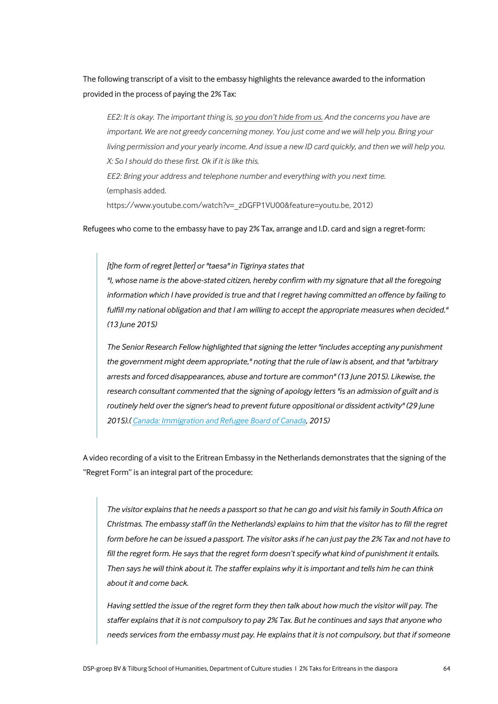The following transcript of a visit to the embassy highlights the relevance awarded to the information provided in the process of paying the 2% Tax:

*EE2: It is okay. The important thing is, so you don't hide from us. And the concerns you have are important. We are not greedy concerning money. You just come and we will help you. Bring your living permission and your yearly income. And issue a new ID card quickly, and then we will help you. X: So I should do these first. Ok if it is like this.* 

*EE2: Bring your address and telephone number and everything with you next time.*  (emphasis added.

https://www.youtube.com/watch?v=\_zDGFP1VU00&feature=youtu.be, 2012)

Refugees who come to the embassy have to pay 2% Tax, arrange and I.D. card and sign a regret-form:

#### *[t]he form of regret [letter] or "taesa" in Tigrinya states that*

*"I, whose name is the above-stated citizen, hereby confirm with my signature that all the foregoing information which I have provided is true and that I regret having committed an offence by failing to fulfill my national obligation and that I am willing to accept the appropriate measures when decided." (13 June 2015)* 

*The Senior Research Fellow highlighted that signing the letter "includes accepting any punishment the government might deem appropriate," noting that the rule of law is absent, and that "arbitrary arrests and forced disappearances, abuse and torture are common" (13 June 2015). Likewise, the research consultant commented that the signing of apology letters "is an admission of guilt and is routinely held over the signer's head to prevent future oppositional or dissident activity" (29 June 2015).( Canada: Immigration and Refugee Board of Canada, 2015)* 

A video recording of a visit to the Eritrean Embassy in the Netherlands demonstrates that the signing of the "Regret Form" is an integral part of the procedure:

*The visitor explains that he needs a passport so that he can go and visit his family in South Africa on Christmas. The embassy staff (in the Netherlands) explains to him that the visitor has to fill the regret form before he can be issued a passport. The visitor asks if he can just pay the 2% Tax and not have to fill the regret form. He says that the regret form doesn't specify what kind of punishment it entails. Then says he will think about it. The staffer explains why it is important and tells him he can think about it and come back.* 

*Having settled the issue of the regret form they then talk about how much the visitor will pay. The staffer explains that it is not compulsory to pay 2% Tax. But he continues and says that anyone who needs services from the embassy must pay. He explains that it is not compulsory, but that if someone*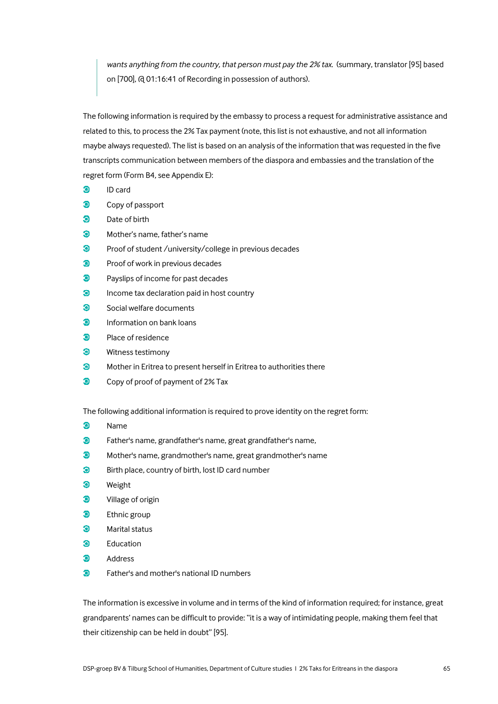*wants anything from the country, that person must pay the 2% tax.* (summary, translator [95] based on [700], @ 01:16:41 of Recording in possession of authors).

The following information is required by the embassy to process a request for administrative assistance and related to this, to process the 2% Tax payment (note, this list is not exhaustive, and not all information maybe always requested). The list is based on an analysis of the information that was requested in the five transcripts communication between members of the diaspora and embassies and the translation of the regret form (Form B4, see Appendix E):

- Э ID card
- $\bullet$ Copy of passport
- $\Omega$ Date of birth
- $\bullet$ Mother's name, father's name
- Э Proof of student /university/college in previous decades
- $\bullet$ Proof of work in previous decades
- Э Payslips of income for past decades
- Э Income tax declaration paid in host country
- Э Social welfare documents
- $\bullet$ Information on bank loans
- $\bullet$ Place of residence
- $\bullet$ Witness testimony
- Э Mother in Eritrea to present herself in Eritrea to authorities there
- $\bullet$ Copy of proof of payment of 2% Tax

The following additional information is required to prove identity on the regret form:

- $\bullet$ Name
- $\bullet$ Father's name, grandfather's name, great grandfather's name,
- $\bullet$ Mother's name, grandmother's name, great grandmother's name
- Э Birth place, country of birth, lost ID card number
- ക Weight
- $\bullet$ Village of origin
- $\bullet$ Ethnic group
- $\bullet$ Marital status
- $\bullet$ Education
- $\bullet$ Address
- Э Father's and mother's national ID numbers

The information is excessive in volume and in terms of the kind of information required; for instance, great grandparents' names can be difficult to provide: "it is a way of intimidating people, making them feel that their citizenship can be held in doubt" [95].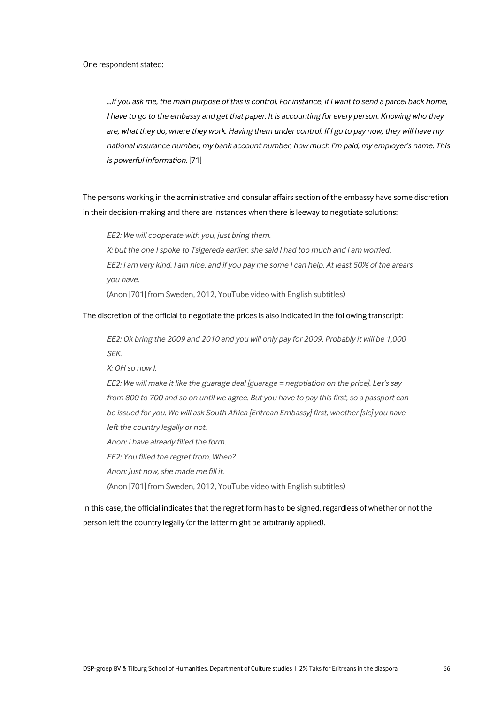#### One respondent stated:

*…If you ask me, the main purpose of this is control. For instance, if I want to send a parcel back home, I have to go to the embassy and get that paper. It is accounting for every person. Knowing who they are, what they do, where they work. Having them under control. If I go to pay now, they will have my national insurance number, my bank account number, how much I'm paid, my employer's name. This is powerful information.* [71]

The persons working in the administrative and consular affairs section of the embassy have some discretion in their decision-making and there are instances when there is leeway to negotiate solutions:

*EE2: We will cooperate with you, just bring them. X: but the one I spoke to Tsigereda earlier, she said I had too much and I am worried. EE2: I am very kind, I am nice, and if you pay me some I can help. At least 50% of the arears you have.*  (Anon [701] from Sweden, 2012, YouTube video with English subtitles)

The discretion of the official to negotiate the prices is also indicated in the following transcript:

*EE2: Ok bring the 2009 and 2010 and you will only pay for 2009. Probably it will be 1,000 SEK.* 

*X: OH so now I.* 

*EE2: We will make it like the guarage deal [guarage = negotiation on the price]. Let's say from 800 to 700 and so on until we agree. But you have to pay this first, so a passport can be issued for you. We will ask South Africa [Eritrean Embassy] first, whether [sic] you have left the country legally or not. Anon: I have already filled the form. EE2: You filled the regret from. When? Anon: Just now, she made me fill it. (*Anon [701] from Sweden, 2012, YouTube video with English subtitles)

In this case, the official indicates that the regret form has to be signed, regardless of whether or not the person left the country legally (or the latter might be arbitrarily applied).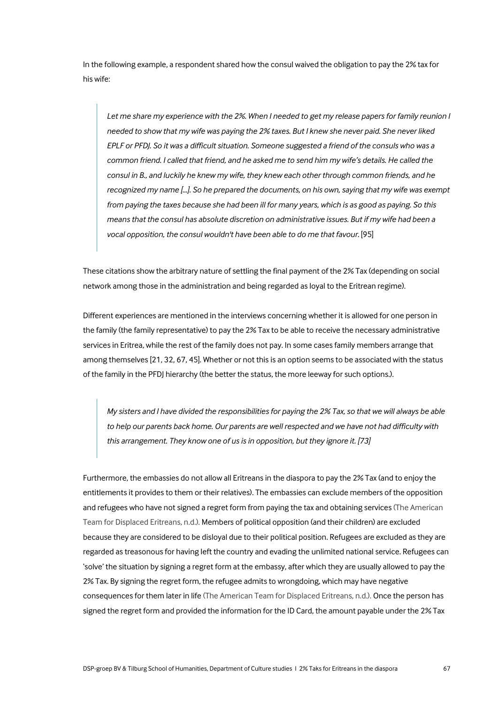In the following example, a respondent shared how the consul waived the obligation to pay the 2% tax for his wife:

Let me share my experience with the 2%. When I needed to get my release papers for family reunion I *needed to show that my wife was paying the 2% taxes. But I knew she never paid. She never liked EPLF or PFDJ. So it was a difficult situation. Someone suggested a friend of the consuls who was a common friend. I called that friend, and he asked me to send him my wife's details. He called the consul in B., and luckily he knew my wife, they knew each other through common friends, and he recognized my name [...]. So he prepared the documents, on his own, saying that my wife was exempt from paying the taxes because she had been ill for many years, which is as good as paying. So this means that the consul has absolute discretion on administrative issues. But if my wife had been a*  vocal opposition, the consul wouldn't have been able to do me that favour. [95]

These citations show the arbitrary nature of settling the final payment of the 2% Tax (depending on social network among those in the administration and being regarded as loyal to the Eritrean regime).

Different experiences are mentioned in the interviews concerning whether it is allowed for one person in the family (the family representative) to pay the 2% Tax to be able to receive the necessary administrative services in Eritrea, while the rest of the family does not pay. In some cases family members arrange that among themselves [21, 32, 67, 45]. Whether or not this is an option seems to be associated with the status of the family in the PFDJ hierarchy (the better the status, the more leeway for such options.).

*My sisters and I have divided the responsibilities for paying the 2% Tax, so that we will always be able to help our parents back home. Our parents are well respected and we have not had difficulty with this arrangement. They know one of us is in opposition, but they ignore it. [73]* 

Furthermore, the embassies do not allow all Eritreans in the diaspora to pay the 2% Tax (and to enjoy the entitlements it provides to them or their relatives). The embassies can exclude members of the opposition and refugees who have not signed a regret form from paying the tax and obtaining services (The American Team for Displaced Eritreans, n.d.). Members of political opposition (and their children) are excluded because they are considered to be disloyal due to their political position. Refugees are excluded as they are regarded as treasonous for having left the country and evading the unlimited national service. Refugees can 'solve' the situation by signing a regret form at the embassy, after which they are usually allowed to pay the 2% Tax. By signing the regret form, the refugee admits to wrongdoing, which may have negative consequences for them later in life (The American Team for Displaced Eritreans, n.d.). Once the person has signed the regret form and provided the information for the ID Card, the amount payable under the 2% Tax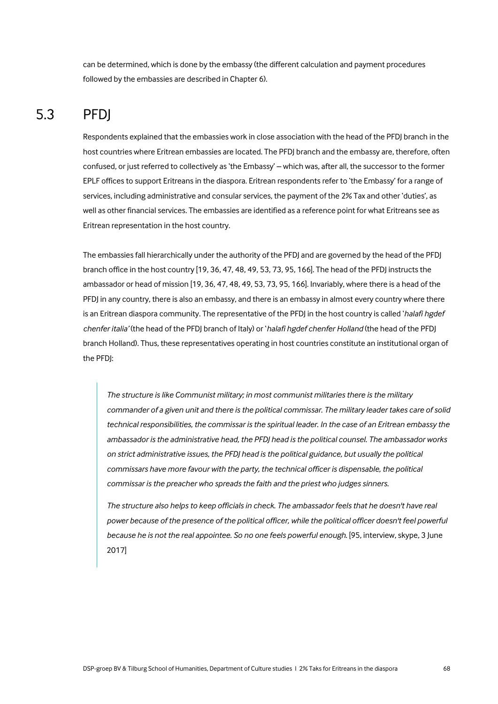can be determined, which is done by the embassy (the different calculation and payment procedures followed by the embassies are described in Chapter 6).

### 5.3 PFDJ

Respondents explained that the embassies work in close association with the head of the PFDJ branch in the host countries where Eritrean embassies are located. The PFDJ branch and the embassy are, therefore, often confused, or just referred to collectively as 'the Embassy' – which was, after all, the successor to the former EPLF offices to support Eritreans in the diaspora. Eritrean respondents refer to 'the Embassy' for a range of services, including administrative and consular services, the payment of the 2% Tax and other 'duties', as well as other financial services. The embassies are identified as a reference point for what Eritreans see as Eritrean representation in the host country.

The embassies fall hierarchically under the authority of the PFDJ and are governed by the head of the PFDJ branch office in the host country [19, 36, 47, 48, 49, 53, 73, 95, 166]. The head of the PFDJ instructs the ambassador or head of mission [19, 36, 47, 48, 49, 53, 73, 95, 166]. Invariably, where there is a head of the PFDJ in any country, there is also an embassy, and there is an embassy in almost every country where there is an Eritrean diaspora community. The representative of the PFDJ in the host country is called '*halafi hgdef chenfer italia'* (the head of the PFDJ branch of Italy) or '*halafi hgdef chenfer Holland* (the head of the PFDJ branch Holland)*.* Thus, these representatives operating in host countries constitute an institutional organ of the PFDJ:

*The structure is like Communist military; in most communist militaries there is the military commander of a given unit and there is the political commissar. The military leader takes care of solid technical responsibilities, the commissar is the spiritual leader. In the case of an Eritrean embassy the ambassador is the administrative head, the PFDJ head is the political counsel. The ambassador works on strict administrative issues, the PFDJ head is the political guidance, but usually the political commissars have more favour with the party, the technical officer is dispensable, the political commissar is the preacher who spreads the faith and the priest who judges sinners.* 

*The structure also helps to keep officials in check. The ambassador feels that he doesn't have real power because of the presence of the political officer, while the political officer doesn't feel powerful because he is not the real appointee. So no one feels powerful enough.* [95, interview, skype, 3 June 2017]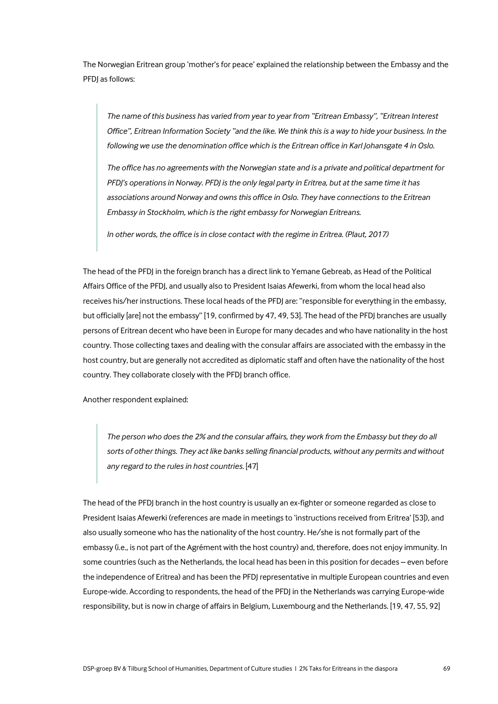The Norwegian Eritrean group 'mother's for peace' explained the relationship between the Embassy and the PFDI as follows:

*The name of this business has varied from year to year from "Eritrean Embassy", "Eritrean Interest Office", Eritrean Information Society "and the like. We think this is a way to hide your business. In the following we use the denomination office which is the Eritrean office in Karl Johansgate 4 in Oslo.* 

*The office has no agreements with the Norwegian state and is a private and political department for PFDJ's operations in Norway. PFDJ is the only legal party in Eritrea, but at the same time it has associations around Norway and owns this office in Oslo. They have connections to the Eritrean Embassy in Stockholm, which is the right embassy for Norwegian Eritreans.* 

*In other words, the office is in close contact with the regime in Eritrea. (Plaut, 2017)* 

The head of the PFDJ in the foreign branch has a direct link to Yemane Gebreab, as Head of the Political Affairs Office of the PFDJ, and usually also to President Isaias Afewerki, from whom the local head also receives his/her instructions. These local heads of the PFDJ are: "responsible for everything in the embassy, but officially [are] not the embassy" [19, confirmed by 47, 49, 53]. The head of the PFDJ branches are usually persons of Eritrean decent who have been in Europe for many decades and who have nationality in the host country. Those collecting taxes and dealing with the consular affairs are associated with the embassy in the host country, but are generally not accredited as diplomatic staff and often have the nationality of the host country. They collaborate closely with the PFDJ branch office.

Another respondent explained:

*The person who does the 2% and the consular affairs, they work from the Embassy but they do all sorts of other things. They act like banks selling financial products, without any permits and without any regard to the rules in host countries.* [47]

The head of the PFDJ branch in the host country is usually an ex-fighter or someone regarded as close to President Isaias Afewerki (references are made in meetings to 'instructions received from Eritrea' [53]), and also usually someone who has the nationality of the host country. He/she is not formally part of the embassy (i.e., is not part of the Agrément with the host country) and, therefore, does not enjoy immunity. In some countries (such as the Netherlands, the local head has been in this position for decades – even before the independence of Eritrea) and has been the PFDJ representative in multiple European countries and even Europe-wide. According to respondents, the head of the PFDJ in the Netherlands was carrying Europe-wide responsibility, but is now in charge of affairs in Belgium, Luxembourg and the Netherlands. [19, 47, 55, 92]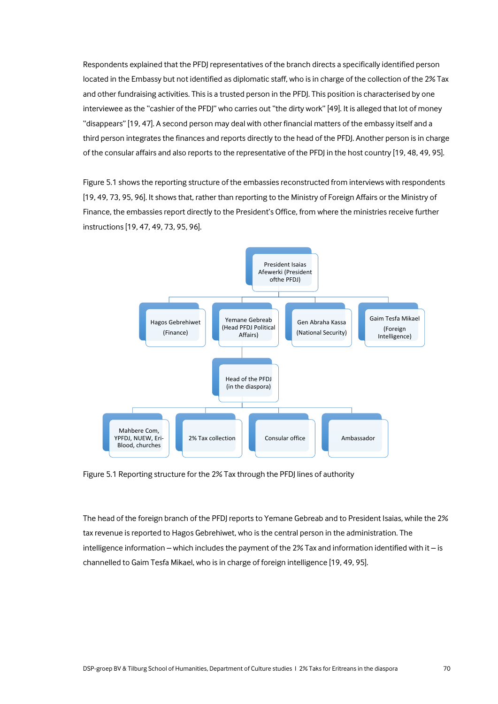Respondents explained that the PFDJ representatives of the branch directs a specifically identified person located in the Embassy but not identified as diplomatic staff, who is in charge of the collection of the 2% Tax and other fundraising activities. This is a trusted person in the PFDJ. This position is characterised by one interviewee as the "cashier of the PFDJ" who carries out "the dirty work" [49]. It is alleged that lot of money "disappears" [19, 47]. A second person may deal with other financial matters of the embassy itself and a third person integrates the finances and reports directly to the head of the PFDJ. Another person is in charge of the consular affairs and also reports to the representative of the PFDJ in the host country [19, 48, 49, 95].

Figure 5.1 shows the reporting structure of the embassies reconstructed from interviews with respondents [19, 49, 73, 95, 96]. It shows that, rather than reporting to the Ministry of Foreign Affairs or the Ministry of Finance, the embassies report directly to the President's Office, from where the ministries receive further instructions [19, 47, 49, 73, 95, 96].



Figure 5.1 Reporting structure for the 2% Tax through the PFDJ lines of authority

The head of the foreign branch of the PFDJ reports to Yemane Gebreab and to President Isaias, while the 2% tax revenue is reported to Hagos Gebrehiwet, who is the central person in the administration. The intelligence information – which includes the payment of the 2% Tax and information identified with it – is channelled to Gaim Tesfa Mikael, who is in charge of foreign intelligence [19, 49, 95].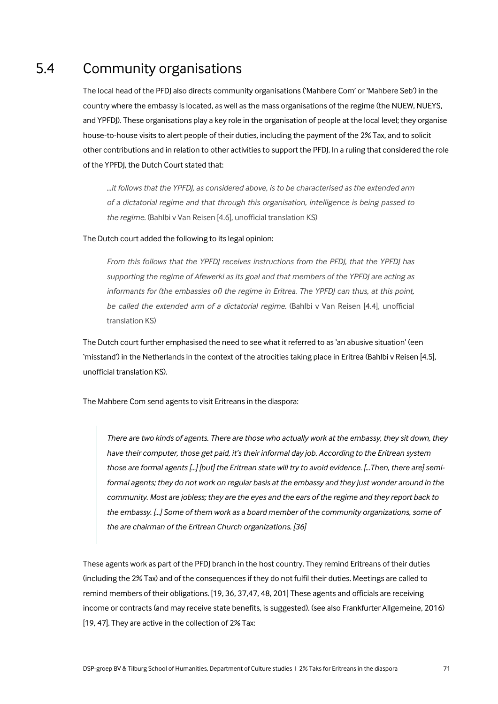### 5.4 Community organisations

The local head of the PFDJ also directs community organisations ('Mahbere Com' or 'Mahbere Seb') in the country where the embassy is located, as well as the mass organisations of the regime (the NUEW, NUEYS, and YPFDJ). These organisations play a key role in the organisation of people at the local level; they organise house-to-house visits to alert people of their duties, including the payment of the 2% Tax, and to solicit other contributions and in relation to other activities to support the PFDJ. In a ruling that considered the role of the YPFDJ, the Dutch Court stated that:

*…it follows that the YPFDJ, as considered above, is to be characterised as the extended arm of a dictatorial regime and that through this organisation, intelligence is being passed to the regime.* (Bahlbi v Van Reisen [4.6], unofficial translation KS)

The Dutch court added the following to its legal opinion:

*From this follows that the YPFDJ receives instructions from the PFDJ, that the YPFDJ has supporting the regime of Afewerki as its goal and that members of the YPFDJ are acting as informants for (the embassies of) the regime in Eritrea. The YPFDJ can thus, at this point, be called the extended arm of a dictatorial regime*. (Bahlbi v Van Reisen [4.4], unofficial translation KS)

The Dutch court further emphasised the need to see what it referred to as 'an abusive situation' (een 'misstand') in the Netherlands in the context of the atrocities taking place in Eritrea (Bahlbi v Reisen [4.5], unofficial translation KS).

The Mahbere Com send agents to visit Eritreans in the diaspora:

*There are two kinds of agents. There are those who actually work at the embassy, they sit down, they have their computer, those get paid, it's their informal day job. According to the Eritrean system those are formal agents […] [but] the Eritrean state will try to avoid evidence. […Then, there are] semiformal agents; they do not work on regular basis at the embassy and they just wonder around in the community. Most are jobless; they are the eyes and the ears of the regime and they report back to the embassy. […] Some of them work as a board member of the community organizations, some of the are chairman of the Eritrean Church organizations. [36]* 

These agents work as part of the PFDJ branch in the host country. They remind Eritreans of their duties (including the 2% Tax) and of the consequences if they do not fulfil their duties. Meetings are called to remind members of their obligations. [19, 36, 37,47, 48, 201] These agents and officials are receiving income or contracts (and may receive state benefits, is suggested). (see also Frankfurter Allgemeine, 2016) [19, 47]. They are active in the collection of 2% Tax: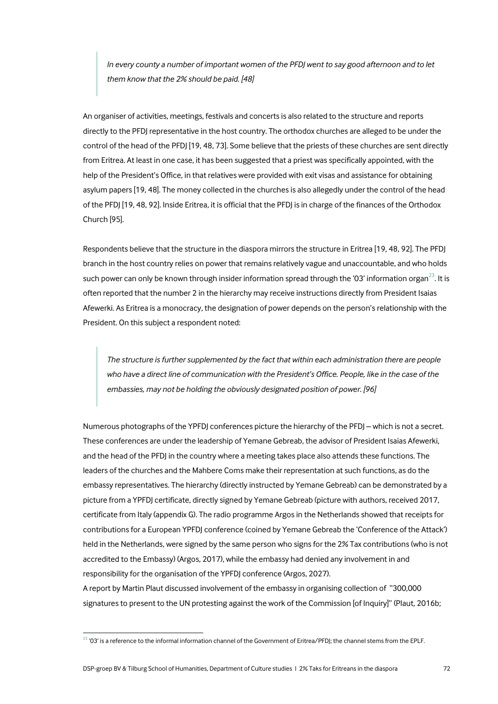*In every county a number of important women of the PFDJ went to say good afternoon and to let them know that the 2% should be paid. [48]* 

An organiser of activities, meetings, festivals and concerts is also related to the structure and reports directly to the PFDJ representative in the host country. The orthodox churches are alleged to be under the control of the head of the PFDJ [19, 48, 73]. Some believe that the priests of these churches are sent directly from Eritrea. At least in one case, it has been suggested that a priest was specifically appointed, with the help of the President's Office, in that relatives were provided with exit visas and assistance for obtaining asylum papers [19, 48]. The money collected in the churches is also allegedly under the control of the head of the PFDJ [19, 48, 92]. Inside Eritrea, it is official that the PFDJ is in charge of the finances of the Orthodox Church [95].

Respondents believe that the structure in the diaspora mirrors the structure in Eritrea [19, 48, 92]. The PFDJ branch in the host country relies on power that remains relatively vague and unaccountable, and who holds such power can only be known through insider information spread through the '03' information organ<sup>23</sup>. It is often reported that the number 2 in the hierarchy may receive instructions directly from President Isaias Afewerki. As Eritrea is a monocracy, the designation of power depends on the person's relationship with the President. On this subject a respondent noted:

*The structure is further supplemented by the fact that within each administration there are people who have a direct line of communication with the President's Office. People, like in the case of the embassies, may not be holding the obviously designated position of power. [96]* 

Numerous photographs of the YPFDJ conferences picture the hierarchy of the PFDJ – which is not a secret. These conferences are under the leadership of Yemane Gebreab, the advisor of President Isaias Afewerki, and the head of the PFDJ in the country where a meeting takes place also attends these functions. The leaders of the churches and the Mahbere Coms make their representation at such functions, as do the embassy representatives. The hierarchy (directly instructed by Yemane Gebreab) can be demonstrated by a picture from a YPFDJ certificate, directly signed by Yemane Gebreab (picture with authors, received 2017, certificate from Italy (appendix G). The radio programme Argos in the Netherlands showed that receipts for contributions for a European YPFDJ conference (coined by Yemane Gebreab the 'Conference of the Attack') held in the Netherlands, were signed by the same person who signs for the 2% Tax contributions (who is not accredited to the Embassy) (Argos, 2017), while the embassy had denied any involvement in and responsibility for the organisation of the YPFDJ conference (Argos, 2027). A report by Martin Plaut discussed involvement of the embassy in organising collection of "300,000 signatures to present to the UN protesting against the work of the Commission [of Inquiry]" (Plaut, 2016b;

 $\overline{a}$ 

 $^{23}$  '03' is a reference to the informal information channel of the Government of Eritrea/PFDJ; the channel stems from the EPLF.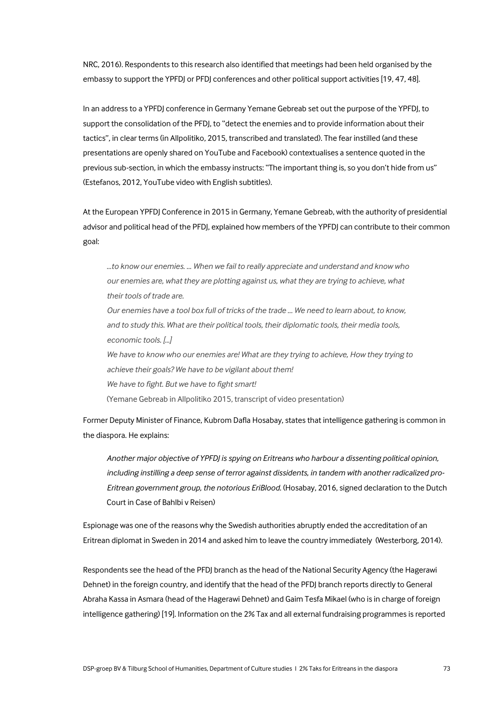NRC, 2016). Respondents to this research also identified that meetings had been held organised by the embassy to support the YPFDJ or PFDJ conferences and other political support activities [19, 47, 48].

In an address to a YPFDJ conference in Germany Yemane Gebreab set out the purpose of the YPFDJ, to support the consolidation of the PFDJ, to "detect the enemies and to provide information about their tactics", in clear terms (in Allpolitiko, 2015, transcribed and translated). The fear instilled (and these presentations are openly shared on YouTube and Facebook) contextualises a sentence quoted in the previous sub-section, in which the embassy instructs: "The important thing is, so you don't hide from us" (Estefanos, 2012, YouTube video with English subtitles).

At the European YPFDJ Conference in 2015 in Germany, Yemane Gebreab, with the authority of presidential advisor and political head of the PFDJ, explained how members of the YPFDJ can contribute to their common goal:

*…to know our enemies. ... When we fail to really appreciate and understand and know who our enemies are, what they are plotting against us, what they are trying to achieve, what their tools of trade are. Our enemies have a tool box full of tricks of the trade ... We need to learn about, to know, and to study this. What are their political tools, their diplomatic tools, their media tools, economic tools. […] We have to know who our enemies are! What are they trying to achieve, How they trying to achieve their goals? We have to be vigilant about them! We have to fight. But we have to fight smart!*  (Yemane Gebreab in Allpolitiko 2015, transcript of video presentation)

Former Deputy Minister of Finance, Kubrom Dafla Hosabay, states that intelligence gathering is common in the diaspora. He explains:

*Another major objective of YPFDJ is spying on Eritreans who harbour a dissenting political opinion, including instilling a deep sense of terror against dissidents, in tandem with another radicalized pro-Eritrean government group, the notorious EriBlood.* (Hosabay, 2016, signed declaration to the Dutch Court in Case of Bahlbi v Reisen)

Espionage was one of the reasons why the Swedish authorities abruptly ended the accreditation of an Eritrean diplomat in Sweden in 2014 and asked him to leave the country immediately (Westerborg, 2014).

Respondents see the head of the PFDJ branch as the head of the National Security Agency (the Hagerawi Dehnet) in the foreign country, and identify that the head of the PFDJ branch reports directly to General Abraha Kassa in Asmara (head of the Hagerawi Dehnet) and Gaim Tesfa Mikael (who is in charge of foreign intelligence gathering) [19]. Information on the 2% Tax and all external fundraising programmes is reported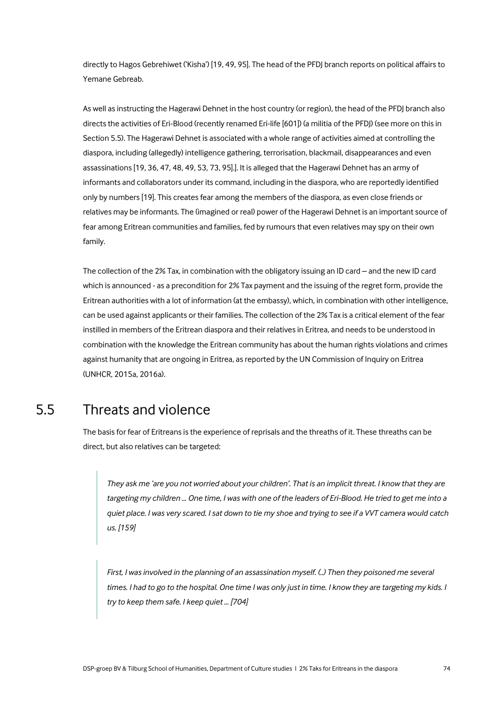directly to Hagos Gebrehiwet ('Kisha') [19, 49, 95]. The head of the PFDJ branch reports on political affairs to Yemane Gebreab.

As well as instructing the Hagerawi Dehnet in the host country (or region), the head of the PFDJ branch also directs the activities of Eri-Blood (recently renamed Eri-life [601]) (a militia of the PFDJ) (see more on this in Section 5.5). The Hagerawi Dehnet is associated with a whole range of activities aimed at controlling the diaspora, including (allegedly) intelligence gathering, terrorisation, blackmail, disappearances and even assassinations [19, 36, 47, 48, 49, 53, 73, 95].]. It is alleged that the Hagerawi Dehnet has an army of informants and collaborators under its command, including in the diaspora, who are reportedly identified only by numbers [19]. This creates fear among the members of the diaspora, as even close friends or relatives may be informants. The (imagined or real) power of the Hagerawi Dehnet is an important source of fear among Eritrean communities and families, fed by rumours that even relatives may spy on their own family.

The collection of the 2% Tax, in combination with the obligatory issuing an ID card – and the new ID card which is announced - as a precondition for 2% Tax payment and the issuing of the regret form, provide the Eritrean authorities with a lot of information (at the embassy), which, in combination with other intelligence, can be used against applicants or their families. The collection of the 2% Tax is a critical element of the fear instilled in members of the Eritrean diaspora and their relatives in Eritrea, and needs to be understood in combination with the knowledge the Eritrean community has about the human rights violations and crimes against humanity that are ongoing in Eritrea, as reported by the UN Commission of Inquiry on Eritrea (UNHCR, 2015a, 2016a).

### 5.5 Threats and violence

The basis for fear of Eritreans is the experience of reprisals and the threaths of it. These threaths can be direct, but also relatives can be targeted:

*They ask me 'are you not worried about your children'. That is an implicit threat. I know that they are targeting my children … One time, I was with one of the leaders of Eri-Blood. He tried to get me into a quiet place. I was very scared. I sat down to tie my shoe and trying to see if a VVT camera would catch us. [159]* 

*First, I was involved in the planning of an assassination myself. (..) Then they poisoned me several times. I had to go to the hospital. One time I was only just in time. I know they are targeting my kids. I try to keep them safe. I keep quiet … [704]*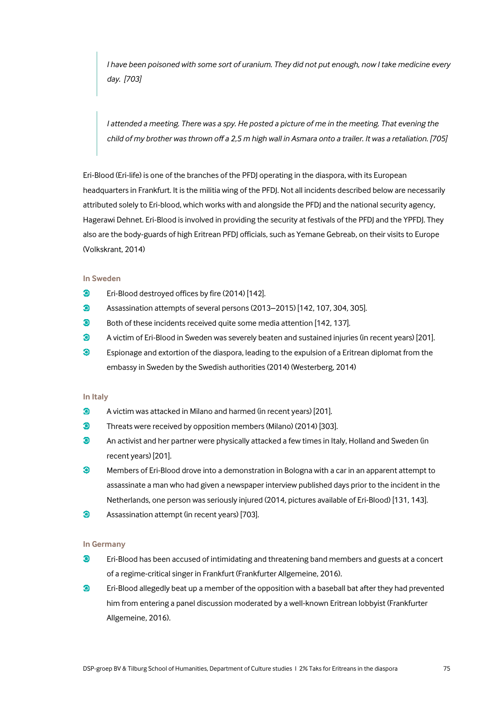*I have been poisoned with some sort of uranium. They did not put enough, now I take medicine every day. [703]* 

*I* attended a meeting. There was a spy. He posted a picture of me in the meeting. That evening the *child of my brother was thrown off a 2,5 m high wall in Asmara onto a trailer. It was a retaliation. [705]* 

Eri-Blood (Eri-life) is one of the branches of the PFDJ operating in the diaspora, with its European headquarters in Frankfurt. It is the militia wing of the PFDJ. Not all incidents described below are necessarily attributed solely to Eri-blood, which works with and alongside the PFDJ and the national security agency, Hagerawi Dehnet. Eri-Blood is involved in providing the security at festivals of the PFDJ and the YPFDJ. They also are the body-guards of high Eritrean PFDJ officials, such as Yemane Gebreab, on their visits to Europe (Volkskrant, 2014)

#### **In Sweden**

- Э Eri-Blood destroyed offices by fire (2014) [142].
- $\bullet$ Assassination attempts of several persons (2013–2015) [142, 107, 304, 305].
- $\bullet$ Both of these incidents received quite some media attention [142, 137].
- $\bullet$ A victim of Eri-Blood in Sweden was severely beaten and sustained injuries (in recent years) [201].
- Э Espionage and extortion of the diaspora, leading to the expulsion of a Eritrean diplomat from the embassy in Sweden by the Swedish authorities (2014) (Westerberg, 2014)

#### **In Italy**

- Э A victim was attacked in Milano and harmed (in recent years) [201].
- $\bullet$ Threats were received by opposition members (Milano) (2014) [303].
- Э An activist and her partner were physically attacked a few times in Italy, Holland and Sweden (in recent years) [201].
- Э Members of Eri-Blood drove into a demonstration in Bologna with a car in an apparent attempt to assassinate a man who had given a newspaper interview published days prior to the incident in the Netherlands, one person was seriously injured (2014, pictures available of Eri-Blood) [131, 143].
- Э Assassination attempt (in recent years) [703].

#### **In Germany**

- Э Eri-Blood has been accused of intimidating and threatening band members and guests at a concert of a regime-critical singer in Frankfurt (Frankfurter Allgemeine, 2016).
- $\bullet$ Eri-Blood allegedly beat up a member of the opposition with a baseball bat after they had prevented him from entering a panel discussion moderated by a well-known Eritrean lobbyist (Frankfurter Allgemeine, 2016).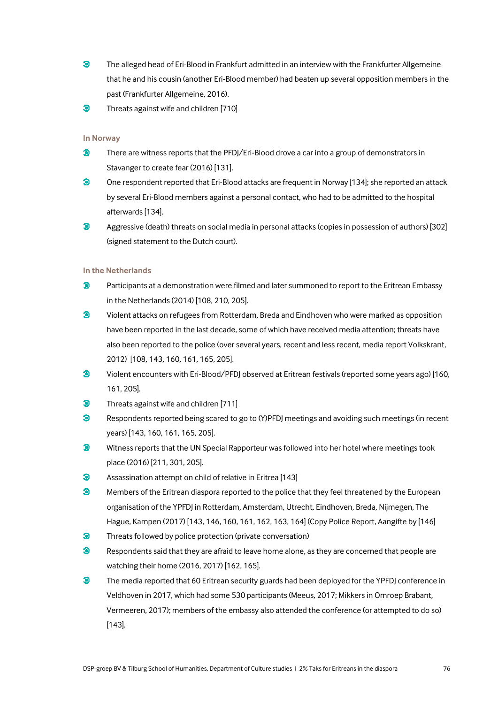- Э The alleged head of Eri-Blood in Frankfurt admitted in an interview with the Frankfurter Allgemeine that he and his cousin (another Eri-Blood member) had beaten up several opposition members in the past (Frankfurter Allgemeine, 2016).
- $\bullet$ Threats against wife and children [710]

#### **In Norway**

- $\bullet$ There are witness reports that the PFDJ/Eri-Blood drove a car into a group of demonstrators in Stavanger to create fear (2016) [131].
- G. One respondent reported that Eri-Blood attacks are frequent in Norway [134]; she reported an attack by several Eri-Blood members against a personal contact, who had to be admitted to the hospital afterwards [134].
- $\bullet$ Aggressive (death) threats on social media in personal attacks (copies in possession of authors) [302] (signed statement to the Dutch court).

#### **In the Netherlands**

- $\bullet$ Participants at a demonstration were filmed and later summoned to report to the Eritrean Embassy in the Netherlands (2014) [108, 210, 205].
- Ô Violent attacks on refugees from Rotterdam, Breda and Eindhoven who were marked as opposition have been reported in the last decade, some of which have received media attention; threats have also been reported to the police (over several years, recent and less recent, media report Volkskrant, 2012) [108, 143, 160, 161, 165, 205].
- G. Violent encounters with Eri-Blood/PFDJ observed at Eritrean festivals (reported some years ago) [160, 161, 205].
- $\bullet$ Threats against wife and children [711]
- Э Respondents reported being scared to go to (Y)PFDJ meetings and avoiding such meetings (in recent years) [143, 160, 161, 165, 205].
- $\bullet$ Witness reports that the UN Special Rapporteur was followed into her hotel where meetings took place (2016) [211, 301, 205].
- Э Assassination attempt on child of relative in Eritrea [143]
- $\bullet$ Members of the Eritrean diaspora reported to the police that they feel threatened by the European organisation of the YPFDJ in Rotterdam, Amsterdam, Utrecht, Eindhoven, Breda, Nijmegen, The Hague, Kampen (2017) [143, 146, 160, 161, 162, 163, 164] (Copy Police Report, Aangifte by [146]
- $\bullet$ Threats followed by police protection (private conversation)
- Э Respondents said that they are afraid to leave home alone, as they are concerned that people are watching their home (2016, 2017) [162, 165].
- $\bullet$ The media reported that 60 Eritrean security guards had been deployed for the YPFDJ conference in Veldhoven in 2017, which had some 530 participants (Meeus, 2017; Mikkers in Omroep Brabant, Vermeeren, 2017); members of the embassy also attended the conference (or attempted to do so) [143].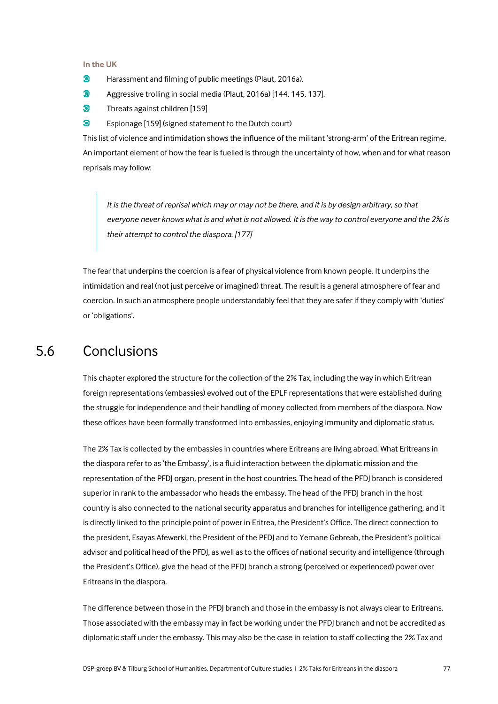#### **In the UK**

- $\bullet$ Harassment and filming of public meetings (Plaut, 2016a).
- $\bullet$ Aggressive trolling in social media (Plaut, 2016a) [144, 145, 137].
- Э Threats against children [159]
- $\bullet$ Espionage [159] (signed statement to the Dutch court)

This list of violence and intimidation shows the influence of the militant 'strong-arm' of the Eritrean regime. An important element of how the fear is fuelled is through the uncertainty of how, when and for what reason reprisals may follow:

*It is the threat of reprisal which may or may not be there, and it is by design arbitrary, so that everyone never knows what is and what is not allowed. It is the way to control everyone and the 2% is their attempt to control the diaspora. [177]* 

The fear that underpins the coercion is a fear of physical violence from known people. It underpins the intimidation and real (not just perceive or imagined) threat. The result is a general atmosphere of fear and coercion. In such an atmosphere people understandably feel that they are safer if they comply with 'duties' or 'obligations'.

### 5.6 Conclusions

This chapter explored the structure for the collection of the 2% Tax, including the way in which Eritrean foreign representations (embassies) evolved out of the EPLF representations that were established during the struggle for independence and their handling of money collected from members of the diaspora. Now these offices have been formally transformed into embassies, enjoying immunity and diplomatic status.

The 2% Tax is collected by the embassies in countries where Eritreans are living abroad. What Eritreans in the diaspora refer to as 'the Embassy', is a fluid interaction between the diplomatic mission and the representation of the PFDJ organ, present in the host countries. The head of the PFDJ branch is considered superior in rank to the ambassador who heads the embassy. The head of the PFDJ branch in the host country is also connected to the national security apparatus and branches for intelligence gathering, and it is directly linked to the principle point of power in Eritrea, the President's Office. The direct connection to the president, Esayas Afewerki, the President of the PFDJ and to Yemane Gebreab, the President's political advisor and political head of the PFDJ, as well as to the offices of national security and intelligence (through the President's Office), give the head of the PFDJ branch a strong (perceived or experienced) power over Eritreans in the diaspora.

The difference between those in the PFDJ branch and those in the embassy is not always clear to Eritreans. Those associated with the embassy may in fact be working under the PFDJ branch and not be accredited as diplomatic staff under the embassy. This may also be the case in relation to staff collecting the 2% Tax and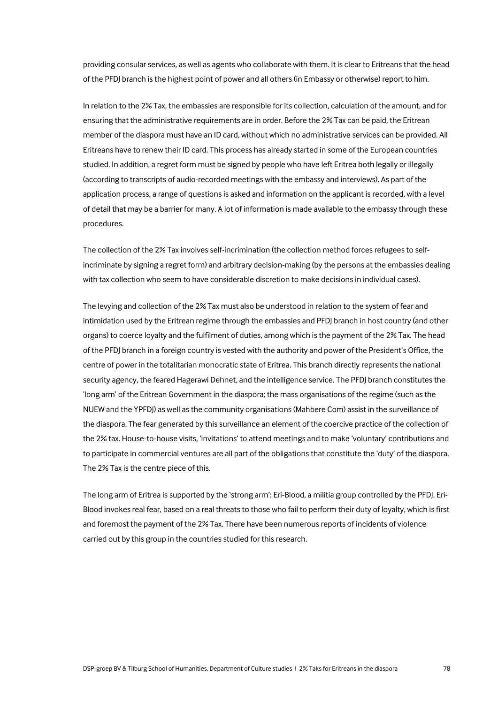providing consular services, as well as agents who collaborate with them. It is clear to Eritreans that the head of the PFDJ branch is the highest point of power and all others (in Embassy or otherwise) report to him.

In relation to the 2% Tax, the embassies are responsible for its collection, calculation of the amount, and for ensuring that the administrative requirements are in order. Before the 2% Tax can be paid, the Eritrean member of the diaspora must have an ID card, without which no administrative services can be provided. All Eritreans have to renew their ID card. This process has already started in some of the European countries studied. In addition, a regret form must be signed by people who have left Eritrea both legally or illegally (according to transcripts of audio-recorded meetings with the embassy and interviews). As part of the application process, a range of questions is asked and information on the applicant is recorded, with a level of detail that may be a barrier for many. A lot of information is made available to the embassy through these procedures.

The collection of the 2% Tax involves self-incrimination (the collection method forces refugees to selfincriminate by signing a regret form) and arbitrary decision-making (by the persons at the embassies dealing with tax collection who seem to have considerable discretion to make decisions in individual cases).

The levying and collection of the 2% Tax must also be understood in relation to the system of fear and intimidation used by the Eritrean regime through the embassies and PFDJ branch in host country (and other organs) to coerce loyalty and the fulfilment of duties, among which is the payment of the 2% Tax. The head of the PFDJ branch in a foreign country is vested with the authority and power of the President's Office, the centre of power in the totalitarian monocratic state of Eritrea. This branch directly represents the national security agency, the feared Hagerawi Dehnet, and the intelligence service. The PFDJ branch constitutes the 'long arm' of the Eritrean Government in the diaspora; the mass organisations of the regime (such as the NUEW and the YPFDJ) as well as the community organisations (Mahbere Com) assist in the surveillance of the diaspora. The fear generated by this surveillance an element of the coercive practice of the collection of the 2% tax. House-to-house visits, 'invitations' to attend meetings and to make 'voluntary' contributions and to participate in commercial ventures are all part of the obligations that constitute the 'duty' of the diaspora. The 2% Tax is the centre piece of this.

The long arm of Eritrea is supported by the 'strong arm': Eri-Blood, a militia group controlled by the PFDJ. Eri-Blood invokes real fear, based on a real threats to those who fail to perform their duty of loyalty, which is first and foremost the payment of the 2% Tax. There have been numerous reports of incidents of violence carried out by this group in the countries studied for this research.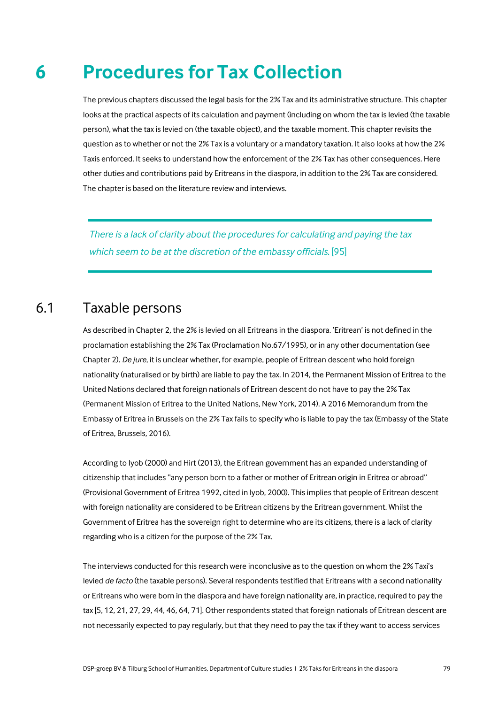# **6 Procedures for Tax Collection**

The previous chapters discussed the legal basis for the 2% Tax and its administrative structure. This chapter looks at the practical aspects of its calculation and payment (including on whom the tax is levied (the taxable person), what the tax is levied on (the taxable object), and the taxable moment. This chapter revisits the question as to whether or not the 2% Tax is a voluntary or a mandatory taxation. It also looks at how the 2% Taxis enforced. It seeks to understand how the enforcement of the 2% Tax has other consequences. Here other duties and contributions paid by Eritreans in the diaspora, in addition to the 2% Tax are considered. The chapter is based on the literature review and interviews.

*There is a lack of clarity about the procedures for calculating and paying the tax which seem to be at the discretion of the embassy officials.* [95]

## 6.1 Taxable persons

As described in Chapter 2, the 2% is levied on all Eritreans in the diaspora. 'Eritrean' is not defined in the proclamation establishing the 2% Tax (Proclamation No.67/1995), or in any other documentation (see Chapter 2). *De jure*, it is unclear whether, for example, people of Eritrean descent who hold foreign nationality (naturalised or by birth) are liable to pay the tax. In 2014, the Permanent Mission of Eritrea to the United Nations declared that foreign nationals of Eritrean descent do not have to pay the 2% Tax (Permanent Mission of Eritrea to the United Nations, New York, 2014). A 2016 Memorandum from the Embassy of Eritrea in Brussels on the 2% Tax fails to specify who is liable to pay the tax (Embassy of the State of Eritrea, Brussels, 2016).

According to Iyob (2000) and Hirt (2013), the Eritrean government has an expanded understanding of citizenship that includes "any person born to a father or mother of Eritrean origin in Eritrea or abroad" (Provisional Government of Eritrea 1992, cited in lyob, 2000). This implies that people of Eritrean descent with foreign nationality are considered to be Eritrean citizens by the Eritrean government. Whilst the Government of Eritrea has the sovereign right to determine who are its citizens, there is a lack of clarity regarding who is a citizen for the purpose of the 2% Tax.

The interviews conducted for this research were inconclusive as to the question on whom the 2% Taxi's levied *de facto* (the taxable persons). Several respondents testified that Eritreans with a second nationality or Eritreans who were born in the diaspora and have foreign nationality are, in practice, required to pay the tax [5, 12, 21, 27, 29, 44, 46, 64, 71]. Other respondents stated that foreign nationals of Eritrean descent are not necessarily expected to pay regularly, but that they need to pay the tax if they want to access services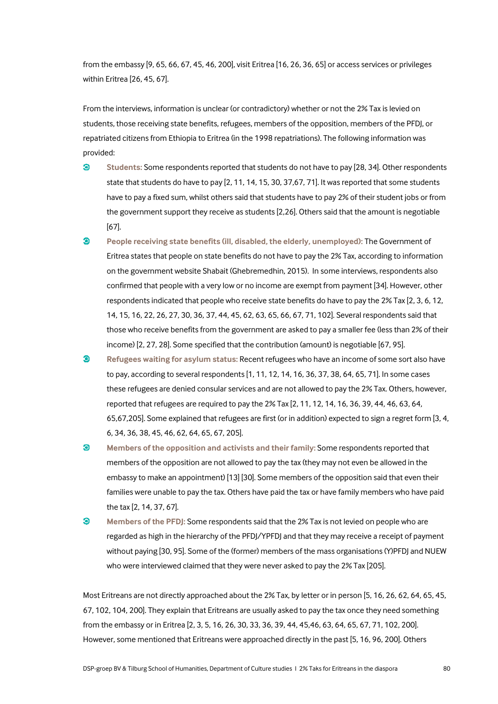from the embassy [9, 65, 66, 67, 45, 46, 200], visit Eritrea [16, 26, 36, 65] or access services or privileges within Eritrea [26, 45, 67].

From the interviews, information is unclear (or contradictory) whether or not the 2% Tax is levied on students, those receiving state benefits, refugees, members of the opposition, members of the PFDJ, or repatriated citizens from Ethiopia to Eritrea (in the 1998 repatriations). The following information was provided:

- Э **Students:** Some respondents reported that students do not have to pay [28, 34]. Other respondents state that students do have to pay [2, 11, 14, 15, 30, 37,67, 71]. It was reported that some students have to pay a fixed sum, whilst others said that students have to pay 2% of their student jobs or from the government support they receive as students [2,26]. Others said that the amount is negotiable [67].
- $\bullet$ **People receiving state benefits (ill, disabled, the elderly, unemployed):** The Government of Eritrea states that people on state benefits do not have to pay the 2% Tax, according to information on the government website Shabait (Ghebremedhin, 2015). In some interviews, respondents also confirmed that people with a very low or no income are exempt from payment [34]. However, other respondents indicated that people who receive state benefits do have to pay the 2% Tax [2, 3, 6, 12, 14, 15, 16, 22, 26, 27, 30, 36, 37, 44, 45, 62, 63, 65, 66, 67, 71, 102]. Several respondents said that those who receive benefits from the government are asked to pay a smaller fee (less than 2% of their income) [2, 27, 28]. Some specified that the contribution (amount) is negotiable [67, 95].
- Э **Refugees waiting for asylum status:** Recent refugees who have an income of some sort also have to pay, according to several respondents [1, 11, 12, 14, 16, 36, 37, 38, 64, 65, 71]. In some cases these refugees are denied consular services and are not allowed to pay the 2% Tax. Others, however, reported that refugees are required to pay the 2% Tax [2, 11, 12, 14, 16, 36, 39, 44, 46, 63, 64, 65,67,205]. Some explained that refugees are first (or in addition) expected to sign a regret form [3, 4, 6, 34, 36, 38, 45, 46, 62, 64, 65, 67, 205].
- Э **Members of the opposition and activists and their family:** Some respondents reported that members of the opposition are not allowed to pay the tax (they may not even be allowed in the embassy to make an appointment) [13] [30]. Some members of the opposition said that even their families were unable to pay the tax. Others have paid the tax or have family members who have paid the tax [2, 14, 37, 67].
- o **Members of the PFDJ:** Some respondents said that the 2% Tax is not levied on people who are regarded as high in the hierarchy of the PFDJ/YPFDJ and that they may receive a receipt of payment without paying [30, 95]. Some of the (former) members of the mass organisations (Y)PFDJ and NUEW who were interviewed claimed that they were never asked to pay the 2% Tax [205].

Most Eritreans are not directly approached about the 2% Tax, by letter or in person [5, 16, 26, 62, 64, 65, 45, 67, 102, 104, 200]. They explain that Eritreans are usually asked to pay the tax once they need something from the embassy or in Eritrea [2, 3, 5, 16, 26, 30, 33, 36, 39, 44, 45,46, 63, 64, 65, 67, 71, 102, 200]. However, some mentioned that Eritreans were approached directly in the past [5, 16, 96, 200]. Others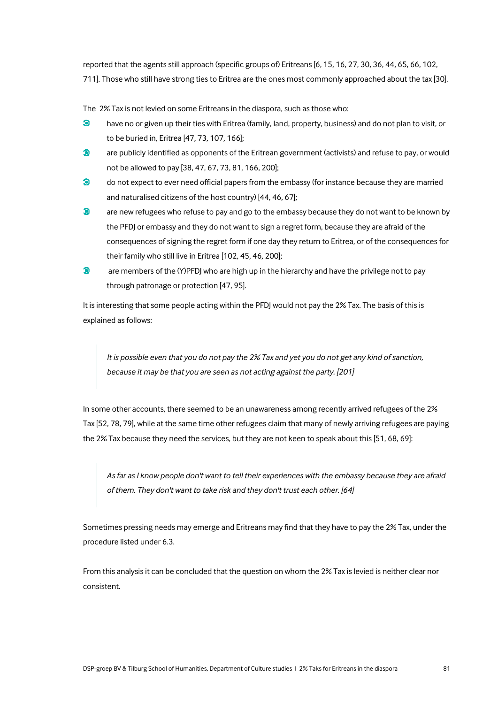reported that the agents still approach (specific groups of) Eritreans [6, 15, 16, 27, 30, 36, 44, 65, 66, 102, 711]. Those who still have strong ties to Eritrea are the ones most commonly approached about the tax [30].

The 2% Tax is not levied on some Eritreans in the diaspora, such as those who:

- $\bullet$ have no or given up their ties with Eritrea (family, land, property, business) and do not plan to visit, or to be buried in, Eritrea [47, 73, 107, 166];
- $\bullet$ are publicly identified as opponents of the Eritrean government (activists) and refuse to pay, or would not be allowed to pay [38, 47, 67, 73, 81, 166, 200];
- G. do not expect to ever need official papers from the embassy (for instance because they are married and naturalised citizens of the host country) [44, 46, 67];
- Э are new refugees who refuse to pay and go to the embassy because they do not want to be known by the PFDJ or embassy and they do not want to sign a regret form, because they are afraid of the consequences of signing the regret form if one day they return to Eritrea, or of the consequences for their family who still live in Eritrea [102, 45, 46, 200];
- $\bullet$  are members of the (Y)PFDJ who are high up in the hierarchy and have the privilege not to pay through patronage or protection [47, 95].

It is interesting that some people acting within the PFDJ would not pay the 2% Tax. The basis of this is explained as follows:

*It is possible even that you do not pay the 2% Tax and yet you do not get any kind of sanction, because it may be that you are seen as not acting against the party. [201]* 

In some other accounts, there seemed to be an unawareness among recently arrived refugees of the 2% Tax [52, 78, 79], while at the same time other refugees claim that many of newly arriving refugees are paying the 2% Tax because they need the services, but they are not keen to speak about this [51, 68, 69]:

*As far as I know people don't want to tell their experiences with the embassy because they are afraid of them. They don't want to take risk and they don't trust each other. [64]* 

Sometimes pressing needs may emerge and Eritreans may find that they have to pay the 2% Tax, under the procedure listed under 6.3.

From this analysis it can be concluded that the question on whom the 2% Tax is levied is neither clear nor consistent.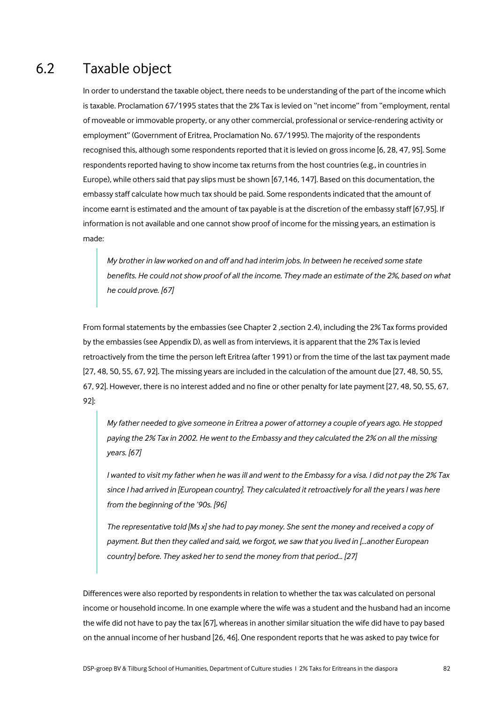## 6.2 Taxable object

In order to understand the taxable object, there needs to be understanding of the part of the income which is taxable. Proclamation 67/1995 states that the 2% Tax is levied on "net income" from "employment, rental of moveable or immovable property, or any other commercial, professional or service-rendering activity or employment" (Government of Eritrea, Proclamation No. 67/1995). The majority of the respondents recognised this, although some respondents reported that it is levied on gross income [6, 28, 47, 95]. Some respondents reported having to show income tax returns from the host countries (e.g., in countries in Europe), while others said that pay slips must be shown [67,146, 147]. Based on this documentation, the embassy staff calculate how much tax should be paid. Some respondents indicated that the amount of income earnt is estimated and the amount of tax payable is at the discretion of the embassy staff [67,95]. If information is not available and one cannot show proof of income for the missing years, an estimation is made:

*My brother in law worked on and off and had interim jobs. In between he received some state benefits. He could not show proof of all the income. They made an estimate of the 2%, based on what he could prove. [67]* 

From formal statements by the embassies (see Chapter 2 ,section 2.4), including the 2% Tax forms provided by the embassies (see Appendix D), as well as from interviews, it is apparent that the 2% Tax is levied retroactively from the time the person left Eritrea (after 1991) or from the time of the last tax payment made [27, 48, 50, 55, 67, 92]. The missing years are included in the calculation of the amount due [27, 48, 50, 55, 67, 92]. However, there is no interest added and no fine or other penalty for late payment [27, 48, 50, 55, 67, 92]:

*My father needed to give someone in Eritrea a power of attorney a couple of years ago. He stopped paying the 2% Tax in 2002. He went to the Embassy and they calculated the 2% on all the missing years. [67]* 

*I wanted to visit my father when he was ill and went to the Embassy for a visa. I did not pay the 2% Tax since I had arrived in [European country]. They calculated it retroactively for all the years I was here from the beginning of the '90s. [96]* 

*The representative told [Ms x] she had to pay money. She sent the money and received a copy of payment. But then they called and said, we forgot, we saw that you lived in [...another European country] before. They asked her to send the money from that period… [27]* 

Differences were also reported by respondents in relation to whether the tax was calculated on personal income or household income. In one example where the wife was a student and the husband had an income the wife did not have to pay the tax [67], whereas in another similar situation the wife did have to pay based on the annual income of her husband [26, 46]. One respondent reports that he was asked to pay twice for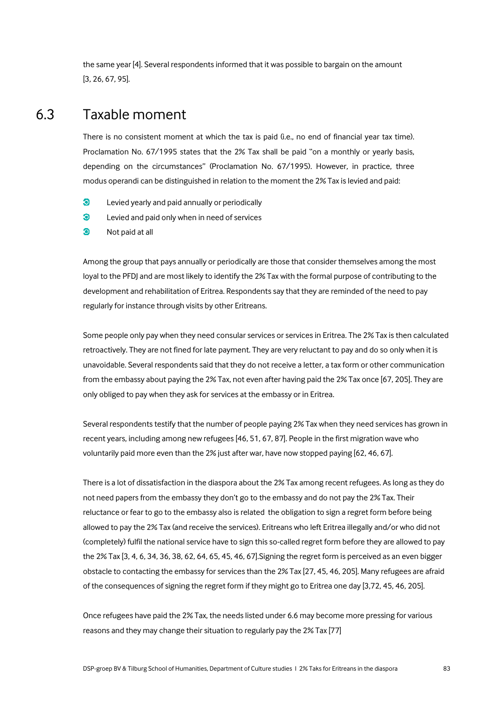the same year [4]. Several respondents informed that it was possible to bargain on the amount [3, 26, 67, 95].

### 6.3 Taxable moment

There is no consistent moment at which the tax is paid (i.e., no end of financial year tax time). Proclamation No. 67/1995 states that the 2% Tax shall be paid "on a monthly or yearly basis, depending on the circumstances" (Proclamation No. 67/1995). However, in practice, three modus operandi can be distinguished in relation to the moment the 2% Tax is levied and paid:

- Э Levied yearly and paid annually or periodically
- Э Levied and paid only when in need of services
- Э Not paid at all

Among the group that pays annually or periodically are those that consider themselves among the most loyal to the PFDJ and are most likely to identify the 2% Tax with the formal purpose of contributing to the development and rehabilitation of Eritrea. Respondents say that they are reminded of the need to pay regularly for instance through visits by other Eritreans.

Some people only pay when they need consular services or services in Eritrea. The 2% Tax is then calculated retroactively. They are not fined for late payment. They are very reluctant to pay and do so only when it is unavoidable. Several respondents said that they do not receive a letter, a tax form or other communication from the embassy about paying the 2% Tax, not even after having paid the 2% Tax once [67, 205]. They are only obliged to pay when they ask for services at the embassy or in Eritrea.

Several respondents testify that the number of people paying 2% Tax when they need services has grown in recent years, including among new refugees [46, 51, 67, 87]. People in the first migration wave who voluntarily paid more even than the 2% just after war, have now stopped paying [62, 46, 67].

There is a lot of dissatisfaction in the diaspora about the 2% Tax among recent refugees. As long as they do not need papers from the embassy they don't go to the embassy and do not pay the 2% Tax. Their reluctance or fear to go to the embassy also is related the obligation to sign a regret form before being allowed to pay the 2% Tax (and receive the services). Eritreans who left Eritrea illegally and/or who did not (completely) fulfil the national service have to sign this so-called regret form before they are allowed to pay the 2% Tax [3, 4, 6, 34, 36, 38, 62, 64, 65, 45, 46, 67].Signing the regret form is perceived as an even bigger obstacle to contacting the embassy for services than the 2% Tax [27, 45, 46, 205]. Many refugees are afraid of the consequences of signing the regret form if they might go to Eritrea one day [3,72, 45, 46, 205].

Once refugees have paid the 2% Tax, the needs listed under 6.6 may become more pressing for various reasons and they may change their situation to regularly pay the 2% Tax [77]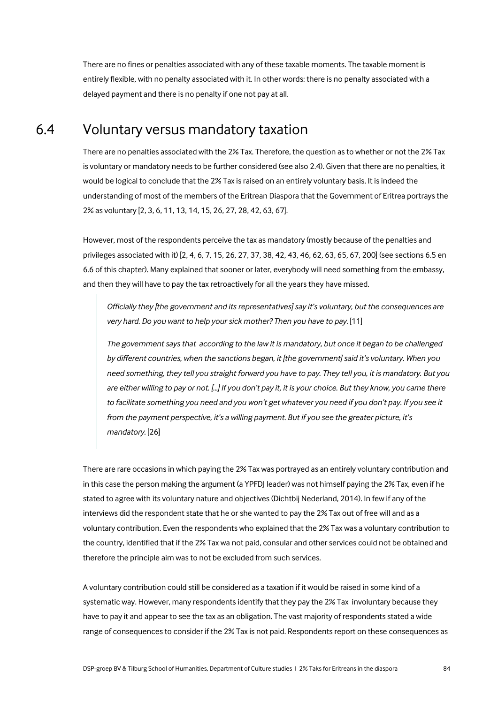There are no fines or penalties associated with any of these taxable moments. The taxable moment is entirely flexible, with no penalty associated with it. In other words: there is no penalty associated with a delayed payment and there is no penalty if one not pay at all.

## 6.4 Voluntary versus mandatory taxation

There are no penalties associated with the 2% Tax. Therefore, the question as to whether or not the 2% Tax is voluntary or mandatory needs to be further considered (see also 2.4). Given that there are no penalties, it would be logical to conclude that the 2% Tax is raised on an entirely voluntary basis. It is indeed the understanding of most of the members of the Eritrean Diaspora that the Government of Eritrea portrays the 2% as voluntary [2, 3, 6, 11, 13, 14, 15, 26, 27, 28, 42, 63, 67].

However, most of the respondents perceive the tax as mandatory (mostly because of the penalties and privileges associated with it) [2, 4, 6, 7, 15, 26, 27, 37, 38, 42, 43, 46, 62, 63, 65, 67, 200] (see sections 6.5 en 6.6 of this chapter). Many explained that sooner or later, everybody will need something from the embassy, and then they will have to pay the tax retroactively for all the years they have missed.

*Officially they [the government and its representatives] say it's voluntary, but the consequences are very hard. Do you want to help your sick mother? Then you have to pay.* [11]

*The government says that according to the law it is mandatory, but once it began to be challenged by different countries, when the sanctions began, it [the government] said it's voluntary. When you need something, they tell you straight forward you have to pay. They tell you, it is mandatory. But you are either willing to pay or not. […] If you don't pay it, it is your choice. But they know, you came there to facilitate something you need and you won't get whatever you need if you don't pay. If you see it from the payment perspective, it's a willing payment. But if you see the greater picture, it's mandatory.* [26]

There are rare occasions in which paying the 2% Tax was portrayed as an entirely voluntary contribution and in this case the person making the argument (a YPFDJ leader) was not himself paying the 2% Tax, even if he stated to agree with its voluntary nature and objectives (Dichtbij Nederland, 2014). In few if any of the interviews did the respondent state that he or she wanted to pay the 2% Tax out of free will and as a voluntary contribution. Even the respondents who explained that the 2% Tax was a voluntary contribution to the country, identified that if the 2% Tax wa not paid, consular and other services could not be obtained and therefore the principle aim was to not be excluded from such services.

A voluntary contribution could still be considered as a taxation if it would be raised in some kind of a systematic way. However, many respondents identify that they pay the 2% Tax involuntary because they have to pay it and appear to see the tax as an obligation. The vast majority of respondents stated a wide range of consequences to consider if the 2% Tax is not paid. Respondents report on these consequences as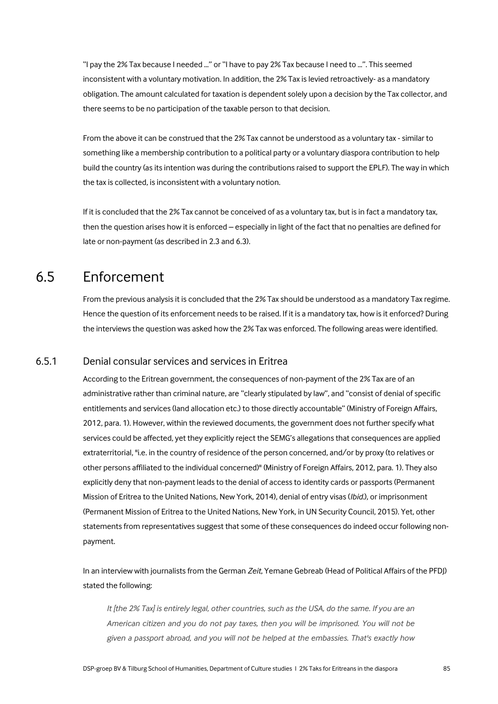"I pay the 2% Tax because I needed …" or "I have to pay 2% Tax because I need to …". This seemed inconsistent with a voluntary motivation. In addition, the 2% Tax is levied retroactively- as a mandatory obligation. The amount calculated for taxation is dependent solely upon a decision by the Tax collector, and there seems to be no participation of the taxable person to that decision.

From the above it can be construed that the 2% Tax cannot be understood as a voluntary tax - similar to something like a membership contribution to a political party or a voluntary diaspora contribution to help build the country (as its intention was during the contributions raised to support the EPLF). The way in which the tax is collected, is inconsistent with a voluntary notion.

If it is concluded that the 2% Tax cannot be conceived of as a voluntary tax, but is in fact a mandatory tax, then the question arises how it is enforced – especially in light of the fact that no penalties are defined for late or non-payment (as described in 2.3 and 6.3).

# 6.5 Enforcement

From the previous analysis it is concluded that the 2% Tax should be understood as a mandatory Tax regime. Hence the question of its enforcement needs to be raised. If it is a mandatory tax, how is it enforced? During the interviews the question was asked how the 2% Tax was enforced. The following areas were identified.

#### 6.5.1 Denial consular services and services in Eritrea

According to the Eritrean government, the consequences of non-payment of the 2% Tax are of an administrative rather than criminal nature, are "clearly stipulated by law", and "consist of denial of specific entitlements and services (land allocation etc.) to those directly accountable" (Ministry of Foreign Affairs, 2012, para. 1). However, within the reviewed documents, the government does not further specify what services could be affected, yet they explicitly reject the SEMG's allegations that consequences are applied extraterritorial, "i.e. in the country of residence of the person concerned, and/or by proxy (to relatives or other persons affiliated to the individual concerned)" (Ministry of Foreign Affairs, 2012, para. 1). They also explicitly deny that non-payment leads to the denial of access to identity cards or passports (Permanent Mission of Eritrea to the United Nations, New York, 2014), denial of entry visas (*Ibid*.), or imprisonment (Permanent Mission of Eritrea to the United Nations, New York, in UN Security Council, 2015). Yet, other statements from representatives suggest that some of these consequences do indeed occur following nonpayment.

In an interview with journalists from the German *Zeit*, Yemane Gebreab (Head of Political Affairs of the PFDJ) stated the following:

*It [the 2% Tax] is entirely legal, other countries, such as the USA, do the same. If you are an American citizen and you do not pay taxes, then you will be imprisoned. You will not be given a passport abroad, and you will not be helped at the embassies. That's exactly how*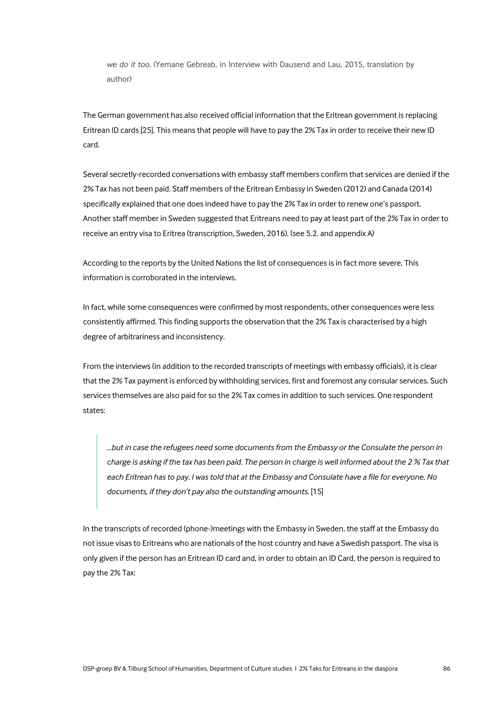*we do it too.* (Yemane Gebreab, in Interview with Dausend and Lau, 2015, translation by author)

The German government has also received official information that the Eritrean government is replacing Eritrean ID cards [25]. This means that people will have to pay the 2% Tax in order to receive their new ID card.

Several secretly-recorded conversations with embassy staff members confirm that services are denied if the 2% Tax has not been paid. Staff members of the Eritrean Embassy in Sweden (2012) and Canada (2014) specifically explained that one does indeed have to pay the 2% Tax in order to renew one's passport. Another staff member in Sweden suggested that Eritreans need to pay at least part of the 2% Tax in order to receive an entry visa to Eritrea (transcription, Sweden, 2016). (see 5.2. and appendix A)

According to the reports by the United Nations the list of consequences is in fact more severe. This information is corroborated in the interviews.

In fact, while some consequences were confirmed by most respondents, other consequences were less consistently affirmed. This finding supports the observation that the 2% Tax is characterised by a high degree of arbitrariness and inconsistency.

From the interviews (in addition to the recorded transcripts of meetings with embassy officials), it is clear that the 2% Tax payment is enforced by withholding services, first and foremost any consular services. Such services themselves are also paid for so the 2% Tax comes in addition to such services. One respondent states:

*…but in case the refugees need some documents from the Embassy or the Consulate the person in charge is asking if the tax has been paid. The person in charge is well informed about the 2 % Tax that each Eritrean has to pay. I was told that at the Embassy and Consulate have a file for everyone. No documents, if they don't pay also the outstanding amounts.* [15]

In the transcripts of recorded (phone-)meetings with the Embassy in Sweden, the staff at the Embassy do not issue visas to Eritreans who are nationals of the host country and have a Swedish passport. The visa is only given if the person has an Eritrean ID card and, in order to obtain an ID Card, the person is required to pay the 2% Tax: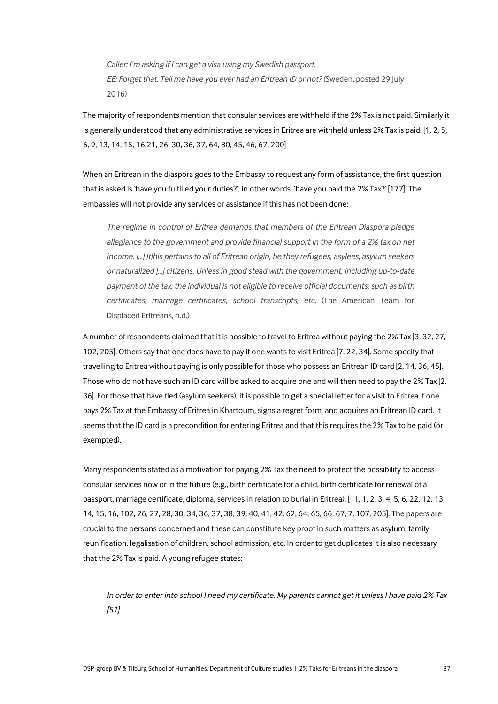*Caller: I'm asking if I can get a visa using my Swedish passport. EE: Forget that. Tell me have you ever had an Eritrean ID or not? (*Sweden, posted 29 July 2016)

The majority of respondents mention that consular services are withheld if the 2% Tax is not paid. Similarly it is generally understood that any administrative services in Eritrea are withheld unless 2% Tax is paid. [1, 2, 5, 6, 9, 13, 14, 15, 16,21, 26, 30, 36, 37, 64, 80, 45, 46, 67, 200]

When an Eritrean in the diaspora goes to the Embassy to request any form of assistance, the first question that is asked is 'have you fulfilled your duties?', in other words, 'have you paid the 2% Tax?' [177]. The embassies will not provide any services or assistance if this has not been done:

*The regime in control of Eritrea demands that members of the Eritrean Diaspora pledge allegiance to the government and provide financial support in the form of a 2% tax on net income. […] [t]his pertains to all of Eritrean origin, be they refugees, asylees, asylum seekers or naturalized […] citizens. Unless in good stead with the government, including up-to-date payment of the tax, the individual is not eligible to receive official documents, such as birth certificates, marriage certificates, school transcripts, etc.* (The American Team for Displaced Eritreans, n.d.)

A number of respondents claimed that it is possible to travel to Eritrea without paying the 2% Tax [3, 32, 27, 102, 205]. Others say that one does have to pay if one wants to visit Eritrea [7, 22, 34]. Some specify that travelling to Eritrea without paying is only possible for those who possess an Eritrean ID card [2, 14, 36, 45]. Those who do not have such an ID card will be asked to acquire one and will then need to pay the 2% Tax [2, 36]. For those that have fled (asylum seekers), it is possible to get a special letter for a visit to Eritrea if one pays 2% Tax at the Embassy of Eritrea in Khartoum, signs a regret form and acquires an Eritrean ID card. It seems that the ID card is a precondition for entering Eritrea and that this requires the 2% Tax to be paid (or exempted).

Many respondents stated as a motivation for paying 2% Tax the need to protect the possibility to access consular services now or in the future (e.g., birth certificate for a child, birth certificate for renewal of a passport, marriage certificate, diploma, services in relation to burial in Eritrea). [11, 1, 2, 3, 4, 5, 6, 22, 12, 13, 14, 15, 16, 102, 26, 27, 28, 30, 34, 36, 37, 38, 39, 40, 41, 42, 62, 64, 65, 66, 67, 7, 107, 205]. The papers are crucial to the persons concerned and these can constitute key proof in such matters as asylum, family reunification, legalisation of children, school admission, etc. In order to get duplicates it is also necessary that the 2% Tax is paid. A young refugee states:

*In order to enter into school I need my certificate. My parents cannot get it unless I have paid 2% Tax [51]*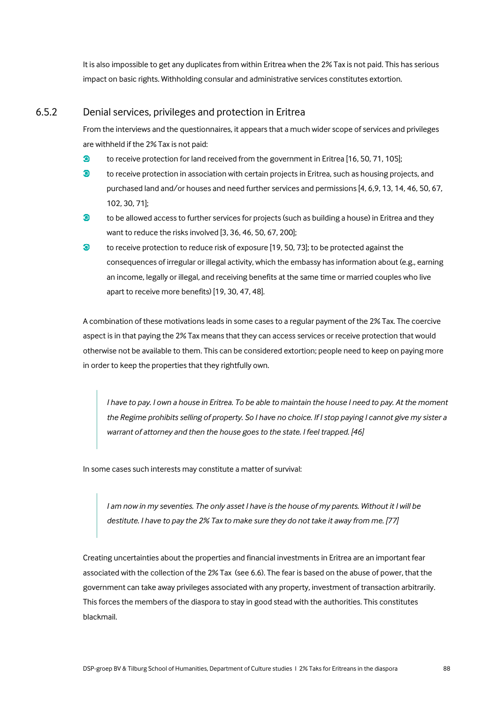It is also impossible to get any duplicates from within Eritrea when the 2% Tax is not paid. This has serious impact on basic rights. Withholding consular and administrative services constitutes extortion.

#### 6.5.2 Denial services, privileges and protection in Eritrea

From the interviews and the questionnaires, it appears that a much wider scope of services and privileges are withheld if the 2% Tax is not paid:

- $\bullet$ to receive protection for land received from the government in Eritrea [16, 50, 71, 105];
- $\bullet$ to receive protection in association with certain projects in Eritrea, such as housing projects, and purchased land and/or houses and need further services and permissions [4, 6,9, 13, 14, 46, 50, 67, 102, 30, 71];
- Э to be allowed access to further services for projects (such as building a house) in Eritrea and they want to reduce the risks involved [3, 36, 46, 50, 67, 200];
- Э to receive protection to reduce risk of exposure [19, 50, 73]; to be protected against the consequences of irregular or illegal activity, which the embassy has information about (e.g., earning an income, legally or illegal, and receiving benefits at the same time or married couples who live apart to receive more benefits) [19, 30, 47, 48].

A combination of these motivations leads in some cases to a regular payment of the 2% Tax. The coercive aspect is in that paying the 2% Tax means that they can access services or receive protection that would otherwise not be available to them. This can be considered extortion; people need to keep on paying more in order to keep the properties that they rightfully own.

*I have to pay. I own a house in Eritrea. To be able to maintain the house I need to pay. At the moment the Regime prohibits selling of property. So I have no choice. If I stop paying I cannot give my sister a warrant of attorney and then the house goes to the state. I feel trapped. [46]* 

In some cases such interests may constitute a matter of survival:

*I am now in my seventies. The only asset I have is the house of my parents. Without it I will be destitute. I have to pay the 2% Tax to make sure they do not take it away from me. [77]* 

Creating uncertainties about the properties and financial investments in Eritrea are an important fear associated with the collection of the 2% Tax (see 6.6). The fear is based on the abuse of power, that the government can take away privileges associated with any property, investment of transaction arbitrarily. This forces the members of the diaspora to stay in good stead with the authorities. This constitutes blackmail.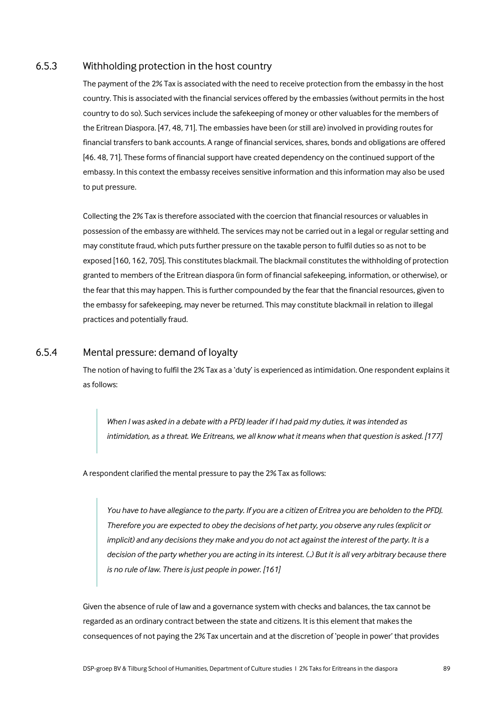### 6.5.3 Withholding protection in the host country

The payment of the 2% Tax is associated with the need to receive protection from the embassy in the host country. This is associated with the financial services offered by the embassies (without permits in the host country to do so). Such services include the safekeeping of money or other valuables for the members of the Eritrean Diaspora. [47, 48, 71]. The embassies have been (or still are) involved in providing routes for financial transfers to bank accounts. A range of financial services, shares, bonds and obligations are offered [46. 48, 71]. These forms of financial support have created dependency on the continued support of the embassy. In this context the embassy receives sensitive information and this information may also be used to put pressure.

Collecting the 2% Tax is therefore associated with the coercion that financial resources or valuables in possession of the embassy are withheld. The services may not be carried out in a legal or regular setting and may constitute fraud, which puts further pressure on the taxable person to fulfil duties so as not to be exposed [160, 162, 705]. This constitutes blackmail. The blackmail constitutes the withholding of protection granted to members of the Eritrean diaspora (in form of financial safekeeping, information, or otherwise), or the fear that this may happen. This is further compounded by the fear that the financial resources, given to the embassy for safekeeping, may never be returned. This may constitute blackmail in relation to illegal practices and potentially fraud.

### 6.5.4 Mental pressure: demand of loyalty

The notion of having to fulfil the 2% Tax as a 'duty' is experienced as intimidation. One respondent explains it as follows:

*When I was asked in a debate with a PFDJ leader if I had paid my duties, it was intended as intimidation, as a threat. We Eritreans, we all know what it means when that question is asked. [177]* 

A respondent clarified the mental pressure to pay the 2% Tax as follows:

*You have to have allegiance to the party. If you are a citizen of Eritrea you are beholden to the PFDJ. Therefore you are expected to obey the decisions of het party, you observe any rules (explicit or implicit) and any decisions they make and you do not act against the interest of the party. It is a decision of the party whether you are acting in its interest. (..) But it is all very arbitrary because there is no rule of law. There is just people in power. [161]* 

Given the absence of rule of law and a governance system with checks and balances, the tax cannot be regarded as an ordinary contract between the state and citizens. It is this element that makes the consequences of not paying the 2% Tax uncertain and at the discretion of 'people in power' that provides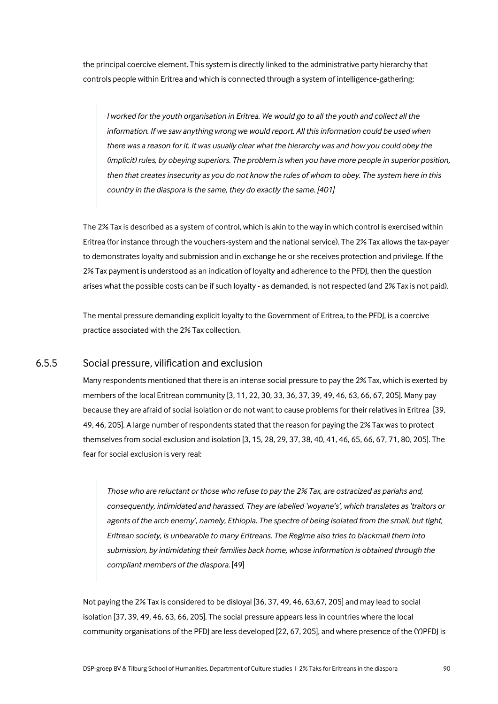the principal coercive element. This system is directly linked to the administrative party hierarchy that controls people within Eritrea and which is connected through a system of intelligence-gathering:

*I* worked for the youth organisation in Eritrea. We would go to all the youth and collect all the information. If we saw anything wrong we would report. All this information could be used when *there was a reason for it. It was usually clear what the hierarchy was and how you could obey the (implicit) rules, by obeying superiors. The problem is when you have more people in superior position, then that creates insecurity as you do not know the rules of whom to obey. The system here in this country in the diaspora is the same, they do exactly the same. [401]* 

The 2% Tax is described as a system of control, which is akin to the way in which control is exercised within Eritrea (for instance through the vouchers-system and the national service). The 2% Tax allows the tax-payer to demonstrates loyalty and submission and in exchange he or she receives protection and privilege. If the 2% Tax payment is understood as an indication of loyalty and adherence to the PFDJ, then the question arises what the possible costs can be if such loyalty - as demanded, is not respected (and 2% Tax is not paid).

The mental pressure demanding explicit loyalty to the Government of Eritrea, to the PFDJ, is a coercive practice associated with the 2% Tax collection.

#### 6.5.5 Social pressure, vilification and exclusion

Many respondents mentioned that there is an intense social pressure to pay the 2% Tax, which is exerted by members of the local Eritrean community [3, 11, 22, 30, 33, 36, 37, 39, 49, 46, 63, 66, 67, 205]. Many pay because they are afraid of social isolation or do not want to cause problems for their relatives in Eritrea [39, 49, 46, 205]. A large number of respondents stated that the reason for paying the 2% Tax was to protect themselves from social exclusion and isolation [3, 15, 28, 29, 37, 38, 40, 41, 46, 65, 66, 67, 71, 80, 205]. The fear for social exclusion is very real:

*Those who are reluctant or those who refuse to pay the 2% Tax, are ostracized as pariahs and, consequently, intimidated and harassed. They are labelled 'woyane's', which translates as 'traitors or agents of the arch enemy', namely, Ethiopia. The spectre of being isolated from the small, but tight, Eritrean society, is unbearable to many Eritreans. The Regime also tries to blackmail them into submission, by intimidating their families back home, whose information is obtained through the compliant members of the diaspora.* [49]

Not paying the 2% Tax is considered to be disloyal [36, 37, 49, 46, 63,67, 205] and may lead to social isolation [37, 39, 49, 46, 63, 66, 205]. The social pressure appears less in countries where the local community organisations of the PFDJ are less developed [22, 67, 205], and where presence of the (Y)PFDJ is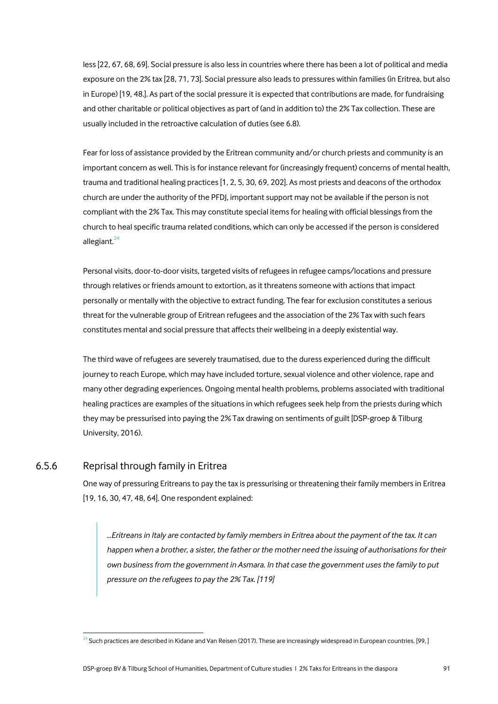less [22, 67, 68, 69]. Social pressure is also less in countries where there has been a lot of political and media exposure on the 2% tax [28, 71, 73]. Social pressure also leads to pressures within families (in Eritrea, but also in Europe) [19, 48.]. As part of the social pressure it is expected that contributions are made, for fundraising and other charitable or political objectives as part of (and in addition to) the 2% Tax collection. These are usually included in the retroactive calculation of duties (see 6.8).

Fear for loss of assistance provided by the Eritrean community and/or church priests and community is an important concern as well. This is for instance relevant for (increasingly frequent) concerns of mental health, trauma and traditional healing practices [1, 2, 5, 30, 69, 202]. As most priests and deacons of the orthodox church are under the authority of the PFDJ, important support may not be available if the person is not compliant with the 2% Tax. This may constitute special items for healing with official blessings from the church to heal specific trauma related conditions, which can only be accessed if the person is considered allegiant. $^{24}$ 

Personal visits, door-to-door visits, targeted visits of refugees in refugee camps/locations and pressure through relatives or friends amount to extortion, as it threatens someone with actions that impact personally or mentally with the objective to extract funding. The fear for exclusion constitutes a serious threat for the vulnerable group of Eritrean refugees and the association of the 2% Tax with such fears constitutes mental and social pressure that affects their wellbeing in a deeply existential way.

The third wave of refugees are severely traumatised, due to the duress experienced during the difficult journey to reach Europe, which may have included torture, sexual violence and other violence, rape and many other degrading experiences. Ongoing mental health problems, problems associated with traditional healing practices are examples of the situations in which refugees seek help from the priests during which they may be pressurised into paying the 2% Tax drawing on sentiments of guilt [DSP-groep & Tilburg University, 2016).

#### 6.5.6 Reprisal through family in Eritrea

 $\overline{a}$ 

One way of pressuring Eritreans to pay the tax is pressurising or threatening their family members in Eritrea [19, 16, 30, 47, 48, 64]. One respondent explained:

*…Eritreans in Italy are contacted by family members in Eritrea about the payment of the tax. It can happen when a brother, a sister, the father or the mother need the issuing of authorisations for their own business from the government in Asmara. In that case the government uses the family to put pressure on the refugees to pay the 2% Tax. [119]* 

 $^1$  Such practices are described in Kidane and Van Reisen (2017). These are increasingly widespread in European countries. [99,]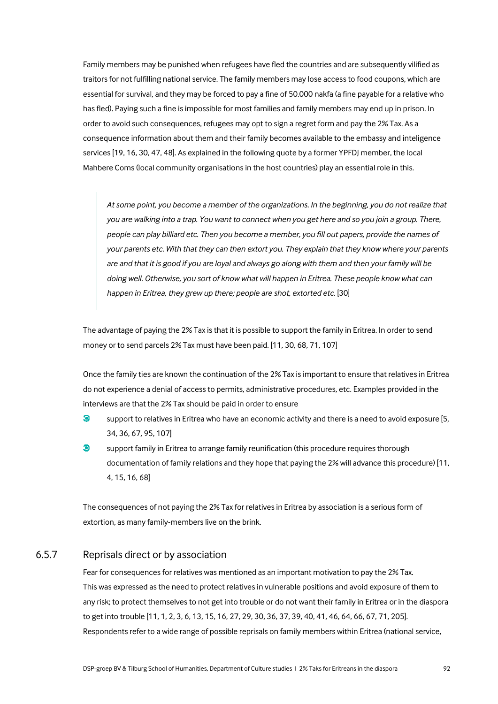Family members may be punished when refugees have fled the countries and are subsequently vilified as traitors for not fulfilling national service. The family members may lose access to food coupons, which are essential for survival, and they may be forced to pay a fine of 50.000 nakfa (a fine payable for a relative who has fled). Paying such a fine is impossible for most families and family members may end up in prison. In order to avoid such consequences, refugees may opt to sign a regret form and pay the 2% Tax. As a consequence information about them and their family becomes available to the embassy and inteligence services [19, 16, 30, 47, 48]. As explained in the following quote by a former YPFDJ member, the local Mahbere Coms (local community organisations in the host countries) play an essential role in this.

*At some point, you become a member of the organizations. In the beginning, you do not realize that you are walking into a trap. You want to connect when you get here and so you join a group. There, people can play billiard etc. Then you become a member, you fill out papers, provide the names of your parents etc. With that they can then extort you. They explain that they know where your parents are and that it is good if you are loyal and always go along with them and then your family will be doing well. Otherwise, you sort of know what will happen in Eritrea. These people know what can happen in Eritrea, they grew up there; people are shot, extorted etc.* [30]

The advantage of paying the 2% Tax is that it is possible to support the family in Eritrea. In order to send money or to send parcels 2% Tax must have been paid. [11, 30, 68, 71, 107]

Once the family ties are known the continuation of the 2% Tax is important to ensure that relatives in Eritrea do not experience a denial of access to permits, administrative procedures, etc. Examples provided in the interviews are that the 2% Tax should be paid in order to ensure

- Э support to relatives in Eritrea who have an economic activity and there is a need to avoid exposure [5, 34, 36, 67, 95, 107]
- Э support family in Eritrea to arrange family reunification (this procedure requires thorough documentation of family relations and they hope that paying the 2% will advance this procedure) [11, 4, 15, 16, 68]

The consequences of not paying the 2% Tax for relatives in Eritrea by association is a serious form of extortion, as many family-members live on the brink.

### 6.5.7 Reprisals direct or by association

Fear for consequences for relatives was mentioned as an important motivation to pay the 2% Tax. This was expressed as the need to protect relatives in vulnerable positions and avoid exposure of them to any risk; to protect themselves to not get into trouble or do not want their family in Eritrea or in the diaspora to get into trouble [11, 1, 2, 3, 6, 13, 15, 16, 27, 29, 30, 36, 37, 39, 40, 41, 46, 64, 66, 67, 71, 205]. Respondents refer to a wide range of possible reprisals on family members within Eritrea (national service,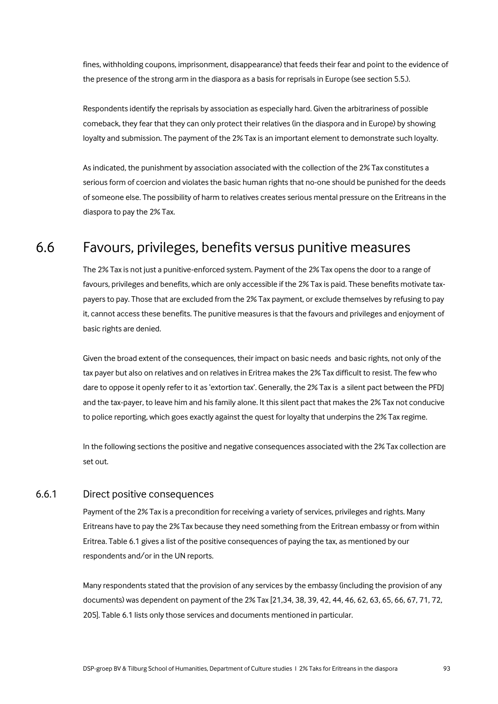fines, withholding coupons, imprisonment, disappearance) that feeds their fear and point to the evidence of the presence of the strong arm in the diaspora as a basis for reprisals in Europe (see section 5.5.).

Respondents identify the reprisals by association as especially hard. Given the arbitrariness of possible comeback, they fear that they can only protect their relatives (in the diaspora and in Europe) by showing loyalty and submission. The payment of the 2% Tax is an important element to demonstrate such loyalty.

As indicated, the punishment by association associated with the collection of the 2% Tax constitutes a serious form of coercion and violates the basic human rights that no-one should be punished for the deeds of someone else. The possibility of harm to relatives creates serious mental pressure on the Eritreans in the diaspora to pay the 2% Tax.

### 6.6 Favours, privileges, benefits versus punitive measures

The 2% Tax is not just a punitive-enforced system. Payment of the 2% Tax opens the door to a range of favours, privileges and benefits, which are only accessible if the 2% Tax is paid. These benefits motivate taxpayers to pay. Those that are excluded from the 2% Tax payment, or exclude themselves by refusing to pay it, cannot access these benefits. The punitive measures is that the favours and privileges and enjoyment of basic rights are denied.

Given the broad extent of the consequences, their impact on basic needs and basic rights, not only of the tax payer but also on relatives and on relatives in Eritrea makes the 2% Tax difficult to resist. The few who dare to oppose it openly refer to it as 'extortion tax'. Generally, the 2% Tax is a silent pact between the PFDJ and the tax-payer, to leave him and his family alone. It this silent pact that makes the 2% Tax not conducive to police reporting, which goes exactly against the quest for loyalty that underpins the 2% Tax regime.

In the following sections the positive and negative consequences associated with the 2% Tax collection are set out.

#### 6.6.1 Direct positive consequences

Payment of the 2% Tax is a precondition for receiving a variety of services, privileges and rights. Many Eritreans have to pay the 2% Tax because they need something from the Eritrean embassy or from within Eritrea. Table 6.1 gives a list of the positive consequences of paying the tax, as mentioned by our respondents and/or in the UN reports.

Many respondents stated that the provision of any services by the embassy (including the provision of any documents) was dependent on payment of the 2% Tax [21,34, 38, 39, 42, 44, 46, 62, 63, 65, 66, 67, 71, 72, 205]. Table 6.1 lists only those services and documents mentioned in particular.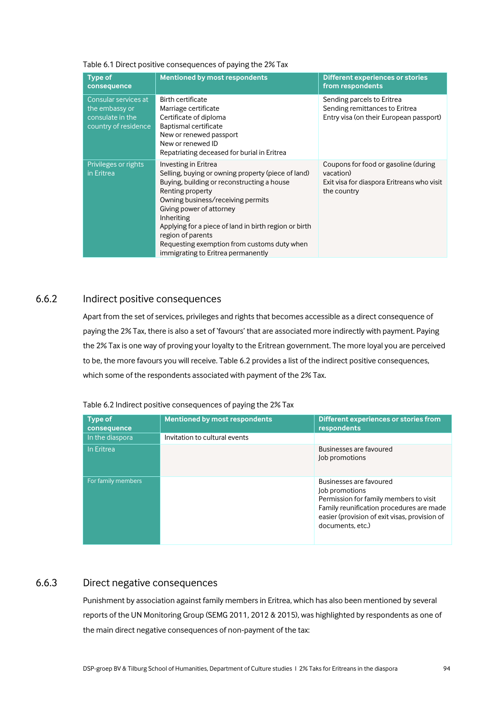| Table 6.1 Direct positive consequences of paying the 2% Tax |  |
|-------------------------------------------------------------|--|
|                                                             |  |

| <b>Type of</b><br>consequence                                                      | <b>Mentioned by most respondents</b>                                                                                                                                                                                                                                                                                                                                                           | <b>Different experiences or stories</b><br>from respondents                                                    |
|------------------------------------------------------------------------------------|------------------------------------------------------------------------------------------------------------------------------------------------------------------------------------------------------------------------------------------------------------------------------------------------------------------------------------------------------------------------------------------------|----------------------------------------------------------------------------------------------------------------|
| Consular services at<br>the embassy or<br>consulate in the<br>country of residence | Birth certificate<br>Marriage certificate<br>Certificate of diploma<br>Baptismal certificate<br>New or renewed passport<br>New or renewed ID<br>Repatriating deceased for burial in Eritrea                                                                                                                                                                                                    | Sending parcels to Eritrea<br>Sending remittances to Eritrea<br>Entry visa (on their European passport)        |
| Privileges or rights<br>in Eritrea                                                 | Investing in Eritrea<br>Selling, buying or owning property (piece of land)<br>Buying, building or reconstructing a house<br>Renting property<br>Owning business/receiving permits<br>Giving power of attorney<br>Inheriting<br>Applying for a piece of land in birth region or birth<br>region of parents<br>Requesting exemption from customs duty when<br>immigrating to Eritrea permanently | Coupons for food or gasoline (during<br>vacation)<br>Exit visa for diaspora Eritreans who visit<br>the country |

### 6.6.2 Indirect positive consequences

Apart from the set of services, privileges and rights that becomes accessible as a direct consequence of paying the 2% Tax, there is also a set of 'favours' that are associated more indirectly with payment. Paying the 2% Tax is one way of proving your loyalty to the Eritrean government. The more loyal you are perceived to be, the more favours you will receive. Table 6.2 provides a list of the indirect positive consequences, which some of the respondents associated with payment of the 2% Tax.

#### Table 6.2 Indirect positive consequences of paying the 2% Tax

| <b>Type of</b><br>consequence | <b>Mentioned by most respondents</b> | Different experiences or stories from<br>respondents                                                                                                                                                 |
|-------------------------------|--------------------------------------|------------------------------------------------------------------------------------------------------------------------------------------------------------------------------------------------------|
| In the diaspora               | Invitation to cultural events        |                                                                                                                                                                                                      |
| In Eritrea                    |                                      | Businesses are favoured<br>Job promotions                                                                                                                                                            |
| For family members            |                                      | Businesses are favoured<br>Job promotions<br>Permission for family members to visit<br>Family reunification procedures are made<br>easier (provision of exit visas, provision of<br>documents, etc.) |

### 6.6.3 Direct negative consequences

Punishment by association against family members in Eritrea, which has also been mentioned by several reports of the UN Monitoring Group (SEMG 2011, 2012 & 2015), was highlighted by respondents as one of the main direct negative consequences of non-payment of the tax: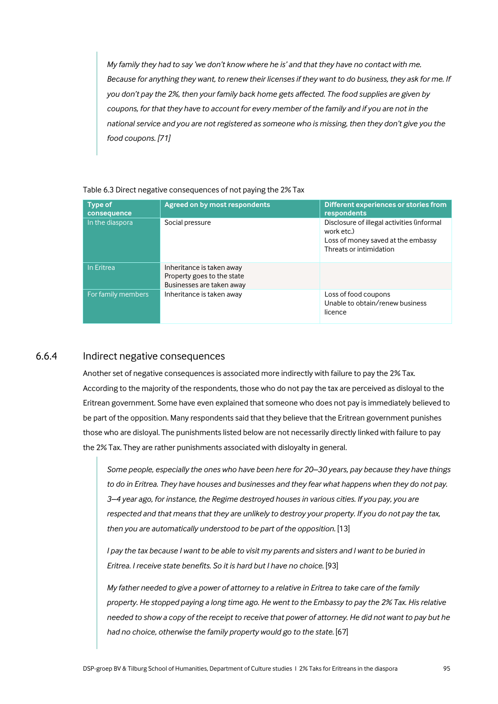*My family they had to say 'we don't know where he is' and that they have no contact with me. Because for anything they want, to renew their licenses if they want to do business, they ask for me. If you don't pay the 2%, then your family back home gets affected. The food supplies are given by coupons, for that they have to account for every member of the family and if you are not in the national service and you are not registered as someone who is missing, then they don't give you the food coupons. [71]* 

| <b>Type of</b><br>consequence | Agreed on by most respondents                                                        | Different experiences or stories from<br>respondents                                                                      |
|-------------------------------|--------------------------------------------------------------------------------------|---------------------------------------------------------------------------------------------------------------------------|
| In the diaspora               | Social pressure                                                                      | Disclosure of illegal activities (informal<br>work etc.)<br>Loss of money saved at the embassy<br>Threats or intimidation |
| In Eritrea                    | Inheritance is taken away<br>Property goes to the state<br>Businesses are taken away |                                                                                                                           |
| For family members            | Inheritance is taken away                                                            | Loss of food coupons<br>Unable to obtain/renew business<br>licence                                                        |

#### Table 6.3 Direct negative consequences of not paying the 2% Tax

#### 6.6.4 Indirect negative consequences

Another set of negative consequences is associated more indirectly with failure to pay the 2% Tax. According to the majority of the respondents, those who do not pay the tax are perceived as disloyal to the Eritrean government. Some have even explained that someone who does not pay is immediately believed to be part of the opposition. Many respondents said that they believe that the Eritrean government punishes those who are disloyal. The punishments listed below are not necessarily directly linked with failure to pay the 2% Tax. They are rather punishments associated with disloyalty in general.

*Some people, especially the ones who have been here for 20–30 years, pay because they have things to do in Eritrea. They have houses and businesses and they fear what happens when they do not pay. 3–4 year ago, for instance, the Regime destroyed houses in various cities. If you pay, you are respected and that means that they are unlikely to destroy your property. If you do not pay the tax, then you are automatically understood to be part of the opposition.* [13]

*I pay the tax because I want to be able to visit my parents and sisters and I want to be buried in Eritrea. I receive state benefits. So it is hard but I have no choice.* [93]

*My father needed to give a power of attorney to a relative in Eritrea to take care of the family property. He stopped paying a long time ago. He went to the Embassy to pay the 2% Tax. His relative needed to show a copy of the receipt to receive that power of attorney. He did not want to pay but he*  had no choice, otherwise the family property would go to the state. [67]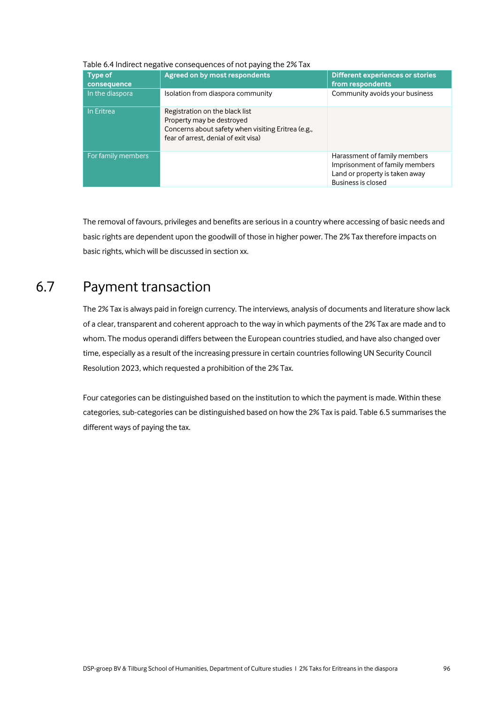| Table 6.4 Indirect negative consequences of not paying the 2% Tax |  |
|-------------------------------------------------------------------|--|
|                                                                   |  |

| <b>Type of</b><br>consequence | Agreed on by most respondents                                                                                                                             | <b>Different experiences or stories</b><br>from respondents                                                            |
|-------------------------------|-----------------------------------------------------------------------------------------------------------------------------------------------------------|------------------------------------------------------------------------------------------------------------------------|
| In the diaspora               | Isolation from diaspora community                                                                                                                         | Community avoids your business                                                                                         |
| In Eritrea                    | Registration on the black list<br>Property may be destroyed<br>Concerns about safety when visiting Eritrea (e.g.,<br>fear of arrest, denial of exit visa) |                                                                                                                        |
| For family members            |                                                                                                                                                           | Harassment of family members<br>Imprisonment of family members<br>Land or property is taken away<br>Business is closed |

The removal of favours, privileges and benefits are serious in a country where accessing of basic needs and basic rights are dependent upon the goodwill of those in higher power. The 2% Tax therefore impacts on basic rights, which will be discussed in section xx.

# 6.7 Payment transaction

The 2% Tax is always paid in foreign currency. The interviews, analysis of documents and literature show lack of a clear, transparent and coherent approach to the way in which payments of the 2% Tax are made and to whom. The modus operandi differs between the European countries studied, and have also changed over time, especially as a result of the increasing pressure in certain countries following UN Security Council Resolution 2023, which requested a prohibition of the 2% Tax.

Four categories can be distinguished based on the institution to which the payment is made. Within these categories, sub-categories can be distinguished based on how the 2% Tax is paid. Table 6.5 summarises the different ways of paying the tax.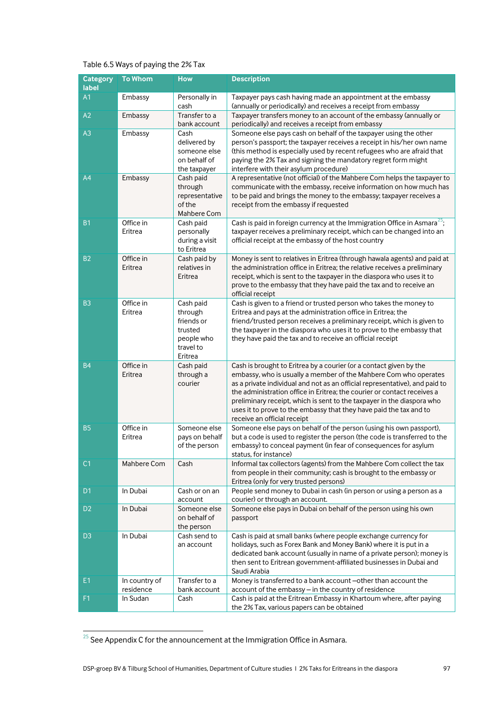#### Table 6.5 Ways of paying the 2% Tax

| <b>Category</b><br>label | <b>To Whom</b>             | <b>How</b>                                                                          | <b>Description</b>                                                                                                                                                                                                                                                                                                                                                                                                                                                              |
|--------------------------|----------------------------|-------------------------------------------------------------------------------------|---------------------------------------------------------------------------------------------------------------------------------------------------------------------------------------------------------------------------------------------------------------------------------------------------------------------------------------------------------------------------------------------------------------------------------------------------------------------------------|
| A <sub>1</sub>           | Embassy                    | Personally in<br>cash                                                               | Taxpayer pays cash having made an appointment at the embassy<br>(annually or periodically) and receives a receipt from embassy                                                                                                                                                                                                                                                                                                                                                  |
| A2                       | Embassy                    | Transfer to a<br>bank account                                                       | Taxpayer transfers money to an account of the embassy (annually or<br>periodically) and receives a receipt from embassy                                                                                                                                                                                                                                                                                                                                                         |
| A <sub>3</sub>           | Embassy                    | Cash<br>delivered by<br>someone else<br>on behalf of<br>the taxpayer                | Someone else pays cash on behalf of the taxpayer using the other<br>person's passport; the taxpayer receives a receipt in his/her own name<br>(this method is especially used by recent refugees who are afraid that<br>paying the 2% Tax and signing the mandatory regret form might<br>interfere with their asylum procedure)                                                                                                                                                 |
| A4                       | Embassy                    | Cash paid<br>through<br>representative<br>of the<br>Mahbere Com                     | A representative (not official) of the Mahbere Com helps the taxpayer to<br>communicate with the embassy, receive information on how much has<br>to be paid and brings the money to the embassy; taxpayer receives a<br>receipt from the embassy if requested                                                                                                                                                                                                                   |
| <b>B1</b>                | Office in<br>Eritrea       | Cash paid<br>personally<br>during a visit<br>to Eritrea                             | Cash is paid in foreign currency at the Immigration Office in Asmara <sup>25</sup> ;<br>taxpayer receives a preliminary receipt, which can be changed into an<br>official receipt at the embassy of the host country                                                                                                                                                                                                                                                            |
| <b>B2</b>                | Office in<br>Eritrea       | Cash paid by<br>relatives in<br>Eritrea                                             | Money is sent to relatives in Eritrea (through hawala agents) and paid at<br>the administration office in Eritrea; the relative receives a preliminary<br>receipt, which is sent to the taxpayer in the diaspora who uses it to<br>prove to the embassy that they have paid the tax and to receive an<br>official receipt                                                                                                                                                       |
| <b>B3</b>                | Office in<br>Eritrea       | Cash paid<br>through<br>friends or<br>trusted<br>people who<br>travel to<br>Eritrea | Cash is given to a friend or trusted person who takes the money to<br>Eritrea and pays at the administration office in Eritrea; the<br>friend/trusted person receives a preliminary receipt, which is given to<br>the taxpayer in the diaspora who uses it to prove to the embassy that<br>they have paid the tax and to receive an official receipt                                                                                                                            |
| <b>B4</b>                | Office in<br>Eritrea       | Cash paid<br>through a<br>courier                                                   | Cash is brought to Eritrea by a courier (or a contact given by the<br>embassy, who is usually a member of the Mahbere Com who operates<br>as a private individual and not as an official representative), and paid to<br>the administration office in Eritrea; the courier or contact receives a<br>preliminary receipt, which is sent to the taxpayer in the diaspora who<br>uses it to prove to the embassy that they have paid the tax and to<br>receive an official receipt |
| <b>B5</b>                | Office in<br>Eritrea       | Someone else<br>pays on behalf<br>of the person                                     | Someone else pays on behalf of the person (using his own passport),<br>but a code is used to register the person (the code is transferred to the<br>embassy) to conceal payment (in fear of consequences for asylum<br>status, for instance)                                                                                                                                                                                                                                    |
| C <sub>1</sub>           | Mahbere Com                | Cash                                                                                | Informal tax collectors (agents) from the Mahbere Com collect the tax<br>from people in their community; cash is brought to the embassy or<br>Eritrea (only for very trusted persons)                                                                                                                                                                                                                                                                                           |
| D <sub>1</sub>           | In Dubai                   | Cash or on an<br>account                                                            | People send money to Dubai in cash (in person or using a person as a<br>courier) or through an account.                                                                                                                                                                                                                                                                                                                                                                         |
| D <sub>2</sub>           | In Dubai                   | Someone else<br>on behalf of<br>the person                                          | Someone else pays in Dubai on behalf of the person using his own<br>passport                                                                                                                                                                                                                                                                                                                                                                                                    |
| D <sub>3</sub>           | In Dubai                   | Cash send to<br>an account                                                          | Cash is paid at small banks (where people exchange currency for<br>holidays, such as Forex Bank and Money Bank) where it is put in a<br>dedicated bank account (usually in name of a private person); money is<br>then sent to Eritrean government-affiliated businesses in Dubai and<br>Saudi Arabia                                                                                                                                                                           |
| E1                       | In country of<br>residence | Transfer to a<br>bank account                                                       | Money is transferred to a bank account -other than account the<br>account of the embassy - in the country of residence                                                                                                                                                                                                                                                                                                                                                          |
| F <sub>1</sub>           | In Sudan                   | Cash                                                                                | Cash is paid at the Eritrean Embassy in Khartoum where, after paying<br>the 2% Tax, various papers can be obtained                                                                                                                                                                                                                                                                                                                                                              |

 $\frac{25}{25}$  See Appendix C for the announcement at the Immigration Office in Asmara.

 $\overline{a}$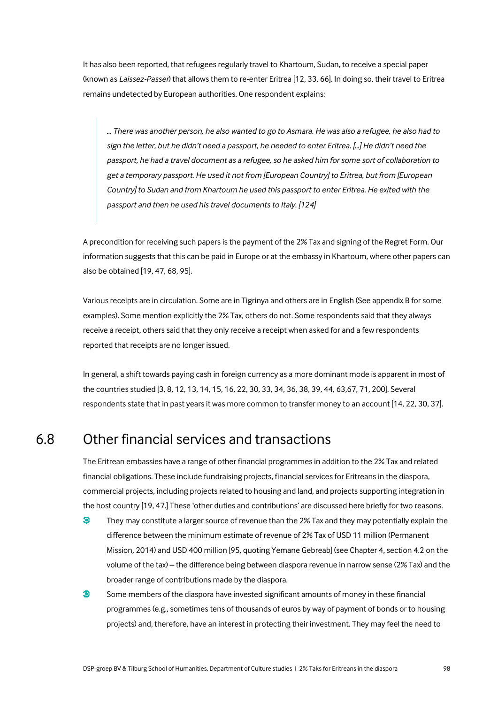It has also been reported, that refugees regularly travel to Khartoum, Sudan, to receive a special paper (known as *Laissez-Passer*) that allows them to re-enter Eritrea [12, 33, 66]. In doing so, their travel to Eritrea remains undetected by European authorities. One respondent explains:

*… There was another person, he also wanted to go to Asmara. He was also a refugee, he also had to sign the letter, but he didn't need a passport, he needed to enter Eritrea. […] He didn't need the passport, he had a travel document as a refugee, so he asked him for some sort of collaboration to get a temporary passport. He used it not from [European Country] to Eritrea, but from [European Country] to Sudan and from Khartoum he used this passport to enter Eritrea. He exited with the passport and then he used his travel documents to Italy. [124]* 

A precondition for receiving such papers is the payment of the 2% Tax and signing of the Regret Form. Our information suggests that this can be paid in Europe or at the embassy in Khartoum, where other papers can also be obtained [19, 47, 68, 95].

Various receipts are in circulation. Some are in Tigrinya and others are in English (See appendix B for some examples). Some mention explicitly the 2% Tax, others do not. Some respondents said that they always receive a receipt, others said that they only receive a receipt when asked for and a few respondents reported that receipts are no longer issued.

In general, a shift towards paying cash in foreign currency as a more dominant mode is apparent in most of the countries studied [3, 8, 12, 13, 14, 15, 16, 22, 30, 33, 34, 36, 38, 39, 44, 63,67, 71, 200]. Several respondents state that in past years it was more common to transfer money to an account [14, 22, 30, 37].

# 6.8 Other financial services and transactions

The Eritrean embassies have a range of other financial programmes in addition to the 2% Tax and related financial obligations. These include fundraising projects, financial services for Eritreans in the diaspora, commercial projects, including projects related to housing and land, and projects supporting integration in the host country [19, 47.] These 'other duties and contributions' are discussed here briefly for two reasons.

- G They may constitute a larger source of revenue than the 2% Tax and they may potentially explain the difference between the minimum estimate of revenue of 2% Tax of USD 11 million (Permanent Mission, 2014) and USD 400 million [95, quoting Yemane Gebreab] (see Chapter 4, section 4.2 on the volume of the tax) – the difference being between diaspora revenue in narrow sense (2% Tax) and the broader range of contributions made by the diaspora.
- $\bullet$ Some members of the diaspora have invested significant amounts of money in these financial programmes (e.g., sometimes tens of thousands of euros by way of payment of bonds or to housing projects) and, therefore, have an interest in protecting their investment. They may feel the need to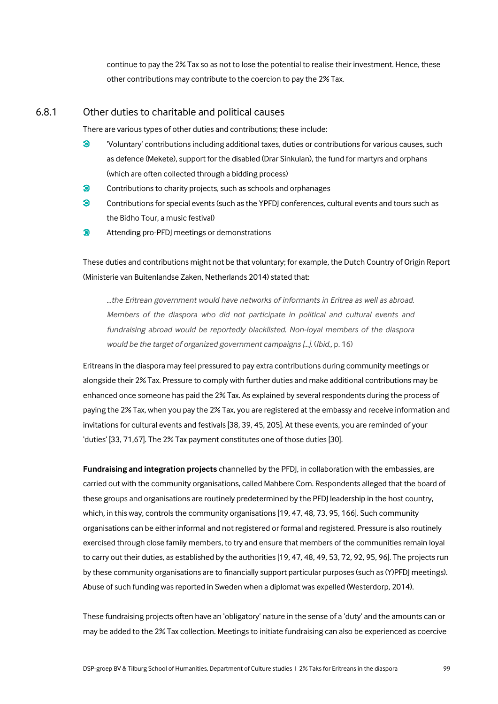continue to pay the 2% Tax so as not to lose the potential to realise their investment. Hence, these other contributions may contribute to the coercion to pay the 2% Tax.

#### 6.8.1 Other duties to charitable and political causes

There are various types of other duties and contributions; these include:

- බ 'Voluntary' contributions including additional taxes, duties or contributions for various causes, such as defence (Mekete), support for the disabled (Drar Sinkulan), the fund for martyrs and orphans (which are often collected through a bidding process)
- മ Contributions to charity projects, such as schools and orphanages
- G Contributions for special events (such as the YPFDJ conferences, cultural events and tours such as the Bidho Tour, a music festival)
- $\bullet$ Attending pro-PFDJ meetings or demonstrations

These duties and contributions might not be that voluntary; for example, the Dutch Country of Origin Report (Ministerie van Buitenlandse Zaken, Netherlands 2014) stated that:

*…the Eritrean government would have networks of informants in Eritrea as well as abroad. Members of the diaspora who did not participate in political and cultural events and fundraising abroad would be reportedly blacklisted. Non-loyal members of the diaspora would be the target of organized government campaigns […].* (*Ibid*., p. 16)

Eritreans in the diaspora may feel pressured to pay extra contributions during community meetings or alongside their 2% Tax. Pressure to comply with further duties and make additional contributions may be enhanced once someone has paid the 2% Tax. As explained by several respondents during the process of paying the 2% Tax, when you pay the 2% Tax, you are registered at the embassy and receive information and invitations for cultural events and festivals [38, 39, 45, 205]. At these events, you are reminded of your 'duties' [33, 71,67]. The 2% Tax payment constitutes one of those duties [30].

**Fundraising and integration projects** channelled by the PFDJ, in collaboration with the embassies, are carried out with the community organisations, called Mahbere Com. Respondents alleged that the board of these groups and organisations are routinely predetermined by the PFDJ leadership in the host country, which, in this way, controls the community organisations [19, 47, 48, 73, 95, 166]. Such community organisations can be either informal and not registered or formal and registered. Pressure is also routinely exercised through close family members, to try and ensure that members of the communities remain loyal to carry out their duties, as established by the authorities [19, 47, 48, 49, 53, 72, 92, 95, 96]. The projects run by these community organisations are to financially support particular purposes (such as (Y)PFDJ meetings). Abuse of such funding was reported in Sweden when a diplomat was expelled (Westerdorp, 2014).

These fundraising projects often have an 'obligatory' nature in the sense of a 'duty' and the amounts can or may be added to the 2% Tax collection. Meetings to initiate fundraising can also be experienced as coercive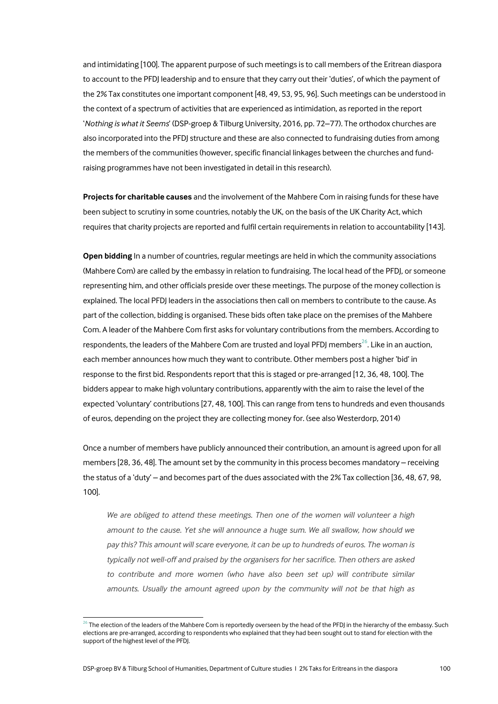and intimidating [100]. The apparent purpose of such meetings is to call members of the Eritrean diaspora to account to the PFDJ leadership and to ensure that they carry out their 'duties', of which the payment of the 2% Tax constitutes one important component [48, 49, 53, 95, 96]. Such meetings can be understood in the context of a spectrum of activities that are experienced as intimidation, as reported in the report '*Nothing is what it Seems*' (DSP-groep & Tilburg University, 2016, pp. 72–77). The orthodox churches are also incorporated into the PFDJ structure and these are also connected to fundraising duties from among the members of the communities (however, specific financial linkages between the churches and fundraising programmes have not been investigated in detail in this research).

**Projects for charitable causes** and the involvement of the Mahbere Com in raising funds for these have been subject to scrutiny in some countries, notably the UK, on the basis of the UK Charity Act, which requires that charity projects are reported and fulfil certain requirements in relation to accountability [143].

**Open bidding** In a number of countries, regular meetings are held in which the community associations (Mahbere Com) are called by the embassy in relation to fundraising. The local head of the PFDJ, or someone representing him, and other officials preside over these meetings. The purpose of the money collection is explained. The local PFDJ leaders in the associations then call on members to contribute to the cause. As part of the collection, bidding is organised. These bids often take place on the premises of the Mahbere Com. A leader of the Mahbere Com first asks for voluntary contributions from the members. According to respondents, the leaders of the Mahbere Com are trusted and loyal PFDJ members<sup>26</sup>. Like in an auction, each member announces how much they want to contribute. Other members post a higher 'bid' in response to the first bid. Respondents report that this is staged or pre-arranged [12, 36, 48, 100]. The bidders appear to make high voluntary contributions, apparently with the aim to raise the level of the expected 'voluntary' contributions [27, 48, 100]. This can range from tens to hundreds and even thousands of euros, depending on the project they are collecting money for. (see also Westerdorp, 2014)

Once a number of members have publicly announced their contribution, an amount is agreed upon for all members [28, 36, 48]. The amount set by the community in this process becomes mandatory – receiving the status of a 'duty' – and becomes part of the dues associated with the 2% Tax collection [36, 48, 67, 98, 100].

*We are obliged to attend these meetings. Then one of the women will volunteer a high amount to the cause. Yet she will announce a huge sum. We all swallow, how should we pay this? This amount will scare everyone, it can be up to hundreds of euros. The woman is typically not well-off and praised by the organisers for her sacrifice. Then others are asked to contribute and more women (who have also been set up) will contribute similar amounts. Usually the amount agreed upon by the community will not be that high as* 

 $\overline{a}$ 

The election of the leaders of the Mahbere Com is reportedly overseen by the head of the PFDJ in the hierarchy of the embassy. Such elections are pre-arranged, according to respondents who explained that they had been sought out to stand for election with the support of the highest level of the PFDJ.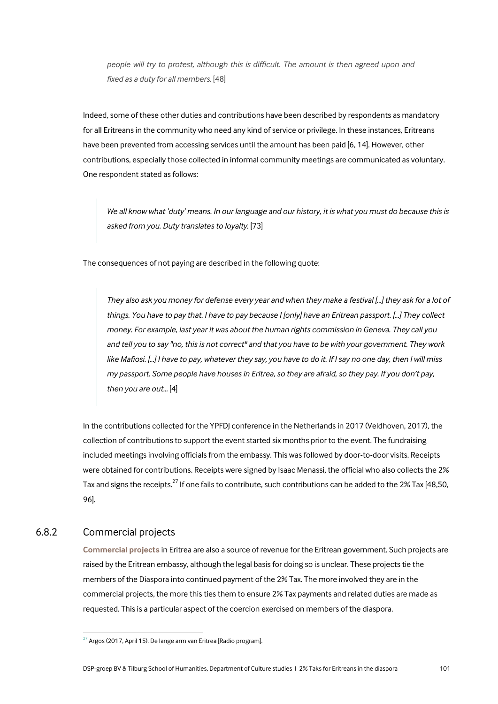*people will try to protest, although this is difficult. The amount is then agreed upon and fixed as a duty for all members.* [48]

Indeed, some of these other duties and contributions have been described by respondents as mandatory for all Eritreans in the community who need any kind of service or privilege. In these instances, Eritreans have been prevented from accessing services until the amount has been paid [6, 14]. However, other contributions, especially those collected in informal community meetings are communicated as voluntary. One respondent stated as follows:

We all know what 'duty' means. In our language and our history, it is what you must do because this is *asked from you. Duty translates to loyalty.* [73]

The consequences of not paying are described in the following quote:

*They also ask you money for defense every year and when they make a festival […] they ask for a lot of things. You have to pay that. I have to pay because I [only] have an Eritrean passport. […] They collect money. For example, last year it was about the human rights commission in Geneva. They call you and tell you to say "no, this is not correct" and that you have to be with your government. They work like Mafiosi. […] I have to pay, whatever they say, you have to do it. If I say no one day, then I will miss my passport. Some people have houses in Eritrea, so they are afraid, so they pay. If you don't pay, then you are out…* [4]

In the contributions collected for the YPFDJ conference in the Netherlands in 2017 (Veldhoven, 2017), the collection of contributions to support the event started six months prior to the event. The fundraising included meetings involving officials from the embassy. This was followed by door-to-door visits. Receipts were obtained for contributions. Receipts were signed by Isaac Menassi, the official who also collects the 2% Tax and signs the receipts.<sup>27</sup> If one fails to contribute, such contributions can be added to the 2% Tax [48,50, 96].

### 6.8.2 Commercial projects

 $\overline{a}$ 

**Commercial projects** in Eritrea are also a source of revenue for the Eritrean government. Such projects are raised by the Eritrean embassy, although the legal basis for doing so is unclear. These projects tie the members of the Diaspora into continued payment of the 2% Tax. The more involved they are in the commercial projects, the more this ties them to ensure 2% Tax payments and related duties are made as requested. This is a particular aspect of the coercion exercised on members of the diaspora.

 $27$  Argos (2017, April 15). De lange arm van Eritrea [Radio program].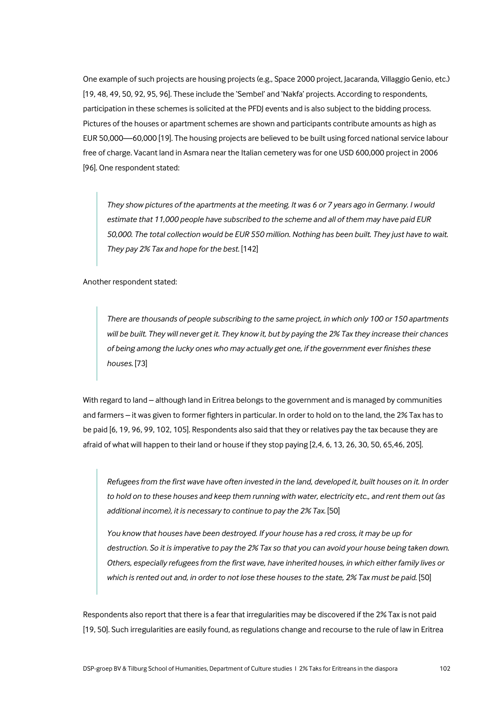One example of such projects are housing projects (e.g., Space 2000 project, Jacaranda, Villaggio Genio, etc.) [19, 48, 49, 50, 92, 95, 96]. These include the 'Sembel' and 'Nakfa' projects. According to respondents, participation in these schemes is solicited at the PFDJ events and is also subject to the bidding process. Pictures of the houses or apartment schemes are shown and participants contribute amounts as high as EUR 50,000—60,000 [19]. The housing projects are believed to be built using forced national service labour free of charge. Vacant land in Asmara near the Italian cemetery was for one USD 600,000 project in 2006 [96]. One respondent stated:

*They show pictures of the apartments at the meeting. It was 6 or 7 years ago in Germany. I would estimate that 11,000 people have subscribed to the scheme and all of them may have paid EUR 50,000. The total collection would be EUR 550 million. Nothing has been built. They just have to wait. They pay 2% Tax and hope for the best.* [142]

Another respondent stated:

*There are thousands of people subscribing to the same project, in which only 100 or 150 apartments will be built. They will never get it. They know it, but by paying the 2% Tax they increase their chances of being among the lucky ones who may actually get one, if the government ever finishes these houses.* [73]

With regard to land – although land in Eritrea belongs to the government and is managed by communities and farmers – it was given to former fighters in particular. In order to hold on to the land, the 2% Tax has to be paid [6, 19, 96, 99, 102, 105]. Respondents also said that they or relatives pay the tax because they are afraid of what will happen to their land or house if they stop paying [2,4, 6, 13, 26, 30, 50, 65,46, 205].

*Refugees from the first wave have often invested in the land, developed it, built houses on it. In order to hold on to these houses and keep them running with water, electricity etc., and rent them out (as additional income), it is necessary to continue to pay the 2% Tax.* [50]

*You know that houses have been destroyed. If your house has a red cross, it may be up for destruction. So it is imperative to pay the 2% Tax so that you can avoid your house being taken down. Others, especially refugees from the first wave, have inherited houses, in which either family lives or which is rented out and, in order to not lose these houses to the state, 2% Tax must be paid.* [50]

Respondents also report that there is a fear that irregularities may be discovered if the 2% Tax is not paid [19, 50]. Such irregularities are easily found, as regulations change and recourse to the rule of law in Eritrea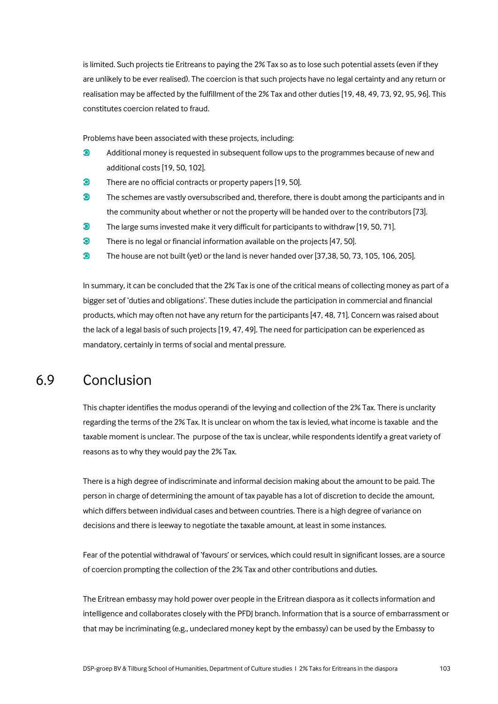is limited. Such projects tie Eritreans to paying the 2% Tax so as to lose such potential assets (even if they are unlikely to be ever realised). The coercion is that such projects have no legal certainty and any return or realisation may be affected by the fulfillment of the 2% Tax and other duties [19, 48, 49, 73, 92, 95, 96]. This constitutes coercion related to fraud.

Problems have been associated with these projects, including:

- Э Additional money is requested in subsequent follow ups to the programmes because of new and additional costs [19, 50, 102].
- Э There are no official contracts or property papers [19, 50].
- $\bullet$ The schemes are vastly oversubscribed and, therefore, there is doubt among the participants and in the community about whether or not the property will be handed over to the contributors [73].
- $\bullet$ The large sums invested make it very difficult for participants to withdraw [19, 50, 71].
- Э There is no legal or financial information available on the projects [47, 50].
- Э The house are not built (yet) or the land is never handed over [37,38, 50, 73, 105, 106, 205].

In summary, it can be concluded that the 2% Tax is one of the critical means of collecting money as part of a bigger set of 'duties and obligations'. These duties include the participation in commercial and financial products, which may often not have any return for the participants [47, 48, 71]. Concern was raised about the lack of a legal basis of such projects [19, 47, 49]. The need for participation can be experienced as mandatory, certainly in terms of social and mental pressure.

### 6.9 Conclusion

This chapter identifies the modus operandi of the levying and collection of the 2% Tax. There is unclarity regarding the terms of the 2% Tax. It is unclear on whom the tax is levied, what income is taxable and the taxable moment is unclear. The purpose of the tax is unclear, while respondents identify a great variety of reasons as to why they would pay the 2% Tax.

There is a high degree of indiscriminate and informal decision making about the amount to be paid. The person in charge of determining the amount of tax payable has a lot of discretion to decide the amount, which differs between individual cases and between countries. There is a high degree of variance on decisions and there is leeway to negotiate the taxable amount, at least in some instances.

Fear of the potential withdrawal of 'favours' or services, which could result in significant losses, are a source of coercion prompting the collection of the 2% Tax and other contributions and duties.

The Eritrean embassy may hold power over people in the Eritrean diaspora as it collects information and intelligence and collaborates closely with the PFDJ branch. Information that is a source of embarrassment or that may be incriminating (e.g., undeclared money kept by the embassy) can be used by the Embassy to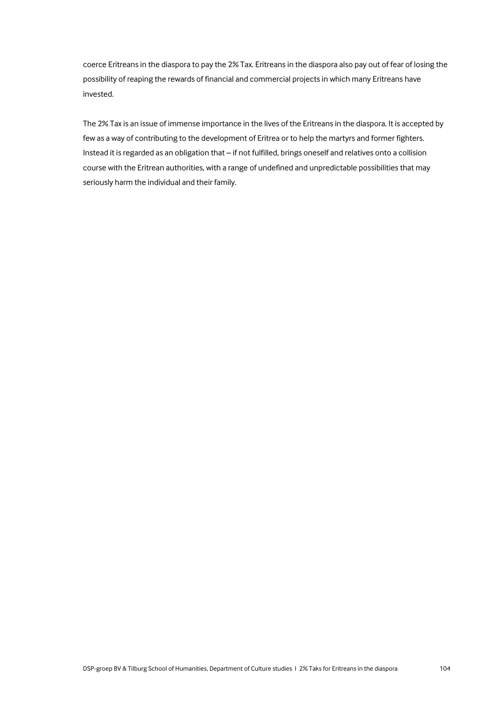coerce Eritreans in the diaspora to pay the 2% Tax. Eritreans in the diaspora also pay out of fear of losing the possibility of reaping the rewards of financial and commercial projects in which many Eritreans have invested.

The 2% Tax is an issue of immense importance in the lives of the Eritreans in the diaspora. It is accepted by few as a way of contributing to the development of Eritrea or to help the martyrs and former fighters. Instead it is regarded as an obligation that – if not fulfilled, brings oneself and relatives onto a collision course with the Eritrean authorities, with a range of undefined and unpredictable possibilities that may seriously harm the individual and their family.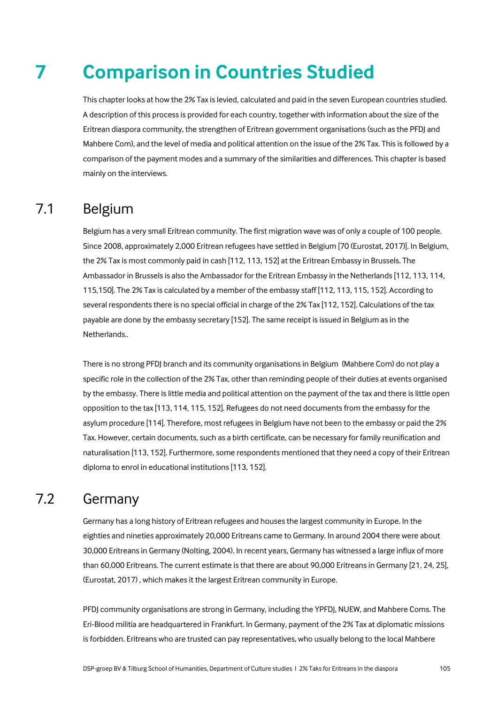# **7 Comparison in Countries Studied**

This chapter looks at how the 2% Tax is levied, calculated and paid in the seven European countries studied. A description of this process is provided for each country, together with information about the size of the Eritrean diaspora community, the strengthen of Eritrean government organisations (such as the PFDJ and Mahbere Com), and the level of media and political attention on the issue of the 2% Tax. This is followed by a comparison of the payment modes and a summary of the similarities and differences. This chapter is based mainly on the interviews.

# 7.1 Belgium

Belgium has a very small Eritrean community. The first migration wave was of only a couple of 100 people. Since 2008, approximately 2,000 Eritrean refugees have settled in Belgium [70 (Eurostat, 2017)]. In Belgium, the 2% Tax is most commonly paid in cash [112, 113, 152] at the Eritrean Embassy in Brussels. The Ambassador in Brussels is also the Ambassador for the Eritrean Embassy in the Netherlands [112, 113, 114, 115,150]. The 2% Tax is calculated by a member of the embassy staff [112, 113, 115, 152]. According to several respondents there is no special official in charge of the 2% Tax [112, 152]. Calculations of the tax payable are done by the embassy secretary [152]. The same receipt is issued in Belgium as in the Netherlands..

There is no strong PFDJ branch and its community organisations in Belgium (Mahbere Com) do not play a specific role in the collection of the 2% Tax, other than reminding people of their duties at events organised by the embassy. There is little media and political attention on the payment of the tax and there is little open opposition to the tax [113, 114, 115, 152]. Refugees do not need documents from the embassy for the asylum procedure [114]. Therefore, most refugees in Belgium have not been to the embassy or paid the 2% Tax. However, certain documents, such as a birth certificate, can be necessary for family reunification and naturalisation [113, 152]. Furthermore, some respondents mentioned that they need a copy of their Eritrean diploma to enrol in educational institutions [113, 152].

# 7.2 Germany

Germany has a long history of Eritrean refugees and houses the largest community in Europe. In the eighties and nineties approximately 20,000 Eritreans came to Germany. In around 2004 there were about 30,000 Eritreans in Germany (Nolting, 2004). In recent years, Germany has witnessed a large influx of more than 60,000 Eritreans. The current estimate is that there are about 90,000 Eritreans in Germany [21, 24, 25], (Eurostat, 2017) , which makes it the largest Eritrean community in Europe.

PFDJ community organisations are strong in Germany, including the YPFDJ, NUEW, and Mahbere Coms. The Eri-Blood militia are headquartered in Frankfurt. In Germany, payment of the 2% Tax at diplomatic missions is forbidden. Eritreans who are trusted can pay representatives, who usually belong to the local Mahbere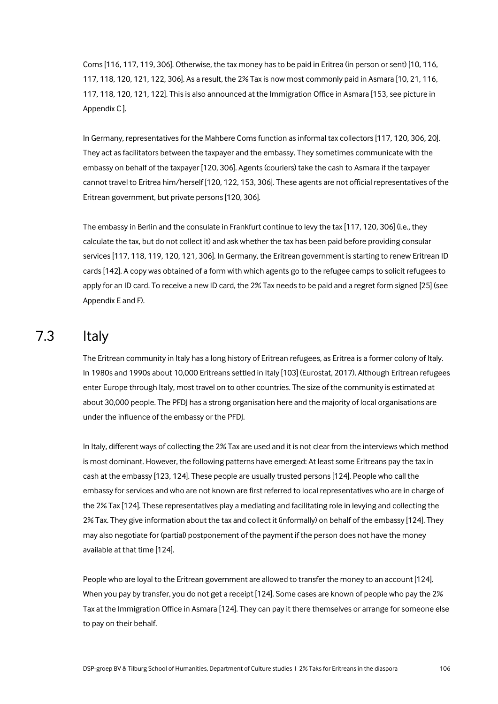Coms [116, 117, 119, 306]. Otherwise, the tax money has to be paid in Eritrea (in person or sent) [10, 116, 117, 118, 120, 121, 122, 306]. As a result, the 2% Tax is now most commonly paid in Asmara [10, 21, 116, 117, 118, 120, 121, 122]. This is also announced at the Immigration Office in Asmara [153, see picture in Appendix C ].

In Germany, representatives for the Mahbere Coms function as informal tax collectors [117, 120, 306, 20]. They act as facilitators between the taxpayer and the embassy. They sometimes communicate with the embassy on behalf of the taxpayer [120, 306]. Agents (couriers) take the cash to Asmara if the taxpayer cannot travel to Eritrea him/herself [120, 122, 153, 306]. These agents are not official representatives of the Eritrean government, but private persons [120, 306].

The embassy in Berlin and the consulate in Frankfurt continue to levy the tax [117, 120, 306] (i.e., they calculate the tax, but do not collect it) and ask whether the tax has been paid before providing consular services [117, 118, 119, 120, 121, 306]. In Germany, the Eritrean government is starting to renew Eritrean ID cards [142]. A copy was obtained of a form with which agents go to the refugee camps to solicit refugees to apply for an ID card. To receive a new ID card, the 2% Tax needs to be paid and a regret form signed [25] (see Appendix E and F).

# 7.3 Italy

The Eritrean community in Italy has a long history of Eritrean refugees, as Eritrea is a former colony of Italy. In 1980s and 1990s about 10,000 Eritreans settled in Italy [103] (Eurostat, 2017). Although Eritrean refugees enter Europe through Italy, most travel on to other countries. The size of the community is estimated at about 30,000 people. The PFDJ has a strong organisation here and the majority of local organisations are under the influence of the embassy or the PFDJ.

In Italy, different ways of collecting the 2% Tax are used and it is not clear from the interviews which method is most dominant. However, the following patterns have emerged: At least some Eritreans pay the tax in cash at the embassy [123, 124]. These people are usually trusted persons [124]. People who call the embassy for services and who are not known are first referred to local representatives who are in charge of the 2% Tax [124]. These representatives play a mediating and facilitating role in levying and collecting the 2% Tax. They give information about the tax and collect it (informally) on behalf of the embassy [124]. They may also negotiate for (partial) postponement of the payment if the person does not have the money available at that time [124].

People who are loyal to the Eritrean government are allowed to transfer the money to an account [124]. When you pay by transfer, you do not get a receipt [124]. Some cases are known of people who pay the 2% Tax at the Immigration Office in Asmara [124]. They can pay it there themselves or arrange for someone else to pay on their behalf.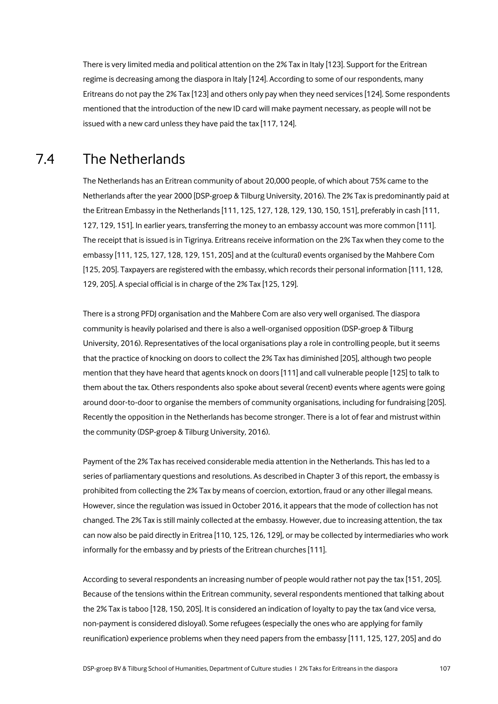There is very limited media and political attention on the 2% Tax in Italy [123]. Support for the Eritrean regime is decreasing among the diaspora in Italy [124]. According to some of our respondents, many Eritreans do not pay the 2% Tax [123] and others only pay when they need services [124]. Some respondents mentioned that the introduction of the new ID card will make payment necessary, as people will not be issued with a new card unless they have paid the tax [117, 124].

# 7.4 The Netherlands

The Netherlands has an Eritrean community of about 20,000 people, of which about 75% came to the Netherlands after the year 2000 [DSP-groep & Tilburg University, 2016). The 2% Tax is predominantly paid at the Eritrean Embassy in the Netherlands [111, 125, 127, 128, 129, 130, 150, 151], preferably in cash [111, 127, 129, 151]. In earlier years, transferring the money to an embassy account was more common [111]. The receipt that is issued is in Tigrinya. Eritreans receive information on the 2% Tax when they come to the embassy [111, 125, 127, 128, 129, 151, 205] and at the (cultural) events organised by the Mahbere Com [125, 205]. Taxpayers are registered with the embassy, which records their personal information [111, 128, 129, 205]. A special official is in charge of the 2% Tax [125, 129].

There is a strong PFDJ organisation and the Mahbere Com are also very well organised. The diaspora community is heavily polarised and there is also a well-organised opposition (DSP-groep & Tilburg University, 2016). Representatives of the local organisations play a role in controlling people, but it seems that the practice of knocking on doors to collect the 2% Tax has diminished [205], although two people mention that they have heard that agents knock on doors [111] and call vulnerable people [125] to talk to them about the tax. Others respondents also spoke about several (recent) events where agents were going around door-to-door to organise the members of community organisations, including for fundraising [205]. Recently the opposition in the Netherlands has become stronger. There is a lot of fear and mistrust within the community (DSP-groep & Tilburg University, 2016).

Payment of the 2% Tax has received considerable media attention in the Netherlands. This has led to a series of parliamentary questions and resolutions. As described in Chapter 3 of this report, the embassy is prohibited from collecting the 2% Tax by means of coercion, extortion, fraud or any other illegal means. However, since the regulation was issued in October 2016, it appears that the mode of collection has not changed. The 2% Tax is still mainly collected at the embassy. However, due to increasing attention, the tax can now also be paid directly in Eritrea [110, 125, 126, 129], or may be collected by intermediaries who work informally for the embassy and by priests of the Eritrean churches [111].

According to several respondents an increasing number of people would rather not pay the tax [151, 205]. Because of the tensions within the Eritrean community, several respondents mentioned that talking about the 2% Tax is taboo [128, 150, 205]. It is considered an indication of loyalty to pay the tax (and vice versa, non-payment is considered disloyal). Some refugees (especially the ones who are applying for family reunification) experience problems when they need papers from the embassy [111, 125, 127, 205] and do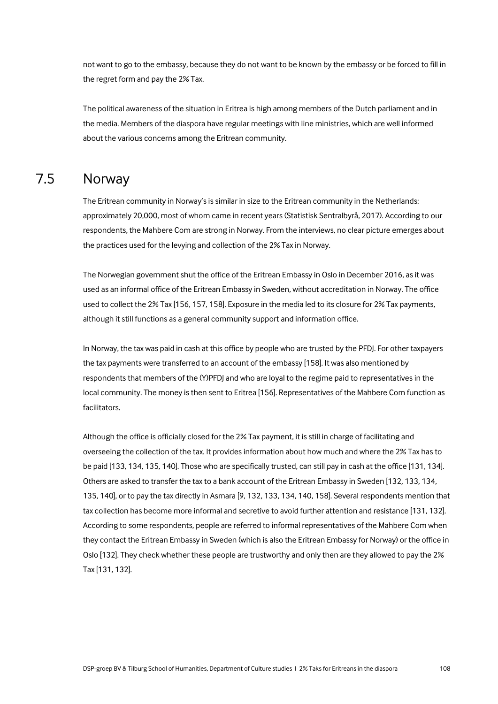not want to go to the embassy, because they do not want to be known by the embassy or be forced to fill in the regret form and pay the 2% Tax.

The political awareness of the situation in Eritrea is high among members of the Dutch parliament and in the media. Members of the diaspora have regular meetings with line ministries, which are well informed about the various concerns among the Eritrean community.

### 7.5 Norway

The Eritrean community in Norway's is similar in size to the Eritrean community in the Netherlands: approximately 20,000, most of whom came in recent years (Statistisk Sentralbyrå, 2017). According to our respondents, the Mahbere Com are strong in Norway. From the interviews, no clear picture emerges about the practices used for the levying and collection of the 2% Tax in Norway.

The Norwegian government shut the office of the Eritrean Embassy in Oslo in December 2016, as it was used as an informal office of the Eritrean Embassy in Sweden, without accreditation in Norway. The office used to collect the 2% Tax [156, 157, 158]. Exposure in the media led to its closure for 2% Tax payments, although it still functions as a general community support and information office.

In Norway, the tax was paid in cash at this office by people who are trusted by the PFDJ. For other taxpayers the tax payments were transferred to an account of the embassy [158]. It was also mentioned by respondents that members of the (Y)PFDJ and who are loyal to the regime paid to representatives in the local community. The money is then sent to Eritrea [156]. Representatives of the Mahbere Com function as facilitators.

Although the office is officially closed for the 2% Tax payment, it is still in charge of facilitating and overseeing the collection of the tax. It provides information about how much and where the 2% Tax has to be paid [133, 134, 135, 140]. Those who are specifically trusted, can still pay in cash at the office [131, 134]. Others are asked to transfer the tax to a bank account of the Eritrean Embassy in Sweden [132, 133, 134, 135, 140], or to pay the tax directly in Asmara [9, 132, 133, 134, 140, 158]. Several respondents mention that tax collection has become more informal and secretive to avoid further attention and resistance [131, 132]. According to some respondents, people are referred to informal representatives of the Mahbere Com when they contact the Eritrean Embassy in Sweden (which is also the Eritrean Embassy for Norway) or the office in Oslo [132]. They check whether these people are trustworthy and only then are they allowed to pay the 2% Tax [131, 132].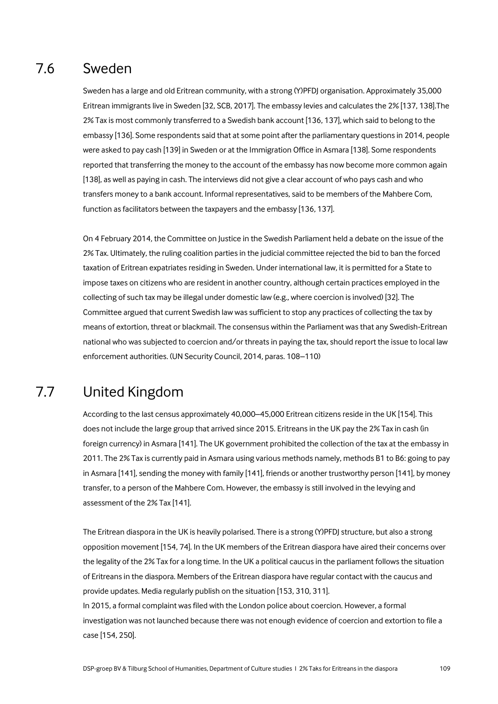### 7.6 Sweden

Sweden has a large and old Eritrean community, with a strong (Y)PFDJ organisation. Approximately 35,000 Eritrean immigrants live in Sweden [32, SCB, 2017]. The embassy levies and calculates the 2% [137, 138].The 2% Tax is most commonly transferred to a Swedish bank account [136, 137], which said to belong to the embassy [136]. Some respondents said that at some point after the parliamentary questions in 2014, people were asked to pay cash [139] in Sweden or at the Immigration Office in Asmara [138]. Some respondents reported that transferring the money to the account of the embassy has now become more common again [138], as well as paying in cash. The interviews did not give a clear account of who pays cash and who transfers money to a bank account. Informal representatives, said to be members of the Mahbere Com, function as facilitators between the taxpayers and the embassy [136, 137].

On 4 February 2014, the Committee on Justice in the Swedish Parliament held a debate on the issue of the 2% Tax. Ultimately, the ruling coalition parties in the judicial committee rejected the bid to ban the forced taxation of Eritrean expatriates residing in Sweden. Under international law, it is permitted for a State to impose taxes on citizens who are resident in another country, although certain practices employed in the collecting of such tax may be illegal under domestic law (e.g., where coercion is involved) [32]. The Committee argued that current Swedish law was sufficient to stop any practices of collecting the tax by means of extortion, threat or blackmail. The consensus within the Parliament was that any Swedish-Eritrean national who was subjected to coercion and/or threats in paying the tax, should report the issue to local law enforcement authorities. (UN Security Council, 2014, paras. 108–110)

### 7.7 United Kingdom

According to the last census approximately 40,000–45,000 Eritrean citizens reside in the UK [154]. This does not include the large group that arrived since 2015. Eritreans in the UK pay the 2% Tax in cash (in foreign currency) in Asmara [141]. The UK government prohibited the collection of the tax at the embassy in 2011. The 2% Tax is currently paid in Asmara using various methods namely, methods B1 to B6: going to pay in Asmara [141], sending the money with family [141], friends or another trustworthy person [141], by money transfer, to a person of the Mahbere Com. However, the embassy is still involved in the levying and assessment of the 2% Tax [141].

The Eritrean diaspora in the UK is heavily polarised. There is a strong (Y)PFDJ structure, but also a strong opposition movement [154, 74]. In the UK members of the Eritrean diaspora have aired their concerns over the legality of the 2% Tax for a long time. In the UK a political caucus in the parliament follows the situation of Eritreans in the diaspora. Members of the Eritrean diaspora have regular contact with the caucus and provide updates. Media regularly publish on the situation [153, 310, 311].

In 2015, a formal complaint was filed with the London police about coercion. However, a formal investigation was not launched because there was not enough evidence of coercion and extortion to file a case [154, 250].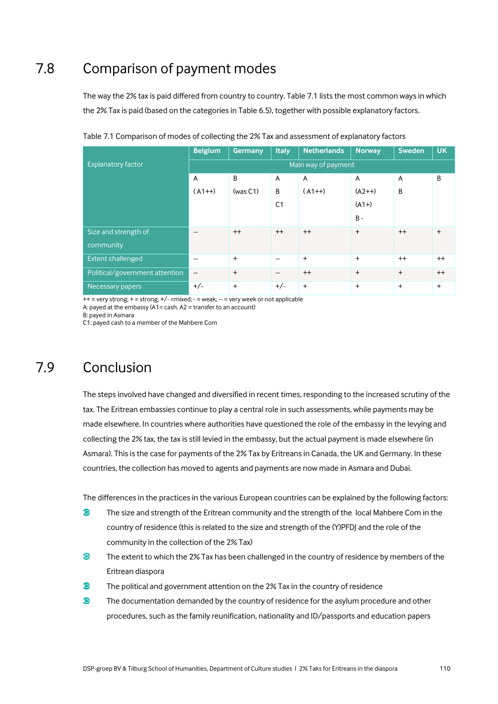# 7.8 Comparison of payment modes

The way the 2% tax is paid differed from country to country. Table 7.1 lists the most common ways in which the 2% Tax is paid (based on the categories in Table 6.5), together with possible explanatory factors.

|                                | <b>Belgium</b>           | <b>Germany</b> | <b>Italy</b>             | <b>Netherlands</b> | <b>Norway</b> | <b>Sweden</b> | <b>UK</b> |
|--------------------------------|--------------------------|----------------|--------------------------|--------------------|---------------|---------------|-----------|
| <b>Explanatory factor</b>      | Main way of payment      |                |                          |                    |               |               |           |
|                                | A                        | B              | A                        | $\overline{A}$     | A             | A             | B         |
|                                | $(A1++)$                 | (was C1)       | B                        | $(A1++)$           | $(A2++)$      | B             |           |
|                                |                          |                | C <sub>1</sub>           |                    | $(A1+)$       |               |           |
|                                |                          |                |                          |                    | $B -$         |               |           |
| Size and strength of           | $-$                      | $++$           | $++$                     | $++$               | $+$           | $++$          | $+$       |
| community                      |                          |                |                          |                    |               |               |           |
| <b>Extent challenged</b>       | --                       | $+$            | $\overline{\phantom{a}}$ | $+$                | $+$           | $++$          | $++$      |
| Political/government attention | $\overline{\phantom{a}}$ | $+$            | $\overline{\phantom{a}}$ | $^{++}$            | $+$           | $+$           | $^{++}$   |
| Necessary papers               | $+/-$                    | $+$            | $+/-$                    | $+$                | $+$           | $+$           | $+$       |

Table 7.1 Comparison of modes of collecting the 2% Tax and assessment of explanatory factors

 $++$  = very strong;  $+=$  strong,  $+/-$  =mixed;  $-$  = weak;  $--$  very week or not applicable

A: payed at the embassy (A1= cash, A2 = transfer to an account)

B: payed in Asmara

C1: payed cash to a member of the Mahbere Com

## 7.9 Conclusion

The steps involved have changed and diversified in recent times, responding to the increased scrutiny of the tax. The Eritrean embassies continue to play a central role in such assessments, while payments may be made elsewhere. In countries where authorities have questioned the role of the embassy in the levying and collecting the 2% tax, the tax is still levied in the embassy, but the actual payment is made elsewhere (in Asmara). This is the case for payments of the 2% Tax by Eritreans in Canada, the UK and Germany. In these countries, the collection has moved to agents and payments are now made in Asmara and Dubai.

The differences in the practices in the various European countries can be explained by the following factors:

- Э The size and strength of the Eritrean community and the strength of the local Mahbere Com in the country of residence (this is related to the size and strength of the (Y)PFDJ and the role of the community in the collection of the 2% Tax)
- Э The extent to which the 2% Tax has been challenged in the country of residence by members of the Eritrean diaspora
- $\bullet$ The political and government attention on the 2% Tax in the country of residence
- Э The documentation demanded by the country of residence for the asylum procedure and other procedures, such as the family reunification, nationality and ID/passports and education papers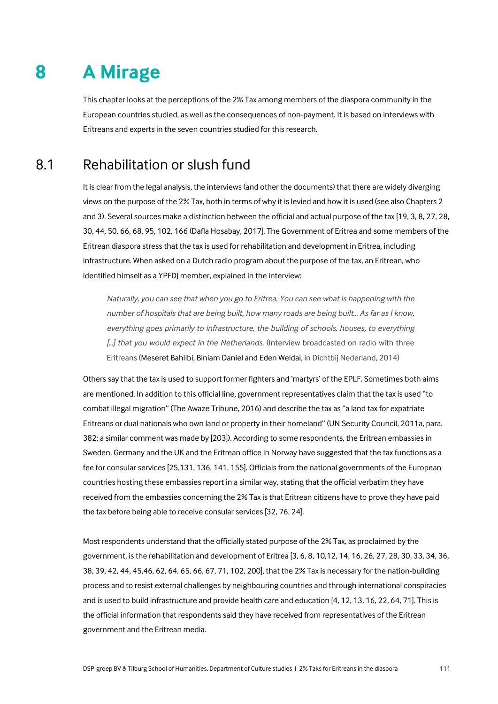# **8 A Mirage**

This chapter looks at the perceptions of the 2% Tax among members of the diaspora community in the European countries studied, as well as the consequences of non-payment. It is based on interviews with Eritreans and experts in the seven countries studied for this research.

# 8.1 Rehabilitation or slush fund

It is clear from the legal analysis, the interviews (and other the documents) that there are widely diverging views on the purpose of the 2% Tax, both in terms of why it is levied and how it is used (see also Chapters 2 and 3). Several sources make a distinction between the official and actual purpose of the tax [19, 3, 8, 27, 28, 30, 44, 50, 66, 68, 95, 102, 166 (Dafla Hosabay, 2017]. The Government of Eritrea and some members of the Eritrean diaspora stress that the tax is used for rehabilitation and development in Eritrea, including infrastructure. When asked on a Dutch radio program about the purpose of the tax, an Eritrean, who identified himself as a YPFDJ member, explained in the interview:

*Naturally, you can see that when you go to Eritrea. You can see what is happening with the number of hospitals that are being built, how many roads are being built… As far as I know, everything goes primarily to infrastructure, the building of schools, houses, to everything […] that you would expect in the Netherlands.* (Interview broadcasted on radio with three Eritreans (Meseret Bahlibi, Biniam Daniel and Eden Weldai, in Dichtbij Nederland, 2014)

Others say that the tax is used to support former fighters and 'martyrs' of the EPLF. Sometimes both aims are mentioned. In addition to this official line, government representatives claim that the tax is used "to combat illegal migration" (The Awaze Tribune, 2016) and describe the tax as "a land tax for expatriate Eritreans or dual nationals who own land or property in their homeland" (UN Security Council, 2011a, para. 382; a similar comment was made by [203]). According to some respondents, the Eritrean embassies in Sweden, Germany and the UK and the Eritrean office in Norway have suggested that the tax functions as a fee for consular services [25,131, 136, 141, 155]. Officials from the national governments of the European countries hosting these embassies report in a similar way, stating that the official verbatim they have received from the embassies concerning the 2% Tax is that Eritrean citizens have to prove they have paid the tax before being able to receive consular services [32, 76, 24].

Most respondents understand that the officially stated purpose of the 2% Tax, as proclaimed by the government, is the rehabilitation and development of Eritrea [3, 6, 8, 10,12, 14, 16, 26, 27, 28, 30, 33, 34, 36, 38, 39, 42, 44, 45,46, 62, 64, 65, 66, 67, 71, 102, 200], that the 2% Tax is necessary for the nation-building process and to resist external challenges by neighbouring countries and through international conspiracies and is used to build infrastructure and provide health care and education [4, 12, 13, 16, 22, 64, 71]. This is the official information that respondents said they have received from representatives of the Eritrean government and the Eritrean media.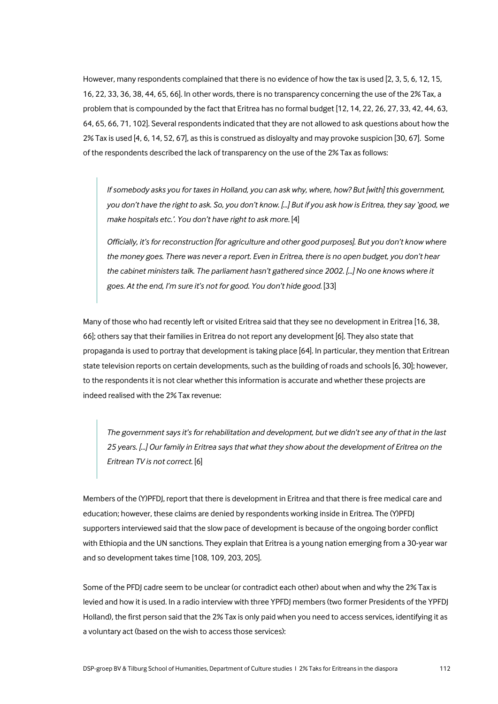However, many respondents complained that there is no evidence of how the tax is used [2, 3, 5, 6, 12, 15, 16, 22, 33, 36, 38, 44, 65, 66]. In other words, there is no transparency concerning the use of the 2% Tax, a problem that is compounded by the fact that Eritrea has no formal budget [12, 14, 22, 26, 27, 33, 42, 44, 63, 64, 65, 66, 71, 102]. Several respondents indicated that they are not allowed to ask questions about how the 2% Tax is used [4, 6, 14, 52, 67], as this is construed as disloyalty and may provoke suspicion [30, 67]. Some of the respondents described the lack of transparency on the use of the 2% Tax as follows:

*If somebody asks you for taxes in Holland, you can ask why, where, how? But [with] this government, you don't have the right to ask. So, you don't know. […] But if you ask how is Eritrea, they say 'good, we make hospitals etc.'. You don't have right to ask more.* [4]

*Officially, it's for reconstruction [for agriculture and other good purposes]. But you don't know where the money goes. There was never a report. Even in Eritrea, there is no open budget, you don't hear the cabinet ministers talk. The parliament hasn't gathered since 2002. […] No one knows where it goes. At the end, I'm sure it's not for good. You don't hide good.* [33]

Many of those who had recently left or visited Eritrea said that they see no development in Eritrea [16, 38, 66]; others say that their families in Eritrea do not report any development [6]. They also state that propaganda is used to portray that development is taking place [64]. In particular, they mention that Eritrean state television reports on certain developments, such as the building of roads and schools [6, 30]; however, to the respondents it is not clear whether this information is accurate and whether these projects are indeed realised with the 2% Tax revenue:

*The government says it's for rehabilitation and development, but we didn't see any of that in the last 25 years. […] Our family in Eritrea says that what they show about the development of Eritrea on the Eritrean TV is not correct.* [6]

Members of the (Y)PFDJ, report that there is development in Eritrea and that there is free medical care and education; however, these claims are denied by respondents working inside in Eritrea. The (Y)PFDJ supporters interviewed said that the slow pace of development is because of the ongoing border conflict with Ethiopia and the UN sanctions. They explain that Eritrea is a young nation emerging from a 30-year war and so development takes time [108, 109, 203, 205].

Some of the PFDJ cadre seem to be unclear (or contradict each other) about when and why the 2% Tax is levied and how it is used. In a radio interview with three YPFDJ members (two former Presidents of the YPFDJ Holland), the first person said that the 2% Tax is only paid when you need to access services, identifying it as a voluntary act (based on the wish to access those services):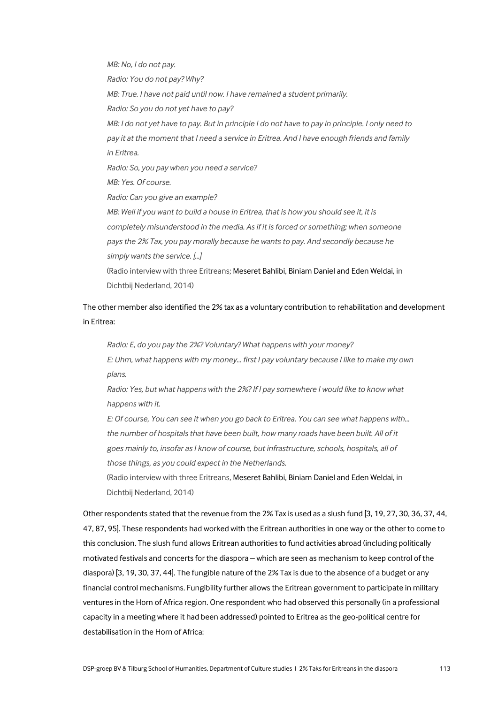*MB: No, I do not pay.* 

*Radio: You do not pay? Why? MB: True. I have not paid until now. I have remained a student primarily. Radio: So you do not yet have to pay? MB: I do not yet have to pay. But in principle I do not have to pay in principle. I only need to pay it at the moment that I need a service in Eritrea. And I have enough friends and family in Eritrea. Radio: So, you pay when you need a service? MB: Yes. Of course. Radio: Can you give an example? MB: Well if you want to build a house in Eritrea, that is how you should see it, it is completely misunderstood in the media. As if it is forced or something; when someone pays the 2% Tax, you pay morally because he wants to pay. And secondly because he simply wants the service. […]*  (Radio interview with three Eritreans; Meseret Bahlibi, Biniam Daniel and Eden Weldai, in Dichtbij Nederland, 2014)

#### The other member also identified the 2% tax as a voluntary contribution to rehabilitation and development in Eritrea:

*Radio: E, do you pay the 2%? Voluntary? What happens with your money? E: Uhm, what happens with my money… first I pay voluntary because I like to make my own plans.* 

*Radio: Yes, but what happens with the 2%? If I pay somewhere I would like to know what happens with it.* 

*E: Of course, You can see it when you go back to Eritrea. You can see what happens with… the number of hospitals that have been built, how many roads have been built. All of it goes mainly to, insofar as I know of course, but infrastructure, schools, hospitals, all of those things, as you could expect in the Netherlands.* 

(Radio interview with three Eritreans, Meseret Bahlibi, Biniam Daniel and Eden Weldai, in Dichtbij Nederland, 2014)

Other respondents stated that the revenue from the 2% Tax is used as a slush fund [3, 19, 27, 30, 36, 37, 44, 47, 87, 95]. These respondents had worked with the Eritrean authorities in one way or the other to come to this conclusion. The slush fund allows Eritrean authorities to fund activities abroad (including politically motivated festivals and concerts for the diaspora – which are seen as mechanism to keep control of the diaspora) [3, 19, 30, 37, 44]. The fungible nature of the 2% Tax is due to the absence of a budget or any financial control mechanisms. Fungibility further allows the Eritrean government to participate in military ventures in the Horn of Africa region. One respondent who had observed this personally (in a professional capacity in a meeting where it had been addressed) pointed to Eritrea as the geo-political centre for destabilisation in the Horn of Africa: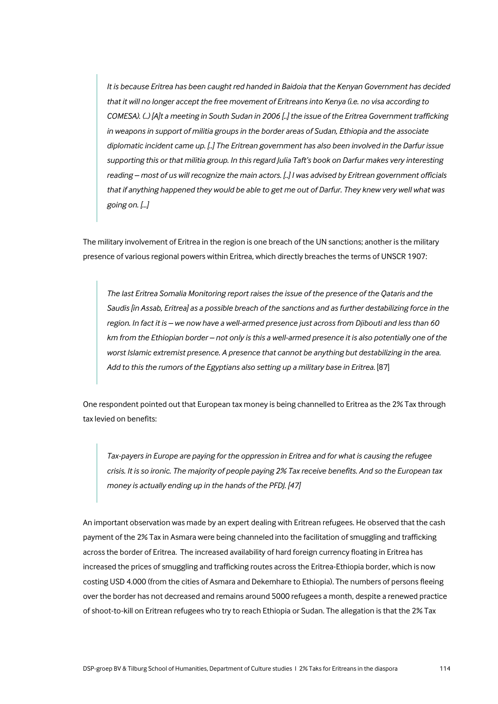*It is because Eritrea has been caught red handed in Baidoia that the Kenyan Government has decided that it will no longer accept the free movement of Eritreans into Kenya (i.e. no visa according to COMESA). (..) [A]t a meeting in South Sudan in 2006 [..] the issue of the Eritrea Government trafficking in weapons in support of militia groups in the border areas of Sudan, Ethiopia and the associate diplomatic incident came up. [..] The Eritrean government has also been involved in the Darfur issue supporting this or that militia group. In this regard Julia Taft's book on Darfur makes very interesting reading – most of us will recognize the main actors. [..] I was advised by Eritrean government officials that if anything happened they would be able to get me out of Darfur. They knew very well what was going on. […]*

The military involvement of Eritrea in the region is one breach of the UN sanctions; another is the military presence of various regional powers within Eritrea, which directly breaches the terms of UNSCR 1907:

*The last Eritrea Somalia Monitoring report raises the issue of the presence of the Qataris and the Saudis [in Assab, Eritrea] as a possible breach of the sanctions and as further destabilizing force in the region. In fact it is – we now have a well-armed presence just across from Djibouti and less than 60 km from the Ethiopian border – not only is this a well-armed presence it is also potentially one of the worst Islamic extremist presence. A presence that cannot be anything but destabilizing in the area.*  Add to this the rumors of the Egyptians also setting up a military base in Eritrea. [87]

One respondent pointed out that European tax money is being channelled to Eritrea as the 2% Tax through tax levied on benefits:

*Tax-payers in Europe are paying for the oppression in Eritrea and for what is causing the refugee crisis. It is so ironic. The majority of people paying 2% Tax receive benefits. And so the European tax money is actually ending up in the hands of the PFDJ. [47]* 

An important observation was made by an expert dealing with Eritrean refugees. He observed that the cash payment of the 2% Tax in Asmara were being channeled into the facilitation of smuggling and trafficking across the border of Eritrea. The increased availability of hard foreign currency floating in Eritrea has increased the prices of smuggling and trafficking routes across the Eritrea-Ethiopia border, which is now costing USD 4.000 (from the cities of Asmara and Dekemhare to Ethiopia). The numbers of persons fleeing over the border has not decreased and remains around 5000 refugees a month, despite a renewed practice of shoot-to-kill on Eritrean refugees who try to reach Ethiopia or Sudan. The allegation is that the 2% Tax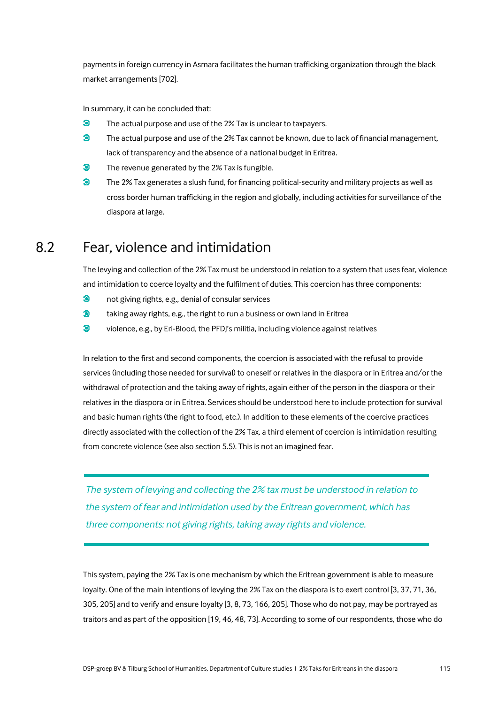payments in foreign currency in Asmara facilitates the human trafficking organization through the black market arrangements [702].

In summary, it can be concluded that:

- $\bullet$ The actual purpose and use of the 2% Tax is unclear to taxpayers.
- Э The actual purpose and use of the 2% Tax cannot be known, due to lack of financial management, lack of transparency and the absence of a national budget in Eritrea.
- Э The revenue generated by the 2% Tax is fungible.
- Э The 2% Tax generates a slush fund, for financing political-security and military projects as well as cross border human trafficking in the region and globally, including activities for surveillance of the diaspora at large.

### 8.2 Fear, violence and intimidation

The levying and collection of the 2% Tax must be understood in relation to a system that uses fear, violence and intimidation to coerce loyalty and the fulfilment of duties. This coercion has three components:

- Э not giving rights, e.g., denial of consular services
- $\bullet$ taking away rights, e.g., the right to run a business or own land in Eritrea
- Э violence, e.g., by Eri-Blood, the PFDJ's militia, including violence against relatives

In relation to the first and second components, the coercion is associated with the refusal to provide services (including those needed for survival) to oneself or relatives in the diaspora or in Eritrea and/or the withdrawal of protection and the taking away of rights, again either of the person in the diaspora or their relatives in the diaspora or in Eritrea. Services should be understood here to include protection for survival and basic human rights (the right to food, etc.). In addition to these elements of the coercive practices directly associated with the collection of the 2% Tax, a third element of coercion is intimidation resulting from concrete violence (see also section 5.5). This is not an imagined fear.

*The system of levying and collecting the 2% tax must be understood in relation to the system of fear and intimidation used by the Eritrean government, which has three components: not giving rights, taking away rights and violence.* 

This system, paying the 2% Tax is one mechanism by which the Eritrean government is able to measure loyalty. One of the main intentions of levying the 2% Tax on the diaspora is to exert control [3, 37, 71, 36, 305, 205] and to verify and ensure loyalty [3, 8, 73, 166, 205]. Those who do not pay, may be portrayed as traitors and as part of the opposition [19, 46, 48, 73]. According to some of our respondents, those who do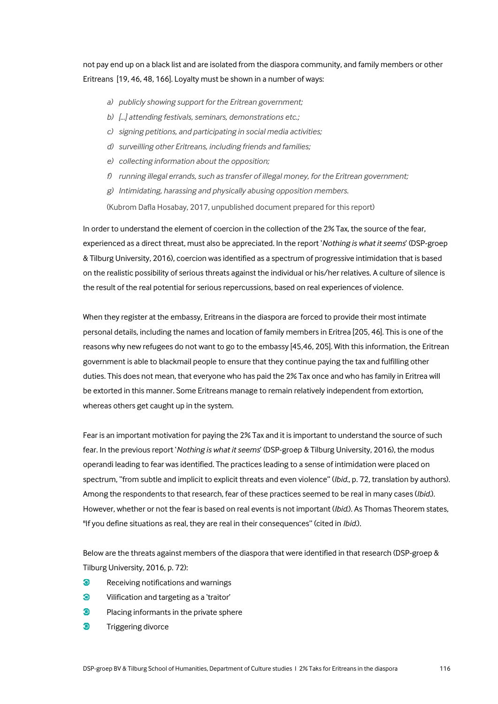not pay end up on a black list and are isolated from the diaspora community, and family members or other Eritreans [19, 46, 48, 166]. Loyalty must be shown in a number of ways:

- *a) publicly showing support for the Eritrean government;*
- *b) […] attending festivals, seminars, demonstrations etc.;*
- *c) signing petitions, and participating in social media activities;*
- *d) surveilling other Eritreans, including friends and families;*
- *e) collecting information about the opposition;*
- *f) running illegal errands, such as transfer of illegal money, for the Eritrean government;*
- *g) Intimidating, harassing and physically abusing opposition members.*

(Kubrom Dafla Hosabay, 2017, unpublished document prepared for this report)

In order to understand the element of coercion in the collection of the 2% Tax, the source of the fear, experienced as a direct threat, must also be appreciated. In the report '*Nothing is what it seems*' (DSP-groep & Tilburg University, 2016), coercion was identified as a spectrum of progressive intimidation that is based on the realistic possibility of serious threats against the individual or his/her relatives. A culture of silence is the result of the real potential for serious repercussions, based on real experiences of violence.

When they register at the embassy, Eritreans in the diaspora are forced to provide their most intimate personal details, including the names and location of family members in Eritrea [205, 46]. This is one of the reasons why new refugees do not want to go to the embassy [45,46, 205]. With this information, the Eritrean government is able to blackmail people to ensure that they continue paying the tax and fulfilling other duties. This does not mean, that everyone who has paid the 2% Tax once and who has family in Eritrea will be extorted in this manner. Some Eritreans manage to remain relatively independent from extortion, whereas others get caught up in the system.

Fear is an important motivation for paying the 2% Tax and it is important to understand the source of such fear. In the previous report '*Nothing is what it seems*' (DSP-groep & Tilburg University, 2016), the modus operandi leading to fear was identified. The practices leading to a sense of intimidation were placed on spectrum, "from subtle and implicit to explicit threats and even violence" (*Ibid*., p. 72, translation by authors). Among the respondents to that research, fear of these practices seemed to be real in many cases (*Ibid*.). However, whether or not the fear is based on real events is not important (*Ibid*.). As Thomas Theorem states, "If you define situations as real, they are real in their consequences" (cited in *Ibid*.).

Below are the threats against members of the diaspora that were identified in that research (DSP-groep & Tilburg University, 2016, p. 72):

- Э Receiving notifications and warnings
- Э Vilification and targeting as a 'traitor'
- Э Placing informants in the private sphere
- $\bullet$ Triggering divorce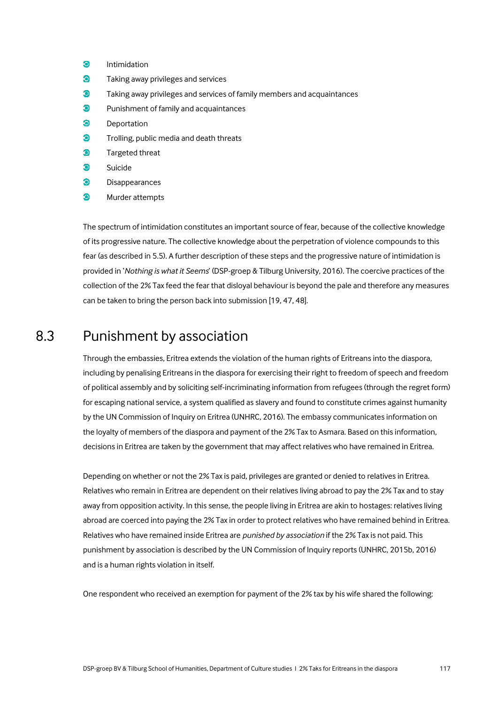- Э Intimidation
- Э Taking away privileges and services
- $\bullet$ Taking away privileges and services of family members and acquaintances
- $\bullet$ Punishment of family and acquaintances
- $\bullet$ Deportation
- Э Trolling, public media and death threats
- $\bullet$ Targeted threat
- Э Suicide
- G. **Disappearances**
- $\bullet$ Murder attempts

The spectrum of intimidation constitutes an important source of fear, because of the collective knowledge of its progressive nature. The collective knowledge about the perpetration of violence compounds to this fear (as described in 5.5). A further description of these steps and the progressive nature of intimidation is provided in '*Nothing is what it Seems*' (DSP-groep & Tilburg University, 2016). The coercive practices of the collection of the 2% Tax feed the fear that disloyal behaviour is beyond the pale and therefore any measures can be taken to bring the person back into submission [19, 47, 48].

### 8.3 Punishment by association

Through the embassies, Eritrea extends the violation of the human rights of Eritreans into the diaspora, including by penalising Eritreans in the diaspora for exercising their right to freedom of speech and freedom of political assembly and by soliciting self-incriminating information from refugees (through the regret form) for escaping national service, a system qualified as slavery and found to constitute crimes against humanity by the UN Commission of Inquiry on Eritrea (UNHRC, 2016). The embassy communicates information on the loyalty of members of the diaspora and payment of the 2% Tax to Asmara. Based on this information, decisions in Eritrea are taken by the government that may affect relatives who have remained in Eritrea.

Depending on whether or not the 2% Tax is paid, privileges are granted or denied to relatives in Eritrea. Relatives who remain in Eritrea are dependent on their relatives living abroad to pay the 2% Tax and to stay away from opposition activity. In this sense, the people living in Eritrea are akin to hostages: relatives living abroad are coerced into paying the 2% Tax in order to protect relatives who have remained behind in Eritrea. Relatives who have remained inside Eritrea are *punished by association* if the 2% Tax is not paid. This punishment by association is described by the UN Commission of Inquiry reports (UNHRC, 2015b, 2016) and is a human rights violation in itself.

One respondent who received an exemption for payment of the 2% tax by his wife shared the following: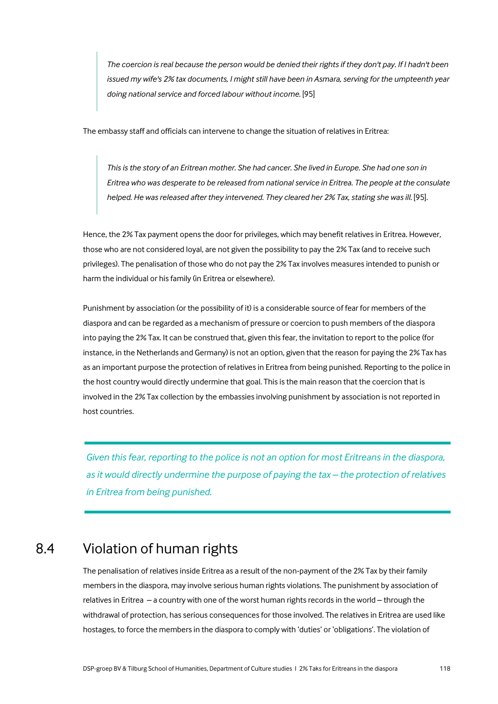*The coercion is real because the person would be denied their rights if they don't pay. If I hadn't been issued my wife's 2% tax documents, I might still have been in Asmara, serving for the umpteenth year doing national service and forced labour without income.* [95]

The embassy staff and officials can intervene to change the situation of relatives in Eritrea:

*This is the story of an Eritrean mother. She had cancer. She lived in Europe. She had one son in Eritrea who was desperate to be released from national service in Eritrea. The people at the consulate*  helped. He was released after they intervened. They cleared her 2% Tax, stating she was ill. [95].

Hence, the 2% Tax payment opens the door for privileges, which may benefit relatives in Eritrea. However, those who are not considered loyal, are not given the possibility to pay the 2% Tax (and to receive such privileges). The penalisation of those who do not pay the 2% Tax involves measures intended to punish or harm the individual or his family (in Eritrea or elsewhere).

Punishment by association (or the possibility of it) is a considerable source of fear for members of the diaspora and can be regarded as a mechanism of pressure or coercion to push members of the diaspora into paying the 2% Tax. It can be construed that, given this fear, the invitation to report to the police (for instance, in the Netherlands and Germany) is not an option, given that the reason for paying the 2% Tax has as an important purpose the protection of relatives in Eritrea from being punished. Reporting to the police in the host country would directly undermine that goal. This is the main reason that the coercion that is involved in the 2% Tax collection by the embassies involving punishment by association is not reported in host countries.

*Given this fear, reporting to the police is not an option for most Eritreans in the diaspora, as it would directly undermine the purpose of paying the tax – the protection of relatives in Eritrea from being punished.* 

### 8.4 Violation of human rights

The penalisation of relatives inside Eritrea as a result of the non-payment of the 2% Tax by their family members in the diaspora, may involve serious human rights violations. The punishment by association of relatives in Eritrea – a country with one of the worst human rights records in the world – through the withdrawal of protection, has serious consequences for those involved. The relatives in Eritrea are used like hostages, to force the members in the diaspora to comply with 'duties' or 'obligations'. The violation of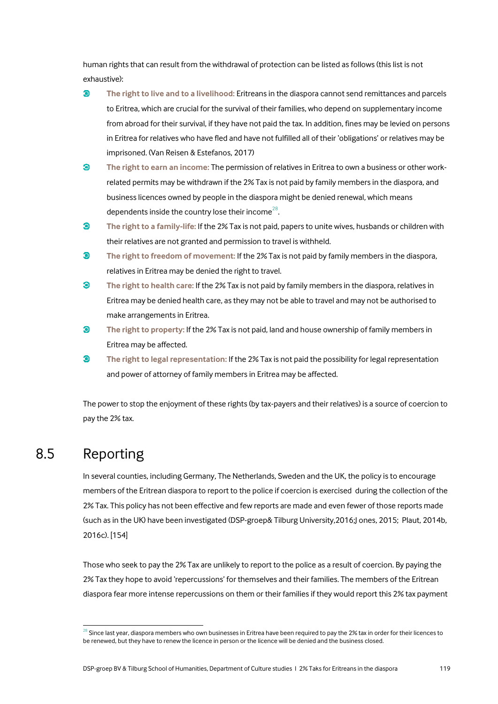human rights that can result from the withdrawal of protection can be listed as follows (this list is not exhaustive):

- 鱼 **The right to live and to a livelihood:** Eritreans in the diaspora cannot send remittances and parcels to Eritrea, which are crucial for the survival of their families, who depend on supplementary income from abroad for their survival, if they have not paid the tax. In addition, fines may be levied on persons in Eritrea for relatives who have fled and have not fulfilled all of their 'obligations' or relatives may be imprisoned. (Van Reisen & Estefanos, 2017)
- Э **The right to earn an income:** The permission of relatives in Eritrea to own a business or other workrelated permits may be withdrawn if the 2% Tax is not paid by family members in the diaspora, and business licences owned by people in the diaspora might be denied renewal, which means dependents inside the country lose their income<sup>28</sup>.
- G. **The right to a family-life:** If the 2% Tax is not paid, papers to unite wives, husbands or children with their relatives are not granted and permission to travel is withheld.
- $\bullet$ **The right to freedom of movement:** If the 2% Tax is not paid by family members in the diaspora, relatives in Eritrea may be denied the right to travel.
- G. **The right to health care:** If the 2% Tax is not paid by family members in the diaspora, relatives in Eritrea may be denied health care, as they may not be able to travel and may not be authorised to make arrangements in Eritrea.
- Э **The right to property:** If the 2% Tax is not paid, land and house ownership of family members in Eritrea may be affected.
- Э **The right to legal representation:** If the 2% Tax is not paid the possibility for legal representation and power of attorney of family members in Eritrea may be affected.

The power to stop the enjoyment of these rights (by tax-payers and their relatives) is a source of coercion to pay the 2% tax.

# 8.5 Reporting

 $\overline{a}$ 

In several counties, including Germany, The Netherlands, Sweden and the UK, the policy is to encourage members of the Eritrean diaspora to report to the police if coercion is exercised during the collection of the 2% Tax. This policy has not been effective and few reports are made and even fewer of those reports made (such as in the UK) have been investigated (DSP-groep& Tilburg University, 2016; Jones, 2015; Plaut, 2014b, 2016c). [154]

Those who seek to pay the 2% Tax are unlikely to report to the police as a result of coercion. By paying the 2% Tax they hope to avoid 'repercussions' for themselves and their families. The members of the Eritrean diaspora fear more intense repercussions on them or their families if they would report this 2% tax payment

 $^{28}$  Since last year, diaspora members who own businesses in Eritrea have been required to pay the 2% tax in order for their licences to be renewed, but they have to renew the licence in person or the licence will be denied and the business closed.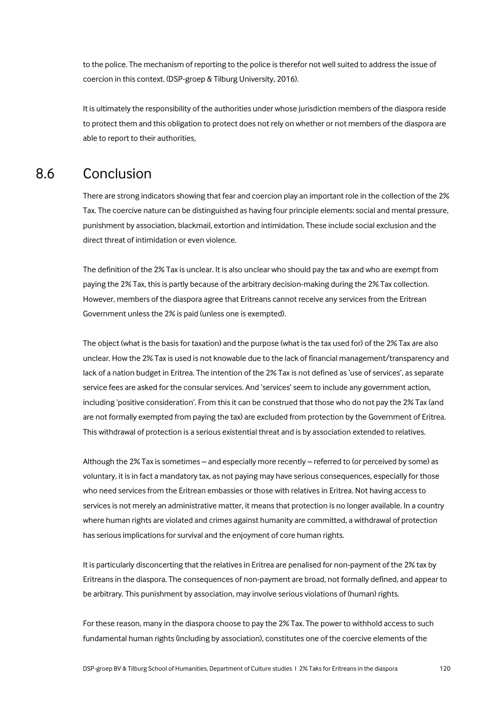to the police. The mechanism of reporting to the police is therefor not well suited to address the issue of coercion in this context. (DSP-groep & Tilburg University, 2016).

It is ultimately the responsibility of the authorities under whose jurisdiction members of the diaspora reside to protect them and this obligation to protect does not rely on whether or not members of the diaspora are able to report to their authorities,

### 8.6 Conclusion

There are strong indicators showing that fear and coercion play an important role in the collection of the 2% Tax. The coercive nature can be distinguished as having four principle elements: social and mental pressure, punishment by association, blackmail, extortion and intimidation. These include social exclusion and the direct threat of intimidation or even violence.

The definition of the 2% Tax is unclear. It is also unclear who should pay the tax and who are exempt from paying the 2% Tax, this is partly because of the arbitrary decision-making during the 2% Tax collection. However, members of the diaspora agree that Eritreans cannot receive any services from the Eritrean Government unless the 2% is paid (unless one is exempted).

The object (what is the basis for taxation) and the purpose (what is the tax used for) of the 2% Tax are also unclear. How the 2% Tax is used is not knowable due to the lack of financial management/transparency and lack of a nation budget in Eritrea. The intention of the 2% Tax is not defined as 'use of services', as separate service fees are asked for the consular services. And 'services' seem to include any government action, including 'positive consideration'. From this it can be construed that those who do not pay the 2% Tax (and are not formally exempted from paying the tax) are excluded from protection by the Government of Eritrea. This withdrawal of protection is a serious existential threat and is by association extended to relatives.

Although the 2% Tax is sometimes – and especially more recently – referred to (or perceived by some) as voluntary, it is in fact a mandatory tax, as not paying may have serious consequences, especially for those who need services from the Eritrean embassies or those with relatives in Eritrea. Not having access to services is not merely an administrative matter, it means that protection is no longer available. In a country where human rights are violated and crimes against humanity are committed, a withdrawal of protection has serious implications for survival and the enjoyment of core human rights.

It is particularly disconcerting that the relatives in Eritrea are penalised for non-payment of the 2% tax by Eritreans in the diaspora. The consequences of non-payment are broad, not formally defined, and appear to be arbitrary. This punishment by association, may involve serious violations of (human) rights.

For these reason, many in the diaspora choose to pay the 2% Tax. The power to withhold access to such fundamental human rights (including by association), constitutes one of the coercive elements of the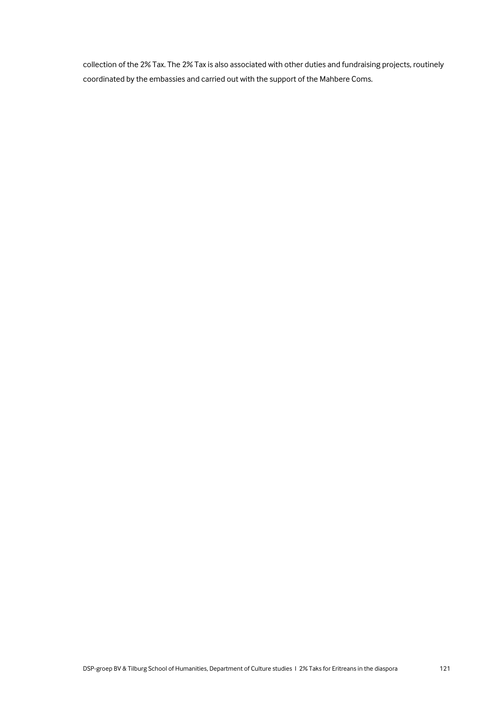collection of the 2% Tax. The 2% Tax is also associated with other duties and fundraising projects, routinely coordinated by the embassies and carried out with the support of the Mahbere Coms.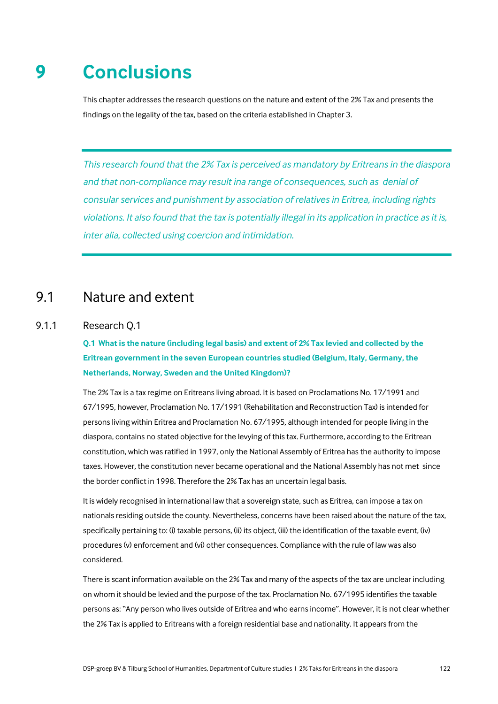# **9 Conclusions**

This chapter addresses the research questions on the nature and extent of the 2% Tax and presents the findings on the legality of the tax, based on the criteria established in Chapter 3.

*This research found that the 2% Tax is perceived as mandatory by Eritreans in the diaspora and that non-compliance may result ina range of consequences, such as denial of consular services and punishment by association of relatives in Eritrea, including rights violations. It also found that the tax is potentially illegal in its application in practice as it is, inter alia, collected using coercion and intimidation.* 

### 9.1 Nature and extent

### 9.1.1 Research Q.1

**Q.1 What is the nature (including legal basis) and extent of 2% Tax levied and collected by the Eritrean government in the seven European countries studied (Belgium, Italy, Germany, the Netherlands, Norway, Sweden and the United Kingdom)?** 

The 2% Tax is a tax regime on Eritreans living abroad. It is based on Proclamations No. 17/1991 and 67/1995, however, Proclamation No. 17/1991 (Rehabilitation and Reconstruction Tax) is intended for persons living within Eritrea and Proclamation No. 67/1995, although intended for people living in the diaspora, contains no stated objective for the levying of this tax. Furthermore, according to the Eritrean constitution, which was ratified in 1997, only the National Assembly of Eritrea has the authority to impose taxes. However, the constitution never became operational and the National Assembly has not met since the border conflict in 1998. Therefore the 2% Tax has an uncertain legal basis.

It is widely recognised in international law that a sovereign state, such as Eritrea, can impose a tax on nationals residing outside the county. Nevertheless, concerns have been raised about the nature of the tax, specifically pertaining to: (i) taxable persons, (ii) its object, (iii) the identification of the taxable event, (iv) procedures (v) enforcement and (vi) other consequences. Compliance with the rule of law was also considered.

There is scant information available on the 2% Tax and many of the aspects of the tax are unclear including on whom it should be levied and the purpose of the tax. Proclamation No. 67/1995 identifies the taxable persons as: "Any person who lives outside of Eritrea and who earns income". However, it is not clear whether the 2% Tax is applied to Eritreans with a foreign residential base and nationality. It appears from the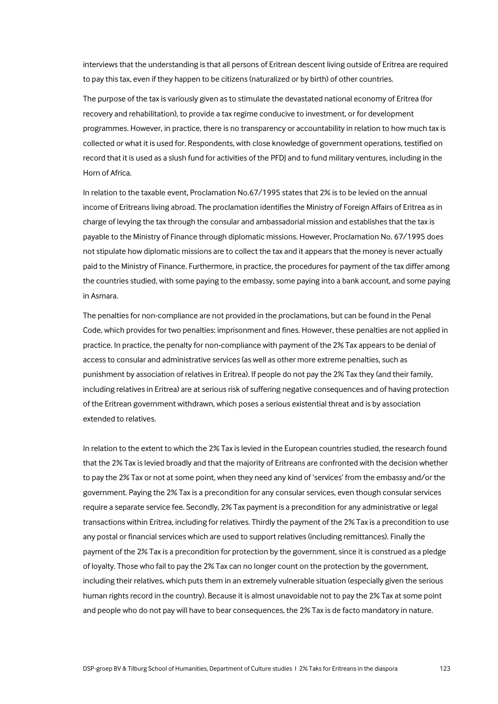interviews that the understanding is that all persons of Eritrean descent living outside of Eritrea are required to pay this tax, even if they happen to be citizens (naturalized or by birth) of other countries.

The purpose of the tax is variously given as to stimulate the devastated national economy of Eritrea (for recovery and rehabilitation), to provide a tax regime conducive to investment, or for development programmes. However, in practice, there is no transparency or accountability in relation to how much tax is collected or what it is used for. Respondents, with close knowledge of government operations, testified on record that it is used as a slush fund for activities of the PFDJ and to fund military ventures, including in the Horn of Africa.

In relation to the taxable event, Proclamation No.67/1995 states that 2% is to be levied on the annual income of Eritreans living abroad. The proclamation identifies the Ministry of Foreign Affairs of Eritrea as in charge of levying the tax through the consular and ambassadorial mission and establishes that the tax is payable to the Ministry of Finance through diplomatic missions. However, Proclamation No. 67/1995 does not stipulate how diplomatic missions are to collect the tax and it appears that the money is never actually paid to the Ministry of Finance. Furthermore, in practice, the procedures for payment of the tax differ among the countries studied, with some paying to the embassy, some paying into a bank account, and some paying in Asmara.

The penalties for non-compliance are not provided in the proclamations, but can be found in the Penal Code, which provides for two penalties: imprisonment and fines. However, these penalties are not applied in practice. In practice, the penalty for non-compliance with payment of the 2% Tax appears to be denial of access to consular and administrative services (as well as other more extreme penalties, such as punishment by association of relatives in Eritrea). If people do not pay the 2% Tax they (and their family, including relatives in Eritrea) are at serious risk of suffering negative consequences and of having protection of the Eritrean government withdrawn, which poses a serious existential threat and is by association extended to relatives.

In relation to the extent to which the 2% Tax is levied in the European countries studied, the research found that the 2% Tax is levied broadly and that the majority of Eritreans are confronted with the decision whether to pay the 2% Tax or not at some point, when they need any kind of 'services' from the embassy and/or the government. Paying the 2% Tax is a precondition for any consular services, even though consular services require a separate service fee. Secondly, 2% Tax payment is a precondition for any administrative or legal transactions within Eritrea, including for relatives. Thirdly the payment of the 2% Tax is a precondition to use any postal or financial services which are used to support relatives (including remittances). Finally the payment of the 2% Tax is a precondition for protection by the government, since it is construed as a pledge of loyalty. Those who fail to pay the 2% Tax can no longer count on the protection by the government, including their relatives, which puts them in an extremely vulnerable situation (especially given the serious human rights record in the country). Because it is almost unavoidable not to pay the 2% Tax at some point and people who do not pay will have to bear consequences, the 2% Tax is de facto mandatory in nature.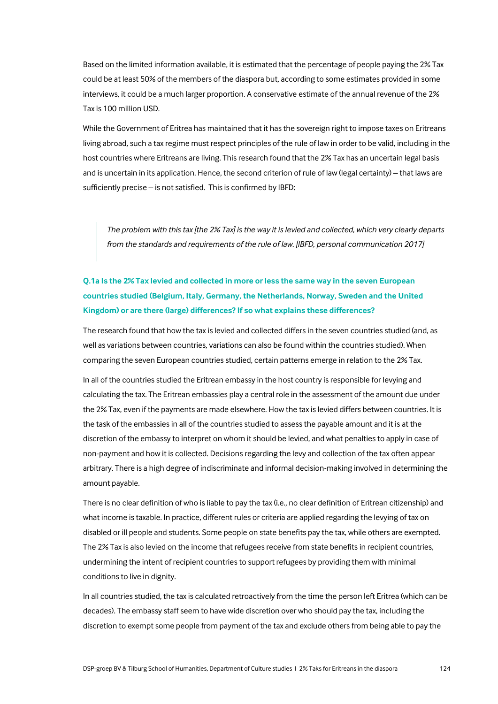Based on the limited information available, it is estimated that the percentage of people paying the 2% Tax could be at least 50% of the members of the diaspora but, according to some estimates provided in some interviews, it could be a much larger proportion. A conservative estimate of the annual revenue of the 2% Tax is 100 million USD.

While the Government of Eritrea has maintained that it has the sovereign right to impose taxes on Eritreans living abroad, such a tax regime must respect principles of the rule of law in order to be valid, including in the host countries where Eritreans are living. This research found that the 2% Tax has an uncertain legal basis and is uncertain in its application. Hence, the second criterion of rule of law (legal certainty) – that laws are sufficiently precise – is not satisfied. This is confirmed by IBFD:

*The problem with this tax [the 2% Tax] is the way it is levied and collected, which very clearly departs from the standards and requirements of the rule of law. [IBFD, personal communication 2017]* 

### **Q.1a Is the 2% Tax levied and collected in more or less the same way in the seven European countries studied (Belgium, Italy, Germany, the Netherlands, Norway, Sweden and the United Kingdom) or are there (large) differences? If so what explains these differences?**

The research found that how the tax is levied and collected differs in the seven countries studied (and, as well as variations between countries, variations can also be found within the countries studied). When comparing the seven European countries studied, certain patterns emerge in relation to the 2% Tax.

In all of the countries studied the Eritrean embassy in the host country is responsible for levying and calculating the tax. The Eritrean embassies play a central role in the assessment of the amount due under the 2% Tax, even if the payments are made elsewhere. How the tax is levied differs between countries. It is the task of the embassies in all of the countries studied to assess the payable amount and it is at the discretion of the embassy to interpret on whom it should be levied, and what penalties to apply in case of non-payment and how it is collected. Decisions regarding the levy and collection of the tax often appear arbitrary. There is a high degree of indiscriminate and informal decision-making involved in determining the amount payable.

There is no clear definition of who is liable to pay the tax (i.e., no clear definition of Eritrean citizenship) and what income is taxable. In practice, different rules or criteria are applied regarding the levying of tax on disabled or ill people and students. Some people on state benefits pay the tax, while others are exempted. The 2% Tax is also levied on the income that refugees receive from state benefits in recipient countries, undermining the intent of recipient countries to support refugees by providing them with minimal conditions to live in dignity.

In all countries studied, the tax is calculated retroactively from the time the person left Eritrea (which can be decades). The embassy staff seem to have wide discretion over who should pay the tax, including the discretion to exempt some people from payment of the tax and exclude others from being able to pay the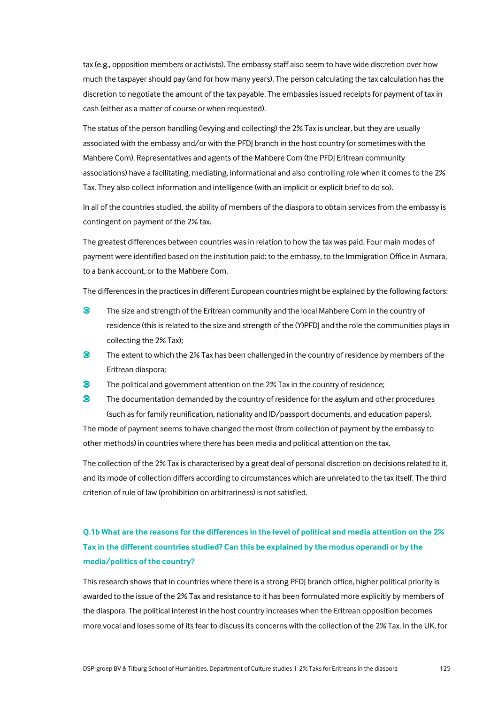tax (e.g., opposition members or activists). The embassy staff also seem to have wide discretion over how much the taxpayer should pay (and for how many years). The person calculating the tax calculation has the discretion to negotiate the amount of the tax payable. The embassies issued receipts for payment of tax in cash (either as a matter of course or when requested).

The status of the person handling (levying and collecting) the 2% Tax is unclear, but they are usually associated with the embassy and/or with the PFDJ branch in the host country (or sometimes with the Mahbere Com). Representatives and agents of the Mahbere Com (the PFDJ Eritrean community associations) have a facilitating, mediating, informational and also controlling role when it comes to the 2% Tax. They also collect information and intelligence (with an implicit or explicit brief to do so).

In all of the countries studied, the ability of members of the diaspora to obtain services from the embassy is contingent on payment of the 2% tax.

The greatest differences between countries was in relation to how the tax was paid. Four main modes of payment were identified based on the institution paid: to the embassy, to the Immigration Office in Asmara, to a bank account, or to the Mahbere Com.

The differences in the practices in different European countries might be explained by the following factors:

- The size and strength of the Eritrean community and the local Mahbere Com in the country of Э residence (this is related to the size and strength of the (Y)PFDJ and the role the communities plays in collecting the 2% Tax);
- Э The extent to which the 2% Tax has been challenged in the country of residence by members of the Eritrean diaspora;
- ക The political and government attention on the 2% Tax in the country of residence;
- $\bullet$ The documentation demanded by the country of residence for the asylum and other procedures (such as for family reunification, nationality and ID/passport documents, and education papers).

The mode of payment seems to have changed the most (from collection of payment by the embassy to other methods) in countries where there has been media and political attention on the tax.

The collection of the 2% Tax is characterised by a great deal of personal discretion on decisions related to it, and its mode of collection differs according to circumstances which are unrelated to the tax itself. The third criterion of rule of law (prohibition on arbitrariness) is not satisfied.

### **Q.1b What are the reasons for the differences in the level of political and media attention on the 2% Tax in the different countries studied? Can this be explained by the modus operandi or by the media/politics of the country?**

This research shows that in countries where there is a strong PFDJ branch office, higher political priority is awarded to the issue of the 2% Tax and resistance to it has been formulated more explicitly by members of the diaspora. The political interest in the host country increases when the Eritrean opposition becomes more vocal and loses some of its fear to discuss its concerns with the collection of the 2% Tax. In the UK, for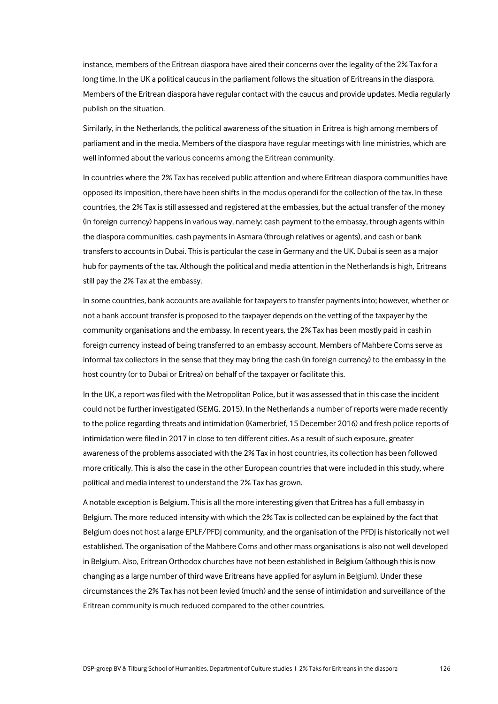instance, members of the Eritrean diaspora have aired their concerns over the legality of the 2% Tax for a long time. In the UK a political caucus in the parliament follows the situation of Eritreans in the diaspora. Members of the Eritrean diaspora have regular contact with the caucus and provide updates. Media regularly publish on the situation.

Similarly, in the Netherlands, the political awareness of the situation in Eritrea is high among members of parliament and in the media. Members of the diaspora have regular meetings with line ministries, which are well informed about the various concerns among the Eritrean community.

In countries where the 2% Tax has received public attention and where Eritrean diaspora communities have opposed its imposition, there have been shifts in the modus operandi for the collection of the tax. In these countries, the 2% Tax is still assessed and registered at the embassies, but the actual transfer of the money (in foreign currency) happens in various way, namely: cash payment to the embassy, through agents within the diaspora communities, cash payments in Asmara (through relatives or agents), and cash or bank transfers to accounts in Dubai. This is particular the case in Germany and the UK. Dubai is seen as a major hub for payments of the tax. Although the political and media attention in the Netherlands is high, Eritreans still pay the 2% Tax at the embassy.

In some countries, bank accounts are available for taxpayers to transfer payments into; however, whether or not a bank account transfer is proposed to the taxpayer depends on the vetting of the taxpayer by the community organisations and the embassy. In recent years, the 2% Tax has been mostly paid in cash in foreign currency instead of being transferred to an embassy account. Members of Mahbere Coms serve as informal tax collectors in the sense that they may bring the cash (in foreign currency) to the embassy in the host country (or to Dubai or Eritrea) on behalf of the taxpayer or facilitate this.

In the UK, a report was filed with the Metropolitan Police, but it was assessed that in this case the incident could not be further investigated (SEMG, 2015). In the Netherlands a number of reports were made recently to the police regarding threats and intimidation (Kamerbrief, 15 December 2016) and fresh police reports of intimidation were filed in 2017 in close to ten different cities. As a result of such exposure, greater awareness of the problems associated with the 2% Tax in host countries, its collection has been followed more critically. This is also the case in the other European countries that were included in this study, where political and media interest to understand the 2% Tax has grown.

A notable exception is Belgium. This is all the more interesting given that Eritrea has a full embassy in Belgium. The more reduced intensity with which the 2% Tax is collected can be explained by the fact that Belgium does not host a large EPLF/PFDJ community, and the organisation of the PFDJ is historically not well established. The organisation of the Mahbere Coms and other mass organisations is also not well developed in Belgium. Also, Eritrean Orthodox churches have not been established in Belgium (although this is now changing as a large number of third wave Eritreans have applied for asylum in Belgium). Under these circumstances the 2% Tax has not been levied (much) and the sense of intimidation and surveillance of the Eritrean community is much reduced compared to the other countries.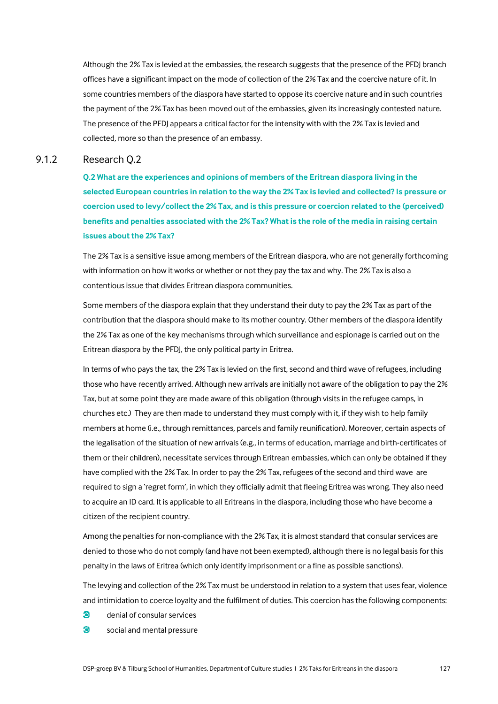Although the 2% Tax is levied at the embassies, the research suggests that the presence of the PFDJ branch offices have a significant impact on the mode of collection of the 2% Tax and the coercive nature of it. In some countries members of the diaspora have started to oppose its coercive nature and in such countries the payment of the 2% Tax has been moved out of the embassies, given its increasingly contested nature. The presence of the PFDJ appears a critical factor for the intensity with with the 2% Tax is levied and collected, more so than the presence of an embassy.

#### 9.1.2 Research Q.2

**Q.2 What are the experiences and opinions of members of the Eritrean diaspora living in the selected European countries in relation to the way the 2% Tax is levied and collected? Is pressure or coercion used to levy/collect the 2% Tax, and is this pressure or coercion related to the (perceived) benefits and penalties associated with the 2% Tax? What is the role of the media in raising certain issues about the 2% Tax?** 

The 2% Tax is a sensitive issue among members of the Eritrean diaspora, who are not generally forthcoming with information on how it works or whether or not they pay the tax and why. The 2% Tax is also a contentious issue that divides Eritrean diaspora communities.

Some members of the diaspora explain that they understand their duty to pay the 2% Tax as part of the contribution that the diaspora should make to its mother country. Other members of the diaspora identify the 2% Tax as one of the key mechanisms through which surveillance and espionage is carried out on the Eritrean diaspora by the PFDJ, the only political party in Eritrea.

In terms of who pays the tax, the 2% Tax is levied on the first, second and third wave of refugees, including those who have recently arrived. Although new arrivals are initially not aware of the obligation to pay the 2% Tax, but at some point they are made aware of this obligation (through visits in the refugee camps, in churches etc.) They are then made to understand they must comply with it, if they wish to help family members at home (i.e., through remittances, parcels and family reunification). Moreover, certain aspects of the legalisation of the situation of new arrivals (e.g., in terms of education, marriage and birth-certificates of them or their children), necessitate services through Eritrean embassies, which can only be obtained if they have complied with the 2% Tax. In order to pay the 2% Tax, refugees of the second and third wave are required to sign a 'regret form', in which they officially admit that fleeing Eritrea was wrong. They also need to acquire an ID card. It is applicable to all Eritreans in the diaspora, including those who have become a citizen of the recipient country.

Among the penalties for non-compliance with the 2% Tax, it is almost standard that consular services are denied to those who do not comply (and have not been exempted), although there is no legal basis for this penalty in the laws of Eritrea (which only identify imprisonment or a fine as possible sanctions).

The levying and collection of the 2% Tax must be understood in relation to a system that uses fear, violence and intimidation to coerce loyalty and the fulfilment of duties. This coercion has the following components:

- Э denial of consular services
- Э social and mental pressure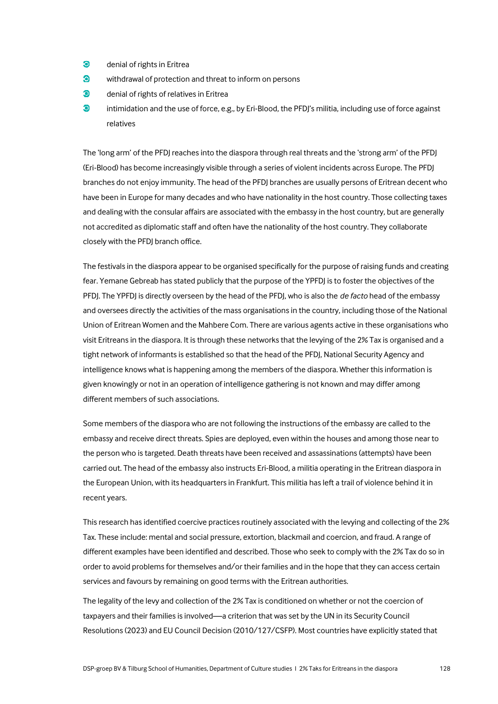- Э denial of rights in Eritrea
- Э withdrawal of protection and threat to inform on persons
- $\bullet$ denial of rights of relatives in Eritrea
- $\bullet$ intimidation and the use of force, e.g., by Eri-Blood, the PFDJ's militia, including use of force against relatives

The 'long arm' of the PFDJ reaches into the diaspora through real threats and the 'strong arm' of the PFDJ (Eri-Blood) has become increasingly visible through a series of violent incidents across Europe. The PFDJ branches do not enjoy immunity. The head of the PFDJ branches are usually persons of Eritrean decent who have been in Europe for many decades and who have nationality in the host country. Those collecting taxes and dealing with the consular affairs are associated with the embassy in the host country, but are generally not accredited as diplomatic staff and often have the nationality of the host country. They collaborate closely with the PFDJ branch office.

The festivals in the diaspora appear to be organised specifically for the purpose of raising funds and creating fear. Yemane Gebreab has stated publicly that the purpose of the YPFDJ is to foster the objectives of the PFDJ. The YPFDJ is directly overseen by the head of the PFDJ, who is also the *de facto* head of the embassy and oversees directly the activities of the mass organisations in the country, including those of the National Union of Eritrean Women and the Mahbere Com. There are various agents active in these organisations who visit Eritreans in the diaspora. It is through these networks that the levying of the 2% Tax is organised and a tight network of informants is established so that the head of the PFDJ, National Security Agency and intelligence knows what is happening among the members of the diaspora. Whether this information is given knowingly or not in an operation of intelligence gathering is not known and may differ among different members of such associations.

Some members of the diaspora who are not following the instructions of the embassy are called to the embassy and receive direct threats. Spies are deployed, even within the houses and among those near to the person who is targeted. Death threats have been received and assassinations (attempts) have been carried out. The head of the embassy also instructs Eri-Blood, a militia operating in the Eritrean diaspora in the European Union, with its headquarters in Frankfurt. This militia has left a trail of violence behind it in recent years.

This research has identified coercive practices routinely associated with the levying and collecting of the 2% Tax. These include: mental and social pressure, extortion, blackmail and coercion, and fraud. A range of different examples have been identified and described. Those who seek to comply with the 2% Tax do so in order to avoid problems for themselves and/or their families and in the hope that they can access certain services and favours by remaining on good terms with the Eritrean authorities.

The legality of the levy and collection of the 2% Tax is conditioned on whether or not the coercion of taxpayers and their families is involved—a criterion that was set by the UN in its Security Council Resolutions (2023) and EU Council Decision (2010/127/CSFP). Most countries have explicitly stated that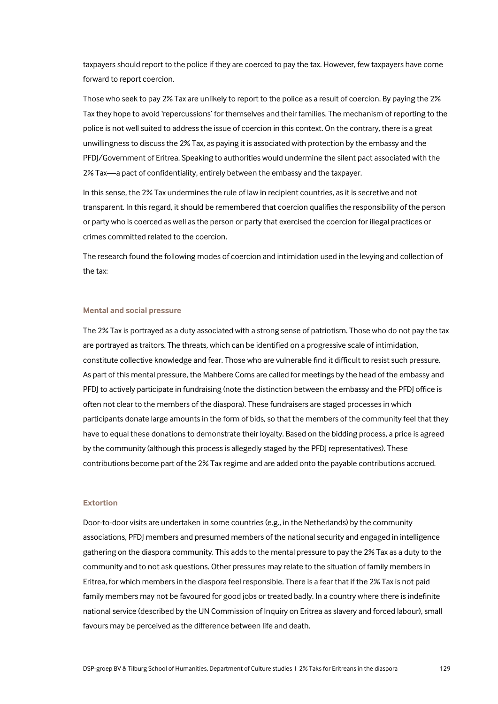taxpayers should report to the police if they are coerced to pay the tax. However, few taxpayers have come forward to report coercion.

Those who seek to pay 2% Tax are unlikely to report to the police as a result of coercion. By paying the 2% Tax they hope to avoid 'repercussions' for themselves and their families. The mechanism of reporting to the police is not well suited to address the issue of coercion in this context. On the contrary, there is a great unwillingness to discuss the 2% Tax, as paying it is associated with protection by the embassy and the PFDJ/Government of Eritrea. Speaking to authorities would undermine the silent pact associated with the 2% Tax—a pact of confidentiality, entirely between the embassy and the taxpayer.

In this sense, the 2% Tax undermines the rule of law in recipient countries, as it is secretive and not transparent. In this regard, it should be remembered that coercion qualifies the responsibility of the person or party who is coerced as well as the person or party that exercised the coercion for illegal practices or crimes committed related to the coercion.

The research found the following modes of coercion and intimidation used in the levying and collection of the tax:

#### **Mental and social pressure**

The 2% Tax is portrayed as a duty associated with a strong sense of patriotism. Those who do not pay the tax are portrayed as traitors. The threats, which can be identified on a progressive scale of intimidation, constitute collective knowledge and fear. Those who are vulnerable find it difficult to resist such pressure. As part of this mental pressure, the Mahbere Coms are called for meetings by the head of the embassy and PFDJ to actively participate in fundraising (note the distinction between the embassy and the PFDJ office is often not clear to the members of the diaspora). These fundraisers are staged processes in which participants donate large amounts in the form of bids, so that the members of the community feel that they have to equal these donations to demonstrate their loyalty. Based on the bidding process, a price is agreed by the community (although this process is allegedly staged by the PFDJ representatives). These contributions become part of the 2% Tax regime and are added onto the payable contributions accrued.

#### **Extortion**

Door-to-door visits are undertaken in some countries (e.g., in the Netherlands) by the community associations, PFDJ members and presumed members of the national security and engaged in intelligence gathering on the diaspora community. This adds to the mental pressure to pay the 2% Tax as a duty to the community and to not ask questions. Other pressures may relate to the situation of family members in Eritrea, for which members in the diaspora feel responsible. There is a fear that if the 2% Tax is not paid family members may not be favoured for good jobs or treated badly. In a country where there is indefinite national service (described by the UN Commission of Inquiry on Eritrea as slavery and forced labour), small favours may be perceived as the difference between life and death.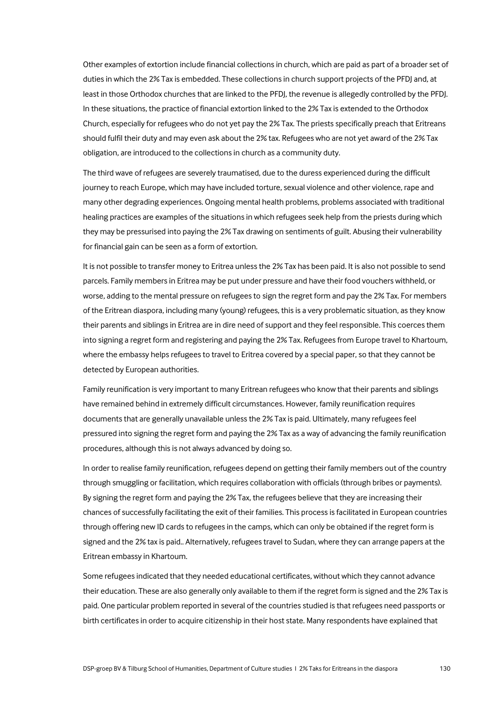Other examples of extortion include financial collections in church, which are paid as part of a broader set of duties in which the 2% Tax is embedded. These collections in church support projects of the PFDJ and, at least in those Orthodox churches that are linked to the PFDJ, the revenue is allegedly controlled by the PFDJ. In these situations, the practice of financial extortion linked to the 2% Tax is extended to the Orthodox Church, especially for refugees who do not yet pay the 2% Tax. The priests specifically preach that Eritreans should fulfil their duty and may even ask about the 2% tax. Refugees who are not yet award of the 2% Tax obligation, are introduced to the collections in church as a community duty.

The third wave of refugees are severely traumatised, due to the duress experienced during the difficult journey to reach Europe, which may have included torture, sexual violence and other violence, rape and many other degrading experiences. Ongoing mental health problems, problems associated with traditional healing practices are examples of the situations in which refugees seek help from the priests during which they may be pressurised into paying the 2% Tax drawing on sentiments of guilt. Abusing their vulnerability for financial gain can be seen as a form of extortion.

It is not possible to transfer money to Eritrea unless the 2% Tax has been paid. It is also not possible to send parcels. Family members in Eritrea may be put under pressure and have their food vouchers withheld, or worse, adding to the mental pressure on refugees to sign the regret form and pay the 2% Tax. For members of the Eritrean diaspora, including many (young) refugees, this is a very problematic situation, as they know their parents and siblings in Eritrea are in dire need of support and they feel responsible. This coerces them into signing a regret form and registering and paying the 2% Tax. Refugees from Europe travel to Khartoum, where the embassy helps refugees to travel to Eritrea covered by a special paper, so that they cannot be detected by European authorities.

Family reunification is very important to many Eritrean refugees who know that their parents and siblings have remained behind in extremely difficult circumstances. However, family reunification requires documents that are generally unavailable unless the 2% Tax is paid. Ultimately, many refugees feel pressured into signing the regret form and paying the 2% Tax as a way of advancing the family reunification procedures, although this is not always advanced by doing so.

In order to realise family reunification, refugees depend on getting their family members out of the country through smuggling or facilitation, which requires collaboration with officials (through bribes or payments). By signing the regret form and paying the 2% Tax, the refugees believe that they are increasing their chances of successfully facilitating the exit of their families. This process is facilitated in European countries through offering new ID cards to refugees in the camps, which can only be obtained if the regret form is signed and the 2% tax is paid.. Alternatively, refugees travel to Sudan, where they can arrange papers at the Eritrean embassy in Khartoum.

Some refugees indicated that they needed educational certificates, without which they cannot advance their education. These are also generally only available to them if the regret form is signed and the 2% Tax is paid. One particular problem reported in several of the countries studied is that refugees need passports or birth certificates in order to acquire citizenship in their host state. Many respondents have explained that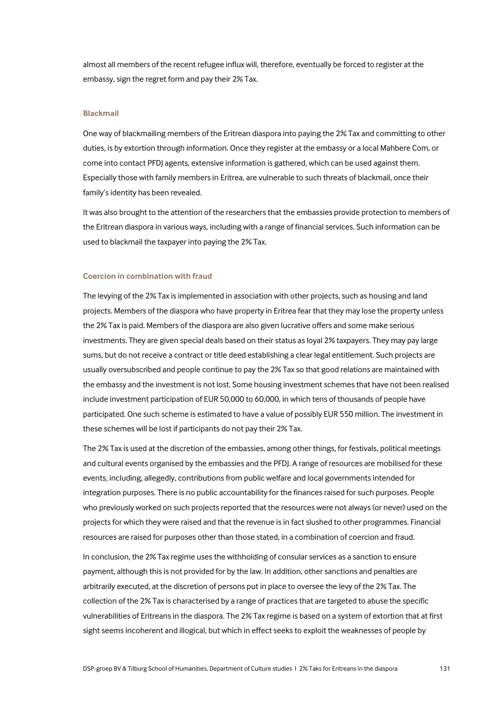almost all members of the recent refugee influx will, therefore, eventually be forced to register at the embassy, sign the regret form and pay their 2% Tax.

#### **Blackmail**

One way of blackmailing members of the Eritrean diaspora into paying the 2% Tax and committing to other duties, is by extortion through information. Once they register at the embassy or a local Mahbere Com, or come into contact PFDJ agents, extensive information is gathered, which can be used against them. Especially those with family members in Eritrea, are vulnerable to such threats of blackmail, once their family's identity has been revealed.

It was also brought to the attention of the researchers that the embassies provide protection to members of the Eritrean diaspora in various ways, including with a range of financial services. Such information can be used to blackmail the taxpayer into paying the 2% Tax.

#### **Coercion in combination with fraud**

The levying of the 2% Tax is implemented in association with other projects, such as housing and land projects. Members of the diaspora who have property in Eritrea fear that they may lose the property unless the 2% Tax is paid. Members of the diaspora are also given lucrative offers and some make serious investments. They are given special deals based on their status as loyal 2% taxpayers. They may pay large sums, but do not receive a contract or title deed establishing a clear legal entitlement. Such projects are usually oversubscribed and people continue to pay the 2% Tax so that good relations are maintained with the embassy and the investment is not lost. Some housing investment schemes that have not been realised include investment participation of EUR 50,000 to 60,000, in which tens of thousands of people have participated. One such scheme is estimated to have a value of possibly EUR 550 million. The investment in these schemes will be lost if participants do not pay their 2% Tax.

The 2% Tax is used at the discretion of the embassies, among other things, for festivals, political meetings and cultural events organised by the embassies and the PFDJ. A range of resources are mobilised for these events, including, allegedly, contributions from public welfare and local governments intended for integration purposes. There is no public accountability for the finances raised for such purposes. People who previously worked on such projects reported that the resources were not always (or never) used on the projects for which they were raised and that the revenue is in fact slushed to other programmes. Financial resources are raised for purposes other than those stated, in a combination of coercion and fraud.

In conclusion, the 2% Tax regime uses the withholding of consular services as a sanction to ensure payment, although this is not provided for by the law. In addition, other sanctions and penalties are arbitrarily executed, at the discretion of persons put in place to oversee the levy of the 2% Tax. The collection of the 2% Tax is characterised by a range of practices that are targeted to abuse the specific vulnerabilities of Eritreans in the diaspora. The 2% Tax regime is based on a system of extortion that at first sight seems incoherent and illogical, but which in effect seeks to exploit the weaknesses of people by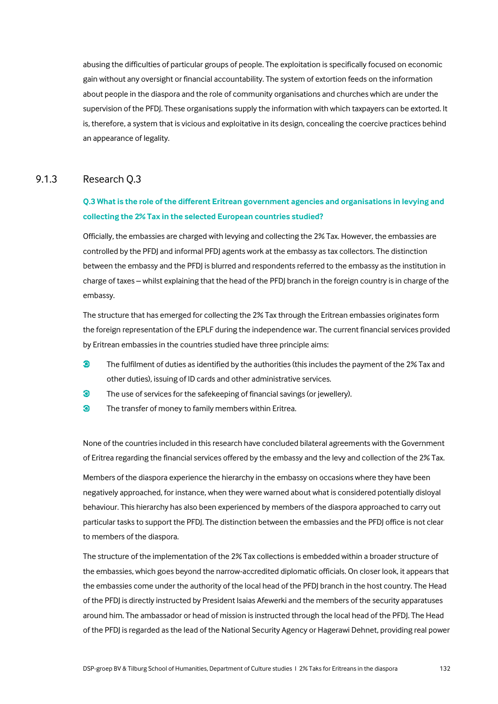abusing the difficulties of particular groups of people. The exploitation is specifically focused on economic gain without any oversight or financial accountability. The system of extortion feeds on the information about people in the diaspora and the role of community organisations and churches which are under the supervision of the PFDJ. These organisations supply the information with which taxpayers can be extorted. It is, therefore, a system that is vicious and exploitative in its design, concealing the coercive practices behind an appearance of legality.

#### 9.1.3 Research Q.3

### **Q.3 What is the role of the different Eritrean government agencies and organisations in levying and collecting the 2% Tax in the selected European countries studied?**

Officially, the embassies are charged with levying and collecting the 2% Tax. However, the embassies are controlled by the PFDJ and informal PFDJ agents work at the embassy as tax collectors. The distinction between the embassy and the PFDJ is blurred and respondents referred to the embassy as the institution in charge of taxes – whilst explaining that the head of the PFDJ branch in the foreign country is in charge of the embassy.

The structure that has emerged for collecting the 2% Tax through the Eritrean embassies originates form the foreign representation of the EPLF during the independence war. The current financial services provided by Eritrean embassies in the countries studied have three principle aims:

- $\bullet$ The fulfilment of duties as identified by the authorities (this includes the payment of the 2% Tax and other duties), issuing of ID cards and other administrative services.
- Э The use of services for the safekeeping of financial savings (or jewellery).
- Э The transfer of money to family members within Eritrea.

None of the countries included in this research have concluded bilateral agreements with the Government of Eritrea regarding the financial services offered by the embassy and the levy and collection of the 2% Tax.

Members of the diaspora experience the hierarchy in the embassy on occasions where they have been negatively approached, for instance, when they were warned about what is considered potentially disloyal behaviour. This hierarchy has also been experienced by members of the diaspora approached to carry out particular tasks to support the PFDJ. The distinction between the embassies and the PFDJ office is not clear to members of the diaspora.

The structure of the implementation of the 2% Tax collections is embedded within a broader structure of the embassies, which goes beyond the narrow-accredited diplomatic officials. On closer look, it appears that the embassies come under the authority of the local head of the PFDJ branch in the host country. The Head of the PFDJ is directly instructed by President Isaias Afewerki and the members of the security apparatuses around him. The ambassador or head of mission is instructed through the local head of the PFDJ. The Head of the PFDJ is regarded as the lead of the National Security Agency or Hagerawi Dehnet, providing real power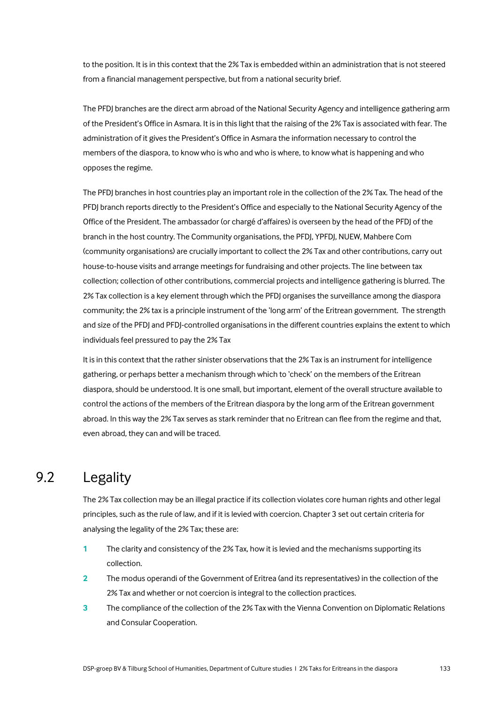to the position. It is in this context that the 2% Tax is embedded within an administration that is not steered from a financial management perspective, but from a national security brief.

The PFDJ branches are the direct arm abroad of the National Security Agency and intelligence gathering arm of the President's Office in Asmara. It is in this light that the raising of the 2% Tax is associated with fear. The administration of it gives the President's Office in Asmara the information necessary to control the members of the diaspora, to know who is who and who is where, to know what is happening and who opposes the regime.

The PFDJ branches in host countries play an important role in the collection of the 2% Tax. The head of the PFDJ branch reports directly to the President's Office and especially to the National Security Agency of the Office of the President. The ambassador (or chargé d'affaires) is overseen by the head of the PFDJ of the branch in the host country. The Community organisations, the PFDJ, YPFDJ, NUEW, Mahbere Com (community organisations) are crucially important to collect the 2% Tax and other contributions, carry out house-to-house visits and arrange meetings for fundraising and other projects. The line between tax collection; collection of other contributions, commercial projects and intelligence gathering is blurred. The 2% Tax collection is a key element through which the PFDJ organises the surveillance among the diaspora community; the 2% tax is a principle instrument of the 'long arm' of the Eritrean government. The strength and size of the PFDJ and PFDJ-controlled organisations in the different countries explains the extent to which individuals feel pressured to pay the 2% Tax

It is in this context that the rather sinister observations that the 2% Tax is an instrument for intelligence gathering, or perhaps better a mechanism through which to 'check' on the members of the Eritrean diaspora, should be understood. It is one small, but important, element of the overall structure available to control the actions of the members of the Eritrean diaspora by the long arm of the Eritrean government abroad. In this way the 2% Tax serves as stark reminder that no Eritrean can flee from the regime and that, even abroad, they can and will be traced.

## 9.2 Legality

The 2% Tax collection may be an illegal practice if its collection violates core human rights and other legal principles, such as the rule of law, and if it is levied with coercion. Chapter 3 set out certain criteria for analysing the legality of the 2% Tax; these are:

- **1** The clarity and consistency of the 2% Tax, how it is levied and the mechanisms supporting its collection.
- **2** The modus operandi of the Government of Eritrea (and its representatives) in the collection of the 2% Tax and whether or not coercion is integral to the collection practices.
- **3** The compliance of the collection of the 2% Tax with the Vienna Convention on Diplomatic Relations and Consular Cooperation.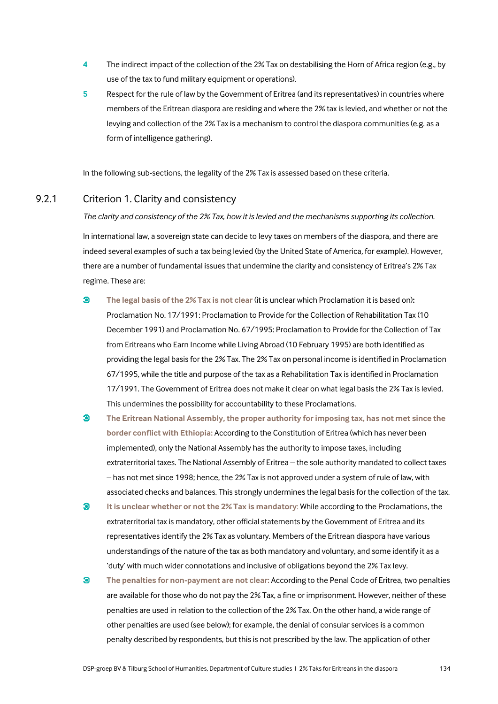- **4** The indirect impact of the collection of the 2% Tax on destabilising the Horn of Africa region (e.g., by use of the tax to fund military equipment or operations).
- **5** Respect for the rule of law by the Government of Eritrea (and its representatives) in countries where members of the Eritrean diaspora are residing and where the 2% tax is levied, and whether or not the levying and collection of the 2% Tax is a mechanism to control the diaspora communities (e.g. as a form of intelligence gathering).

In the following sub-sections, the legality of the 2% Tax is assessed based on these criteria.

#### 9.2.1 Criterion 1. Clarity and consistency

*The clarity and consistency of the 2% Tax, how it is levied and the mechanisms supporting its collection.* 

In international law, a sovereign state can decide to levy taxes on members of the diaspora, and there are indeed several examples of such a tax being levied (by the United State of America, for example). However, there are a number of fundamental issues that undermine the clarity and consistency of Eritrea's 2% Tax regime. These are:

- Э **The legal basis of the 2% Tax is not clear** (it is unclear which Proclamation it is based on)**:** Proclamation No. 17/1991: Proclamation to Provide for the Collection of Rehabilitation Tax (10 December 1991) and Proclamation No. 67/1995: Proclamation to Provide for the Collection of Tax from Eritreans who Earn Income while Living Abroad (10 February 1995) are both identified as providing the legal basis for the 2% Tax. The 2% Tax on personal income is identified in Proclamation 67/1995, while the title and purpose of the tax as a Rehabilitation Tax is identified in Proclamation 17/1991. The Government of Eritrea does not make it clear on what legal basis the 2% Tax is levied. This undermines the possibility for accountability to these Proclamations.
- $\bullet$ **The Eritrean National Assembly, the proper authority for imposing tax, has not met since the border conflict with Ethiopia:** According to the Constitution of Eritrea (which has never been implemented), only the National Assembly has the authority to impose taxes, including extraterritorial taxes. The National Assembly of Eritrea – the sole authority mandated to collect taxes – has not met since 1998; hence, the 2% Tax is not approved under a system of rule of law, with associated checks and balances. This strongly undermines the legal basis for the collection of the tax.
- Э **It is unclear whether or not the 2% Tax is mandatory**: While according to the Proclamations, the extraterritorial tax is mandatory, other official statements by the Government of Eritrea and its representatives identify the 2% Tax as voluntary. Members of the Eritrean diaspora have various understandings of the nature of the tax as both mandatory and voluntary, and some identify it as a 'duty' with much wider connotations and inclusive of obligations beyond the 2% Tax levy.
- $\bullet$ **The penalties for non-payment are not clear:** According to the Penal Code of Eritrea, two penalties are available for those who do not pay the 2% Tax, a fine or imprisonment. However, neither of these penalties are used in relation to the collection of the 2% Tax. On the other hand, a wide range of other penalties are used (see below); for example, the denial of consular services is a common penalty described by respondents, but this is not prescribed by the law. The application of other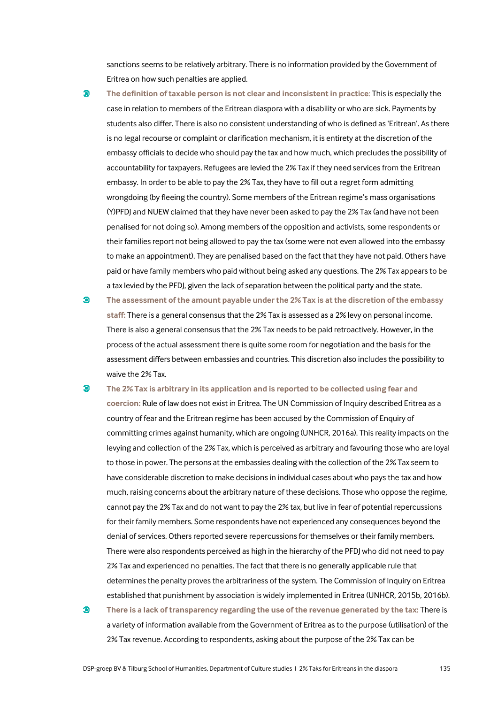sanctions seems to be relatively arbitrary. There is no information provided by the Government of Eritrea on how such penalties are applied.

- Э **The definition of taxable person is not clear and inconsistent in practice**: This is especially the case in relation to members of the Eritrean diaspora with a disability or who are sick. Payments by students also differ. There is also no consistent understanding of who is defined as 'Eritrean'. As there is no legal recourse or complaint or clarification mechanism, it is entirety at the discretion of the embassy officials to decide who should pay the tax and how much, which precludes the possibility of accountability for taxpayers. Refugees are levied the 2% Tax if they need services from the Eritrean embassy. In order to be able to pay the 2% Tax, they have to fill out a regret form admitting wrongdoing (by fleeing the country). Some members of the Eritrean regime's mass organisations (Y)PFDJ and NUEW claimed that they have never been asked to pay the 2% Tax (and have not been penalised for not doing so). Among members of the opposition and activists, some respondents or their families report not being allowed to pay the tax (some were not even allowed into the embassy to make an appointment). They are penalised based on the fact that they have not paid. Others have paid or have family members who paid without being asked any questions. The 2% Tax appears to be a tax levied by the PFDJ, given the lack of separation between the political party and the state.
- $\bullet$ **The assessment of the amount payable under the 2% Tax is at the discretion of the embassy staff:** There is a general consensus that the 2% Tax is assessed as a 2% levy on personal income. There is also a general consensus that the 2% Tax needs to be paid retroactively. However, in the process of the actual assessment there is quite some room for negotiation and the basis for the assessment differs between embassies and countries. This discretion also includes the possibility to waive the 2% Tax.
- $\bullet$ **The 2% Tax is arbitrary in its application and is reported to be collected using fear and coercion:** Rule of law does not exist in Eritrea. The UN Commission of Inquiry described Eritrea as a country of fear and the Eritrean regime has been accused by the Commission of Enquiry of committing crimes against humanity, which are ongoing (UNHCR, 2016a). This reality impacts on the levying and collection of the 2% Tax, which is perceived as arbitrary and favouring those who are loyal to those in power. The persons at the embassies dealing with the collection of the 2% Tax seem to have considerable discretion to make decisions in individual cases about who pays the tax and how much, raising concerns about the arbitrary nature of these decisions. Those who oppose the regime, cannot pay the 2% Tax and do not want to pay the 2% tax, but live in fear of potential repercussions for their family members. Some respondents have not experienced any consequences beyond the denial of services. Others reported severe repercussions for themselves or their family members. There were also respondents perceived as high in the hierarchy of the PFDJ who did not need to pay 2% Tax and experienced no penalties. The fact that there is no generally applicable rule that determines the penalty proves the arbitrariness of the system. The Commission of Inquiry on Eritrea established that punishment by association is widely implemented in Eritrea (UNHCR, 2015b, 2016b).
- $\bullet$ **There is a lack of transparency regarding the use of the revenue generated by the tax:** There is a variety of information available from the Government of Eritrea as to the purpose (utilisation) of the 2% Tax revenue. According to respondents, asking about the purpose of the 2% Tax can be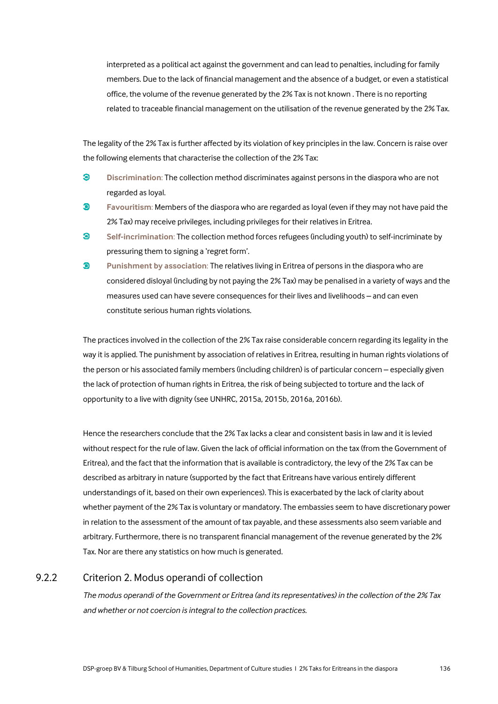interpreted as a political act against the government and can lead to penalties, including for family members. Due to the lack of financial management and the absence of a budget, or even a statistical office, the volume of the revenue generated by the 2% Tax is not known . There is no reporting related to traceable financial management on the utilisation of the revenue generated by the 2% Tax.

The legality of the 2% Tax is further affected by its violation of key principles in the law. Concern is raise over the following elements that characterise the collection of the 2% Tax:

- $\bullet$ **Discrimination**: The collection method discriminates against persons in the diaspora who are not regarded as loyal.
- $\bullet$ **Favouritism**: Members of the diaspora who are regarded as loyal (even if they may not have paid the 2% Tax) may receive privileges, including privileges for their relatives in Eritrea.
- $\bullet$ **Self-incrimination**: The collection method forces refugees (including youth) to self-incriminate by pressuring them to signing a 'regret form'.
- $\bullet$ **Punishment by association**: The relatives living in Eritrea of persons in the diaspora who are considered disloyal (including by not paying the 2% Tax) may be penalised in a variety of ways and the measures used can have severe consequences for their lives and livelihoods – and can even constitute serious human rights violations.

The practices involved in the collection of the 2% Tax raise considerable concern regarding its legality in the way it is applied. The punishment by association of relatives in Eritrea, resulting in human rights violations of the person or his associated family members (including children) is of particular concern – especially given the lack of protection of human rights in Eritrea, the risk of being subjected to torture and the lack of opportunity to a live with dignity (see UNHRC, 2015a, 2015b, 2016a, 2016b).

Hence the researchers conclude that the 2% Tax lacks a clear and consistent basis in law and it is levied without respect for the rule of law. Given the lack of official information on the tax (from the Government of Eritrea), and the fact that the information that is available is contradictory, the levy of the 2% Tax can be described as arbitrary in nature (supported by the fact that Eritreans have various entirely different understandings of it, based on their own experiences). This is exacerbated by the lack of clarity about whether payment of the 2% Tax is voluntary or mandatory. The embassies seem to have discretionary power in relation to the assessment of the amount of tax payable, and these assessments also seem variable and arbitrary. Furthermore, there is no transparent financial management of the revenue generated by the 2% Tax. Nor are there any statistics on how much is generated.

#### 9.2.2 Criterion 2. Modus operandi of collection

*The modus operandi of the Government or Eritrea (and its representatives) in the collection of the 2% Tax and whether or not coercion is integral to the collection practices.*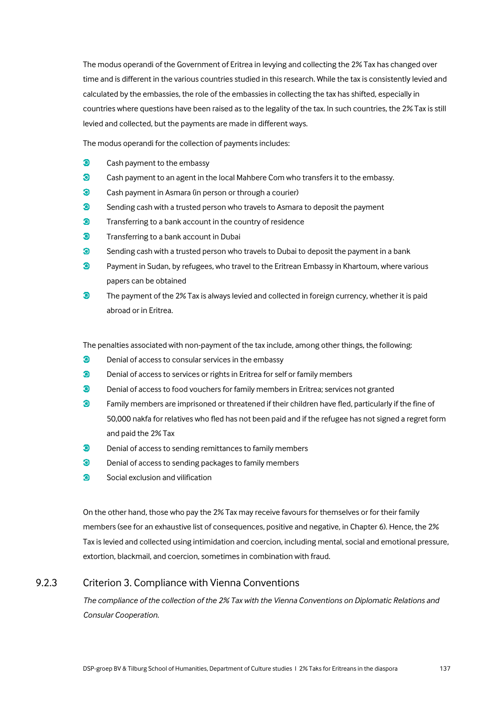The modus operandi of the Government of Eritrea in levying and collecting the 2% Tax has changed over time and is different in the various countries studied in this research. While the tax is consistently levied and calculated by the embassies, the role of the embassies in collecting the tax has shifted, especially in countries where questions have been raised as to the legality of the tax. In such countries, the 2% Tax is still levied and collected, but the payments are made in different ways.

The modus operandi for the collection of payments includes:

- $\bullet$ Cash payment to the embassy
- $\bullet$ Cash payment to an agent in the local Mahbere Com who transfers it to the embassy.
- Э Cash payment in Asmara (in person or through a courier)
- $\bullet$ Sending cash with a trusted person who travels to Asmara to deposit the payment
- Э Transferring to a bank account in the country of residence
- $\bullet$ Transferring to a bank account in Dubai
- Э Sending cash with a trusted person who travels to Dubai to deposit the payment in a bank
- Э Payment in Sudan, by refugees, who travel to the Eritrean Embassy in Khartoum, where various papers can be obtained
- $\bullet$ The payment of the 2% Tax is always levied and collected in foreign currency, whether it is paid abroad or in Eritrea.

The penalties associated with non-payment of the tax include, among other things, the following:

- $\bullet$ Denial of access to consular services in the embassy
- $\bullet$ Denial of access to services or rights in Eritrea for self or family members
- $\bullet$ Denial of access to food vouchers for family members in Eritrea; services not granted
- Э Family members are imprisoned or threatened if their children have fled, particularly if the fine of 50,000 nakfa for relatives who fled has not been paid and if the refugee has not signed a regret form and paid the 2% Tax
- Э Denial of access to sending remittances to family members
- $\bullet$ Denial of access to sending packages to family members
- G. Social exclusion and vilification

On the other hand, those who pay the 2% Tax may receive favours for themselves or for their family members (see for an exhaustive list of consequences, positive and negative, in Chapter 6). Hence, the 2% Tax is levied and collected using intimidation and coercion, including mental, social and emotional pressure, extortion, blackmail, and coercion, sometimes in combination with fraud.

#### 9.2.3 Criterion 3. Compliance with Vienna Conventions

*The compliance of the collection of the 2% Tax with the Vienna Conventions on Diplomatic Relations and Consular Cooperation.*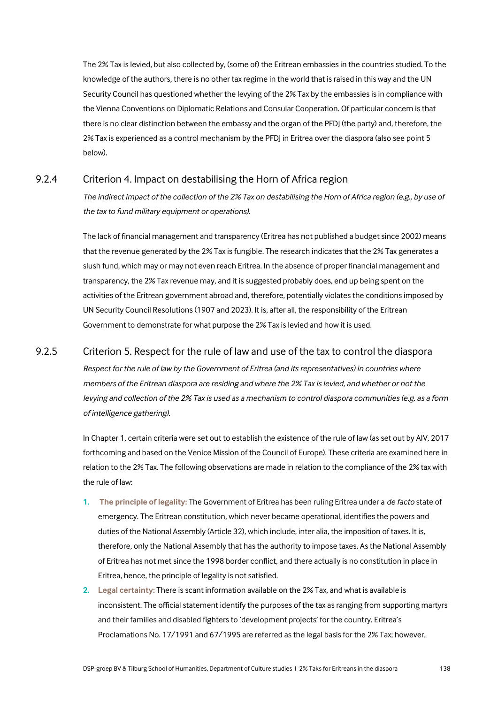The 2% Tax is levied, but also collected by, (some of) the Eritrean embassies in the countries studied. To the knowledge of the authors, there is no other tax regime in the world that is raised in this way and the UN Security Council has questioned whether the levying of the 2% Tax by the embassies is in compliance with the Vienna Conventions on Diplomatic Relations and Consular Cooperation. Of particular concern is that there is no clear distinction between the embassy and the organ of the PFDJ (the party) and, therefore, the 2% Tax is experienced as a control mechanism by the PFDJ in Eritrea over the diaspora (also see point 5 below).

### 9.2.4 Criterion 4. Impact on destabilising the Horn of Africa region

*The indirect impact of the collection of the 2% Tax on destabilising the Horn of Africa region (e.g., by use of the tax to fund military equipment or operations).* 

The lack of financial management and transparency (Eritrea has not published a budget since 2002) means that the revenue generated by the 2% Tax is fungible. The research indicates that the 2% Tax generates a slush fund, which may or may not even reach Eritrea. In the absence of proper financial management and transparency, the 2% Tax revenue may, and it is suggested probably does, end up being spent on the activities of the Eritrean government abroad and, therefore, potentially violates the conditions imposed by UN Security Council Resolutions (1907 and 2023). It is, after all, the responsibility of the Eritrean Government to demonstrate for what purpose the 2% Tax is levied and how it is used.

#### 9.2.5 Criterion 5. Respect for the rule of law and use of the tax to control the diaspora

*Respect for the rule of law by the Government of Eritrea (and its representatives) in countries where members of the Eritrean diaspora are residing and where the 2% Tax is levied, and whether or not the levying and collection of the 2% Tax is used as a mechanism to control diaspora communities (e.g. as a form of intelligence gathering).* 

In Chapter 1, certain criteria were set out to establish the existence of the rule of law (as set out by AIV, 2017 forthcoming and based on the Venice Mission of the Council of Europe). These criteria are examined here in relation to the 2% Tax. The following observations are made in relation to the compliance of the 2% tax with the rule of law:

- **1. The principle of legality:** The Government of Eritrea has been ruling Eritrea under a *de facto* state of emergency. The Eritrean constitution, which never became operational, identifies the powers and duties of the National Assembly (Article 32), which include, inter alia, the imposition of taxes. It is, therefore, only the National Assembly that has the authority to impose taxes. As the National Assembly of Eritrea has not met since the 1998 border conflict, and there actually is no constitution in place in Eritrea, hence, the principle of legality is not satisfied.
- **2. Legal certainty:** There is scant information available on the 2% Tax, and what is available is inconsistent. The official statement identify the purposes of the tax as ranging from supporting martyrs and their families and disabled fighters to 'development projects' for the country. Eritrea's Proclamations No. 17/1991 and 67/1995 are referred as the legal basis for the 2% Tax; however,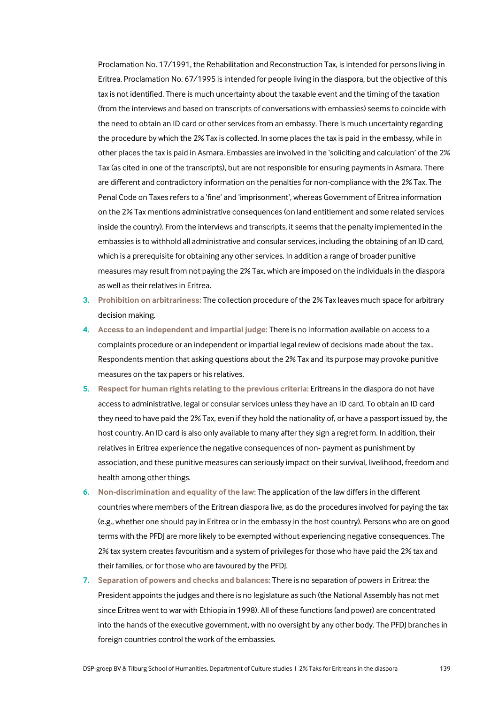Proclamation No. 17/1991, the Rehabilitation and Reconstruction Tax, is intended for persons living in Eritrea. Proclamation No. 67/1995 is intended for people living in the diaspora, but the objective of this tax is not identified. There is much uncertainty about the taxable event and the timing of the taxation (from the interviews and based on transcripts of conversations with embassies) seems to coincide with the need to obtain an ID card or other services from an embassy. There is much uncertainty regarding the procedure by which the 2% Tax is collected. In some places the tax is paid in the embassy, while in other places the tax is paid in Asmara. Embassies are involved in the 'soliciting and calculation' of the 2% Tax (as cited in one of the transcripts), but are not responsible for ensuring payments in Asmara. There are different and contradictory information on the penalties for non-compliance with the 2% Tax. The Penal Code on Taxes refers to a 'fine' and 'imprisonment', whereas Government of Eritrea information on the 2% Tax mentions administrative consequences (on land entitlement and some related services inside the country). From the interviews and transcripts, it seems that the penalty implemented in the embassies is to withhold all administrative and consular services, including the obtaining of an ID card, which is a prerequisite for obtaining any other services. In addition a range of broader punitive measures may result from not paying the 2% Tax, which are imposed on the individuals in the diaspora as well as their relatives in Eritrea.

- **3. Prohibition on arbitrariness:** The collection procedure of the 2% Tax leaves much space for arbitrary decision making.
- **4. Access to an independent and impartial judge:** There is no information available on access to a complaints procedure or an independent or impartial legal review of decisions made about the tax.. Respondents mention that asking questions about the 2% Tax and its purpose may provoke punitive measures on the tax papers or his relatives.
- **5. Respect for human rights relating to the previous criteria:** Eritreans in the diaspora do not have access to administrative, legal or consular services unless they have an ID card. To obtain an ID card they need to have paid the 2% Tax, even if they hold the nationality of, or have a passport issued by, the host country. An ID card is also only available to many after they sign a regret form. In addition, their relatives in Eritrea experience the negative consequences of non- payment as punishment by association, and these punitive measures can seriously impact on their survival, livelihood, freedom and health among other things.
- **6. Non-discrimination and equality of the law:** The application of the law differs in the different countries where members of the Eritrean diaspora live, as do the procedures involved for paying the tax (e.g., whether one should pay in Eritrea or in the embassy in the host country). Persons who are on good terms with the PFDJ are more likely to be exempted without experiencing negative consequences. The 2% tax system creates favouritism and a system of privileges for those who have paid the 2% tax and their families, or for those who are favoured by the PFDJ.
- **7. Separation of powers and checks and balances:** There is no separation of powers in Eritrea: the President appoints the judges and there is no legislature as such (the National Assembly has not met since Eritrea went to war with Ethiopia in 1998). All of these functions (and power) are concentrated into the hands of the executive government, with no oversight by any other body. The PFDJ branches in foreign countries control the work of the embassies.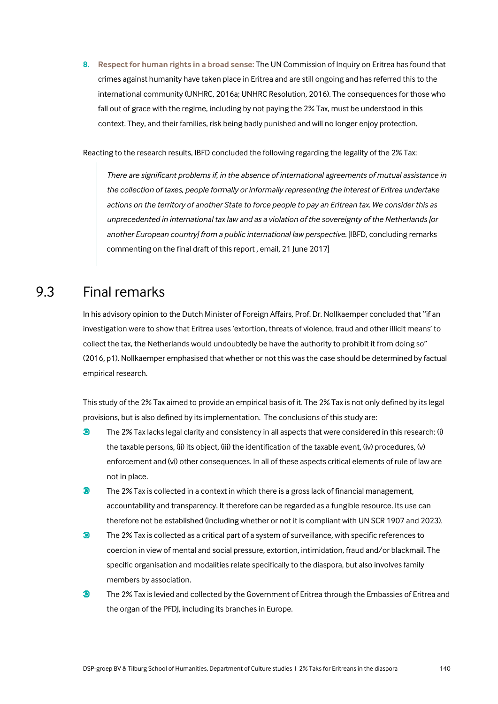**8. Respect for human rights in a broad sense:** The UN Commission of Inquiry on Eritrea has found that crimes against humanity have taken place in Eritrea and are still ongoing and has referred this to the international community (UNHRC, 2016a; UNHRC Resolution, 2016). The consequences for those who fall out of grace with the regime, including by not paying the 2% Tax, must be understood in this context. They, and their families, risk being badly punished and will no longer enjoy protection.

Reacting to the research results, IBFD concluded the following regarding the legality of the 2% Tax:

*There are significant problems if, in the absence of international agreements of mutual assistance in the collection of taxes, people formally or informally representing the interest of Eritrea undertake actions on the territory of another State to force people to pay an Eritrean tax. We consider this as unprecedented in international tax law and as a violation of the sovereignty of the Netherlands [or*  another European country] from a public international law perspective. [IBFD, concluding remarks commenting on the final draft of this report , email, 21 June 2017]

### 9.3 Final remarks

In his advisory opinion to the Dutch Minister of Foreign Affairs, Prof. Dr. Nollkaemper concluded that "if an investigation were to show that Eritrea uses 'extortion, threats of violence, fraud and other illicit means' to collect the tax, the Netherlands would undoubtedly be have the authority to prohibit it from doing so" (2016, p1). Nollkaemper emphasised that whether or not this was the case should be determined by factual empirical research.

This study of the 2% Tax aimed to provide an empirical basis of it. The 2% Tax is not only defined by its legal provisions, but is also defined by its implementation. The conclusions of this study are:

- $\bullet$ The 2% Tax lacks legal clarity and consistency in all aspects that were considered in this research: (i) the taxable persons, (ii) its object, (iii) the identification of the taxable event, (iv) procedures, (v) enforcement and (vi) other consequences. In all of these aspects critical elements of rule of law are not in place.
- Э The 2% Tax is collected in a context in which there is a gross lack of financial management, accountability and transparency. It therefore can be regarded as a fungible resource. Its use can therefore not be established (including whether or not it is compliant with UN SCR 1907 and 2023).
- $\bullet$ The 2% Tax is collected as a critical part of a system of surveillance, with specific references to coercion in view of mental and social pressure, extortion, intimidation, fraud and/or blackmail. The specific organisation and modalities relate specifically to the diaspora, but also involves family members by association.
- $\bullet$ The 2% Tax is levied and collected by the Government of Eritrea through the Embassies of Eritrea and the organ of the PFDJ, including its branches in Europe.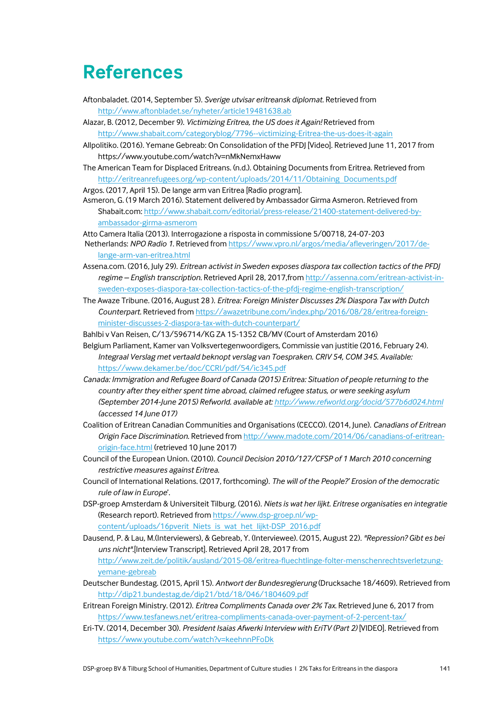# **References**

- Aftonbaladet. (2014, September 5). *Sverige utvisar eritreansk diplomat.* Retrieved from http://www.aftonbladet.se/nyheter/article19481638.ab
- Alazar, B. (2012, December 9). *Victimizing Eritrea, the US does it Again!* Retrieved from http://www.shabait.com/categoryblog/7796--victimizing-Eritrea-the-us-does-it-again
- Allpolitiko. (2016). Yemane Gebreab: On Consolidation of the PFDJ [Video]. Retrieved June 11, 2017 from https://www.youtube.com/watch?v=nMkNemxHaww
- The American Team for Displaced Eritreans. (n.d.). Obtaining Documents from Eritrea. Retrieved from http://eritreanrefugees.org/wp-content/uploads/2014/11/Obtaining\_Documents.pdf

Argos. (2017, April 15). De lange arm van Eritrea [Radio program].

Asmeron, G. (19 March 2016). Statement delivered by Ambassador Girma Asmeron. Retrieved from Shabait.com: http://www.shabait.com/editorial/press-release/21400-statement-delivered-byambassador-girma-asmerom

Atto Camera Italia (2013). Interrogazione a risposta in commissione 5/00718, 24-07-203 Netherlands: *NPO Radio 1*. Retrieved from https://www.vpro.nl/argos/media/afleveringen/2017/delange-arm-van-eritrea.html

- Assena.com. (2016, July 29). *Eritrean activist in Sweden exposes diaspora tax collection tactics of the PFDJ regime – English transcription.* Retrieved April 28, 2017,from http://assenna.com/eritrean-activist-insweden-exposes-diaspora-tax-collection-tactics-of-the-pfdj-regime-english-transcription/
- The Awaze Tribune. (2016, August 28 ). *Eritrea: Foreign Minister Discusses 2% Diaspora Tax with Dutch Counterpart.* Retrieved from https://awazetribune.com/index.php/2016/08/28/eritrea-foreignminister-discusses-2-diaspora-tax-with-dutch-counterpart/

Bahlbi v Van Reisen, C/13/596714/KG ZA 15-1352 CB/MV (Court of Amsterdam 2016)

- Belgium Parliament, Kamer van Volksvertegenwoordigers, Commissie van justitie (2016, February 24). *Integraal Verslag met vertaald beknopt verslag van Toespraken. CRIV 54, COM 345. Available:*  https://www.dekamer.be/doc/CCRI/pdf/54/ic345.pdf
- *Canada: Immigration and Refugee Board of Canada (2015) Eritrea: Situation of people returning to the country after they either spent time abroad, claimed refugee status, or were seeking asylum (September 2014-June 2015) Refworld. available at: http://www.refworld.org/docid/577b6d024.html (accessed 14 June 017)*
- Coalition of Eritrean Canadian Communities and Organisations (CECCO). (2014, June). *Canadians of Eritrean Origin Face Discrimination.* Retrieved from http://www.madote.com/2014/06/canadians-of-eritreanorigin-face.html (retrieved 10 June 2017)
- Council of the European Union. (2010). *Council Decision 2010/127/CFSP of 1 March 2010 concerning restrictive measures against Eritrea.*
- Council of International Relations. (2017, forthcoming). *The will of the People?' Erosion of the democratic rule of law in Europe*'.
- DSP-groep Amsterdam & Universiteit Tilburg. (2016). *Niets is wat her lijkt. Eritrese organisaties en integratie* (Research report). Retrieved from https://www.dsp-groep.nl/wpcontent/uploads/16pverit\_Niets\_is\_wat\_het\_lijkt-DSP\_2016.pdf
- Dausend, P. & Lau, M.(Interviewers), & Gebreab, Y. (Interviewee). (2015, August 22). *"Repression? Gibt es bei uns nicht"*.[Interview Transcript]. Retrieved April 28, 2017 from http://www.zeit.de/politik/ausland/2015-08/eritrea-fluechtlinge-folter-menschenrechtsverletzungyemane-gebreab
- Deutscher Bundestag. (2015, April 15). *Antwort der Bundesregierung* (Drucksache 18/4609). Retrieved from http://dip21.bundestag.de/dip21/btd/18/046/1804609.pdf
- Eritrean Foreign Ministry. (2012). *Eritrea Compliments Canada over 2% Tax.* Retrieved June 6, 2017 from https://www.tesfanews.net/eritrea-compliments-canada-over-payment-of-2-percent-tax/
- Eri-TV. (2014, December 30). *President Isaias Afwerki Interview with EriTV (Part 2)* [VIDEO]. Retrieved from https://www.youtube.com/watch?v=keehnnPFoDk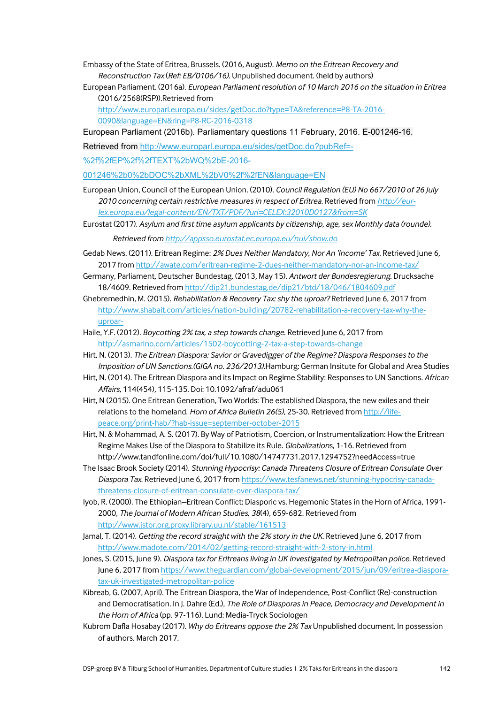Embassy of the State of Eritrea, Brussels. (2016, August). *Memo on the Eritrean Recovery and Reconstruction Tax* (*Ref: EB/0106/16).* Unpublished document. (held by authors)

European Parliament. (2016a). *European Parliament resolution of 10 March 2016 on the situation in Eritrea* (2016/2568(RSP)).Retrieved from

http://www.europarl.europa.eu/sides/getDoc.do?type=TA&reference=P8-TA-2016- 0090&language=EN&ring=P8-RC-2016-0318

European Parliament (2016b). Parliamentary questions 11 February, 2016. E-001246-16.

Retrieved from http://www.europarl.europa.eu/sides/getDoc.do?pubRef=-

%2f%2fEP%2f%2fTEXT%2bWQ%2bE-2016-

001246%2b0%2bDOC%2bXML%2bV0%2f%2fEN&language=EN

European Union, Council of the European Union. (2010). *Council Regulation (EU) No 667/2010 of 26 July 2010 concerning certain restrictive measures in respect of Eritrea.* Retrieved from *http://eurlex.europa.eu/legal-content/EN/TXT/PDF/?uri=CELEX:32010D0127&from=SK* 

Eurostat (2017). *Asylum and first time asylum applicants by citizenship, age, sex Monthly data (rounde). Retrieved from http://appsso.eurostat.ec.europa.eu/nui/show.do*

- Gedab News. (2011). Eritrean Regime: *2% Dues Neither Mandatory, Nor An 'Income' Tax.* Retrieved June 6, 2017 from http://awate.com/eritrean-regime-2-dues-neither-mandatory-nor-an-income-tax/
- Germany, Parliament, Deutscher Bundestag. (2013, May 15). *Antwort der Bundesregierung.* Drucksache 18/4609. Retrieved from http://dip21.bundestag.de/dip21/btd/18/046/1804609.pdf
- Ghebremedhin, M. (2015). *Rehabilitation & Recovery Tax: shy the uproar?* Retrieved June 6, 2017 from http://www.shabait.com/articles/nation-building/20782-rehabilitation-a-recovery-tax-why-theuproar-
- Haile, Y.F. (2012). *Boycotting 2% tax, a step towards change.* Retrieved June 6, 2017 from http://asmarino.com/articles/1502-boycotting-2-tax-a-step-towards-change
- Hirt, N. (2013). *The Eritrean Diaspora: Savior or Gravedigger of the Regime? Diaspora Responses to the Imposition of UN Sanctions.(GIGA no. 236/2013)*.Hamburg: German Insitute for Global and Area Studies
- Hirt, N. (2014). The Eritrean Diaspora and its Impact on Regime Stability: Responses to UN Sanctions*. African Affairs*, 114(454), 115-135. Doi: 10.1092/afraf/adu061
- Hirt, N (2015). One Eritrean Generation, Two Worlds: The established Diaspora, the new exiles and their relations to the homeland. *Horn of Africa Bulletin 26(5),* 25-30. Retrieved from http://lifepeace.org/print-hab/?hab-issue=september-october-2015
- Hirt, N. & Mohammad, A. S. (2017). By Way of Patriotism, Coercion, or Instrumentalization: How the Eritrean Regime Makes Use of the Diaspora to Stabilize its Rule. *Globalization*s, 1-16. Retrieved from http://www.tandfonline.com/doi/full/10.1080/14747731.2017.1294752?needAccess=true
- The Isaac Brook Society (2014). *Stunning Hypocrisy: Canada Threatens Closure of Eritrean Consulate Over Diaspora Tax.* Retrieved June 6, 2017 from https://www.tesfanews.net/stunning-hypocrisy-canadathreatens-closure-of-eritrean-consulate-over-diaspora-tax/
- Iyob, R. (2000). The Ethiopian–Eritrean Conflict: Diasporic vs. Hegemonic States in the Horn of Africa, 1991- 2000, *The Journal of Modern African Studies*, *38*(4), 659-682. Retrieved from http://www.jstor.org.proxy.library.uu.nl/stable/161513
- Jamal, T. (2014). *Getting the record straight with the 2% story in the UK.* Retrieved June 6, 2017 from http://www.madote.com/2014/02/getting-record-straight-with-2-story-in.html
- Jones, S. (2015, June 9). *Diaspora tax for Eritreans living in UK investigated by Metropolitan police.* Retrieved June 6, 2017 from https://www.theguardian.com/global-development/2015/jun/09/eritrea-diasporatax-uk-investigated-metropolitan-police
- Kibreab, G. (2007, April). The Eritrean Diaspora, the War of Independence, Post-Conflict (Re)-construction and Democratisation. In J. Dahre (Ed.), *The Role of Diasporas in Peace, Democracy and Development in the Horn of Africa* (pp. 97-116). Lund: Media-Tryck Sociologen
- Kubrom Dafla Hosabay (2017). *Why do Eritreans oppose the 2% Tax* Unpublished document. In possession of authors. March 2017.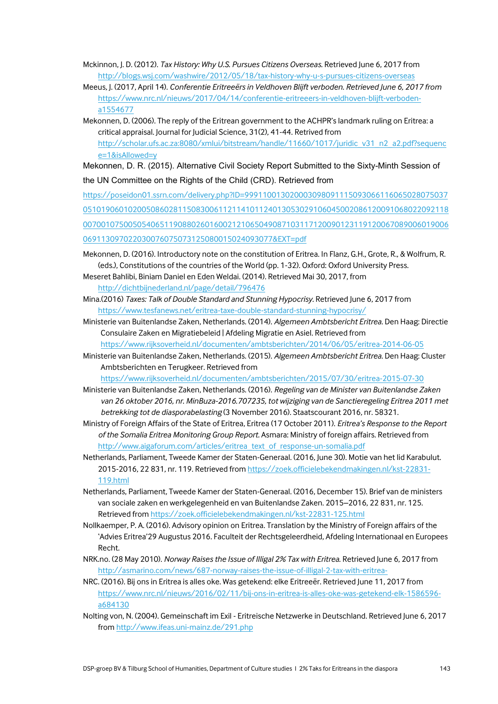- Mckinnon, J. D. (2012). *Tax History: Why U.S. Pursues Citizens Overseas.* Retrieved June 6, 2017 from http://blogs.wsj.com/washwire/2012/05/18/tax-history-why-u-s-pursues-citizens-overseas
- Meeus, J. (2017, April 14). *Conferentie Eritreeërs in Veldhoven Blijft verboden. Retrieved June 6, 2017 from*  https://www.nrc.nl/nieuws/2017/04/14/conferentie-eritreeers-in-veldhoven-blijft-verbodena1554677
- Mekonnen, D. (2006). The reply of the Eritrean government to the ACHPR's landmark ruling on Eritrea: a critical appraisal. Journal for Judicial Science, 31(2), 41-44. Retrived from http://scholar.ufs.ac.za:8080/xmlui/bitstream/handle/11660/1017/juridic\_v31\_n2\_a2.pdf?sequenc e=1&isAllowed=y

Mekonnen, D. R. (2015). Alternative Civil Society Report Submitted to the Sixty-Minth Session of the UN Committee on the Rights of the Child (CRD). Retrieved from

https://poseidon01.ssrn.com/delivery.php?ID=999110013020003098091115093066116065028075037 051019060102005086028115083006112114101124013053029106045002086120091068022092118 007001075005054065119088026016002121065049087103117120090123119120067089006019006

069113097022030076075073125080015024093077&EXT=pdf

- Mekonnen, D. (2016). Introductory note on the constitution of Eritrea. In Flanz, G.H., Grote, R., & Wolfrum, R. (eds.), Constitutions of the countries of the World (pp. 1-32). Oxford: Oxford University Press.
- Meseret Bahlibi, Biniam Daniel en Eden Weldai. (2014). Retrieved Mai 30, 2017, from http://dichtbijnederland.nl/page/detail/796476
- Mina.(2016) *Taxes: Talk of Double Standard and Stunning Hypocrisy.* Retrieved June 6, 2017 from https://www.tesfanews.net/eritrea-taxe-double-standard-stunning-hypocrisy/
- Ministerie van Buitenlandse Zaken, Netherlands. (2014). *Algemeen Ambtsbericht Eritrea.* Den Haag: Directie Consulaire Zaken en Migratiebeleid | Afdeling Migratie en Asiel. Retrieved from https://www.rijksoverheid.nl/documenten/ambtsberichten/2014/06/05/eritrea-2014-06-05
- Ministerie van Buitenlandse Zaken, Netherlands. (2015). *Algemeen Ambtsbericht Eritrea.* Den Haag: Cluster Ambtsberichten en Terugkeer. Retrieved from

https://www.rijksoverheid.nl/documenten/ambtsberichten/2015/07/30/eritrea-2015-07-30

- Ministerie van Buitenlandse Zaken, Netherlands. (2016). *Regeling van de Minister van Buitenlandse Zaken van 26 oktober 2016, nr. MinBuza-2016.707235, tot wijziging van de Sanctieregeling Eritrea 2011 met betrekking tot de diasporabelasting* (3 November 2016). Staatscourant 2016, nr. 58321.
- Ministry of Foreign Affairs of the State of Eritrea, Eritrea (17 October 2011). *Eritrea's Response to the Report of the Somalia Eritrea Monitoring Group Report.* Asmara: Ministry of foreign affairs. Retrieved from http://www.aigaforum.com/articles/eritrea\_text\_of\_response-un-somalia.pdf
- Netherlands, Parliament, Tweede Kamer der Staten-Generaal. (2016, June 30). Motie van het lid Karabulut. 2015-2016, 22 831, nr. 119. Retrieved from https://zoek.officielebekendmakingen.nl/kst-22831- 119.html
- Netherlands, Parliament, Tweede Kamer der Staten-Generaal. (2016, December 15). Brief van de ministers van sociale zaken en werkgelegenheid en van Buitenlandse Zaken. 2015–2016, 22 831, nr. 125. Retrieved from https://zoek.officielebekendmakingen.nl/kst-22831-125.html
- Nollkaemper, P. A. (2016). Advisory opinion on Eritrea. Translation by the Ministry of Foreign affairs of the 'Advies Eritrea'29 Augustus 2016. Faculteit der Rechtsgeleerdheid, Afdeling Internationaal en Europees Recht.
- NRK.no. (28 May 2010). *Norway Raises the Issue of Illigal 2% Tax with Eritrea.* Retrieved June 6, 2017 from http://asmarino.com/news/687-norway-raises-the-issue-of-illigal-2-tax-with-eritrea-
- NRC. (2016). Bij ons in Eritrea is alles oke. Was getekend: elke Eritreeër. Retrieved June 11, 2017 from https://www.nrc.nl/nieuws/2016/02/11/bij-ons-in-eritrea-is-alles-oke-was-getekend-elk-1586596 a684130
- Nolting von, N. (2004). Gemeinschaft im Exil Eritreische Netzwerke in Deutschland. Retrieved June 6, 2017 from http://www.ifeas.uni-mainz.de/291.php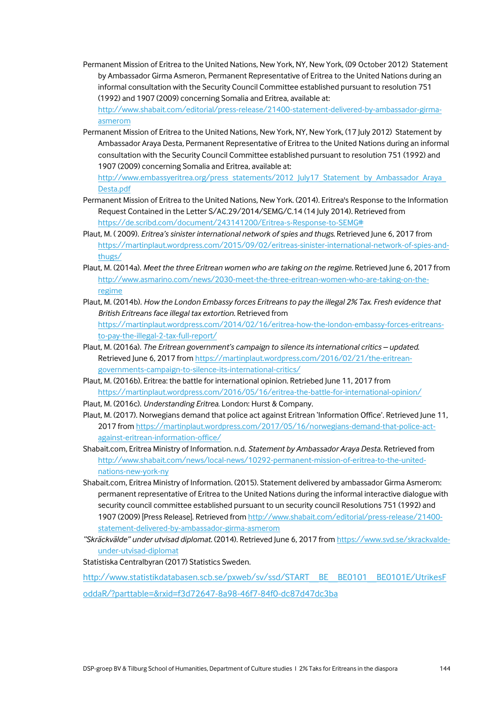Permanent Mission of Eritrea to the United Nations, New York, NY, New York, (09 October 2012) Statement by Ambassador Girma Asmeron, Permanent Representative of Eritrea to the United Nations during an informal consultation with the Security Council Committee established pursuant to resolution 751 (1992) and 1907 (2009) concerning Somalia and Eritrea, available at:

http://www.shabait.com/editorial/press-release/21400-statement-delivered-by-ambassador-girmaasmerom

Permanent Mission of Eritrea to the United Nations, New York, NY, New York, (17 July 2012) Statement by Ambassador Araya Desta, Permanent Representative of Eritrea to the United Nations during an informal consultation with the Security Council Committee established pursuant to resolution 751 (1992) and 1907 (2009) concerning Somalia and Eritrea, available at:

http://www.embassyeritrea.org/press\_statements/2012\_July17\_Statement\_by\_Ambassador\_Araya Desta.pdf

- Permanent Mission of Eritrea to the United Nations, New York. (2014). Eritrea's Response to the Information Request Contained in the Letter S/AC.29/2014/SEMG/C.14 (14 July 2014). Retrieved from https://de.scribd.com/document/243141200/Eritrea-s-Response-to-SEMG#
- Plaut, M. ( 2009). *Eritrea's sinister international network of spies and thugs.* Retrieved June 6, 2017 from https://martinplaut.wordpress.com/2015/09/02/eritreas-sinister-international-network-of-spies-andthugs/
- Plaut, M. (2014a). *Meet the three Eritrean women who are taking on the regime.* Retrieved June 6, 2017 from http://www.asmarino.com/news/2030-meet-the-three-eritrean-women-who-are-taking-on-theregime
- Plaut, M. (2014b). *How the London Embassy forces Eritreans to pay the illegal 2% Tax. Fresh evidence that British Eritreans face illegal tax extortion.* Retrieved from https://martinplaut.wordpress.com/2014/02/16/eritrea-how-the-london-embassy-forces-eritreansto-pay-the-illegal-2-tax-full-report/
- Plaut, M. (2016a). *The Eritrean government's campaign to silence its international critics updated*. Retrieved June 6, 2017 from https://martinplaut.wordpress.com/2016/02/21/the-eritreangovernments-campaign-to-silence-its-international-critics/
- Plaut, M. (2016b). Eritrea: the battle for international opinion. Retriebed June 11, 2017 from https://martinplaut.wordpress.com/2016/05/16/eritrea-the-battle-for-international-opinion/

Plaut, M. (2016c). *Understanding Eritrea*. London: Hurst & Company.

- Plaut, M. (2017). Norwegians demand that police act against Eritrean 'Information Office'. Retrieved June 11, 2017 from https://martinplaut.wordpress.com/2017/05/16/norwegians-demand-that-police-actagainst-eritrean-information-office/
- Shabait.com, Eritrea Ministry of Information. n.d. *Statement by Ambassador Araya Desta.* Retrieved from http://www.shabait.com/news/local-news/10292-permanent-mission-of-eritrea-to-the-unitednations-new-york-ny
- Shabait.com, Eritrea Ministry of Information. (2015). Statement delivered by ambassador Girma Asmerom: permanent representative of Eritrea to the United Nations during the informal interactive dialogue with security council committee established pursuant to un security council Resolutions 751 (1992) and 1907 (2009) [Press Release]. Retrieved from http://www.shabait.com/editorial/press-release/21400 statement-delivered-by-ambassador-girma-asmerom
- *"Skräckvälde" under utvisad diplomat.* (2014). Retrieved June 6, 2017 from https://www.svd.se/skrackvaldeunder-utvisad-diplomat

Statistiska Centralbyran (2017) Statistics Sweden.

http://www.statistikdatabasen.scb.se/pxweb/sv/ssd/START\_\_BE\_\_BE0101\_\_BE0101E/UtrikesF oddaR/?parttable=&rxid=f3d72647-8a98-46f7-84f0-dc87d47dc3ba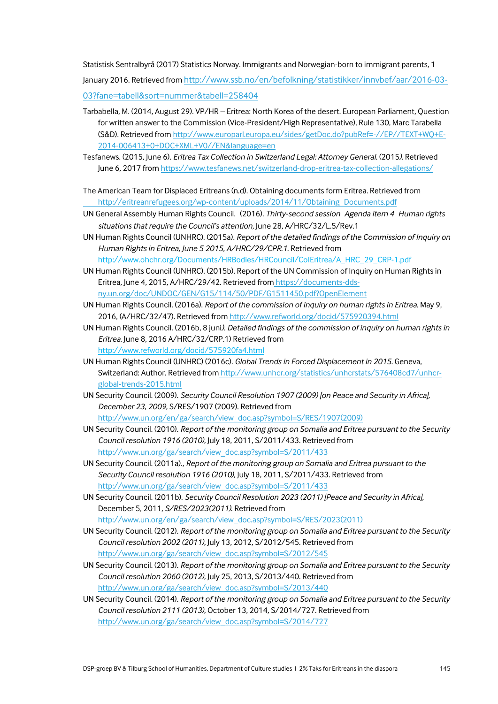Statistisk Sentralbyrå (2017) Statistics Norway. Immigrants and Norwegian-born to immigrant parents, 1

January 2016. Retrieved from http://www.ssb.no/en/befolkning/statistikker/innvbef/aar/2016-03-

03?fane=tabell&sort=nummer&tabell=258404

- Tarbabella, M. (2014, August 29). VP/HR Eritrea: North Korea of the desert. European Parliament, Question for written answer to the Commission (Vice-President/High Representative), Rule 130, Marc Tarabella (S&D). Retrieved from http://www.europarl.europa.eu/sides/getDoc.do?pubRef=-//EP//TEXT+WQ+E-2014-006413+0+DOC+XML+V0//EN&language=en
- Tesfanews. (2015, June 6). *Eritrea Tax Collection in Switzerland Legal: Attorney General.* (2015*).* Retrieved June 6, 2017 from https://www.tesfanews.net/switzerland-drop-eritrea-tax-collection-allegations/
- The American Team for Displaced Eritreans (n.d). Obtaining documents form Eritrea. Retrieved from http://eritreanrefugees.org/wp-content/uploads/2014/11/Obtaining\_Documents.pdf
- UN General Assembly Human Rights Council. (2016). *Thirty-second session Agenda item 4 Human rights situations that require the Council's attention*, June 28, A/HRC/32/L.5/Rev.1
- UN Human Rights Council (UNHRC). (2015a). *Report of the detailed findings of the Commission of Inquiry on Human Rights in Eritrea, June 5 2015, A/HRC/29/CPR.1.* Retrieved from http://www.ohchr.org/Documents/HRBodies/HRCouncil/CoIEritrea/A\_HRC\_29\_CRP-1.pdf

UN Human Rights Council (UNHRC). (2015b). Report of the UN Commission of Inquiry on Human Rights in Eritrea, June 4, 2015, A/HRC/29/42. Retrieved from https://documents-ddsny.un.org/doc/UNDOC/GEN/G15/114/50/PDF/G1511450.pdf?OpenElement

UN Human Rights Council. (2016a). *Report of the commission of inquiry on human rights in Eritrea.* May 9, 2016, (A/HRC/32/47). Retrieved from http://www.refworld.org/docid/575920394.html

- UN Human Rights Council. (2016b, 8 juni*). Detailed findings of the commission of inquiry on human rights in Eritrea*. June 8, 2016 A/HRC/32/CRP.1) Retrieved from http://www.refworld.org/docid/575920fa4.html
- UN Human Rights Council (UNHRC) (2016c). *Global Trends in Forced Displacement in 2015.* Geneva, Switzerland: Author. Retrieved from http://www.unhcr.org/statistics/unhcrstats/576408cd7/unhcrglobal-trends-2015.html
- UN Security Council. (2009). *Security Council Resolution 1907 (2009) [on Peace and Security in Africa], December 23, 2009,* S/RES/1907 (2009). Retrieved from http://www.un.org/en/ga/search/view\_doc.asp?symbol=S/RES/1907(2009)
- UN Security Council. (2010). *Report of the monitoring group on Somalia and Eritrea pursuant to the Security Council resolution 1916 (2010),* July 18, 2011, S/2011/433. Retrieved from http://www.un.org/ga/search/view\_doc.asp?symbol=S/2011/433
- UN Security Council. (2011a)., *Report of the monitoring group on Somalia and Eritrea pursuant to the Security Council resolution 1916 (2010),* July 18, 2011, S/2011/433. Retrieved from http://www.un.org/ga/search/view\_doc.asp?symbol=S/2011/433
- UN Security Council. (2011b). *Security Council Resolution 2023 (2011) [Peace and Security in Africa]*, December 5, 2011, *S/RES/2023(2011)*. Retrieved from http://www.un.org/en/ga/search/view\_doc.asp?symbol=S/RES/2023(2011)
- UN Security Council. (2012). *Report of the monitoring group on Somalia and Eritrea pursuant to the Security Council resolution 2002 (2011),* July 13, 2012, S/2012/545. Retrieved from http://www.un.org/ga/search/view\_doc.asp?symbol=S/2012/545
- UN Security Council. (2013). *Report of the monitoring group on Somalia and Eritrea pursuant to the Security Council resolution 2060 (2012),* July 25, 2013, S/2013/440. Retrieved from http://www.un.org/ga/search/view\_doc.asp?symbol=S/2013/440
- UN Security Council. (2014). *Report of the monitoring group on Somalia and Eritrea pursuant to the Security Council resolution 2111 (2013),* October 13, 2014, S/2014/727. Retrieved from http://www.un.org/ga/search/view\_doc.asp?symbol=S/2014/727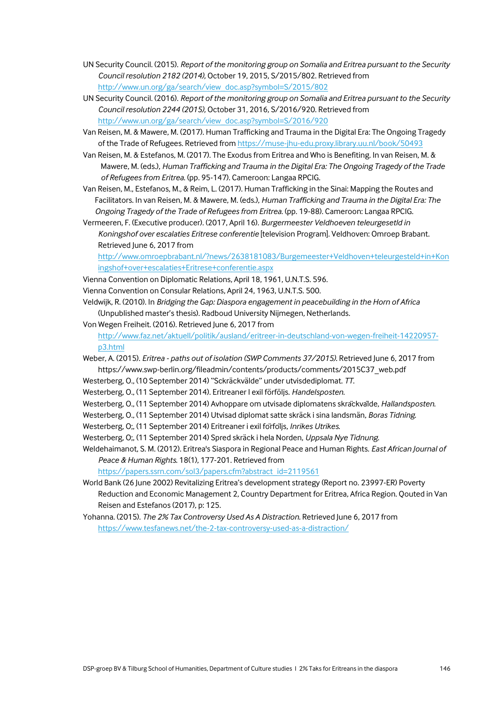- UN Security Council. (2015). *Report of the monitoring group on Somalia and Eritrea pursuant to the Security Council resolution 2182 (2014),* October 19, 2015, S/2015/802. Retrieved from http://www.un.org/ga/search/view\_doc.asp?symbol=S/2015/802
- UN Security Council. (2016). *Report of the monitoring group on Somalia and Eritrea pursuant to the Security Council resolution 2244 (2015),* October 31, 2016, S/2016/920. Retrieved from http://www.un.org/ga/search/view\_doc.asp?symbol=S/2016/920
- Van Reisen, M. & Mawere, M. (2017). Human Trafficking and Trauma in the Digital Era: The Ongoing Tragedy of the Trade of Refugees. Retrieved from https://muse-jhu-edu.proxy.library.uu.nl/book/50493
- Van Reisen, M. & Estefanos, M. (2017). The Exodus from Eritrea and Who is Benefiting. In van Reisen, M. & Mawere, M. (eds.), *Human Trafficking and Trauma in the Digital Era: The Ongoing Tragedy of the Trade of Refugees from Eritrea*. (pp. 95-147). Cameroon: Langaa RPCIG.
- Van Reisen, M., Estefanos, M., & Reim, L. (2017). Human Trafficking in the Sinai: Mapping the Routes and Facilitators. In van Reisen, M. & Mawere, M. (eds.), *Human Trafficking and Trauma in the Digital Era: The Ongoing Tragedy of the Trade of Refugees from Eritrea*. (pp. 19-88). Cameroon: Langaa RPCIG.
- Vermeeren, F. (Executive producer). (2017, April 16). *Burgermeester Veldhoeven teleurgesetld in Koningshof over escalaties Eritrese conferentie* [television Program]. Veldhoven: Omroep Brabant. Retrieved June 6, 2017 from

http://www.omroepbrabant.nl/?news/2638181083/Burgemeester+Veldhoven+teleurgesteld+in+Kon ingshof+over+escalaties+Eritrese+conferentie.aspx

- Vienna Convention on Diplomatic Relations, April 18, 1961, U.N.T.S. 596.
- Vienna Convention on Consular Relations, April 24, 1963, U.N.T.S. 500.
- Veldwijk, R. (2010). In *Bridging the Gap: Diaspora engagement in peacebuilding in the Horn of Africa*  (Unpublished master's thesis). Radboud University Nijmegen, Netherlands.
- Von Wegen Freiheit. (2016). Retrieved June 6, 2017 from http://www.faz.net/aktuell/politik/ausland/eritreer-in-deutschland-von-wegen-freiheit-14220957 p3.html
- Weber, A. (2015). *Eritrea paths out of isolation (SWP Comments 37/2015).* Retrieved June 6, 2017 from https://www.swp-berlin.org/fileadmin/contents/products/comments/2015C37\_web.pdf
- Westerberg, O., (10 September 2014) "Sckräckvälde" under utvisdediplomat. *TT*.
- Westerberg, O., (11 September 2014). Eritreaner I exil förföljs. *Handelsposten*.
- Westerberg, O., (11 September 2014) Avhoppare om utvisade diplomatens skräckvälde, *Hallandsposten*.
- Westerberg, O., (11 September 2014) Utvisad diplomat satte skräck i sina landsmän, *Boras Tidning.*
- Westerberg, O;, (11 September 2014) Eritreaner i exil förföljs, *Inrikes Utrikes*.
- Westerberg, O;, (11 September 2014) Spred skräck i hela Norden, *Uppsala Nye Tidnung*.
- Weldehaimanot, S. M. (2012). Eritrea's Siaspora in Regional Peace and Human Rights. *East African Journal of Peace & Human Rights*. 18(1), 177-201. Retrieved from

https://papers.ssrn.com/sol3/papers.cfm?abstract\_id=2119561

- World Bank (26 June 2002) Revitalizing Eritrea's development strategy (Report no. 23997-ER) Poverty Reduction and Economic Management 2, Country Department for Eritrea, Africa Region. Qouted in Van Reisen and Estefanos (2017), p: 125.
- Yohanna. (2015). *The 2% Tax Controversy Used As A Distraction.* Retrieved June 6, 2017 from https://www.tesfanews.net/the-2-tax-controversy-used-as-a-distraction/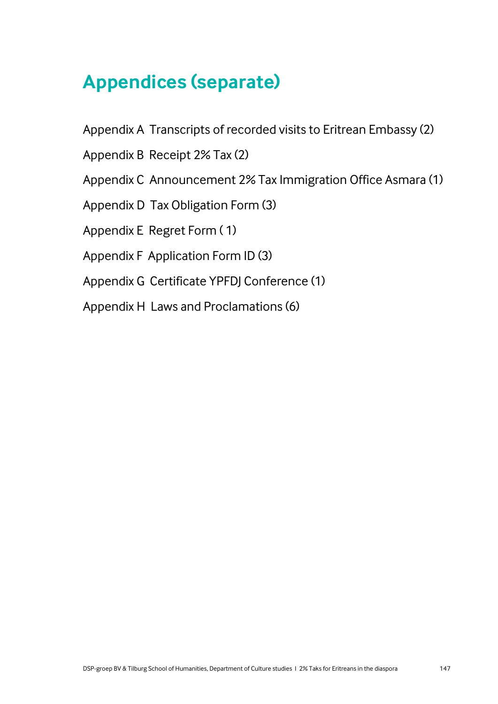## **Appendices (separate)**

- Appendix A Transcripts of recorded visits to Eritrean Embassy (2)
- Appendix B Receipt 2% Tax (2)
- Appendix C Announcement 2% Tax Immigration Office Asmara (1)
- Appendix D Tax Obligation Form (3)
- Appendix E Regret Form ( 1)
- Appendix F Application Form ID (3)
- Appendix G Certificate YPFDJ Conference (1)
- Appendix H Laws and Proclamations (6)